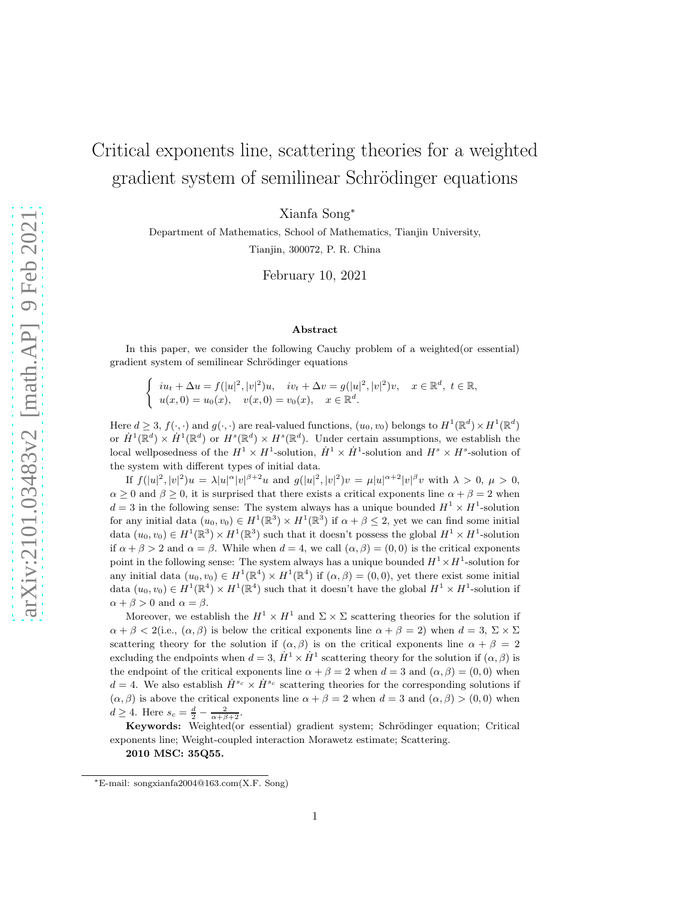# Critical exponents line, scattering theories for a weighted gradient system of semilinear Schrödinger equations

Xianfa Song<sup>∗</sup>

Department of Mathematics, School of Mathematics, Tianjin University, Tianjin, 300072, P. R. China

February 10, 2021

#### Abstract

In this paper, we consider the following Cauchy problem of a weighted(or essential) gradient system of semilinear Schrödinger equations

$$
\begin{cases}\niu_t + \Delta u = f(|u|^2, |v|^2)u, & iv_t + \Delta v = g(|u|^2, |v|^2)v, \quad x \in \mathbb{R}^d, \ t \in \mathbb{R}, \\
u(x, 0) = u_0(x), & v(x, 0) = v_0(x), \quad x \in \mathbb{R}^d.\n\end{cases}
$$

Here  $d \geq 3$ ,  $f(\cdot, \cdot)$  and  $g(\cdot, \cdot)$  are real-valued functions,  $(u_0, v_0)$  belongs to  $H^1(\mathbb{R}^d) \times H^1(\mathbb{R}^d)$ or  $\dot{H}^1(\mathbb{R}^d) \times \dot{H}^1(\mathbb{R}^d)$  or  $H^s(\mathbb{R}^d) \times H^s(\mathbb{R}^d)$ . Under certain assumptions, we establish the local wellposedness of the  $H^1 \times H^1$ -solution,  $\dot{H}^1 \times \dot{H}^1$ -solution and  $H^s \times H^s$ -solution of the system with different types of initial data.

If  $f(|u|^2, |v|^2)u = \lambda |u|^{\alpha} |v|^{\beta+2}u$  and  $g(|u|^2, |v|^2)v = \mu |u|^{\alpha+2} |v|^{\beta}v$  with  $\lambda > 0, \mu > 0$ ,  $\alpha \geq 0$  and  $\beta \geq 0$ , it is surprised that there exists a critical exponents line  $\alpha + \beta = 2$  when  $d=3$  in the following sense: The system always has a unique bounded  $H^1 \times H^1$ -solution for any initial data  $(u_0, v_0) \in H^1(\mathbb{R}^3) \times H^1(\mathbb{R}^3)$  if  $\alpha + \beta \leq 2$ , yet we can find some initial data  $(u_0, v_0) \in H^1(\mathbb{R}^3) \times H^1(\mathbb{R}^3)$  such that it doesn't possess the global  $H^1 \times H^1$ -solution if  $\alpha + \beta > 2$  and  $\alpha = \beta$ . While when  $d = 4$ , we call  $(\alpha, \beta) = (0, 0)$  is the critical exponents point in the following sense: The system always has a unique bounded  $H^1 \times H^1$ -solution for any initial data  $(u_0, v_0) \in H^1(\mathbb{R}^4) \times H^1(\mathbb{R}^4)$  if  $(\alpha, \beta) = (0, 0)$ , yet there exist some initial data  $(u_0, v_0) \in H^1(\mathbb{R}^4) \times H^1(\mathbb{R}^4)$  such that it doesn't have the global  $H^1 \times H^1$ -solution if  $\alpha + \beta > 0$  and  $\alpha = \beta$ .

Moreover, we establish the  $H^1 \times H^1$  and  $\Sigma \times \Sigma$  scattering theories for the solution if  $\alpha + \beta < 2$ (i.e.,  $(\alpha, \beta)$ ) is below the critical exponents line  $\alpha + \beta = 2$ ) when  $d = 3$ ,  $\Sigma \times \Sigma$ scattering theory for the solution if  $(\alpha, \beta)$  is on the critical exponents line  $\alpha + \beta = 2$ excluding the endpoints when  $d = 3$ ,  $\dot{H}^1 \times \dot{H}^1$  scattering theory for the solution if  $(\alpha, \beta)$  is the endpoint of the critical exponents line  $\alpha + \beta = 2$  when  $d = 3$  and  $(\alpha, \beta) = (0, 0)$  when  $d = 4$ . We also establish  $\dot{H}^{s_c} \times \dot{H}^{s_c}$  scattering theories for the corresponding solutions if  $(\alpha, \beta)$  is above the critical exponents line  $\alpha + \beta = 2$  when  $d = 3$  and  $(\alpha, \beta) > (0, 0)$  when  $d \geq 4$ . Here  $s_c = \frac{d}{2} - \frac{2}{\alpha + \beta + 2}$ .

Keywords: Weighted(or essential) gradient system; Schrödinger equation; Critical exponents line; Weight-coupled interaction Morawetz estimate; Scattering. 2010 MSC: 35Q55.

<sup>∗</sup>E-mail: songxianfa2004@163.com(X.F. Song)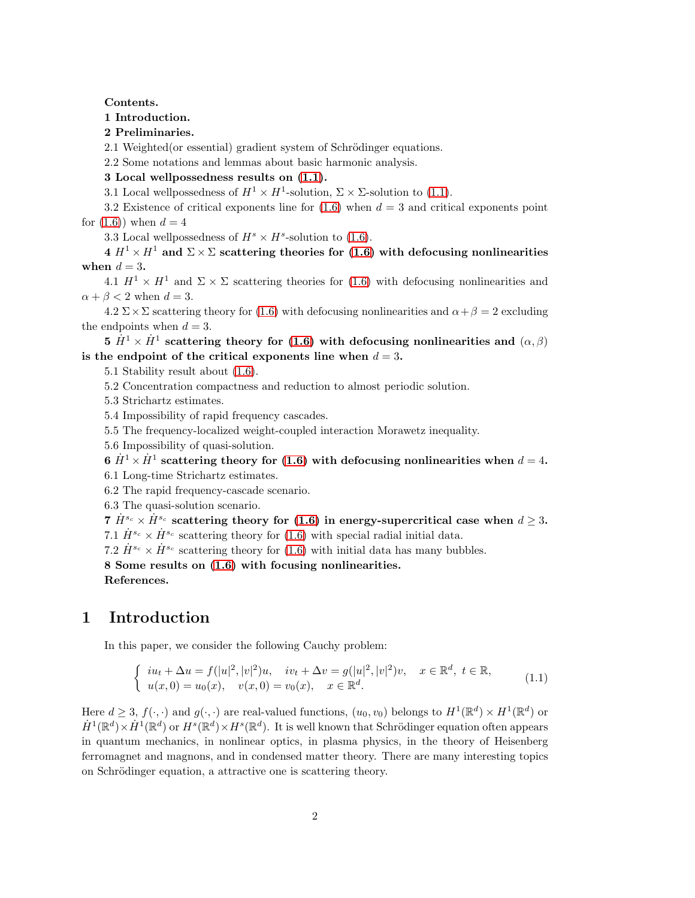### Contents.

## 1 Introduction.

2 Preliminaries.

2.1 Weighted(or essential) gradient system of Schrödinger equations.

2.2 Some notations and lemmas about basic harmonic analysis.

## 3 Local wellpossedness results on [\(1.1\)](#page-1-0).

3.1 Local wellpossedness of  $H^1 \times H^1$ -solution,  $\Sigma \times \Sigma$ -solution to [\(1.1\)](#page-1-0).

3.2 Existence of critical exponents line for  $(1.6)$  when  $d = 3$  and critical exponents point for  $(1.6)$  when  $d = 4$ 

3.3 Local wellpossedness of  $H^s \times H^s$ -solution to [\(1.6\)](#page-3-0).

 $4 H^1 \times H^1$  and  $\Sigma \times \Sigma$  scattering theories for [\(1.6\)](#page-3-0) with defocusing nonlinearities when  $d = 3$ .

4.1  $H^1 \times H^1$  and  $\Sigma \times \Sigma$  scattering theories for [\(1.6\)](#page-3-0) with defocusing nonlinearities and  $\alpha + \beta < 2$  when  $d = 3$ .

 $4.2 \Sigma \times \Sigma$  scattering theory for [\(1.6\)](#page-3-0) with defocusing nonlinearities and  $\alpha + \beta = 2$  excluding the endpoints when  $d = 3$ .

 $5 \,\, \dot{H}^1 \times \dot{H}^1$  scattering theory for [\(1.6\)](#page-3-0) with defocusing nonlinearities and  $(\alpha, \beta)$ is the endpoint of the critical exponents line when  $d = 3$ .

5.1 Stability result about [\(1.6\)](#page-3-0).

5.2 Concentration compactness and reduction to almost periodic solution.

- 5.3 Strichartz estimates.
- 5.4 Impossibility of rapid frequency cascades.

5.5 The frequency-localized weight-coupled interaction Morawetz inequality.

5.6 Impossibility of quasi-solution.

 $6 \; \dot{H}^1 \times \dot{H}^1$  scattering theory for [\(1.6\)](#page-3-0) with defocusing nonlinearities when  $d=4.$ 

6.1 Long-time Strichartz estimates.

6.2 The rapid frequency-cascade scenario.

6.3 The quasi-solution scenario.

7  $\dot{H}^{s_c} \times \dot{H}^{s_c}$  scattering theory for [\(1.6\)](#page-3-0) in energy-supercritical case when  $d > 3$ . 7.1  $\dot{H}^{s_c} \times \dot{H}^{s_c}$  scattering theory for [\(1.6\)](#page-3-0) with special radial initial data.

7.2  $\dot{H}^{s_c} \times \dot{H}^{s_c}$  scattering theory for [\(1.6\)](#page-3-0) with initial data has many bubbles.

8 Some results on [\(1.6\)](#page-3-0) with focusing nonlinearities. References.

## 1 Introduction

In this paper, we consider the following Cauchy problem:

<span id="page-1-0"></span>
$$
\begin{cases}\niu_t + \Delta u = f(|u|^2, |v|^2)u, & iv_t + \Delta v = g(|u|^2, |v|^2)v, \quad x \in \mathbb{R}^d, \ t \in \mathbb{R}, \\
u(x, 0) = u_0(x), & v(x, 0) = v_0(x), \quad x \in \mathbb{R}^d.\n\end{cases}
$$
\n(1.1)

Here  $d \geq 3$ ,  $f(\cdot, \cdot)$  and  $g(\cdot, \cdot)$  are real-valued functions,  $(u_0, v_0)$  belongs to  $H^1(\mathbb{R}^d) \times H^1(\mathbb{R}^d)$  or  $\dot{H}^1(\mathbb{R}^d)\times\dot{H}^1(\mathbb{R}^d)$  or  $H^s(\mathbb{R}^d)\times H^s(\mathbb{R}^d)$ . It is well known that Schrödinger equation often appears in quantum mechanics, in nonlinear optics, in plasma physics, in the theory of Heisenberg ferromagnet and magnons, and in condensed matter theory. There are many interesting topics on Schrödinger equation, a attractive one is scattering theory.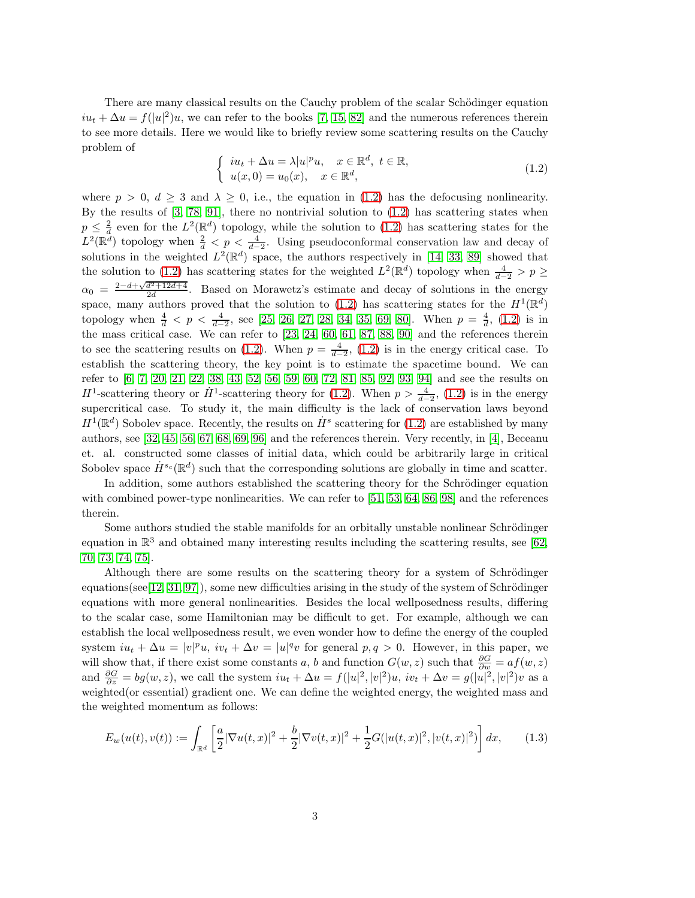There are many classical results on the Cauchy problem of the scalar Schödinger equation  $iu_t + \Delta u = f(|u|^2)u$ , we can refer to the books [\[7,](#page-95-0) [15,](#page-95-1) [82\]](#page-99-0) and the numerous references therein to see more details. Here we would like to briefly review some scattering results on the Cauchy problem of

<span id="page-2-0"></span>
$$
\begin{cases}\niu_t + \Delta u = \lambda |u|^p u, & x \in \mathbb{R}^d, \ t \in \mathbb{R}, \\
u(x,0) = u_0(x), & x \in \mathbb{R}^d,\n\end{cases}
$$
\n(1.2)

where  $p > 0$ ,  $d \geq 3$  and  $\lambda \geq 0$ , i.e., the equation in [\(1.2\)](#page-2-0) has the defocusing nonlinearity. By the results of  $[3, 78, 91]$  $[3, 78, 91]$  $[3, 78, 91]$ , there no nontrivial solution to  $(1.2)$  has scattering states when  $p \leq \frac{2}{d}$  even for the  $L^2(\mathbb{R}^d)$  topology, while the solution to [\(1.2\)](#page-2-0) has scattering states for the  $L^2(\mathbb{R}^d)$  topology when  $\frac{2}{d} < p < \frac{4}{d-2}$ . Using pseudoconformal conservation law and decay of solutions in the weighted  $L^2(\mathbb{R}^d)$  space, the authors respectively in [\[14,](#page-95-3) [33,](#page-96-0) [89\]](#page-100-1) showed that the solution to [\(1.2\)](#page-2-0) has scattering states for the weighted  $L^2(\mathbb{R}^d)$  topology when  $\frac{4}{d-2} > p \ge$  $\alpha_0 = \frac{2-d+\sqrt{d^2+12d+4}}{2d}$ . Based on Morawetz's estimate and decay of solutions in the energy space, many authors proved that the solution to [\(1.2\)](#page-2-0) has scattering states for the  $H^1(\mathbb{R}^d)$ topology when  $\frac{4}{d} < p < \frac{4}{d-2}$ , see [\[25,](#page-96-1) [26,](#page-96-2) [27,](#page-96-3) [28,](#page-96-4) [34,](#page-96-5) [35,](#page-97-0) [69,](#page-98-0) [80\]](#page-99-2). When  $p = \frac{4}{d}$ , [\(1.2\)](#page-2-0) is in the mass critical case. We can refer to [\[23,](#page-96-6) [24,](#page-96-7) [60,](#page-98-1) [61,](#page-98-2) [87,](#page-100-2) [88,](#page-100-3) [90\]](#page-100-4) and the references therein to see the scattering results on [\(1.2\)](#page-2-0). When  $p = \frac{4}{d-2}$ , (1.2) is in the energy critical case. To establish the scattering theory, the key point is to estimate the spacetime bound. We can refer to [\[6,](#page-95-4) [7,](#page-95-0) [20,](#page-96-8) [21,](#page-96-9) [22,](#page-96-10) [38,](#page-97-1) [43,](#page-97-2) [52,](#page-98-3) [56,](#page-98-4) [59,](#page-98-5) [60,](#page-98-1) [72,](#page-99-3) [81,](#page-99-4) [85,](#page-99-5) [92,](#page-100-5) [93,](#page-100-6) [94\]](#page-100-7) and see the results on  $H^1$ -scattering theory or  $\dot{H}^1$ -scattering theory for [\(1.2\)](#page-2-0). When  $p > \frac{4}{d-2}$ , (1.2) is in the energy supercritical case. To study it, the main difficulty is the lack of conservation laws beyond  $H^1(\mathbb{R}^d)$  Sobolev space. Recently, the results on  $\dot{H}^s$  scattering for [\(1.2\)](#page-2-0) are established by many authors, see [\[32,](#page-96-11) [45,](#page-97-3) [56,](#page-98-4) [67,](#page-98-6) [68,](#page-98-7) [69,](#page-98-0) [96\]](#page-100-8) and the references therein. Very recently, in [\[4\]](#page-95-5), Beceanu et. al. constructed some classes of initial data, which could be arbitrarily large in critical Sobolev space  $\dot{H}^{s_c}(\mathbb{R}^d)$  such that the corresponding solutions are globally in time and scatter.

In addition, some authors established the scattering theory for the Schrödinger equation with combined power-type nonlinearities. We can refer to [\[51,](#page-97-4) [53,](#page-98-8) [64,](#page-98-9) [86,](#page-99-6) [98\]](#page-100-9) and the references therein.

Some authors studied the stable manifolds for an orbitally unstable nonlinear Schrödinger equation in  $\mathbb{R}^3$  and obtained many interesting results including the scattering results, see [\[62,](#page-98-10) [70,](#page-99-7) [73,](#page-99-8) [74,](#page-99-9) [75\]](#page-99-10).

Although there are some results on the scattering theory for a system of Schrödinger equations( $\{see [12, 31, 97]$  $\{see [12, 31, 97]$  $\{see [12, 31, 97]$  $\{see [12, 31, 97]$ ), some new difficulties arising in the study of the system of Schrödinger equations with more general nonlinearities. Besides the local wellposedness results, differing to the scalar case, some Hamiltonian may be difficult to get. For example, although we can establish the local wellposedness result, we even wonder how to define the energy of the coupled system  $iu_t + \Delta u = |v|^p u$ ,  $iv_t + \Delta v = |u|^q v$  for general  $p, q > 0$ . However, in this paper, we will show that, if there exist some constants a, b and function  $G(w, z)$  such that  $\frac{\partial G}{\partial w} = af(w, z)$ and  $\frac{\partial G}{\partial z} = bg(w, z)$ , we call the system  $iu_t + \Delta u = f(|u|^2, |v|^2)u$ ,  $iv_t + \Delta v = g(|u|^2, |v|^2)v$  as a weighted(or essential) gradient one. We can define the weighted energy, the weighted mass and the weighted momentum as follows:

$$
E_w(u(t),v(t)) := \int_{\mathbb{R}^d} \left[ \frac{a}{2} |\nabla u(t,x)|^2 + \frac{b}{2} |\nabla v(t,x)|^2 + \frac{1}{2} G(|u(t,x)|^2, |v(t,x)|^2) \right] dx, \tag{1.3}
$$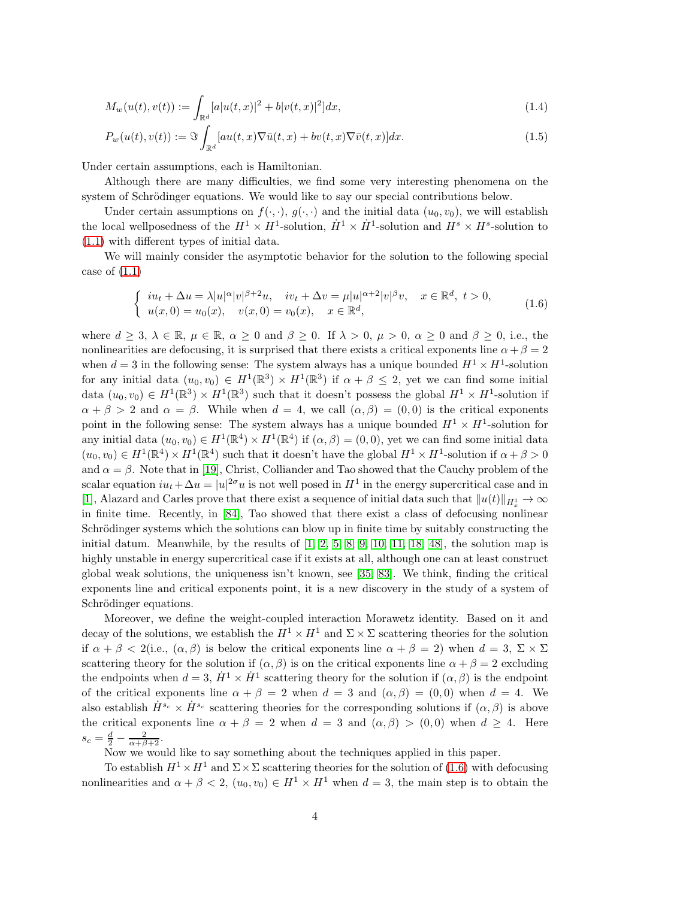$$
M_w(u(t), v(t)) := \int_{\mathbb{R}^d} [a|u(t,x)|^2 + b|v(t,x)|^2] dx,
$$
\n(1.4)

$$
P_w(u(t), v(t)) := \Im \int_{\mathbb{R}^d} [au(t, x) \nabla \bar{u}(t, x) + bv(t, x) \nabla \bar{v}(t, x)] dx.
$$
\n(1.5)

Under certain assumptions, each is Hamiltonian.

Although there are many difficulties, we find some very interesting phenomena on the system of Schrödinger equations. We would like to say our special contributions below.

Under certain assumptions on  $f(\cdot, \cdot)$ ,  $g(\cdot, \cdot)$  and the initial data  $(u_0, v_0)$ , we will establish the local wellposedness of the  $H^1 \times H^1$ -solution,  $\dot{H}^1 \times \dot{H}^1$ -solution and  $H^s \times H^s$ -solution to [\(1.1\)](#page-1-0) with different types of initial data.

We will mainly consider the asymptotic behavior for the solution to the following special case of  $(1.1)$ 

<span id="page-3-0"></span>
$$
\begin{cases}\ni u_t + \Delta u = \lambda |u|^\alpha |v|^{\beta+2}u, & iv_t + \Delta v = \mu |u|^{\alpha+2}|v|^\beta v, \quad x \in \mathbb{R}^d, \ t > 0, \\
u(x, 0) = u_0(x), & v(x, 0) = v_0(x), \quad x \in \mathbb{R}^d,\n\end{cases}
$$
\n(1.6)

where  $d \geq 3$ ,  $\lambda \in \mathbb{R}$ ,  $\mu \in \mathbb{R}$ ,  $\alpha \geq 0$  and  $\beta \geq 0$ . If  $\lambda > 0$ ,  $\mu > 0$ ,  $\alpha \geq 0$  and  $\beta \geq 0$ , i.e., the nonlinearities are defocusing, it is surprised that there exists a critical exponents line  $\alpha + \beta = 2$ when  $d = 3$  in the following sense: The system always has a unique bounded  $H^1 \times H^1$ -solution for any initial data  $(u_0, v_0) \in H^1(\mathbb{R}^3) \times H^1(\mathbb{R}^3)$  if  $\alpha + \beta \leq 2$ , yet we can find some initial data  $(u_0, v_0) \in H^1(\mathbb{R}^3) \times H^1(\mathbb{R}^3)$  such that it doesn't possess the global  $H^1 \times H^1$ -solution if  $\alpha + \beta > 2$  and  $\alpha = \beta$ . While when  $d = 4$ , we call  $(\alpha, \beta) = (0, 0)$  is the critical exponents point in the following sense: The system always has a unique bounded  $H^1 \times H^1$ -solution for any initial data  $(u_0, v_0) \in H^1(\mathbb{R}^4) \times H^1(\mathbb{R}^4)$  if  $(\alpha, \beta) = (0, 0)$ , yet we can find some initial data  $(u_0, v_0) \in H^1(\mathbb{R}^4) \times H^1(\mathbb{R}^4)$  such that it doesn't have the global  $H^1 \times H^1$ -solution if  $\alpha + \beta > 0$ and  $\alpha = \beta$ . Note that in [\[19\]](#page-96-13), Christ, Colliander and Tao showed that the Cauchy problem of the scalar equation  $iu_t + \Delta u = |u|^{2\sigma}u$  is not well posed in  $H^1$  in the energy supercritical case and in [\[1\]](#page-94-0), Alazard and Carles prove that there exist a sequence of initial data such that  $||u(t)||_{H_x^1} \to \infty$ in finite time. Recently, in [\[84\]](#page-99-11), Tao showed that there exist a class of defocusing nonlinear Schrödinger systems which the solutions can blow up in finite time by suitably constructing the initial datum. Meanwhile, by the results of  $\left[1, 2, 5, 8, 9, 10, 11, 18, 48\right]$  $\left[1, 2, 5, 8, 9, 10, 11, 18, 48\right]$  $\left[1, 2, 5, 8, 9, 10, 11, 18, 48\right]$  $\left[1, 2, 5, 8, 9, 10, 11, 18, 48\right]$  $\left[1, 2, 5, 8, 9, 10, 11, 18, 48\right]$  $\left[1, 2, 5, 8, 9, 10, 11, 18, 48\right]$  $\left[1, 2, 5, 8, 9, 10, 11, 18, 48\right]$  $\left[1, 2, 5, 8, 9, 10, 11, 18, 48\right]$  $\left[1, 2, 5, 8, 9, 10, 11, 18, 48\right]$ , the solution map is highly unstable in energy supercritical case if it exists at all, although one can at least construct global weak solutions, the uniqueness isn't known, see [\[35,](#page-97-0) [83\]](#page-99-12). We think, finding the critical exponents line and critical exponents point, it is a new discovery in the study of a system of Schrödinger equations.

Moreover, we define the weight-coupled interaction Morawetz identity. Based on it and decay of the solutions, we establish the  $H^1 \times H^1$  and  $\Sigma \times \Sigma$  scattering theories for the solution if  $\alpha + \beta < 2$ (i.e.,  $(\alpha, \beta)$  is below the critical exponents line  $\alpha + \beta = 2$ ) when  $d = 3$ ,  $\Sigma \times \Sigma$ scattering theory for the solution if  $(\alpha, \beta)$  is on the critical exponents line  $\alpha + \beta = 2$  excluding the endpoints when  $d = 3$ ,  $\dot{H}^1 \times \dot{H}^1$  scattering theory for the solution if  $(\alpha, \beta)$  is the endpoint of the critical exponents line  $\alpha + \beta = 2$  when  $d = 3$  and  $(\alpha, \beta) = (0, 0)$  when  $d = 4$ . We also establish  $\dot{H}^{s_c} \times \dot{H}^{s_c}$  scattering theories for the corresponding solutions if  $(\alpha, \beta)$  is above the critical exponents line  $\alpha + \beta = 2$  when  $d = 3$  and  $(\alpha, \beta) > (0, 0)$  when  $d \geq 4$ . Here  $s_c = \frac{d}{2} - \frac{2}{\alpha + \beta + 2}.$ 

Now we would like to say something about the techniques applied in this paper.

To establish  $H^1 \times H^1$  and  $\Sigma \times \Sigma$  scattering theories for the solution of [\(1.6\)](#page-3-0) with defocusing nonlinearities and  $\alpha + \beta < 2$ ,  $(u_0, v_0) \in H^1 \times H^1$  when  $d = 3$ , the main step is to obtain the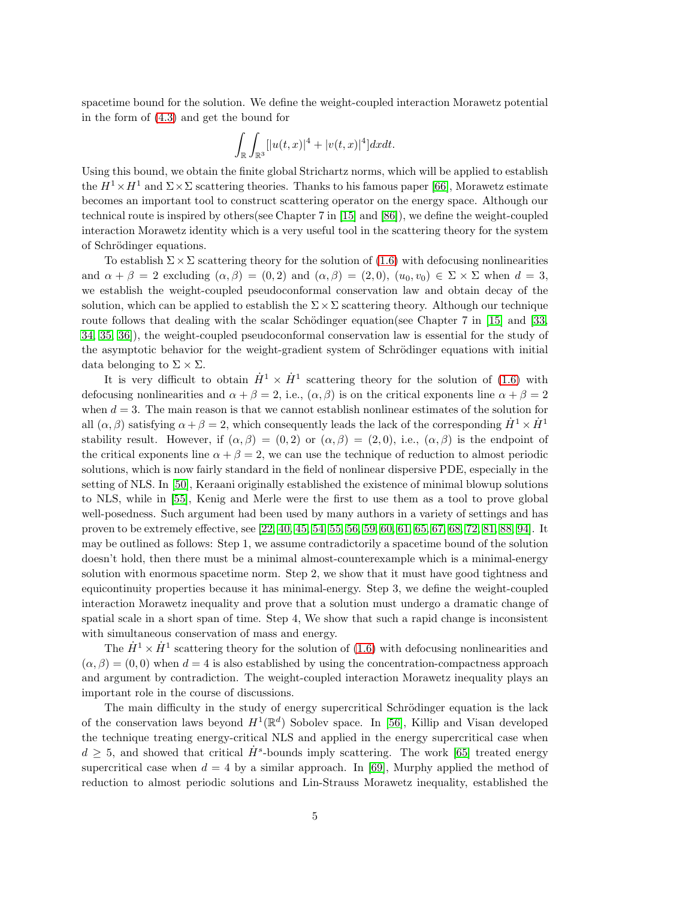spacetime bound for the solution. We define the weight-coupled interaction Morawetz potential in the form of [\(4.3\)](#page-23-0) and get the bound for

$$
\int_{\mathbb{R}}\int_{\mathbb{R}^3}[|u(t,x)|^4+|v(t,x)|^4]dxdt.
$$

Using this bound, we obtain the finite global Strichartz norms, which will be applied to establish the  $H^1 \times H^1$  and  $\Sigma \times \Sigma$  scattering theories. Thanks to his famous paper [\[66\]](#page-98-11), Morawetz estimate becomes an important tool to construct scattering operator on the energy space. Although our technical route is inspired by others(see Chapter 7 in [\[15\]](#page-95-1) and [\[86\]](#page-99-6)), we define the weight-coupled interaction Morawetz identity which is a very useful tool in the scattering theory for the system of Schrödinger equations.

To establish  $\Sigma \times \Sigma$  scattering theory for the solution of [\(1.6\)](#page-3-0) with defocusing nonlinearities and  $\alpha + \beta = 2$  excluding  $(\alpha, \beta) = (0, 2)$  and  $(\alpha, \beta) = (2, 0), (u_0, v_0) \in \Sigma \times \Sigma$  when  $d = 3$ , we establish the weight-coupled pseudoconformal conservation law and obtain decay of the solution, which can be applied to establish the  $\Sigma \times \Sigma$  scattering theory. Although our technique route follows that dealing with the scalar Schödinger equation(see Chapter 7 in [\[15\]](#page-95-1) and [\[33,](#page-96-0) [34,](#page-96-5) [35,](#page-97-0) [36\]](#page-97-6)), the weight-coupled pseudoconformal conservation law is essential for the study of the asymptotic behavior for the weight-gradient system of Schrödinger equations with initial data belonging to  $\Sigma \times \Sigma$ .

It is very difficult to obtain  $\dot{H}^1 \times \dot{H}^1$  scattering theory for the solution of [\(1.6\)](#page-3-0) with defocusing nonlinearities and  $\alpha + \beta = 2$ , i.e.,  $(\alpha, \beta)$  is on the critical exponents line  $\alpha + \beta = 2$ when  $d = 3$ . The main reason is that we cannot establish nonlinear estimates of the solution for all  $(\alpha, \beta)$  satisfying  $\alpha + \beta = 2$ , which consequently leads the lack of the corresponding  $\dot{H}^1 \times \dot{H}^1$ stability result. However, if  $(\alpha, \beta) = (0, 2)$  or  $(\alpha, \beta) = (2, 0)$ , i.e.,  $(\alpha, \beta)$  is the endpoint of the critical exponents line  $\alpha + \beta = 2$ , we can use the technique of reduction to almost periodic solutions, which is now fairly standard in the field of nonlinear dispersive PDE, especially in the setting of NLS. In [\[50\]](#page-97-7), Keraani originally established the existence of minimal blowup solutions to NLS, while in [\[55\]](#page-98-12), Kenig and Merle were the first to use them as a tool to prove global well-posedness. Such argument had been used by many authors in a variety of settings and has proven to be extremely effective, see [\[22,](#page-96-10) [40,](#page-97-8) [45,](#page-97-3) [54,](#page-98-13) [55,](#page-98-12) [56,](#page-98-4) [59,](#page-98-5) [60,](#page-98-1) [61,](#page-98-2) [65,](#page-98-14) [67,](#page-98-6) [68,](#page-98-7) [72,](#page-99-3) [81,](#page-99-4) [88,](#page-100-3) [94\]](#page-100-7). It may be outlined as follows: Step 1, we assume contradictorily a spacetime bound of the solution doesn't hold, then there must be a minimal almost-counterexample which is a minimal-energy solution with enormous spacetime norm. Step 2, we show that it must have good tightness and equicontinuity properties because it has minimal-energy. Step 3, we define the weight-coupled interaction Morawetz inequality and prove that a solution must undergo a dramatic change of spatial scale in a short span of time. Step 4, We show that such a rapid change is inconsistent with simultaneous conservation of mass and energy.

The  $\dot{H}^1 \times \dot{H}^1$  scattering theory for the solution of [\(1.6\)](#page-3-0) with defocusing nonlinearities and  $(\alpha, \beta) = (0, 0)$  when  $d = 4$  is also established by using the concentration-compactness approach and argument by contradiction. The weight-coupled interaction Morawetz inequality plays an important role in the course of discussions.

The main difficulty in the study of energy supercritical Schrödinger equation is the lack of the conservation laws beyond  $H^1(\mathbb{R}^d)$  Sobolev space. In [\[56\]](#page-98-4), Killip and Visan developed the technique treating energy-critical NLS and applied in the energy supercritical case when  $d \geq 5$ , and showed that critical  $\dot{H}^s$ -bounds imply scattering. The work [\[65\]](#page-98-14) treated energy supercritical case when  $d = 4$  by a similar approach. In [\[69\]](#page-98-0), Murphy applied the method of reduction to almost periodic solutions and Lin-Strauss Morawetz inequality, established the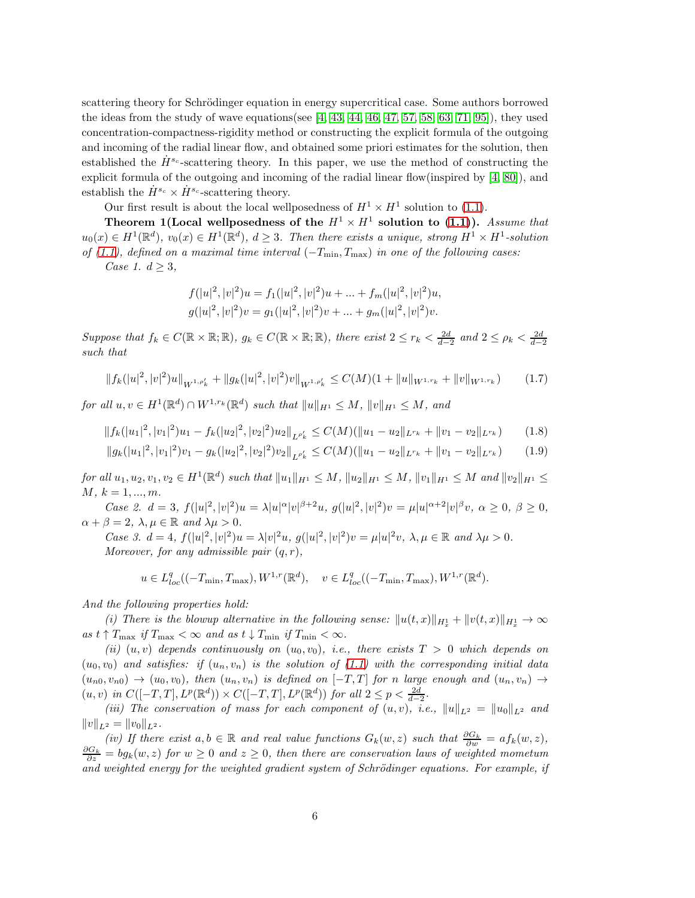scattering theory for Schrödinger equation in energy supercritical case. Some authors borrowed the ideas from the study of wave equations(see  $[4, 43, 44, 46, 47, 57, 58, 63, 71, 95]$  $[4, 43, 44, 46, 47, 57, 58, 63, 71, 95]$  $[4, 43, 44, 46, 47, 57, 58, 63, 71, 95]$  $[4, 43, 44, 46, 47, 57, 58, 63, 71, 95]$  $[4, 43, 44, 46, 47, 57, 58, 63, 71, 95]$  $[4, 43, 44, 46, 47, 57, 58, 63, 71, 95]$  $[4, 43, 44, 46, 47, 57, 58, 63, 71, 95]$  $[4, 43, 44, 46, 47, 57, 58, 63, 71, 95]$  $[4, 43, 44, 46, 47, 57, 58, 63, 71, 95]$  $[4, 43, 44, 46, 47, 57, 58, 63, 71, 95]$ ), they used concentration-compactness-rigidity method or constructing the explicit formula of the outgoing and incoming of the radial linear flow, and obtained some priori estimates for the solution, then established the  $\dot{H}^{s_c}$ -scattering theory. In this paper, we use the method of constructing the explicit formula of the outgoing and incoming of the radial linear flow(inspired by [\[4,](#page-95-5) [80\]](#page-99-2)), and establish the  $\dot{H}^{s_c} \times \dot{H}^{s_c}$ -scattering theory.

Our first result is about the local wellposedness of  $H^1 \times H^1$  solution to [\(1.1\)](#page-1-0).

Theorem 1(Local wellposedness of the  $H^1 \times H^1$  solution to [\(1.1\)](#page-1-0)). Assume that  $u_0(x) \in H^1(\mathbb{R}^d)$ ,  $v_0(x) \in H^1(\mathbb{R}^d)$ ,  $d \geq 3$ . Then there exists a unique, strong  $H^1 \times H^1$ -solution of [\(1.1\)](#page-1-0), defined on a maximal time interval  $(-T_{\min}, T_{\max})$  in one of the following cases:

Case 1.  $d \geq 3$ ,

<span id="page-5-2"></span><span id="page-5-1"></span><span id="page-5-0"></span>
$$
f(|u|^2, |v|^2)u = f_1(|u|^2, |v|^2)u + \dots + f_m(|u|^2, |v|^2)u,
$$
  

$$
g(|u|^2, |v|^2)v = g_1(|u|^2, |v|^2)v + \dots + g_m(|u|^2, |v|^2)v.
$$

Suppose that  $f_k \in C(\mathbb{R} \times \mathbb{R}; \mathbb{R})$ ,  $g_k \in C(\mathbb{R} \times \mathbb{R}; \mathbb{R})$ , there exist  $2 \leq r_k < \frac{2d}{d-2}$  and  $2 \leq \rho_k < \frac{2d}{d-2}$ such that

$$
||f_k(|u|^2, |v|^2)u||_{W^{1,\rho'_k}} + ||g_k(|u|^2, |v|^2)v||_{W^{1,\rho'_k}} \leq C(M)(1 + ||u||_{W^{1,r_k}} + ||v||_{W^{1,r_k}}) \tag{1.7}
$$

 $for \ all \ u, v \in H^{1}(\mathbb{R}^{d}) \cap W^{1,r_{k}}(\mathbb{R}^{d}) \ such \ that \ ||u||_{H^{1}} \leq M, ||v||_{H^{1}} \leq M, \ and$ 

$$
||f_k(|u_1|^2, |v_1|^2)u_1 - f_k(|u_2|^2, |v_2|^2)u_2||_{L^{\rho'_k}} \le C(M)(||u_1 - u_2||_{L^{r_k}} + ||v_1 - v_2||_{L^{r_k}})
$$
(1.8)

$$
||g_k(|u_1|^2, |v_1|^2)v_1 - g_k(|u_2|^2, |v_2|^2)v_2||_{L^{\rho'_k}} \le C(M)(||u_1 - u_2||_{L^{r_k}} + ||v_1 - v_2||_{L^{r_k}})
$$
(1.9)

 $for\ all\ u_1, u_2, v_1, v_2 \in H^1(\mathbb{R}^d) \ such\ that\ \|u_1\|_{H^1} \leq M, \|u_2\|_{H^1} \leq M, \|v_1\|_{H^1} \leq M \ and\ \|v_2\|_{H^1} \leq M$  $M, k = 1, ..., m.$ 

Case 2.  $d = 3$ ,  $f(|u|^2, |v|^2)u = \lambda |u|^\alpha |v|^{\beta+2}u$ ,  $g(|u|^2, |v|^2)v = \mu |u|^{\alpha+2}|v|^\beta v$ ,  $\alpha \geq 0$ ,  $\beta \geq 0$ ,  $\alpha + \beta = 2$ ,  $\lambda, \mu \in \mathbb{R}$  and  $\lambda \mu > 0$ .

Case 3.  $d = 4$ ,  $f(|u|^2, |v|^2)u = \lambda |v|^2u$ ,  $g(|u|^2, |v|^2)v = \mu |u|^2v$ ,  $\lambda, \mu \in \mathbb{R}$  and  $\lambda \mu > 0$ . Moreover, for any admissible pair  $(q, r)$ ,

$$
u\in L^q_{loc}((-T_{\min},T_{\max}),W^{1,r}(\mathbb{R}^d),\quad v\in L^q_{loc}((-T_{\min},T_{\max}),W^{1,r}(\mathbb{R}^d).
$$

And the following properties hold:

(i) There is the blowup alternative in the following sense:  $||u(t,x)||_{H_x^1} + ||v(t,x)||_{H_x^1} \to \infty$ as  $t \uparrow T_{\text{max}}$  if  $T_{\text{max}} < \infty$  and as  $t \downarrow T_{\text{min}}$  if  $T_{\text{min}} < \infty$ .

(ii)  $(u, v)$  depends continuously on  $(u_0, v_0)$ , i.e., there exists  $T > 0$  which depends on  $(u_0, v_0)$  and satisfies: if  $(u_n, v_n)$  is the solution of [\(1.1\)](#page-1-0) with the corresponding initial data  $(u_{n0}, v_{n0}) \rightarrow (u_0, v_0)$ , then  $(u_n, v_n)$  is defined on  $[-T, T]$  for n large enough and  $(u_n, v_n) \rightarrow$  $(u, v)$  in  $C([-T, T], L^p(\mathbb{R}^d)) \times C([-T, T], L^p(\mathbb{R}^d))$  for all  $2 \le p < \frac{2d}{d-2}$ .

(iii) The conservation of mass for each component of  $(u, v)$ , i.e.,  $||u||_{L^2} = ||u_0||_{L^2}$  and  $||v||_{L^2} = ||v_0||_{L^2}$ .

(iv) If there exist  $a, b \in \mathbb{R}$  and real value functions  $G_k(w, z)$  such that  $\frac{\partial G_k}{\partial w} = af_k(w, z)$ ,  $\frac{\partial G_k}{\partial z} = bg_k(w, z)$  for  $w \geq 0$  and  $z \geq 0$ , then there are conservation laws of weighted mometum and weighted energy for the weighted gradient system of Schrödinger equations. For example, if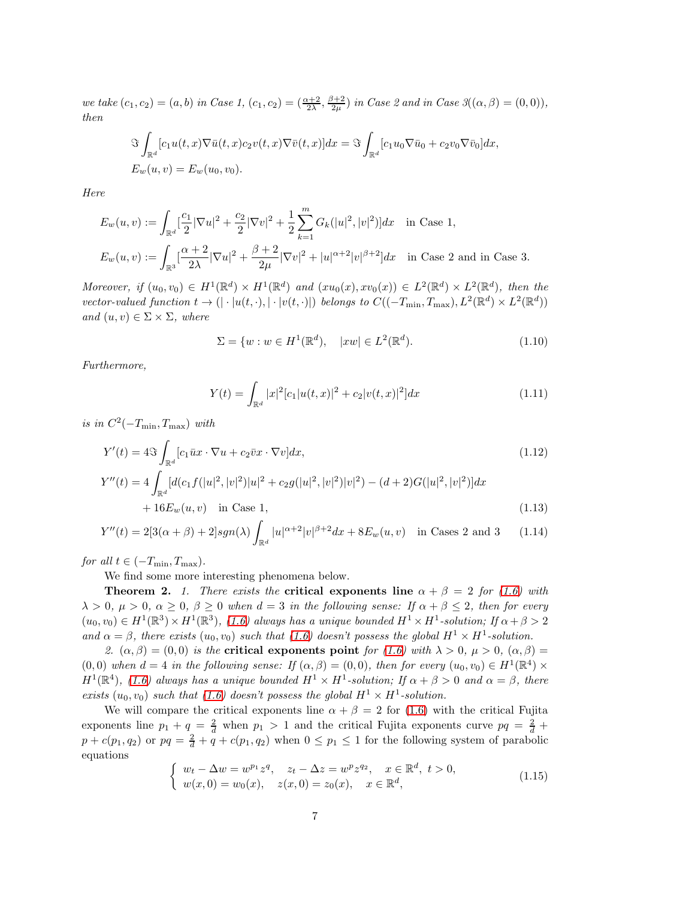we take  $(c_1, c_2) = (a, b)$  in Case 1,  $(c_1, c_2) = (\frac{\alpha+2}{2\lambda}, \frac{\beta+2}{2\mu})$  in Case 2 and in Case 3 $((\alpha, \beta) = (0, 0)),$ then

$$
\Im \int_{\mathbb{R}^d} [c_1 u(t, x) \nabla \bar{u}(t, x) c_2 v(t, x) \nabla \bar{v}(t, x)] dx = \Im \int_{\mathbb{R}^d} [c_1 u_0 \nabla \bar{u}_0 + c_2 v_0 \nabla \bar{v}_0] dx,
$$
  
\n
$$
E_w(u, v) = E_w(u_0, v_0).
$$

Here

$$
E_w(u, v) := \int_{\mathbb{R}^d} \left[\frac{c_1}{2} |\nabla u|^2 + \frac{c_2}{2} |\nabla v|^2 + \frac{1}{2} \sum_{k=1}^m G_k(|u|^2, |v|^2) \right] dx \quad \text{in Case 1,}
$$
  

$$
E_w(u, v) := \int_{\mathbb{R}^3} \left[\frac{\alpha + 2}{2\lambda} |\nabla u|^2 + \frac{\beta + 2}{2\mu} |\nabla v|^2 + |u|^{\alpha + 2} |v|^{\beta + 2} \right] dx \quad \text{in Case 2 and in Case 3.}
$$

Moreover, if  $(u_0, v_0) \in H^1(\mathbb{R}^d) \times H^1(\mathbb{R}^d)$  and  $(xu_0(x), xv_0(x)) \in L^2(\mathbb{R}^d) \times L^2(\mathbb{R}^d)$ , then the vector-valued function  $t \to (|\cdot|u(t, \cdot), |\cdot|v(t, \cdot)|)$  belongs to  $C((-T_{\min}, T_{\max}), L^2(\mathbb{R}^d) \times L^2(\mathbb{R}^d))$ and  $(u, v) \in \Sigma \times \Sigma$ , where

<span id="page-6-1"></span>
$$
\Sigma = \{ w : w \in H^1(\mathbb{R}^d), \quad |xw| \in L^2(\mathbb{R}^d). \tag{1.10}
$$

Furthermore,

<span id="page-6-3"></span><span id="page-6-2"></span>
$$
Y(t) = \int_{\mathbb{R}^d} |x|^2 [c_1 |u(t,x)|^2 + c_2 |v(t,x)|^2] dx
$$
\n(1.11)

is in  $C^2(-T_{\min}, T_{\max})$  with

$$
Y'(t) = 4\Im \int_{\mathbb{R}^d} [c_1 \bar{u}x \cdot \nabla u + c_2 \bar{v}x \cdot \nabla v] dx,
$$
\n(1.12)  
\n
$$
Y''(t) = 4 \int_{\mathbb{R}^d} [d(c_1 f(|u|^2, |v|^2)|u|^2 + c_2 g(|u|^2, |v|^2)|v|^2) - (d+2)G(|u|^2, |v|^2)] dx
$$
\n
$$
+ 16E_w(u, v) \quad \text{in Case 1,}
$$
\n(1.13)

$$
Y''(t) = 2[3(\alpha + \beta) + 2]sgn(\lambda) \int_{\mathbb{R}^d} |u|^{\alpha+2} |v|^{\beta+2} dx + 8E_w(u, v) \text{ in Cases 2 and 3} \quad (1.14)
$$

for all  $t \in (-T_{\min}, T_{\max})$ .

We find some more interesting phenomena below.

**Theorem 2.** 1. There exists the **critical exponents line**  $\alpha + \beta = 2$  for [\(1.6\)](#page-3-0) with  $\lambda > 0$ ,  $\mu > 0$ ,  $\alpha \geq 0$ ,  $\beta \geq 0$  when  $d = 3$  in the following sense: If  $\alpha + \beta \leq 2$ , then for every  $(u_0, v_0) \in H^1(\mathbb{R}^3) \times H^1(\mathbb{R}^3)$ , [\(1.6\)](#page-3-0) always has a unique bounded  $H^1 \times H^1$ -solution; If  $\alpha + \beta > 2$ and  $\alpha = \beta$ , there exists  $(u_0, v_0)$  such that [\(1.6\)](#page-3-0) doesn't possess the global  $H^1 \times H^1$ -solution.

2.  $(\alpha, \beta) = (0, 0)$  is the **critical exponents point** for [\(1.6\)](#page-3-0) with  $\lambda > 0$ ,  $\mu > 0$ ,  $(\alpha, \beta) =$  $(0,0)$  when  $d=4$  in the following sense: If  $(\alpha, \beta) = (0,0)$ , then for every  $(u_0, v_0) \in H^1(\mathbb{R}^4) \times$  $H^1(\mathbb{R}^4)$ , [\(1.6\)](#page-3-0) always has a unique bounded  $H^1 \times H^1$ -solution; If  $\alpha + \beta > 0$  and  $\alpha = \beta$ , there exists  $(u_0, v_0)$  such that [\(1.6\)](#page-3-0) doesn't possess the global  $H^1 \times H^1$ -solution.

We will compare the critical exponents line  $\alpha + \beta = 2$  for [\(1.6\)](#page-3-0) with the critical Fujita exponents line  $p_1 + q = \frac{2}{d}$  when  $p_1 > 1$  and the critical Fujita exponents curve  $pq = \frac{2}{d} +$  $p + c(p_1, q_2)$  or  $pq = \frac{2}{d} + q + c(p_1, q_2)$  when  $0 \le p_1 \le 1$  for the following system of parabolic equations

<span id="page-6-0"></span>
$$
\begin{cases}\nw_t - \Delta w = w^{p_1} z^q, \quad z_t - \Delta z = w^p z^{q_2}, \quad x \in \mathbb{R}^d, \ t > 0, \\
w(x, 0) = w_0(x), \quad z(x, 0) = z_0(x), \quad x \in \mathbb{R}^d,\n\end{cases} (1.15)
$$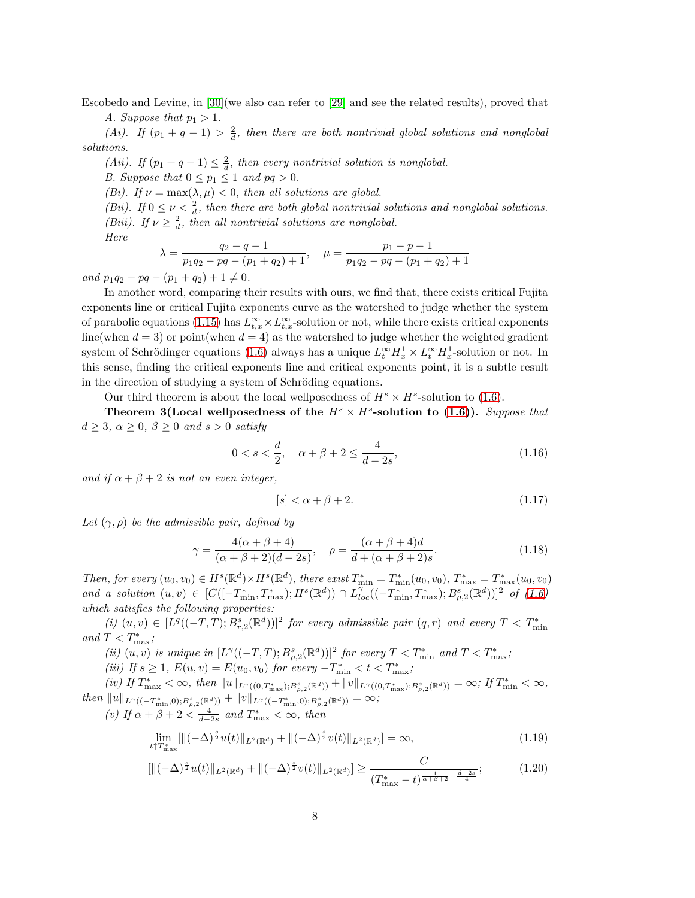Escobedo and Levine, in [\[30\]](#page-96-14)(we also can refer to [\[29\]](#page-96-15) and see the related results), proved that

A. Suppose that  $p_1 > 1$ .

(Ai). If  $(p_1 + q - 1) > \frac{2}{d}$ , then there are both nontrivial global solutions and nonglobal solutions.

(Aii). If  $(p_1 + q - 1) \leq \frac{2}{d}$ , then every nontrivial solution is nonglobal.

B. Suppose that  $0 \le p_1 \le 1$  and  $pq > 0$ .

(Bi). If  $\nu = \max(\lambda, \mu) < 0$ , then all solutions are global.

(Bii). If  $0 \leq \nu < \frac{2}{d}$ , then there are both global nontrivial solutions and nonglobal solutions. (Biii). If  $\nu \geq \frac{2}{d}$ , then all nontrivial solutions are nonglobal.

Here

$$
\lambda = \frac{q_2 - q - 1}{p_1 q_2 - p q - (p_1 + q_2) + 1}, \quad \mu = \frac{p_1 - p - 1}{p_1 q_2 - p q - (p_1 + q_2) + 1}
$$

and  $p_1q_2 - pq - (p_1 + q_2) + 1 \neq 0$ .

In another word, comparing their results with ours, we find that, there exists critical Fujita exponents line or critical Fujita exponents curve as the watershed to judge whether the system of parabolic equations [\(1.15\)](#page-6-0) has  $L_{t,x}^{\infty} \times L_{t,x}^{\infty}$ -solution or not, while there exists critical exponents line(when  $d = 3$ ) or point(when  $d = 4$ ) as the watershed to judge whether the weighted gradient system of Schrödinger equations [\(1.6\)](#page-3-0) always has a unique  $L_t^{\infty} H_x^1 \times L_t^{\infty} H_x^1$ -solution or not. In this sense, finding the critical exponents line and critical exponents point, it is a subtle result in the direction of studying a system of Schröding equations.

Our third theorem is about the local wellposedness of  $H^s \times H^s$ -solution to [\(1.6\)](#page-3-0).

Theorem 3(Local wellposedness of the  $H^s \times H^s$ -solution to [\(1.6\)](#page-3-0)). Suppose that  $d \geq 3$ ,  $\alpha \geq 0$ ,  $\beta \geq 0$  and  $s > 0$  satisfy

$$
0 < s < \frac{d}{2}, \quad \alpha + \beta + 2 \le \frac{4}{d - 2s},\tag{1.16}
$$

and if  $\alpha + \beta + 2$  is not an even integer,

$$
[s] < \alpha + \beta + 2. \tag{1.17}
$$

Let  $(\gamma, \rho)$  be the admissible pair, defined by

$$
\gamma = \frac{4(\alpha + \beta + 4)}{(\alpha + \beta + 2)(d - 2s)}, \quad \rho = \frac{(\alpha + \beta + 4)d}{d + (\alpha + \beta + 2)s}.
$$
\n(1.18)

Then, for every  $(u_0, v_0) \in H^s(\mathbb{R}^d) \times H^s(\mathbb{R}^d)$ , there exist  $T^*_{\min} = T^*_{\min}(u_0, v_0)$ ,  $T^*_{\max} = T^*_{\max}(u_0, v_0)$ and a solution  $(u, v) \in [C([-T_{\min}^*, T_{\max}^*); H^s(\mathbb{R}^d)) \cap L_{loc}^{\gamma}((-T_{\min}^*, T_{\max}^*); B_{\rho,2}^s(\mathbb{R}^d))]^2$  of  $(1.6)$ which satisfies the following properties:

 $(i)$   $(u, v) \in [L^q((-T,T); B^s_{r,2}(\mathbb{R}^d))]^2$  for every admissible pair  $(q, r)$  and every  $T < T^*_{\min}$ and  $T < T^*_{\text{max}}$ ;

(ii)  $(u, v)$  is unique in  $[L^{\gamma}((-T, T); B^s_{\rho,2}(\mathbb{R}^d))]^2$  for every  $T < T^*_{\min}$  and  $T < T^*_{\max}$ ;

(iii) If  $s \ge 1$ ,  $E(u, v) = E(u_0, v_0)$  for every  $-T^{*}_{min} < t < T^{*}_{max}$ ;

 $(iv)$  If  $T_{\max}^* < \infty$ , then  $||u||_{L^{\gamma}((0,T_{\max}^*);B_{\rho,2}^s(\mathbb{R}^d))} + ||v||_{L^{\gamma}((0,T_{\max}^*);B_{\rho,2}^s(\mathbb{R}^d))} = \infty$ ; If  $T_{\min}^* < \infty$ ,  $then \|u\|_{L^{\gamma}((-T^*_{\min},0);B^s_{\rho,2}(\mathbb{R}^d))} + \|v\|_{L^{\gamma}((-T^*_{\min},0);B^s_{\rho,2}(\mathbb{R}^d))} = \infty;$ 

(v) If  $\alpha + \beta + 2 < \frac{4}{d-2s}$  and  $T_{\text{max}}^* < \infty$ , then

$$
\lim_{t \uparrow T_{\max}^*} [\|(-\Delta)^{\frac{s}{2}} u(t)\|_{L^2(\mathbb{R}^d)} + \|(-\Delta)^{\frac{s}{2}} v(t)\|_{L^2(\mathbb{R}^d)}] = \infty, \tag{1.19}
$$

$$
\left[ \|(-\Delta)^{\frac{s}{2}} u(t)\|_{L^2(\mathbb{R}^d)} + \|(-\Delta)^{\frac{s}{2}} v(t)\|_{L^2(\mathbb{R}^d)} \right] \ge \frac{C}{(T_{\text{max}}^* - t)^{\frac{1}{\alpha + \beta + 2} - \frac{d - 2s}{4}}};\tag{1.20}
$$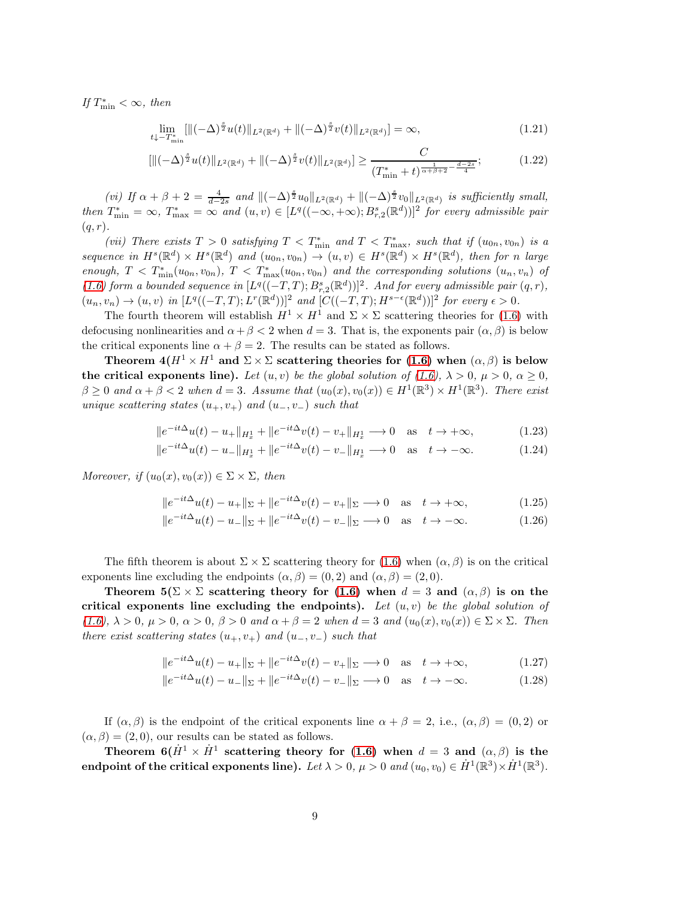If  $T_{\min}^* < \infty$ , then

$$
\lim_{t \downarrow -T^*_{\min}} [\|( -\Delta)^{\frac{s}{2}} u(t) \|_{L^2(\mathbb{R}^d)} + \|(-\Delta)^{\frac{s}{2}} v(t) \|_{L^2(\mathbb{R}^d)}] = \infty, \tag{1.21}
$$

$$
\left[ \|(-\Delta)^{\frac{s}{2}} u(t)\|_{L^2(\mathbb{R}^d)} + \|(-\Delta)^{\frac{s}{2}} v(t)\|_{L^2(\mathbb{R}^d)} \right] \ge \frac{C}{(T_{\min}^* + t)^{\frac{1}{\alpha + \beta + 2} - \frac{d - 2s}{4}}};\tag{1.22}
$$

(vi) If  $\alpha + \beta + 2 = \frac{4}{d-2s}$  and  $\|(-\Delta)^{\frac{s}{2}}u_0\|_{L^2(\mathbb{R}^d)} + \|(-\Delta)^{\frac{s}{2}}v_0\|_{L^2(\mathbb{R}^d)}$  is sufficiently small, then  $T_{\min}^* = \infty$ ,  $T_{\max}^* = \infty$  and  $(u, v) \in [L^q((-\infty, +\infty); B_{r,2}^s(\mathbb{R}^d))]^2$  for every admissible pair  $(q, r)$ .

(vii) There exists  $T > 0$  satisfying  $T < T^*_{\min}$  and  $T < T^*_{\max}$ , such that if  $(u_{0n}, v_{0n})$  is a sequence in  $H^s(\mathbb{R}^d) \times H^s(\mathbb{R}^d)$  and  $(u_{0n}, v_{0n}) \to (u, v) \in H^s(\mathbb{R}^d) \times H^s(\mathbb{R}^d)$ , then for n large enough,  $T < T^*_{\min}(u_{0n}, v_{0n})$ ,  $T < T^*_{\max}(u_{0n}, v_{0n})$  and the corresponding solutions  $(u_n, v_n)$  of [\(1.6\)](#page-3-0) form a bounded sequence in  $[L^q((-T,T); B^s_{r,2}(\mathbb{R}^d))]^2$ . And for every admissible pair  $(q, r)$ ,  $(u_n, v_n) \to (u, v)$  in  $[L^q((-T, T); L^r(\mathbb{R}^d))]^2$  and  $[C((-T, T); H^{s-\epsilon}(\mathbb{R}^d))]^2$  for every  $\epsilon > 0$ .

The fourth theorem will establish  $H^1 \times H^1$  and  $\Sigma \times \Sigma$  scattering theories for [\(1.6\)](#page-3-0) with defocusing nonlinearities and  $\alpha + \beta < 2$  when  $d = 3$ . That is, the exponents pair  $(\alpha, \beta)$  is below the critical exponents line  $\alpha + \beta = 2$ . The results can be stated as follows.

Theorem  $4(H^1 \times H^1 \text{ and } \Sigma \times \Sigma \text{ scattering theories for (1.6) when } (\alpha, \beta)$  $4(H^1 \times H^1 \text{ and } \Sigma \times \Sigma \text{ scattering theories for (1.6) when } (\alpha, \beta)$  $4(H^1 \times H^1 \text{ and } \Sigma \times \Sigma \text{ scattering theories for (1.6) when } (\alpha, \beta)$  is below the critical exponents line). Let  $(u, v)$  be the global solution of  $(1.6)$ ,  $\lambda > 0$ ,  $\mu > 0$ ,  $\alpha \ge 0$ ,  $\beta \geq 0$  and  $\alpha + \beta < 2$  when  $d = 3$ . Assume that  $(u_0(x), v_0(x)) \in H^1(\mathbb{R}^3) \times H^1(\mathbb{R}^3)$ . There exist unique scattering states  $(u_+, v_+)$  and  $(u_-, v_-)$  such that

<span id="page-8-0"></span>
$$
||e^{-it\Delta}u(t) - u_+||_{H_x^1} + ||e^{-it\Delta}v(t) - v_+||_{H_x^1} \to 0 \quad \text{as} \quad t \to +\infty,
$$
 (1.23)

$$
||e^{-it\Delta}u(t) - u_-||_{H_x^1} + ||e^{-it\Delta}v(t) - v_-||_{H_x^1} \to 0 \quad \text{as} \quad t \to -\infty. \tag{1.24}
$$

Moreover, if  $(u_0(x), v_0(x)) \in \Sigma \times \Sigma$ , then

<span id="page-8-3"></span><span id="page-8-2"></span><span id="page-8-1"></span>
$$
||e^{-it\Delta}u(t) - u_+||_{\Sigma} + ||e^{-it\Delta}v(t) - v_+||_{\Sigma} \to 0 \quad \text{as} \quad t \to +\infty,
$$
 (1.25)

$$
\|e^{-it\Delta}u(t) - u_-\|_{\Sigma} + \|e^{-it\Delta}v(t) - v_-\|_{\Sigma} \longrightarrow 0 \quad \text{as} \quad t \longrightarrow -\infty. \tag{1.26}
$$

The fifth theorem is about  $\Sigma \times \Sigma$  scattering theory for [\(1.6\)](#page-3-0) when  $(\alpha, \beta)$  is on the critical exponents line excluding the endpoints  $(\alpha, \beta) = (0, 2)$  and  $(\alpha, \beta) = (2, 0)$ .

Theorem  $5(\Sigma \times \Sigma$  scattering theory for [\(1.6\)](#page-3-0) when  $d = 3$  and  $(\alpha, \beta)$  is on the critical exponents line excluding the endpoints). Let  $(u, v)$  be the global solution of  $(1.6), \lambda > 0, \mu > 0, \alpha > 0, \beta > 0$  $(1.6), \lambda > 0, \mu > 0, \alpha > 0, \beta > 0$  and  $\alpha + \beta = 2$  when  $d = 3$  and  $(u_0(x), v_0(x)) \in \Sigma \times \Sigma$ . Then there exist scattering states  $(u_+, v_+)$  and  $(u_-, v_-)$  such that

$$
||e^{-it\Delta}u(t) - u_+||_{\Sigma} + ||e^{-it\Delta}v(t) - v_+||_{\Sigma} \longrightarrow 0 \quad \text{as} \quad t \to +\infty,
$$
 (1.27)

$$
||e^{-it\Delta}u(t) - u_-||_{\Sigma} + ||e^{-it\Delta}v(t) - v_-||_{\Sigma} \longrightarrow 0 \quad \text{as} \quad t \to -\infty. \tag{1.28}
$$

If  $(\alpha, \beta)$  is the endpoint of the critical exponents line  $\alpha + \beta = 2$ , i.e.,  $(\alpha, \beta) = (0, 2)$  or  $(\alpha, \beta) = (2, 0)$ , our results can be stated as follows.

Theorem  $6(\dot{H}^1 \times \dot{H}^1)$  scattering theory for [\(1.6\)](#page-3-0) when  $d = 3$  and  $(\alpha, \beta)$  is the endpoint of the critical exponents line). Let  $\lambda>0,$   $\mu>0$  and  $(u_0,v_0)\in \dot{H}^1({\mathbb R}^3)\times\dot{H}^1({\mathbb R}^3).$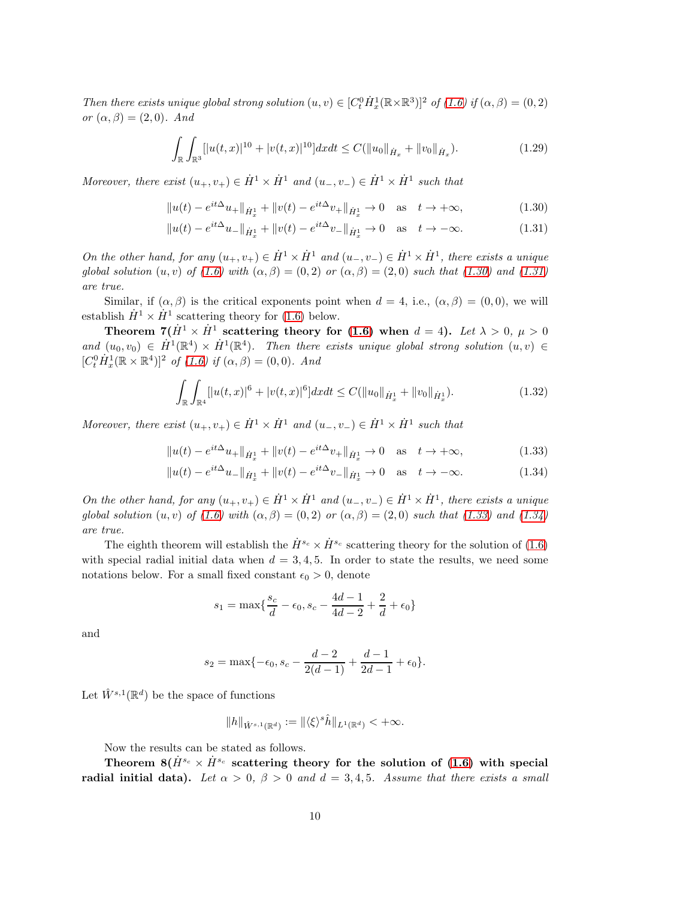Then there exists unique global strong solution  $(u, v) \in [C_t^0 \dot H_x^1(\mathbb{R} \times \mathbb{R}^3)]^2$  of  $(1.6)$  if  $(\alpha, \beta) = (0, 2)$ or  $(\alpha, \beta) = (2, 0)$ . And

$$
\int_{\mathbb{R}} \int_{\mathbb{R}^3} [ |u(t,x)|^{10} + |v(t,x)|^{10}] dx dt \le C(||u_0||_{\dot{H}_x} + ||v_0||_{\dot{H}_x}). \tag{1.29}
$$

Moreover, there exist  $(u_+, v_+) \in \dot{H}^1 \times \dot{H}^1$  and  $(u_-, v_-) \in \dot{H}^1 \times \dot{H}^1$  such that

$$
||u(t) - e^{it\Delta}u_+||_{\dot{H}^1_x} + ||v(t) - e^{it\Delta}v_+||_{\dot{H}^1_x} \to 0 \quad \text{as} \quad t \to +\infty,
$$
 (1.30)

<span id="page-9-1"></span><span id="page-9-0"></span>
$$
||u(t) - e^{it\Delta}u - ||_{\dot{H}^1_x} + ||v(t) - e^{it\Delta}v - ||_{\dot{H}^1_x} \to 0 \quad \text{as} \quad t \to -\infty. \tag{1.31}
$$

On the other hand, for any  $(u_+, v_+) \in \dot{H}^1 \times \dot{H}^1$  and  $(u_-, v_-) \in \dot{H}^1 \times \dot{H}^1$ , there exists a unique global solution  $(u, v)$  of  $(1.6)$  with  $(\alpha, \beta) = (0, 2)$  or  $(\alpha, \beta) = (2, 0)$  such that  $(1.30)$  and  $(1.31)$ are true.

Similar, if  $(\alpha, \beta)$  is the critical exponents point when  $d = 4$ , i.e.,  $(\alpha, \beta) = (0, 0)$ , we will establish  $\dot{H}^1 \times \dot{H}^1$  scattering theory for [\(1.6\)](#page-3-0) below.

Theorem  $7(\dot{H}^1 \times \dot{H}^1)$  scattering theory for [\(1.6\)](#page-3-0) when  $d = 4$ ). Let  $\lambda > 0$ ,  $\mu > 0$ and  $(u_0, v_0) \in \dot{H}^1(\mathbb{R}^4) \times \dot{H}^1(\mathbb{R}^4)$ . Then there exists unique global strong solution  $(u, v) \in$  $[C_t^0 \dot{H}_x^1(\mathbb{R} \times \mathbb{R}^4)]^2$  of [\(1.6\)](#page-3-0) if  $(\alpha, \beta) = (0, 0)$ . And

$$
\int_{\mathbb{R}} \int_{\mathbb{R}^4} [ |u(t,x)|^6 + |v(t,x)|^6] dx dt \le C(||u_0||_{\dot{H}^1_x} + ||v_0||_{\dot{H}^1_x}). \tag{1.32}
$$

Moreover, there exist  $(u_+, v_+) \in \dot{H}^1 \times \dot{H}^1$  and  $(u_-, v_-) \in \dot{H}^1 \times \dot{H}^1$  such that

$$
||u(t) - e^{it\Delta}u_+||_{\dot{H}^1_x} + ||v(t) - e^{it\Delta}v_+||_{\dot{H}^1_x} \to 0 \quad \text{as} \quad t \to +\infty,
$$
 (1.33)

$$
||u(t) - e^{it\Delta}u_-||_{\dot{H}^1_x} + ||v(t) - e^{it\Delta}v_-||_{\dot{H}^1_x} \to 0 \quad \text{as} \quad t \to -\infty. \tag{1.34}
$$

On the other hand, for any  $(u_+, v_+) \in \dot{H}^1 \times \dot{H}^1$  and  $(u_-, v_-) \in \dot{H}^1 \times \dot{H}^1$ , there exists a unique global solution  $(u, v)$  of  $(1.6)$  with  $(\alpha, \beta) = (0, 2)$  or  $(\alpha, \beta) = (2, 0)$  such that  $(1.33)$  and  $(1.34)$ are true.

The eighth theorem will establish the  $\dot{H}^{s_c} \times \dot{H}^{s_c}$  scattering theory for the solution of [\(1.6\)](#page-3-0) with special radial initial data when  $d = 3, 4, 5$ . In order to state the results, we need some notations below. For a small fixed constant  $\epsilon_0 > 0$ , denote

<span id="page-9-3"></span><span id="page-9-2"></span>
$$
s_1 = \max\{\frac{s_c}{d} - \epsilon_0, s_c - \frac{4d-1}{4d-2} + \frac{2}{d} + \epsilon_0\}
$$

and

$$
s_2 = \max\{-\epsilon_0, s_c - \frac{d-2}{2(d-1)} + \frac{d-1}{2d-1} + \epsilon_0\}.
$$

Let  $\hat{W}^{s,1}(\mathbb{R}^d)$  be the space of functions

$$
||h||_{\hat{W}^{s,1}(\mathbb{R}^d)} := ||\langle \xi \rangle^s \hat{h}||_{L^1(\mathbb{R}^d)} < +\infty.
$$

Now the results can be stated as follows.

Theorem 8( $\dot{H}^{s_c} \times \dot{H}^{s_c}$  scattering theory for the solution of [\(1.6\)](#page-3-0) with special radial initial data). Let  $\alpha > 0$ ,  $\beta > 0$  and  $d = 3, 4, 5$ . Assume that there exists a small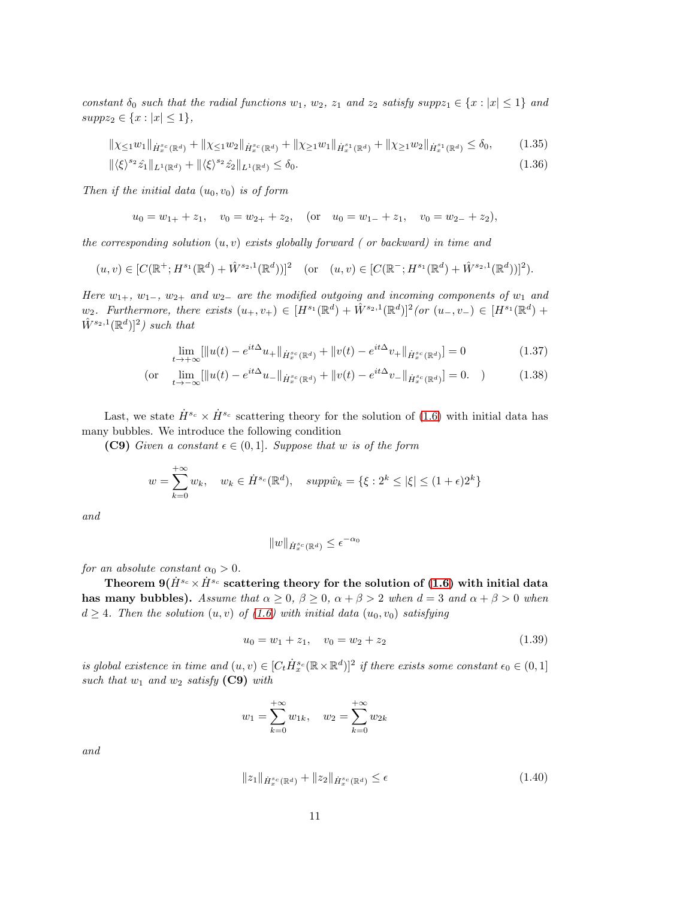constant  $\delta_0$  such that the radial functions  $w_1, w_2, z_1$  and  $z_2$  satisfy supp $z_1 \in \{x : |x| \leq 1\}$  and  $supp z_2 \in \{x : |x| \leq 1\},\$ 

$$
\|\chi_{\leq 1}w_{1}\|_{\dot{H}_{x}^{s_{c}}(\mathbb{R}^{d})} + \|\chi_{\leq 1}w_{2}\|_{\dot{H}_{x}^{s_{c}}(\mathbb{R}^{d})} + \|\chi_{\geq 1}w_{1}\|_{\dot{H}_{x}^{s_{1}}(\mathbb{R}^{d})} + \|\chi_{\geq 1}w_{2}\|_{\dot{H}_{x}^{s_{1}}(\mathbb{R}^{d})} \leq \delta_{0},
$$
\n(1.35)  
\n
$$
\|\langle \xi \rangle^{s_{2}} \hat{z}_{1}\|_{L^{1}(\mathbb{R}^{d})} + \|\langle \xi \rangle^{s_{2}} \hat{z}_{2}\|_{L^{1}(\mathbb{R}^{d})} \leq \delta_{0}.
$$
\n(1.36)

Then if the initial data  $(u_0, v_0)$  is of form

$$
u_0 = w_{1+} + z_1
$$
,  $v_0 = w_{2+} + z_2$ , (or  $u_0 = w_{1-} + z_1$ ,  $v_0 = w_{2-} + z_2$ ),

the corresponding solution  $(u, v)$  exists globally forward ( or backward) in time and

$$
(u, v) \in [C(\mathbb{R}^+; H^{s_1}(\mathbb{R}^d) + \hat{W}^{s_2, 1}(\mathbb{R}^d))]^2 \quad \text{(or} \quad (u, v) \in [C(\mathbb{R}^-; H^{s_1}(\mathbb{R}^d) + \hat{W}^{s_2, 1}(\mathbb{R}^d))]^2).
$$

Here  $w_{1+}$ ,  $w_{1-}$ ,  $w_{2+}$  and  $w_{2-}$  are the modified outgoing and incoming components of  $w_1$  and  $w_2$ . Furthermore, there exists  $(u_+, v_+) \in [H^{s_1}(\mathbb{R}^d) + \hat{W}^{s_2,1}(\mathbb{R}^d)]^2$  (or  $(u_-, v_-) \in [H^{s_1}(\mathbb{R}^d) +$  $\hat{W}^{s_2,1}(\mathbb{R}^d)$ <sup>2</sup>) such that

$$
\lim_{t \to +\infty} [\|u(t) - e^{it\Delta}u_+\|_{\dot{H}^{sc}_x(\mathbb{R}^d)} + \|v(t) - e^{it\Delta}v_+\|_{\dot{H}^{sc}_x(\mathbb{R}^d)}] = 0 \tag{1.37}
$$

(or 
$$
\lim_{t \to -\infty} [\|u(t) - e^{it\Delta}u_-\|_{\dot{H}_x^{s_c}(\mathbb{R}^d)} + \|v(t) - e^{it\Delta}v_-\|_{\dot{H}_x^{s_c}(\mathbb{R}^d)}] = 0.
$$
 (1.38)

Last, we state  $\dot{H}^{s_c} \times \dot{H}^{s_c}$  scattering theory for the solution of [\(1.6\)](#page-3-0) with initial data has many bubbles. We introduce the following condition

(C9) Given a constant  $\epsilon \in (0,1]$ . Suppose that w is of the form

$$
w = \sum_{k=0}^{+\infty} w_k, \quad w_k \in \dot{H}^{s_c}(\mathbb{R}^d), \quad supp\hat{w}_k = \{\xi : 2^k \le |\xi| \le (1+\epsilon)2^k\}
$$

and

$$
||w||_{\dot{H}^{s_c}_x(\mathbb{R}^d)} \leq \epsilon^{-\alpha_0}
$$

for an absolute constant  $\alpha_0 > 0$ .

Theorem  $9(H^{s_c} \times H^{s_c})$  scattering theory for the solution of [\(1.6\)](#page-3-0) with initial data has many bubbles). Assume that  $\alpha \geq 0$ ,  $\beta \geq 0$ ,  $\alpha + \beta > 2$  when  $d = 3$  and  $\alpha + \beta > 0$  when  $d \geq 4$ . Then the solution  $(u, v)$  of  $(1.6)$  with initial data  $(u_0, v_0)$  satisfying

$$
u_0 = w_1 + z_1, \quad v_0 = w_2 + z_2 \tag{1.39}
$$

is global existence in time and  $(u, v) \in [C_t \dot H^{s_c}_x(\mathbb{R} \times \mathbb{R}^d)]^2$  if there exists some constant  $\epsilon_0 \in (0, 1]$ such that  $w_1$  and  $w_2$  satisfy (C9) with

$$
w_1 = \sum_{k=0}^{+\infty} w_{1k}, \quad w_2 = \sum_{k=0}^{+\infty} w_{2k}
$$

and

$$
||z_1||_{\dot{H}^{s_c}_x(\mathbb{R}^d)} + ||z_2||_{\dot{H}^{s_c}_x(\mathbb{R}^d)} \le \epsilon
$$
\n(1.40)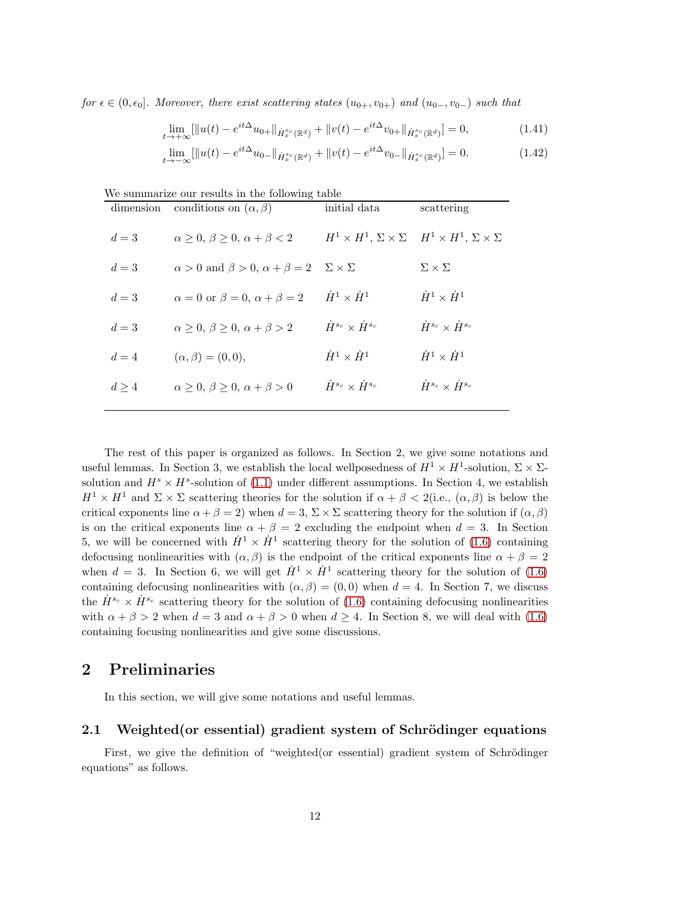for  $\epsilon \in (0, \epsilon_0]$ . Moreover, there exist scattering states  $(u_{0+}, v_{0+})$  and  $(u_{0-}, v_{0-})$  such that

$$
\lim_{t \to +\infty} [\|u(t) - e^{it\Delta} u_{0+}\|_{\dot{H}_x^{s_c}(\mathbb{R}^d)} + \|v(t) - e^{it\Delta} v_{0+}\|_{\dot{H}_x^{s_c}(\mathbb{R}^d)}] = 0,
$$
\n(1.41)

$$
\lim_{t \to -\infty} [\|u(t) - e^{it\Delta} u_0\|_{\dot{H}_x^{s_c}(\mathbb{R}^d)} + \|v(t) - e^{it\Delta} v_0\|_{\dot{H}_x^{s_c}(\mathbb{R}^d)}] = 0.
$$
\n(1.42)

| We summarize our results in the following table |                                                                            |                                      |                                                                                     |
|-------------------------------------------------|----------------------------------------------------------------------------|--------------------------------------|-------------------------------------------------------------------------------------|
|                                                 | dimension conditions on $(\alpha, \beta)$                                  | initial data                         | scattering                                                                          |
| $d=3$                                           | $\alpha > 0$ , $\beta > 0$ , $\alpha + \beta < 2$                          |                                      | $H^1 \times H^1$ , $\Sigma \times \Sigma$ $H^1 \times H^1$ , $\Sigma \times \Sigma$ |
| $d=3$                                           | $\alpha > 0$ and $\beta > 0$ , $\alpha + \beta = 2$ $\Sigma \times \Sigma$ |                                      | $\Sigma \times \Sigma$                                                              |
| $d=3$                                           | $\alpha = 0$ or $\beta = 0$ , $\alpha + \beta = 2$                         | $\dot{H}^1 \times \dot{H}^1$         | $\dot{H}^1 \times \dot{H}^1$                                                        |
| $d=3$                                           | $\alpha > 0$ , $\beta > 0$ , $\alpha + \beta > 2$                          | $\dot{H}^{s_c} \times \dot{H}^{s_c}$ | $\dot{H}^{s_c} \times \dot{H}^{s_c}$                                                |
| $d=4$                                           | $(\alpha, \beta) = (0, 0),$                                                | $\dot{H}^1 \times \dot{H}^1$         | $\dot{H}^1 \times \dot{H}^1$                                                        |
| $d \geq 4$                                      | $\alpha > 0$ , $\beta > 0$ , $\alpha + \beta > 0$                          | $\dot{H}^{s_c} \times \dot{H}^{s_c}$ | $\dot{H}^{s_c} \times \dot{H}^{s_c}$                                                |
|                                                 |                                                                            |                                      |                                                                                     |

The rest of this paper is organized as follows. In Section 2, we give some notations and useful lemmas. In Section 3, we establish the local wellposedness of  $H^1 \times H^1$ -solution,  $\Sigma \times \Sigma$ solution and  $H^s \times H^s$ -solution of [\(1.1\)](#page-1-0) under different assumptions. In Section 4, we establish  $H^1 \times H^1$  and  $\Sigma \times \Sigma$  scattering theories for the solution if  $\alpha + \beta < 2$  (i.e.,  $(\alpha, \beta)$ ) is below the critical exponents line  $\alpha + \beta = 2$ ) when  $d = 3$ ,  $\Sigma \times \Sigma$  scattering theory for the solution if  $(\alpha, \beta)$ is on the critical exponents line  $\alpha + \beta = 2$  excluding the endpoint when  $d = 3$ . In Section 5, we will be concerned with  $\dot{H}^1 \times \dot{H}^1$  scattering theory for the solution of [\(1.6\)](#page-3-0) containing defocusing nonlinearities with  $(\alpha, \beta)$  is the endpoint of the critical exponents line  $\alpha + \beta = 2$ when  $d = 3$ . In Section 6, we will get  $\dot{H}^1 \times \dot{H}^1$  scattering theory for the solution of [\(1.6\)](#page-3-0) containing defocusing nonlinearities with  $(\alpha, \beta) = (0, 0)$  when  $d = 4$ . In Section 7, we discuss the  $\dot{H}^{s_c} \times \dot{H}^{s_c}$  scattering theory for the solution of [\(1.6\)](#page-3-0) containing defocusing nonlinearities with  $\alpha + \beta > 2$  when  $d = 3$  and  $\alpha + \beta > 0$  when  $d \geq 4$ . In Section 8, we will deal with [\(1.6\)](#page-3-0) containing focusing nonlinearities and give some discussions.

# 2 Preliminaries

In this section, we will give some notations and useful lemmas.

## 2.1 Weighted (or essential) gradient system of Schrödinger equations

First, we give the definition of "weighted(or essential) gradient system of Schrödinger equations" as follows.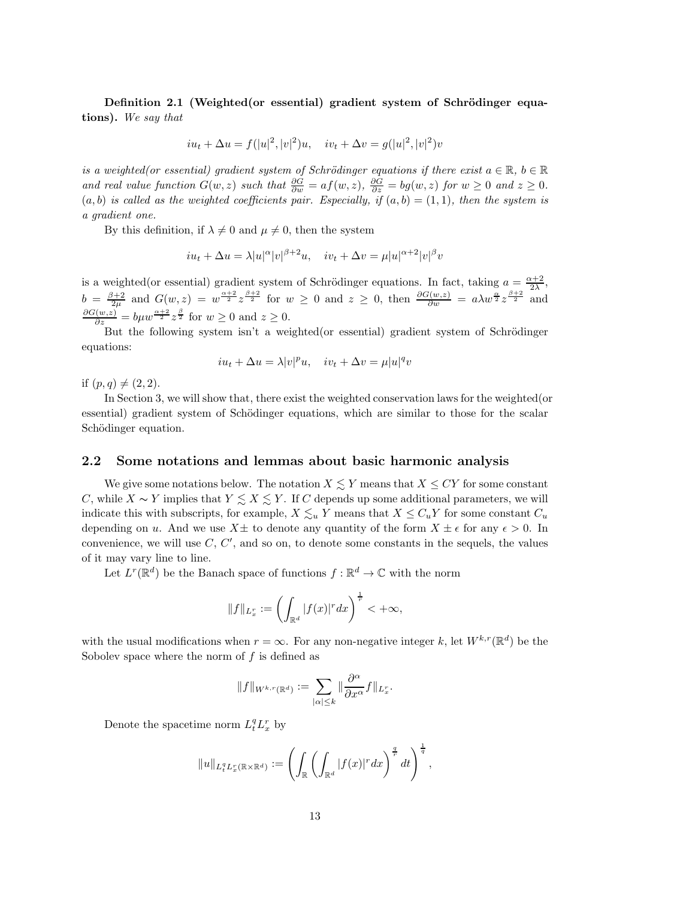Definition 2.1 (Weighted(or essential) gradient system of Schrödinger equations). We say that

$$
iu_t + \Delta u = f(|u|^2, |v|^2)u
$$
,  $iv_t + \Delta v = g(|u|^2, |v|^2)v$ 

is a weighted(or essential) gradient system of Schrödinger equations if there exist  $a \in \mathbb{R}$ ,  $b \in \mathbb{R}$ and real value function  $G(w, z)$  such that  $\frac{\partial G}{\partial w} = af(w, z)$ ,  $\frac{\partial G}{\partial z} = bg(w, z)$  for  $w \ge 0$  and  $z \ge 0$ .  $(a, b)$  is called as the weighted coefficients pair. Especially, if  $(a, b) = (1, 1)$ , then the system is a gradient one.

By this definition, if  $\lambda \neq 0$  and  $\mu \neq 0$ , then the system

$$
iu_t + \Delta u = \lambda |u|^\alpha |v|^{\beta+2}u, \quad iv_t + \Delta v = \mu |u|^{\alpha+2}|v|^\beta v
$$

is a weighted(or essential) gradient system of Schrödinger equations. In fact, taking  $a = \frac{\alpha + 2}{2\lambda}$ ,  $b = \frac{\beta+2}{2\mu}$  and  $G(w, z) = w^{\frac{\alpha+2}{2}} z^{\frac{\beta+2}{2}}$  for  $w \ge 0$  and  $z \ge 0$ , then  $\frac{\partial G(w, z)}{\partial w} = a \lambda w^{\frac{\alpha}{2}} z^{\frac{\beta+2}{2}}$  and  $\frac{\partial G(w,z)}{\partial z} = b\mu w^{\frac{\alpha+2}{2}}z^{\frac{\beta}{2}}$  for  $w \ge 0$  and  $z \ge 0$ .

But the following system isn't a weighted(or essential) gradient system of Schrödinger equations:

$$
iu_t + \Delta u = \lambda |v|^p u, \quad iv_t + \Delta v = \mu |u|^q v
$$

if  $(p, q) \neq (2, 2)$ .

In Section 3, we will show that, there exist the weighted conservation laws for the weighted(or essential) gradient system of Schödinger equations, which are similar to those for the scalar Schödinger equation.

## 2.2 Some notations and lemmas about basic harmonic analysis

We give some notations below. The notation  $X \lesssim Y$  means that  $X \leq CY$  for some constant C, while  $X \sim Y$  implies that  $Y \leq X \leq Y$ . If C depends up some additional parameters, we will indicate this with subscripts, for example,  $X \lesssim_u Y$  means that  $X \leq C_u Y$  for some constant  $C_u$ depending on u. And we use  $X\pm$  to denote any quantity of the form  $X\pm\epsilon$  for any  $\epsilon > 0$ . In convenience, we will use  $C, C',$  and so on, to denote some constants in the sequels, the values of it may vary line to line.

Let  $L^r(\mathbb{R}^d)$  be the Banach space of functions  $f : \mathbb{R}^d \to \mathbb{C}$  with the norm

$$
||f||_{L^r_x}:=\left(\int_{\mathbb{R}^d} |f(x)|^r dx\right)^{\frac{1}{r}} <+\infty,
$$

with the usual modifications when  $r = \infty$ . For any non-negative integer k, let  $W^{k,r}(\mathbb{R}^d)$  be the Sobolev space where the norm of  $f$  is defined as

$$
||f||_{W^{k,r}(\mathbb{R}^d)} := \sum_{|\alpha| \leq k} ||\frac{\partial^{\alpha}}{\partial x^{\alpha}} f||_{L_x^r}.
$$

Denote the spacetime norm  $L_t^q L_x^r$  by

$$
||u||_{L_t^q L_x^r(\mathbb{R}\times\mathbb{R}^d)} := \left(\int_{\mathbb{R}} \left(\int_{\mathbb{R}^d} |f(x)|^r dx\right)^{\frac{q}{r}} dt\right)^{\frac{1}{q}},
$$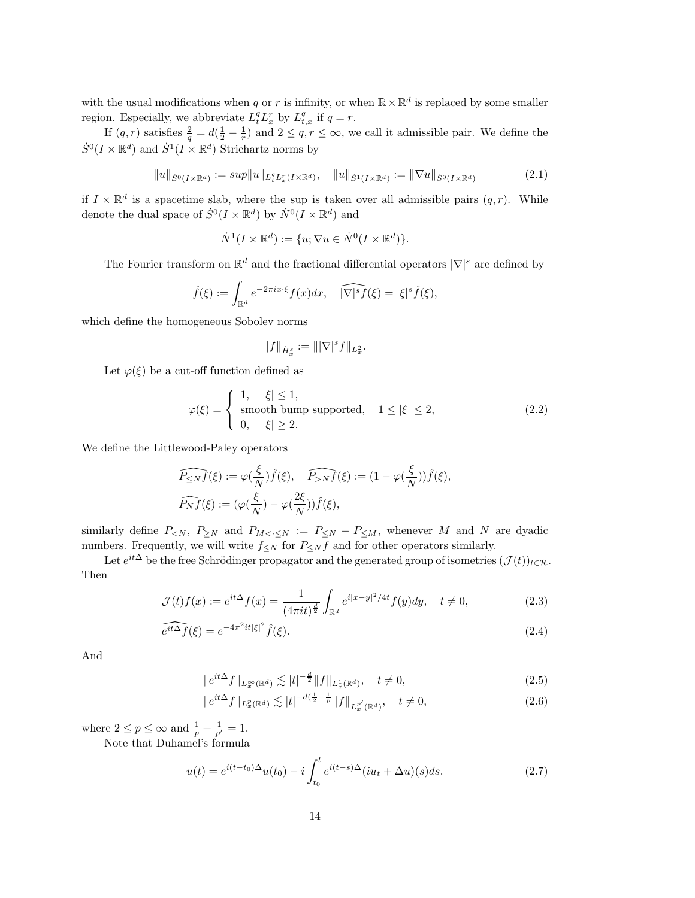with the usual modifications when q or r is infinity, or when  $\mathbb{R} \times \mathbb{R}^d$  is replaced by some smaller region. Especially, we abbreviate  $L_t^q L_x^r$  by  $L_{t,x}^q$  if  $q = r$ .

If  $(q, r)$  satisfies  $\frac{2}{q} = d(\frac{1}{2} - \frac{1}{r})$  and  $2 \leq q, r \leq \infty$ , we call it admissible pair. We define the  $\dot{S}^0(I \times \mathbb{R}^d)$  and  $\dot{S}^1(I \times \mathbb{R}^d)$  Strichartz norms by

$$
||u||_{\dot{S}^{0}(I\times\mathbb{R}^{d})} := sup||u||_{L_{t}^{q}L_{x}^{r}(I\times\mathbb{R}^{d})}, \quad ||u||_{\dot{S}^{1}(I\times\mathbb{R}^{d})} := ||\nabla u||_{\dot{S}^{0}(I\times\mathbb{R}^{d})}
$$
(2.1)

if  $I \times \mathbb{R}^d$  is a spacetime slab, where the sup is taken over all admissible pairs  $(q, r)$ . While denote the dual space of  $\dot{S}^0(I \times \mathbb{R}^d)$  by  $\dot{N}^0(I \times \mathbb{R}^d)$  and

$$
\dot{N}^1(I \times \mathbb{R}^d) := \{u; \nabla u \in \dot{N}^0(I \times \mathbb{R}^d)\}.
$$

The Fourier transform on  $\mathbb{R}^d$  and the fractional differential operators  $|\nabla|^s$  are defined by

$$
\widehat{f}(\xi) := \int_{\mathbb{R}^d} e^{-2\pi ix \cdot \xi} f(x) dx, \quad \widehat{|\nabla|^s f}(\xi) = |\xi|^s \widehat{f}(\xi),
$$

which define the homogeneous Sobolev norms

$$
\|f\|_{\dot{H}^s_x}:=\||\nabla|^sf\|_{L^2_x}.
$$

Let  $\varphi(\xi)$  be a cut-off function defined as

$$
\varphi(\xi) = \begin{cases} 1, & |\xi| \le 1, \\ \text{smooth bump supported,} & 1 \le |\xi| \le 2, \\ 0, & |\xi| \ge 2. \end{cases}
$$
 (2.2)

We define the Littlewood-Paley operators

$$
\widehat{P_{\leq N}f}(\xi) := \varphi(\frac{\xi}{N})\widehat{f}(\xi), \quad \widehat{P_{>N}f}(\xi) := (1 - \varphi(\frac{\xi}{N}))\widehat{f}(\xi),
$$
  

$$
\widehat{P_Nf}(\xi) := (\varphi(\frac{\xi}{N}) - \varphi(\frac{2\xi}{N}))\widehat{f}(\xi),
$$

similarly define  $P_{\leq N}$ ,  $P_{\geq N}$  and  $P_{M \leq \cdot \leq N} := P_{\leq N} - P_{\leq M}$ , whenever M and N are dyadic numbers. Frequently, we will write  $f_{\leq N}$  for  $P_{\leq N} f$  and for other operators similarly.

Let  $e^{it\Delta}$  be the free Schrödinger propagator and the generated group of isometries  $(\mathcal{J}(t))_{t\in\mathcal{R}}$ . Then

$$
\mathcal{J}(t)f(x) := e^{it\Delta}f(x) = \frac{1}{(4\pi it)^{\frac{d}{2}}} \int_{\mathbb{R}^d} e^{i|x-y|^2/4t} f(y) dy, \quad t \neq 0,
$$
\n(2.3)

$$
\widehat{e^{it\Delta}f}(\xi) = e^{-4\pi^2it|\xi|^2}\widehat{f}(\xi). \tag{2.4}
$$

And

$$
||e^{it\Delta}f||_{L_x^{\infty}(\mathbb{R}^d)} \lesssim |t|^{-\frac{d}{2}} ||f||_{L_x^1(\mathbb{R}^d)}, \quad t \neq 0,
$$
\n(2.5)

$$
||e^{it\Delta}f||_{L_x^p(\mathbb{R}^d)} \lesssim |t|^{-d(\frac{1}{2} - \frac{1}{p}} ||f||_{L_x^{p'}(\mathbb{R}^d)}, \quad t \neq 0,
$$
\n(2.6)

where  $2 \le p \le \infty$  and  $\frac{1}{p} + \frac{1}{p'} = 1$ .

Note that Duhamel's formula

$$
u(t) = e^{i(t-t_0)\Delta}u(t_0) - i \int_{t_0}^t e^{i(t-s)\Delta}(iu_t + \Delta u)(s)ds.
$$
 (2.7)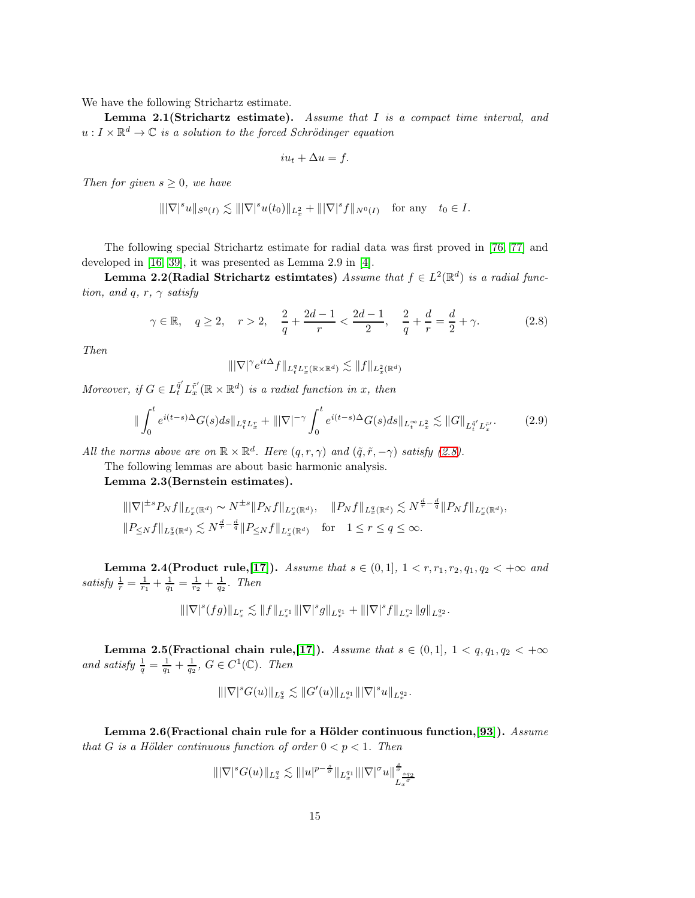We have the following Strichartz estimate.

Lemma  $2.1$ (Strichartz estimate). Assume that I is a compact time interval, and  $u: I \times \mathbb{R}^d \to \mathbb{C}$  is a solution to the forced Schrödinger equation

<span id="page-14-0"></span>
$$
iu_t + \Delta u = f.
$$

Then for given  $s \geq 0$ , we have

$$
\||\nabla|^s u\|_{S^0(I)} \lesssim \||\nabla|^s u(t_0)\|_{L^2_x} + \||\nabla|^s f\|_{N^0(I)} \quad \text{for any} \quad t_0 \in I.
$$

The following special Strichartz estimate for radial data was first proved in [\[76,](#page-99-14) [77\]](#page-99-15) and developed in [\[16,](#page-95-13) [39\]](#page-97-12), it was presented as Lemma 2.9 in [\[4\]](#page-95-5).

**Lemma 2.2(Radial Strichartz estimtates)** Assume that  $f \in L^2(\mathbb{R}^d)$  is a radial function, and q, r,  $\gamma$  satisfy

$$
\gamma \in \mathbb{R}, \quad q \ge 2, \quad r > 2, \quad \frac{2}{q} + \frac{2d - 1}{r} < \frac{2d - 1}{2}, \quad \frac{2}{q} + \frac{d}{r} = \frac{d}{2} + \gamma. \tag{2.8}
$$

Then

$$
\||\nabla|^{\gamma}e^{it\Delta}f\|_{L_t^qL_x^r(\mathbb{R}\times\mathbb{R}^d)}\lesssim \|f\|_{L_x^2(\mathbb{R}^d)}
$$

Moreover, if  $G \in L_t^{\tilde{q}'} L_x^{\tilde{r}'}(\mathbb{R} \times \mathbb{R}^d)$  is a radial function in x, then

$$
\| \int_0^t e^{i(t-s)\Delta} G(s) ds \|_{L_t^q L_x^r} + \| |\nabla|^{-\gamma} \int_0^t e^{i(t-s)\Delta} G(s) ds \|_{L_t^\infty L_x^2} \lesssim \| G \|_{L_t^{q'} L_x^{\tilde{r}'}}.\tag{2.9}
$$

All the norms above are on  $\mathbb{R} \times \mathbb{R}^d$ . Here  $(q, r, \gamma)$  and  $(\tilde{q}, \tilde{r}, -\gamma)$  satisfy [\(2.8\)](#page-14-0).

The following lemmas are about basic harmonic analysis.

Lemma 2.3(Bernstein estimates).

$$
\begin{aligned} &\||\nabla|^{\pm s} P_N f\|_{L_x^r(\mathbb{R}^d)} \sim N^{\pm s} \|P_N f\|_{L_x^r(\mathbb{R}^d)}, \quad \|P_N f\|_{L_x^q(\mathbb{R}^d)} \lesssim N^{\frac{d}{r} - \frac{d}{q}} \|P_N f\|_{L_x^r(\mathbb{R}^d)},\\ &\|P_{\leq N} f\|_{L_x^q(\mathbb{R}^d)} \lesssim N^{\frac{d}{r} - \frac{d}{q}} \|P_{\leq N} f\|_{L_x^r(\mathbb{R}^d)} \quad \text{for} \quad 1 \leq r \leq q \leq \infty. \end{aligned}
$$

**Lemma 2.4(Product rule,[\[17\]](#page-95-14)).** Assume that  $s \in (0,1]$ ,  $1 < r, r_1, r_2, q_1, q_2 < +\infty$  and satisfy  $\frac{1}{r} = \frac{1}{r_1} + \frac{1}{q_1} = \frac{1}{r_2} + \frac{1}{q_2}$ . Then

$$
\||\nabla|^s(fg)\|_{L^r_x} \lesssim \|f\|_{L^{r_1}_x}\||\nabla|^s g\|_{L^{q_1}_x} + \||\nabla|^s f\|_{L^{r_2}_x}\|g\|_{L^{q_2}_x}.
$$

Lemma 2.5(Fractional chain rule,[\[17\]](#page-95-14)). Assume that  $s \in (0,1], 1 < q, q_1, q_2 < +\infty$ and satisfy  $\frac{1}{q} = \frac{1}{q_1} + \frac{1}{q_2}$ ,  $G \in C^1(\mathbb{C})$ . Then

$$
\||\nabla|^s G(u)\|_{L^q_x} \lesssim \|G'(u)\|_{L^{q_1}_x} \||\nabla|^s u\|_{L^{q_2}_x}.
$$

Lemma 2.6(Fractional chain rule for a Hölder continuous function,[\[93\]](#page-100-6)). Assume that G is a Hölder continuous function of order  $0 < p < 1$ . Then

$$
\| |\nabla|^s G(u) \|_{L^q_x} \lesssim \| |u|^{p-\frac{s}{\sigma}} \|_{L^{q_1}_x} \| |\nabla|^{\sigma} u \|_{L^{\frac{sq_2}{\sigma}}_{x}}^{\frac{s}{\sigma}}
$$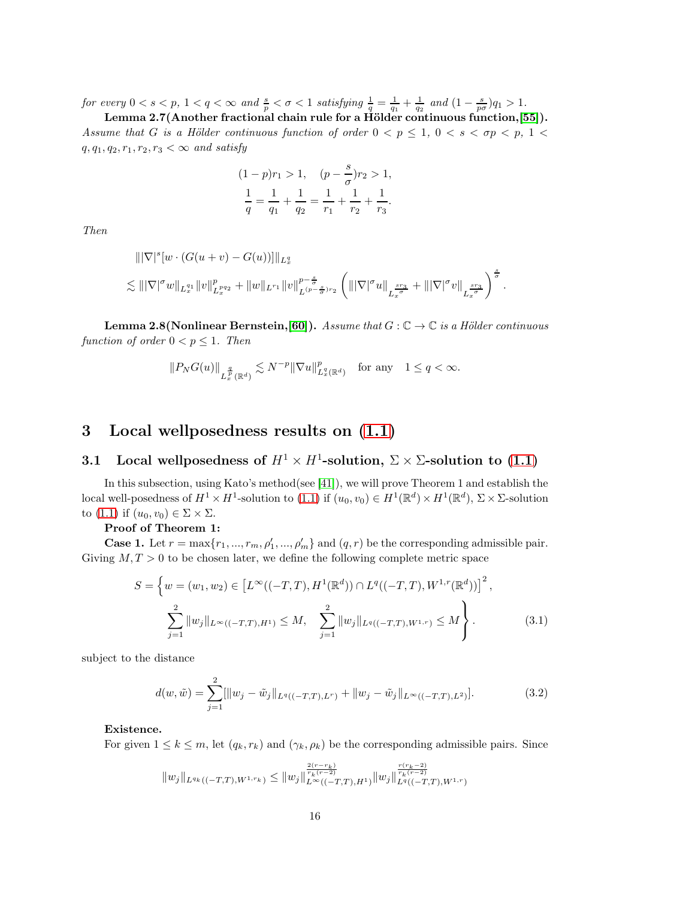for every  $0 < s < p$ ,  $1 < q < \infty$  and  $\frac{s}{p} < \sigma < 1$  satisfying  $\frac{1}{q} = \frac{1}{q_1} + \frac{1}{q_2}$  and  $(1 - \frac{s}{p\sigma})q_1 > 1$ .

Lemma 2.7(Another fractional chain rule for a Hölder continuous function,[\[55\]](#page-98-12)). Assume that G is a Hölder continuous function of order  $0 < p \le 1, 0 < s < \sigma p < p, 1 <$  $q, q_1, q_2, r_1, r_2, r_3 < \infty$  and satisfy

$$
(1-p)r_1 > 1, \quad (p - \frac{s}{\sigma})r_2 > 1,
$$
  

$$
\frac{1}{q} = \frac{1}{q_1} + \frac{1}{q_2} = \frac{1}{r_1} + \frac{1}{r_2} + \frac{1}{r_3}.
$$

Then

$$
\|\nabla|^s [w \cdot (G(u + v) - G(u))] \|_{L_x^q}
$$
  
\n
$$
\lesssim \| |\nabla|^{\sigma} w \|_{L_x^{q_1}} \|v\|_{L_x^{p_{q_2}}}^p + \|w\|_{L^{r_1}} \|v\|_{L^{(p-\frac{s}{\sigma})_{r_2}}}^{p-\frac{s}{\sigma}} \left( \| |\nabla|^{\sigma} u \|_{L_x^{\frac{sr_3}{\sigma}}} + \| |\nabla|^{\sigma} v \|_{L_x^{\frac{sr_3}{\sigma}}}\right)^{\frac{s}{\sigma}}.
$$

**Lemma 2.8(Nonlinear Bernstein,[\[60\]](#page-98-1)).** Assume that  $G : \mathbb{C} \to \mathbb{C}$  is a Hölder continuous function of order  $0 < p \leq 1$ . Then

$$
\|P_NG(u)\|_{L_x^{\frac{q}{p}}(\mathbb{R}^d)}\lesssim N^{-p}\|\nabla u\|_{L_x^q(\mathbb{R}^d)}^p\quad\text{for any}\quad 1\leq q<\infty.
$$

# 3 Local wellposedness results on [\(1.1\)](#page-1-0)

## 3.1 Local wellposedness of  $H^1 \times H^1$ -solution,  $\Sigma \times \Sigma$ -solution to [\(1.1\)](#page-1-0)

In this subsection, using Kato's method(see [\[41\]](#page-97-13)), we will prove Theorem 1 and establish the local well-posedness of  $H^1 \times H^1$ -solution to  $(1.1)$  if  $(u_0, v_0) \in H^1(\mathbb{R}^d) \times H^1(\mathbb{R}^d)$ ,  $\Sigma \times \Sigma$ -solution to [\(1.1\)](#page-1-0) if  $(u_0, v_0) \in \Sigma \times \Sigma$ .

## Proof of Theorem 1:

**Case 1.** Let  $r = \max\{r_1, ..., r_m, \rho'_1, ..., \rho'_m\}$  and  $(q, r)$  be the corresponding admissible pair. Giving  $M, T > 0$  to be chosen later, we define the following complete metric space

$$
S = \left\{ w = (w_1, w_2) \in \left[ L^{\infty}((-T, T), H^1(\mathbb{R}^d)) \cap L^q((-T, T), W^{1, r}(\mathbb{R}^d)) \right]^2, \right\}
$$
  

$$
\sum_{j=1}^2 \|w_j\|_{L^{\infty}((-T, T), H^1)} \le M, \sum_{j=1}^2 \|w_j\|_{L^q((-T, T), W^{1, r})} \le M \right\}.
$$
 (3.1)

subject to the distance

$$
d(w, \tilde{w}) = \sum_{j=1}^{2} [\|w_j - \tilde{w}_j\|_{L^q((-T,T),L^r)} + \|w_j - \tilde{w}_j\|_{L^\infty((-T,T),L^2)}].
$$
 (3.2)

#### Existence.

For given  $1 \leq k \leq m$ , let  $(q_k, r_k)$  and  $(\gamma_k, \rho_k)$  be the corresponding admissible pairs. Since

$$
\|w_j\|_{L^{q_k}((-T,T),W^{1,r_k})}\leq \|w_j\|_{L^\infty((-T,T),H^1)}^\frac{2(r-r_k)}{r_k(r-2)}\|w_j\|_{L^q((-T,T),W^{1,r})}^\frac{r(r_k-2)}{r_k(r-2)}
$$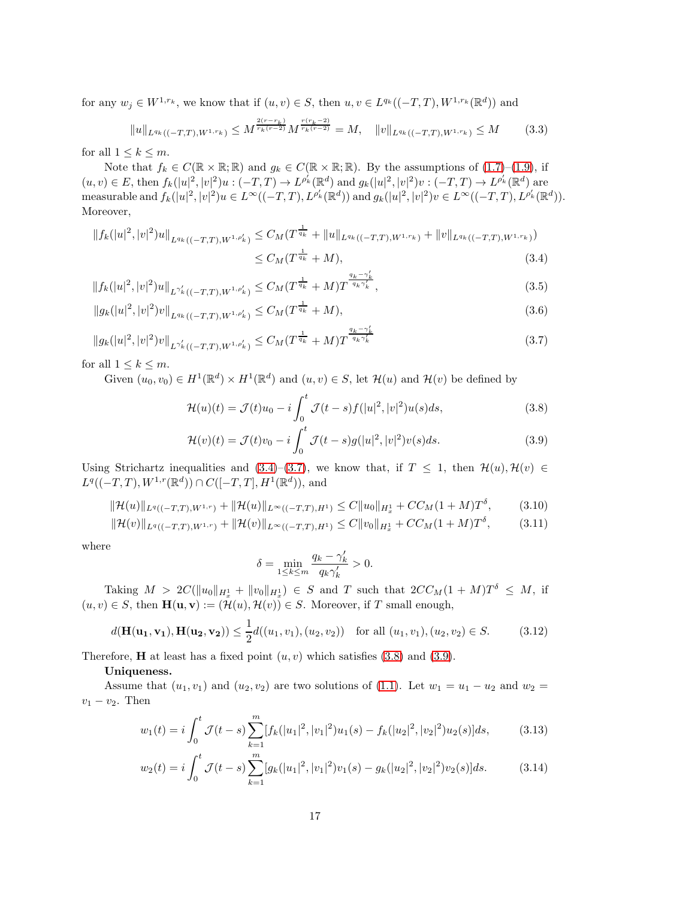for any  $w_j \in W^{1,r_k}$ , we know that if  $(u, v) \in S$ , then  $u, v \in L^{q_k}((-T,T), W^{1,r_k}(\mathbb{R}^d))$  and

$$
||u||_{L^{q_k}((-T,T),W^{1,r_k})} \le M^{\frac{2(r-r_k)}{r_k(r-2)}} M^{\frac{r(r_k-2)}{r_k(r-2)}} = M, \quad ||v||_{L^{q_k}((-T,T),W^{1,r_k})} \le M \qquad (3.3)
$$

for all  $1 \leq k \leq m$ .

Note that  $f_k \in C(\mathbb{R} \times \mathbb{R}; \mathbb{R})$  and  $g_k \in C(\mathbb{R} \times \mathbb{R}; \mathbb{R})$ . By the assumptions of  $(1.7)$ – $(1.9)$ , if  $(u, v) \in E$ , then  $f_k(|u|^2, |v|^2)u: (-T, T) \to L^{\rho'_k}(\mathbb{R}^d)$  and  $g_k(|u|^2, |v|^2)v: (-T, T) \to L^{\rho'_k}(\mathbb{R}^d)$  are measurable and  $f_k(|u|^2, |v|^2)u \in L^{\infty}((-T, T), L^{\rho'_k}(\mathbb{R}^d))$  and  $g_k(|u|^2, |v|^2)v \in L^{\infty}((-T, T), L^{\rho'_k}(\mathbb{R}^d))$ . Moreover,

$$
||f_k(|u|^2, |v|^2)u||_{L^{q_k}((-T,T),W^{1,\rho'_k})} \leq C_M(T^{\frac{1}{q_k}} + ||u||_{L^{q_k}((-T,T),W^{1,r_k})} + ||v||_{L^{q_k}((-T,T),W^{1,r_k})})
$$
  
 
$$
\leq C_M(T^{\frac{1}{q_k}} + M),
$$
 (3.4)

$$
||f_{k}(|u|^{2},|v|^{2})u||_{L^{\gamma'_{k}}((-T,T),W^{1,\rho'_{k}})} \leq C_{M}(T^{\frac{1}{q_{k}}}+M)T^{\frac{q_{k}-\gamma'_{k}}{q_{k}\gamma'_{k}}},\tag{3.5}
$$

$$
||g_k(|u|^2, |v|^2)v||_{L^{q_k}((-T,T),W^{1,\rho'_k})} \leq C_M(T^{\frac{1}{q_k}}+M),\tag{3.6}
$$

$$
||g_k(|u|^2, |v|^2)v||_{L^{\gamma'_k}((-T,T), W^{1,\rho'_k})} \leq C_M(T^{\frac{1}{q_k}} + M)T^{\frac{q_k-\gamma'_k}{q_k\gamma'_k}}
$$
\n(3.7)

for all  $1 \leq k \leq m$ .

Given  $(u_0, v_0) \in H^1(\mathbb{R}^d) \times H^1(\mathbb{R}^d)$  and  $(u, v) \in S$ , let  $\mathcal{H}(u)$  and  $\mathcal{H}(v)$  be defined by

<span id="page-16-1"></span><span id="page-16-0"></span>
$$
\mathcal{H}(u)(t) = \mathcal{J}(t)u_0 - i \int_0^t \mathcal{J}(t-s)f(|u|^2, |v|^2)u(s)ds,
$$
\n(3.8)

$$
\mathcal{H}(v)(t) = \mathcal{J}(t)v_0 - i \int_0^t \mathcal{J}(t-s)g(|u|^2, |v|^2)v(s)ds.
$$
\n(3.9)

Using Strichartz inequalities and [\(3.4\)](#page-16-0)–[\(3.7\)](#page-16-1), we know that, if  $T \leq 1$ , then  $\mathcal{H}(u), \mathcal{H}(v) \in$  $L^q((-T,T),W^{1,r}(\mathbb{R}^d))\cap C([-T,T],H^1(\mathbb{R}^d)),$  and

$$
\|\mathcal{H}(u)\|_{L^{q}((-T,T),W^{1,r})} + \|\mathcal{H}(u)\|_{L^{\infty}((-T,T),H^{1})} \leq C\|u_{0}\|_{H^{1}_{x}} + CC_{M}(1+M)T^{\delta}, \tag{3.10}
$$

$$
\|\mathcal{H}(v)\|_{L^{q}((-T,T),W^{1,r})} + \|\mathcal{H}(v)\|_{L^{\infty}((-T,T),H^{1})} \leq C\|v_{0}\|_{H^{1}_{x}} + CC_{M}(1+M)T^{\delta}, \tag{3.11}
$$

where

<span id="page-16-3"></span><span id="page-16-2"></span>
$$
\delta = \min_{1 \le k \le m} \frac{q_k - \gamma'_k}{q_k \gamma'_k} > 0.
$$

Taking  $M > 2C(||u_0||_{H_x^1} + ||v_0||_{H_x^1}) \in S$  and T such that  $2CC_M(1 + M)T^{\delta} \leq M$ , if  $(u, v) \in S$ , then  $\mathbf{H}(\mathbf{u}, \mathbf{v}) := (\mathcal{H}(u), \mathcal{H}(v)) \in S$ . Moreover, if T small enough,

$$
d(\mathbf{H}(\mathbf{u_1}, \mathbf{v_1}), \mathbf{H}(\mathbf{u_2}, \mathbf{v_2})) \le \frac{1}{2}d((u_1, v_1), (u_2, v_2)) \text{ for all } (u_1, v_1), (u_2, v_2) \in S. \tag{3.12}
$$

Therefore, **H** at least has a fixed point  $(u, v)$  which satisfies  $(3.8)$  and  $(3.9)$ .

Uniqueness.

Assume that  $(u_1, v_1)$  and  $(u_2, v_2)$  are two solutions of [\(1.1\)](#page-1-0). Let  $w_1 = u_1 - u_2$  and  $w_2 =$  $v_1 - v_2$ . Then

$$
w_1(t) = i \int_0^t \mathcal{J}(t-s) \sum_{k=1}^m [f_k(|u_1|^2, |v_1|^2)u_1(s) - f_k(|u_2|^2, |v_2|^2)u_2(s)]ds,\tag{3.13}
$$

$$
w_2(t) = i \int_0^t \mathcal{J}(t-s) \sum_{k=1}^m [g_k(|u_1|^2, |v_1|^2)v_1(s) - g_k(|u_2|^2, |v_2|^2)v_2(s)]ds.
$$
 (3.14)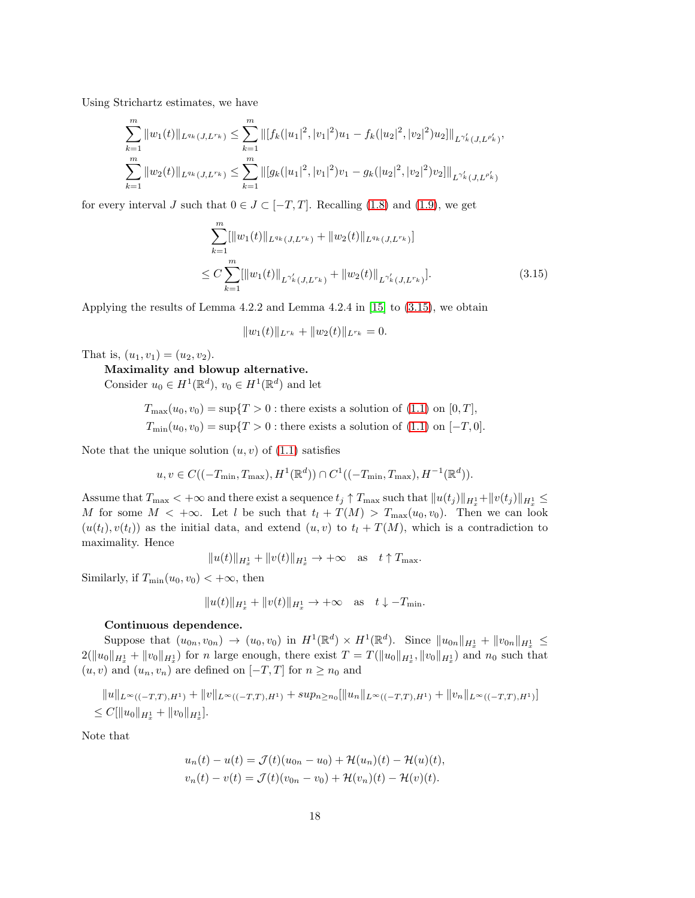Using Strichartz estimates, we have

$$
\sum_{k=1}^{m} ||w_1(t)||_{L^{q_k}(J,L^{r_k})} \leq \sum_{k=1}^{m} ||[f_k(|u_1|^2, |v_1|^2)u_1 - f_k(|u_2|^2, |v_2|^2)u_2]||_{L^{\gamma'_k}(J,L^{\rho'_k})},
$$
  

$$
\sum_{k=1}^{m} ||w_2(t)||_{L^{q_k}(J,L^{r_k})} \leq \sum_{k=1}^{m} ||[g_k(|u_1|^2, |v_1|^2)v_1 - g_k(|u_2|^2, |v_2|^2)v_2]||_{L^{\gamma'_k}(J,L^{\rho'_k})}
$$

for every interval J such that  $0 \in J \subset [-T, T]$ . Recalling [\(1.8\)](#page-5-2) and [\(1.9\)](#page-5-1), we get

$$
\sum_{k=1}^{m} [\|w_1(t)\|_{L^{q_k}(J, L^{r_k})} + \|w_2(t)\|_{L^{q_k}(J, L^{r_k})}]
$$
  
\n
$$
\leq C \sum_{k=1}^{m} [\|w_1(t)\|_{L^{\gamma'_k}(J, L^{r_k})} + \|w_2(t)\|_{L^{\gamma'_k}(J, L^{r_k})}].
$$
\n(3.15)

Applying the results of Lemma 4.2.2 and Lemma 4.2.4 in [\[15\]](#page-95-1) to [\(3.15\)](#page-17-0), we obtain

<span id="page-17-0"></span>
$$
||w_1(t)||_{L^{r_k}} + ||w_2(t)||_{L^{r_k}} = 0.
$$

That is,  $(u_1, v_1) = (u_2, v_2)$ .

## Maximality and blowup alternative.

Consider  $u_0 \in H^1(\mathbb{R}^d)$ ,  $v_0 \in H^1(\mathbb{R}^d)$  and let

 $T_{\text{max}}(u_0, v_0) = \sup\{T > 0 : \text{there exists a solution of } (1.1) \text{ on } [0, T],\}$  $T_{\text{max}}(u_0, v_0) = \sup\{T > 0 : \text{there exists a solution of } (1.1) \text{ on } [0, T],\}$  $T_{\text{max}}(u_0, v_0) = \sup\{T > 0 : \text{there exists a solution of } (1.1) \text{ on } [0, T],\}$  $T_{\min}(u_0, v_0) = \sup\{T > 0 : \text{there exists a solution of } (1.1) \text{ on } [-T, 0].\}$  $T_{\min}(u_0, v_0) = \sup\{T > 0 : \text{there exists a solution of } (1.1) \text{ on } [-T, 0].\}$  $T_{\min}(u_0, v_0) = \sup\{T > 0 : \text{there exists a solution of } (1.1) \text{ on } [-T, 0].\}$ 

Note that the unique solution  $(u, v)$  of  $(1.1)$  satisfies

$$
u, v \in C((-T_{\min}, T_{\max}), H^1(\mathbb{R}^d)) \cap C^1((-T_{\min}, T_{\max}), H^{-1}(\mathbb{R}^d)).
$$

Assume that  $T_{\max}$   $< +\infty$  and there exist a sequence  $t_j \uparrow T_{\max}$  such that  $||u(t_j)||_{H_x^1} + ||v(t_j)||_{H_x^1} \le$ M for some  $M < +\infty$ . Let l be such that  $t_l + T(M) > T_{\max}(u_0, v_0)$ . Then we can look  $(u(t_l), v(t_l))$  as the initial data, and extend  $(u, v)$  to  $t_l + T(M)$ , which is a contradiction to maximality. Hence

$$
||u(t)||_{H_x^1} + ||v(t)||_{H_x^1} \to +\infty \quad \text{as} \quad t \uparrow T_{\text{max}}.
$$

Similarly, if  $T_{\min}(u_0, v_0) < +\infty$ , then

$$
||u(t)||_{H_x^1} + ||v(t)||_{H_x^1} \to +\infty \text{ as } t \downarrow -T_{\min}.
$$

#### Continuous dependence.

Suppose that  $(u_{0n}, v_{0n}) \to (u_0, v_0)$  in  $H^1(\mathbb{R}^d) \times H^1(\mathbb{R}^d)$ . Since  $||u_{0n}||_{H_x^1} + ||v_{0n}||_{H_x^1} \le$  $2(\|u_0\|_{H_x^1} + \|v_0\|_{H_x^1})$  for n large enough, there exist  $T = T(\|u_0\|_{H_x^1}, \|v_0\|_{H_x^1})$  and  $n_0$  such that  $(u, v)$  and  $(u_n, v_n)$  are defined on  $[-T, T]$  for  $n \geq n_0$  and

$$
||u||_{L^{\infty}((-T,T),H^{1})} + ||v||_{L^{\infty}((-T,T),H^{1})} + sup_{n \geq n_{0}}[||u_{n}||_{L^{\infty}((-T,T),H^{1})} + ||v_{n}||_{L^{\infty}((-T,T),H^{1})}]
$$
  
\n
$$
\leq C[||u_{0}||_{H^{1}_{x}} + ||v_{0}||_{H^{1}_{x}}].
$$

Note that

$$
u_n(t) - u(t) = \mathcal{J}(t)(u_{0n} - u_0) + \mathcal{H}(u_n)(t) - \mathcal{H}(u)(t),
$$
  

$$
v_n(t) - v(t) = \mathcal{J}(t)(v_{0n} - v_0) + \mathcal{H}(v_n)(t) - \mathcal{H}(v)(t).
$$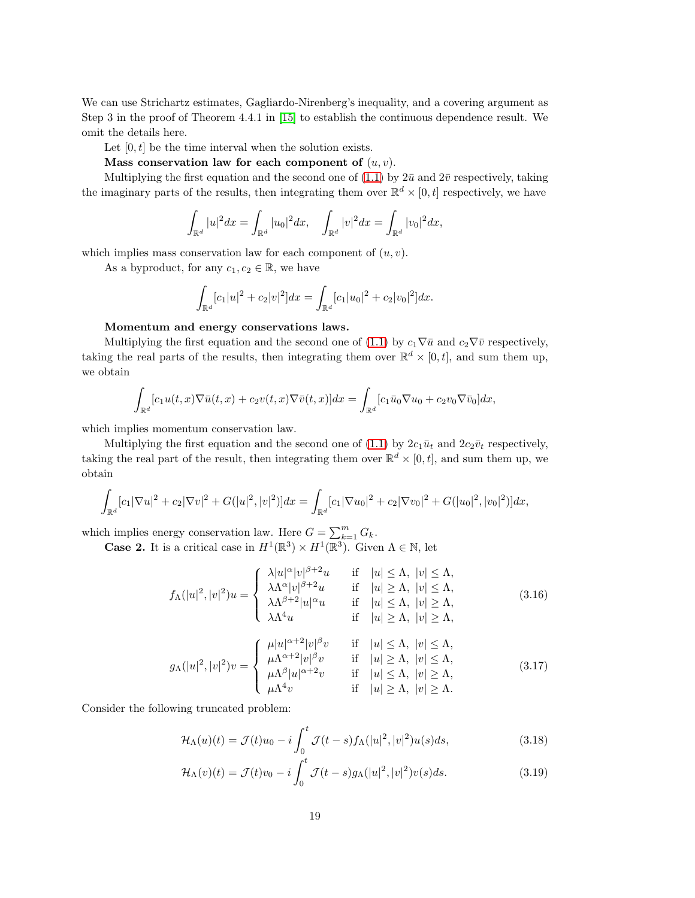We can use Strichartz estimates, Gagliardo-Nirenberg's inequality, and a covering argument as Step 3 in the proof of Theorem 4.4.1 in [\[15\]](#page-95-1) to establish the continuous dependence result. We omit the details here.

Let  $[0, t]$  be the time interval when the solution exists.

Mass conservation law for each component of  $(u, v)$ .

Multiplying the first equation and the second one of [\(1.1\)](#page-1-0) by  $2\bar{u}$  and  $2\bar{v}$  respectively, taking the imaginary parts of the results, then integrating them over  $\mathbb{R}^d \times [0, t]$  respectively, we have

$$
\int_{\mathbb{R}^d} |u|^2 dx = \int_{\mathbb{R}^d} |u_0|^2 dx, \quad \int_{\mathbb{R}^d} |v|^2 dx = \int_{\mathbb{R}^d} |v_0|^2 dx,
$$

which implies mass conservation law for each component of  $(u, v)$ .

As a byproduct, for any  $c_1, c_2 \in \mathbb{R}$ , we have

$$
\int_{\mathbb{R}^d} [c_1|u|^2 + c_2|v|^2]dx = \int_{\mathbb{R}^d} [c_1|u_0|^2 + c_2|v_0|^2]dx.
$$

### Momentum and energy conservations laws.

Multiplying the first equation and the second one of [\(1.1\)](#page-1-0) by  $c_1\nabla \bar{u}$  and  $c_2\nabla \bar{v}$  respectively, taking the real parts of the results, then integrating them over  $\mathbb{R}^d \times [0, t]$ , and sum them up, we obtain

$$
\int_{\mathbb{R}^d} [c_1 u(t,x) \nabla \bar{u}(t,x) + c_2 v(t,x) \nabla \bar{v}(t,x)] dx = \int_{\mathbb{R}^d} [c_1 \bar{u}_0 \nabla u_0 + c_2 v_0 \nabla \bar{v}_0] dx,
$$

which implies momentum conservation law.

Multiplying the first equation and the second one of [\(1.1\)](#page-1-0) by  $2c_1\bar{u}_t$  and  $2c_2\bar{v}_t$  respectively, taking the real part of the result, then integrating them over  $\mathbb{R}^d \times [0, t]$ , and sum them up, we obtain

$$
\int_{\mathbb{R}^d} [c_1 |\nabla u|^2 + c_2 |\nabla v|^2 + G(|u|^2, |v|^2)] dx = \int_{\mathbb{R}^d} [c_1 |\nabla u_0|^2 + c_2 |\nabla v_0|^2 + G(|u_0|^2, |v_0|^2)] dx,
$$

which implies energy conservation law. Here  $G = \sum_{k=1}^{m} G_k$ .

**Case 2.** It is a critical case in  $H^1(\mathbb{R}^3) \times H^1(\mathbb{R}^3)$ . Given  $\Lambda \in \mathbb{N}$ , let

$$
f_{\Lambda}(|u|^2, |v|^2)u = \begin{cases} \lambda |u|^{\alpha} |v|^{\beta+2}u & \text{if } |u| \leq \Lambda, |v| \leq \Lambda, \\ \lambda \Lambda^{\alpha} |v|^{\beta+2}u & \text{if } |u| \geq \Lambda, |v| \leq \Lambda, \\ \lambda \Lambda^{\beta+2} |u|^{\alpha}u & \text{if } |u| \leq \Lambda, |v| \geq \Lambda, \\ \lambda \Lambda^4 u & \text{if } |u| \geq \Lambda, |v| \geq \Lambda, \end{cases}
$$
(3.16)

$$
g_{\Lambda}(|u|^2, |v|^2)v = \begin{cases} \mu |u|^{\alpha+2}|v|^{\beta}v & \text{if } |u| \leq \Lambda, |v| \leq \Lambda, \\ \mu \Lambda^{\alpha+2}|v|^{\beta}v & \text{if } |u| \geq \Lambda, |v| \leq \Lambda, \\ \mu \Lambda^{\beta}|u|^{\alpha+2}v & \text{if } |u| \leq \Lambda, |v| \geq \Lambda, \\ \mu \Lambda^4 v & \text{if } |u| \geq \Lambda, |v| \geq \Lambda. \end{cases}
$$
(3.17)

Consider the following truncated problem:

<span id="page-18-0"></span>
$$
\mathcal{H}_{\Lambda}(u)(t) = \mathcal{J}(t)u_0 - i \int_0^t \mathcal{J}(t-s) f_{\Lambda}(|u|^2, |v|^2) u(s) ds,
$$
\n(3.18)

<span id="page-18-1"></span>
$$
\mathcal{H}_{\Lambda}(v)(t) = \mathcal{J}(t)v_0 - i \int_0^t \mathcal{J}(t-s)g_{\Lambda}(|u|^2, |v|^2)v(s)ds.
$$
\n(3.19)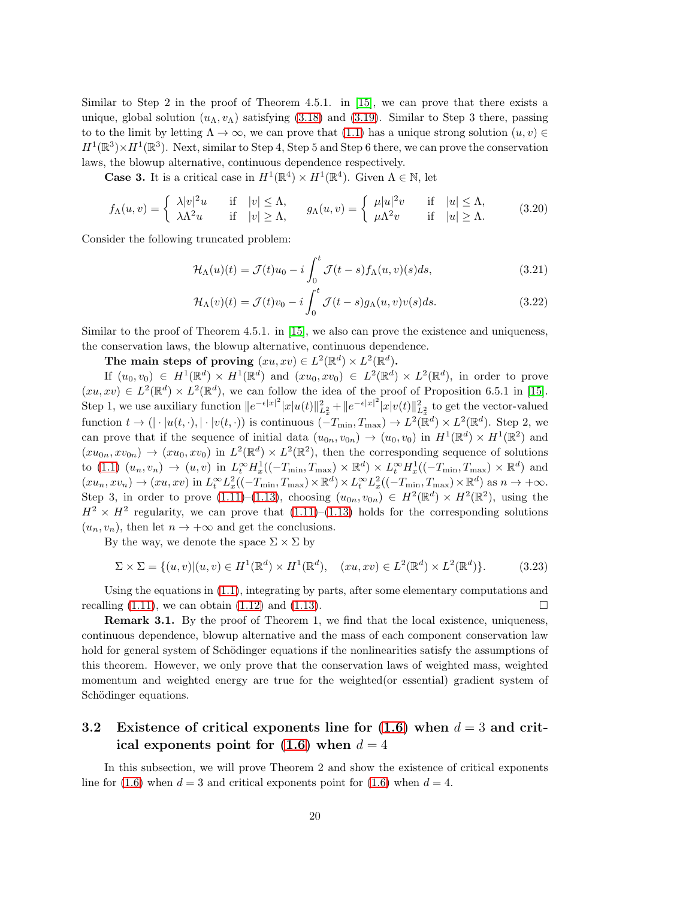Similar to Step 2 in the proof of Theorem 4.5.1. in [\[15\]](#page-95-1), we can prove that there exists a unique, global solution  $(u_\Lambda, v_\Lambda)$  satisfying [\(3.18\)](#page-18-0) and [\(3.19\)](#page-18-1). Similar to Step 3 there, passing to to the limit by letting  $\Lambda \to \infty$ , we can prove that [\(1.1\)](#page-1-0) has a unique strong solution  $(u, v) \in$  $H^1(\mathbb{R}^3) \times H^1(\mathbb{R}^3)$ . Next, similar to Step 4, Step 5 and Step 6 there, we can prove the conservation laws, the blowup alternative, continuous dependence respectively.

**Case 3.** It is a critical case in  $H^1(\mathbb{R}^4) \times H^1(\mathbb{R}^4)$ . Given  $\Lambda \in \mathbb{N}$ , let

$$
f_{\Lambda}(u,v) = \begin{cases} \lambda |v|^2 u & \text{if } |v| \leq \Lambda, \\ \lambda \Lambda^2 u & \text{if } |v| \geq \Lambda, \end{cases} \quad g_{\Lambda}(u,v) = \begin{cases} \mu |u|^2 v & \text{if } |u| \leq \Lambda, \\ \mu \Lambda^2 v & \text{if } |u| \geq \Lambda. \end{cases} \tag{3.20}
$$

Consider the following truncated problem:

$$
\mathcal{H}_{\Lambda}(u)(t) = \mathcal{J}(t)u_0 - i \int_0^t \mathcal{J}(t-s) f_{\Lambda}(u,v)(s)ds,
$$
\n(3.21)

$$
\mathcal{H}_{\Lambda}(v)(t) = \mathcal{J}(t)v_0 - i \int_0^t \mathcal{J}(t-s)g_{\Lambda}(u,v)v(s)ds.
$$
\n(3.22)

Similar to the proof of Theorem 4.5.1. in [\[15\]](#page-95-1), we also can prove the existence and uniqueness, the conservation laws, the blowup alternative, continuous dependence.

The main steps of proving  $(xu, xv) \in L^2(\mathbb{R}^d) \times L^2(\mathbb{R}^d)$ .

If  $(u_0, v_0) \in H^1(\mathbb{R}^d) \times H^1(\mathbb{R}^d)$  and  $(xu_0, xv_0) \in L^2(\mathbb{R}^d) \times L^2(\mathbb{R}^d)$ , in order to prove  $(xu, xv) \in L^2(\mathbb{R}^d) \times L^2(\mathbb{R}^d)$ , we can follow the idea of the proof of Proposition 6.5.1 in [\[15\]](#page-95-1). Step 1, we use auxiliary function  $||e^{-\epsilon|x|^2}|x|u(t)||_{L_x^2}^2 + ||e^{-\epsilon|x|^2}|x|v(t)||_{L_x^2}^2$  to get the vector-valued function  $t \to (|\cdot|u(t,\cdot), |\cdot|v(t,\cdot))$  is continuous  $(-T_{\min}, T_{\max}) \to L^2(\mathbb{R}^d) \times L^2(\mathbb{R}^d)$ . Step 2, we can prove that if the sequence of initial data  $(u_{0n}, v_{0n}) \to (u_0, v_0)$  in  $H^1(\mathbb{R}^d) \times H^1(\mathbb{R}^2)$  and  $(xu_{0n}, xv_{0n}) \rightarrow (xu_0, xv_0)$  in  $L^2(\mathbb{R}^d) \times L^2(\mathbb{R}^2)$ , then the corresponding sequence of solutions to [\(1.1\)](#page-1-0)  $(u_n, v_n) \to (u, v)$  in  $L_t^{\infty} H_x^1((-T_{\min}, T_{\max}) \times \mathbb{R}^d) \times L_t^{\infty} H_x^1((-T_{\min}, T_{\max}) \times \mathbb{R}^d)$  and  $(xu_n, xv_n) \to (xu, xv)$  in  $L_t^{\infty} L_x^2((-T_{\min}, T_{\max}) \times \mathbb{R}^d) \times L_t^{\infty} L_x^2((-T_{\min}, T_{\max}) \times \mathbb{R}^d)$  as  $n \to +\infty$ . Step 3, in order to prove  $(1.11)$ – $(1.13)$ , choosing  $(u_{0n}, v_{0n}) \in H^2(\mathbb{R}^d) \times H^2(\mathbb{R}^2)$ , using the  $H^2 \times H^2$  regularity, we can prove that  $(1.11)$ – $(1.13)$  holds for the corresponding solutions  $(u_n, v_n)$ , then let  $n \to +\infty$  and get the conclusions.

By the way, we denote the space  $\Sigma \times \Sigma$  by

$$
\Sigma \times \Sigma = \{ (u, v) | (u, v) \in H^1(\mathbb{R}^d) \times H^1(\mathbb{R}^d), \quad (xu, xv) \in L^2(\mathbb{R}^d) \times L^2(\mathbb{R}^d) \}. \tag{3.23}
$$

Using the equations in [\(1.1\)](#page-1-0), integrating by parts, after some elementary computations and recalling  $(1.11)$ , we can obtain  $(1.12)$  and  $(1.13)$ .

Remark 3.1. By the proof of Theorem 1, we find that the local existence, uniqueness, continuous dependence, blowup alternative and the mass of each component conservation law hold for general system of Schödinger equations if the nonlinearities satisfy the assumptions of this theorem. However, we only prove that the conservation laws of weighted mass, weighted momentum and weighted energy are true for the weighted(or essential) gradient system of Schödinger equations.

## 3.2 Existence of critical exponents line for  $(1.6)$  when  $d = 3$  and critical exponents point for  $(1.6)$  when  $d = 4$

In this subsection, we will prove Theorem 2 and show the existence of critical exponents line for [\(1.6\)](#page-3-0) when  $d = 3$  and critical exponents point for (1.6) when  $d = 4$ .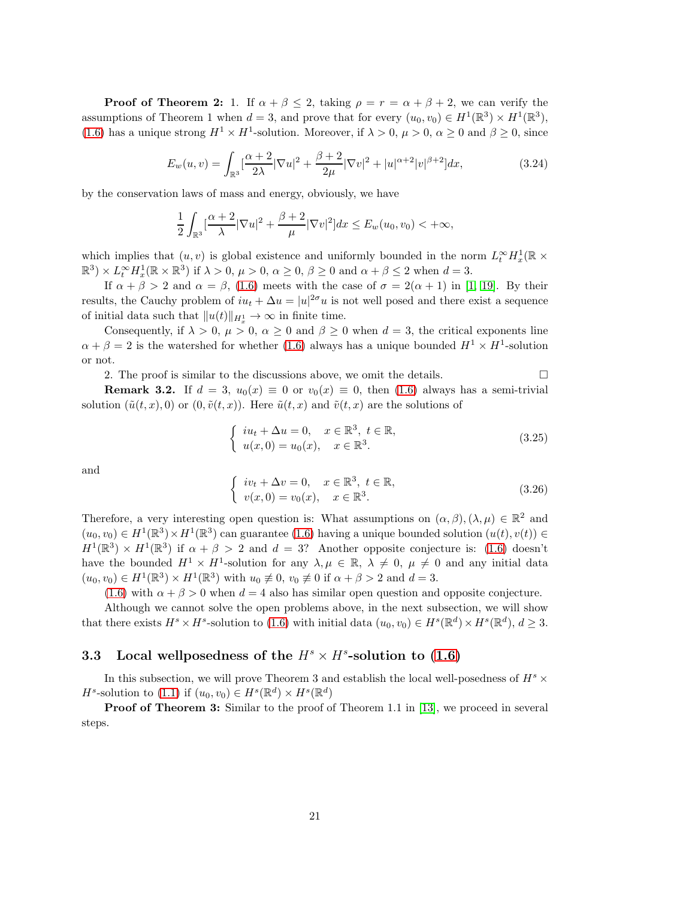**Proof of Theorem 2:** 1. If  $\alpha + \beta \leq 2$ , taking  $\rho = r = \alpha + \beta + 2$ , we can verify the assumptions of Theorem 1 when  $d = 3$ , and prove that for every  $(u_0, v_0) \in H^1(\mathbb{R}^3) \times H^1(\mathbb{R}^3)$ , [\(1.6\)](#page-3-0) has a unique strong  $H^1 \times H^1$ -solution. Moreover, if  $\lambda > 0$ ,  $\mu > 0$ ,  $\alpha \ge 0$  and  $\beta \ge 0$ , since

$$
E_w(u,v) = \int_{\mathbb{R}^3} \left[ \frac{\alpha+2}{2\lambda} |\nabla u|^2 + \frac{\beta+2}{2\mu} |\nabla v|^2 + |u|^{\alpha+2} |v|^{\beta+2} \right] dx,\tag{3.24}
$$

by the conservation laws of mass and energy, obviously, we have

$$
\frac{1}{2}\int_{\mathbb{R}^3} \left[\frac{\alpha+2}{\lambda}|\nabla u|^2 + \frac{\beta+2}{\mu}|\nabla v|^2\right]dx \le E_w(u_0, v_0) < +\infty,
$$

which implies that  $(u, v)$  is global existence and uniformly bounded in the norm  $L_t^{\infty} H_x^1(\mathbb{R} \times$  $(\mathbb{R}^3) \times L_t^{\infty} H_x^1(\mathbb{R} \times \mathbb{R}^3)$  if  $\lambda > 0$ ,  $\mu > 0$ ,  $\alpha \ge 0$ ,  $\beta \ge 0$  and  $\alpha + \beta \le 2$  when  $d = 3$ .

If  $\alpha + \beta > 2$  and  $\alpha = \beta$ , [\(1.6\)](#page-3-0) meets with the case of  $\sigma = 2(\alpha + 1)$  in [\[1,](#page-94-0) [19\]](#page-96-13). By their results, the Cauchy problem of  $iu_t + \Delta u = |u|^{2\sigma}u$  is not well posed and there exist a sequence of initial data such that  $||u(t)||_{H_x^1} \to \infty$  in finite time.

Consequently, if  $\lambda > 0$ ,  $\mu > 0$ ,  $\alpha \ge 0$  and  $\beta \ge 0$  when  $d = 3$ , the critical exponents line  $\alpha + \beta = 2$  is the watershed for whether [\(1.6\)](#page-3-0) always has a unique bounded  $H^1 \times H^1$ -solution or not.

2. The proof is similar to the discussions above, we omit the details.  $\Box$ 

**Remark 3.2.** If  $d = 3$ ,  $u_0(x) \equiv 0$  or  $v_0(x) \equiv 0$ , then [\(1.6\)](#page-3-0) always has a semi-trivial solution  $(\tilde{u}(t, x), 0)$  or  $(0, \tilde{v}(t, x))$ . Here  $\tilde{u}(t, x)$  and  $\tilde{v}(t, x)$  are the solutions of

$$
\begin{cases}\niu_t + \Delta u = 0, & x \in \mathbb{R}^3, t \in \mathbb{R}, \\
u(x, 0) = u_0(x), & x \in \mathbb{R}^3.\n\end{cases}
$$
\n(3.25)

and

$$
\begin{cases}\niv_t + \Delta v = 0, & x \in \mathbb{R}^3, \ t \in \mathbb{R}, \\
v(x, 0) = v_0(x), & x \in \mathbb{R}^3.\n\end{cases}
$$
\n(3.26)

Therefore, a very interesting open question is: What assumptions on  $(\alpha, \beta), (\lambda, \mu) \in \mathbb{R}^2$  and  $(u_0, v_0) \in H^1(\mathbb{R}^3) \times H^1(\mathbb{R}^3)$  can guarantee [\(1.6\)](#page-3-0) having a unique bounded solution  $(u(t), v(t)) \in$  $H^1(\mathbb{R}^3) \times H^1(\mathbb{R}^3)$  if  $\alpha + \beta > 2$  and  $d = 3$ ? Another opposite conjecture is: [\(1.6\)](#page-3-0) doesn't have the bounded  $H^1 \times H^1$ -solution for any  $\lambda, \mu \in \mathbb{R}, \lambda \neq 0, \mu \neq 0$  and any initial data  $(u_0, v_0) \in H^1(\mathbb{R}^3) \times H^1(\mathbb{R}^3)$  with  $u_0 \not\equiv 0$ ,  $v_0 \not\equiv 0$  if  $\alpha + \beta > 2$  and  $d = 3$ .

[\(1.6\)](#page-3-0) with  $\alpha + \beta > 0$  when  $d = 4$  also has similar open question and opposite conjecture.

Although we cannot solve the open problems above, in the next subsection, we will show that there exists  $H^s \times H^s$ -solution to [\(1.6\)](#page-3-0) with initial data  $(u_0, v_0) \in H^s(\mathbb{R}^d) \times H^s(\mathbb{R}^d)$ ,  $d \geq 3$ .

# 3.3 Local wellposedness of the  $H^s \times H^s$ -solution to [\(1.6\)](#page-3-0)

In this subsection, we will prove Theorem 3 and establish the local well-posedness of  $H^s$  ×  $H^s$ -solution to [\(1.1\)](#page-1-0) if  $(u_0, v_0) \in H^s(\mathbb{R}^d) \times H^s(\mathbb{R}^d)$ 

Proof of Theorem 3: Similar to the proof of Theorem 1.1 in [\[13\]](#page-95-15), we proceed in several steps.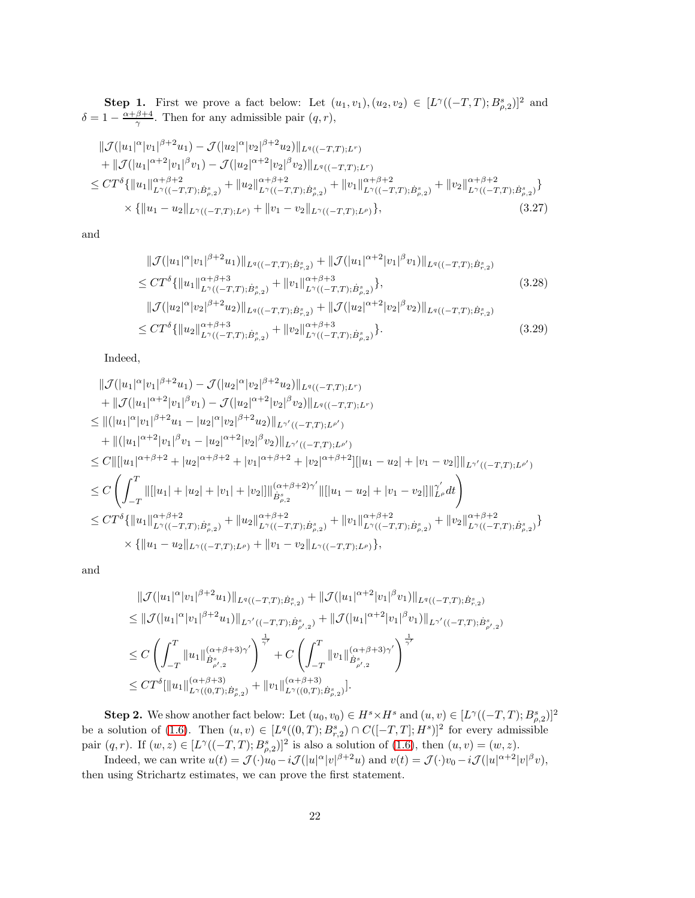**Step 1.** First we prove a fact below: Let  $(u_1, v_1), (u_2, v_2) \in [L^{\gamma}((-T,T); B^s_{\rho,2})]^2$  and  $\delta = 1 - \frac{\alpha + \beta + 4}{\gamma}$ . Then for any admissible pair  $(q, r)$ ,

$$
\|\mathcal{J}(|u_1|^{\alpha}|v_1|^{\beta+2}u_1) - \mathcal{J}(|u_2|^{\alpha}|v_2|^{\beta+2}u_2)\|_{L^q((-T,T);L^r)}
$$
  
+ 
$$
\|\mathcal{J}(|u_1|^{\alpha+2}|v_1|^{\beta}v_1) - \mathcal{J}(|u_2|^{\alpha+2}|v_2|^{\beta}v_2)\|_{L^q((-T,T);L^r)}
$$
  

$$
\leq CT^{\delta}\{\|u_1\|_{L^{\gamma}((-T,T); \dot{B}^s_{\rho,2})}^{\alpha+\beta+2} + \|u_2\|_{L^{\gamma}((-T,T); \dot{B}^s_{\rho,2})}^{\alpha+\beta+2} + \|v_1\|_{L^{\gamma}((-T,T); \dot{B}^s_{\rho,2})}^{\alpha+\beta+2} + \|v_2\|_{L^{\gamma}((-T,T); \dot{B}^s_{\rho,2})}^{\alpha+\beta+2}\}
$$
  

$$
\times \{\|u_1 - u_2\|_{L^{\gamma}((-T,T); L^{\rho})} + \|v_1 - v_2\|_{L^{\gamma}((-T,T); L^{\rho})}\}, \qquad (3.27)
$$

and

<span id="page-21-0"></span>
$$
\|\mathcal{J}(|u_{1}|^{\alpha}|v_{1}|^{\beta+2}u_{1})\|_{L^{q}((-T,T);\dot{B}_{r,2}^{s})} + \|\mathcal{J}(|u_{1}|^{\alpha+2}|v_{1}|^{\beta}v_{1})\|_{L^{q}((-T,T);\dot{B}_{r,2}^{s})}
$$
\n
$$
\leq CT^{\delta}\{||u_{1}||_{L^{\gamma}((-T,T);\dot{B}_{\rho,2}^{s})}^{\alpha+\beta+3} + ||v_{1}||_{L^{\gamma}((-T,T);\dot{B}_{\rho,2}^{s})}^{\alpha+\beta+3}\},\qquad(3.28)
$$
\n
$$
||\mathcal{J}(|u_{2}|^{\alpha}|v_{2}|^{\beta+2}u_{2})||_{L^{q}((-T,T);\dot{B}_{r,2}^{s})} + ||\mathcal{J}(|u_{2}|^{\alpha+2}|v_{2}|^{\beta}v_{2})||_{L^{q}((-T,T);\dot{B}_{r,2}^{s})}
$$
\n
$$
\leq CT^{\delta}\{||u_{2}||_{L^{\gamma}((-T,T);\dot{B}_{\rho,2}^{s})}^{\alpha+\beta+3} + ||v_{2}||_{L^{\gamma}((-T,T);\dot{B}_{\rho,2}^{s})}^{\alpha+\beta+3}\}.
$$
\n(3.29)

Indeed,

$$
\|\mathcal{J}(|u_1|^{\alpha}|v_1|^{\beta+2}u_1) - \mathcal{J}(|u_2|^{\alpha}|v_2|^{\beta+2}u_2)\|_{L^q((-T,T);L^r)}
$$
  
\n
$$
+ \|\mathcal{J}(|u_1|^{\alpha+2}|v_1|^{\beta}v_1) - \mathcal{J}(|u_2|^{\alpha+2}|v_2|^{\beta}v_2)\|_{L^q((-T,T);L^r)}
$$
  
\n
$$
\leq \|(|u_1|^{\alpha}|v_1|^{\beta+2}u_1 - |u_2|^{\alpha}|v_2|^{\beta+2}u_2)\|_{L^{\gamma'}((-T,T);L^{\rho'})}
$$
  
\n
$$
+ \|(|u_1|^{\alpha+2}|v_1|^{\beta}v_1 - |u_2|^{\alpha+2}|v_2|^{\beta}v_2)\|_{L^{\gamma'}((-T,T);L^{\rho'})}
$$
  
\n
$$
\leq C\|[[u_1|^{\alpha+\beta+2} + |u_2|^{\alpha+\beta+2} + |v_1|^{\alpha+\beta+2} + |v_2|^{\alpha+\beta+2}][|u_1 - u_2| + |v_1 - v_2|]\|_{L^{\gamma'}((-T,T);L^{\rho'})}
$$
  
\n
$$
\leq C\left(\int_{-T}^{T} \|[|u_1| + |u_2| + |v_1| + |v_2|] \|\big|_{B_{\beta,2}^{\beta}}^{(\alpha+\beta+2)\gamma'}\|[[|u_1 - u_2| + |v_1 - v_2|] \|\big|_{L^{\rho'}}^{\gamma'} dt\right)
$$
  
\n
$$
\leq CT^{\delta}\{||u_1||_{L^{\gamma}((-T,T); \dot{B}_{\rho,2}^s)} + ||u_2||_{L^{\gamma}((-T,T); \dot{B}_{\rho,2}^s)}^{(\alpha+\beta+2)} + ||v_1||_{L^{\gamma}((-T,T); \dot{B}_{\rho,2}^s)}^{(\alpha+\beta+2)} + ||v_2||_{L^{\gamma}((-T,T); \dot{B}_{\rho,2}^s)}^{(\alpha+\beta+2)}\}
$$
  
\n
$$
\times \{||u_1 - u_2||_{L^{\gamma}((-T,T);L^{\rho})} + ||v_1 - v_2||_{L^{\gamma}((-T,T);L^{\rho})}\},
$$

and

$$
\label{eq:21} \begin{split} &\|\mathcal{J}(|u_1|^\alpha|v_1|^{\beta+2}u_1)\|_{L^q((-T,T);\dot{B}_{r,2}^s)}+\|\mathcal{J}(|u_1|^{\alpha+2}|v_1|^\beta v_1)\|_{L^q((-T,T);\dot{B}_{r,2}^s)}\\ &\leq \|\mathcal{J}(|u_1|^\alpha|v_1|^{\beta+2}u_1)\|_{L^{\gamma'}((-T,T);\dot{B}_{\rho',2}^s)}+\|\mathcal{J}(|u_1|^{\alpha+2}|v_1|^\beta v_1)\|_{L^{\gamma'}((-T,T);\dot{B}_{\rho',2}^s)}\\ &\leq C\left(\int_{-T}^T\|u_1\|_{\dot{B}_{\rho',2}^s}^{(\alpha+\beta+3)\gamma'}\right)^{\frac{1}{\gamma'}}+C\left(\int_{-T}^T\|v_1\|_{\dot{B}_{\rho',2}^s}^{(\alpha+\beta+3)\gamma'}\right)^{\frac{1}{\gamma'}}\\ &\leq CT^{\delta}[\|u_1\|_{L^{\gamma}((0,T);\dot{B}_{\rho,2}^s)}^{(\alpha+\beta+3)}+\|v_1\|_{L^{\gamma}((0,T);\dot{B}_{\rho,2}^s)}^{(\alpha+\beta+3)}]. \end{split}
$$

**Step 2.** We show another fact below: Let  $(u_0, v_0) \in H^s \times H^s$  and  $(u, v) \in [L^{\gamma}((-T, T); B^s_{\rho,2})]^2$ be a solution of [\(1.6\)](#page-3-0). Then  $(u, v) \in [L^q((0, T); B^s_{r,2}) \cap C([-T, T]; H^s)]^2$  for every admissible pair  $(q, r)$ . If  $(w, z) \in [L^{\gamma}((-T, T); B^s_{\rho,2})]^2$  is also a solution of  $(1.6)$ , then  $(u, v) = (w, z)$ .

Indeed, we can write  $u(t) = \mathcal{J}(\cdot)u_0 - i\mathcal{J}(|u|^\alpha |v|^{\beta+2}u)$  and  $v(t) = \mathcal{J}(\cdot)v_0 - i\mathcal{J}(|u|^\alpha + 2|v|^\beta v)$ , then using Strichartz estimates, we can prove the first statement.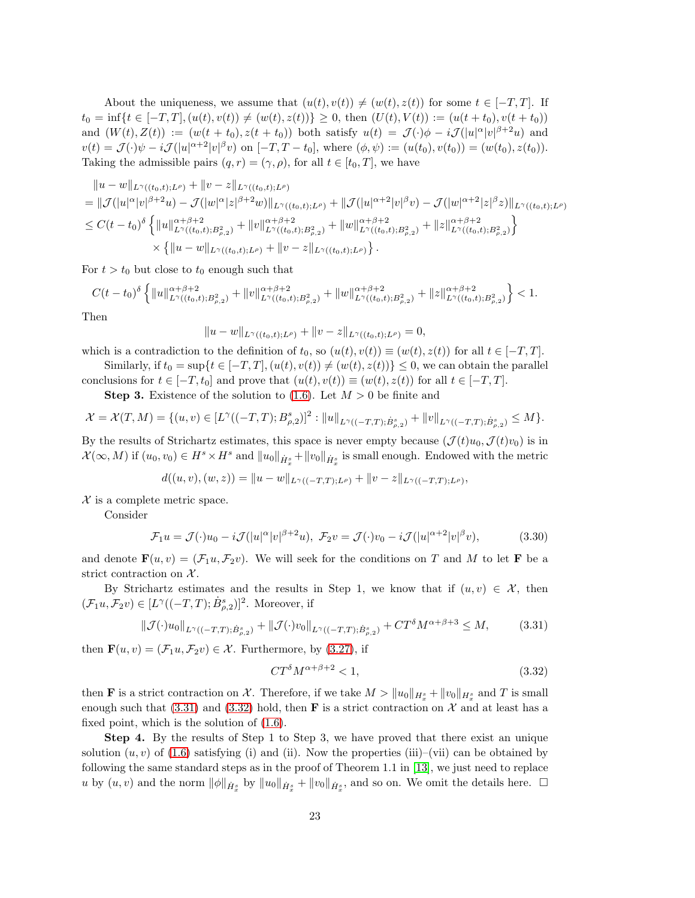About the uniqueness, we assume that  $(u(t), v(t)) \neq (w(t), z(t))$  for some  $t \in [-T, T]$ . If  $t_0 = \inf\{t \in [-T, T], (u(t), v(t)) \neq (w(t), z(t))\} \geq 0$ , then  $(U(t), V(t)) := (u(t + t_0), v(t + t_0))$ and  $(W(t), Z(t)) := (w(t + t_0), z(t + t_0))$  both satisfy  $u(t) = \mathcal{J}(\cdot)\phi - i\mathcal{J}(|u|^\alpha |v|^{\beta+2}u)$  and  $v(t) = \mathcal{J}(\cdot)\psi - i\mathcal{J}(|u|^{\alpha+2}|v|^{\beta}v)$  on  $[-T, T - t_0]$ , where  $(\phi, \psi) := (u(t_0), v(t_0)) = (w(t_0), z(t_0))$ . Taking the admissible pairs  $(q, r) = (\gamma, \rho)$ , for all  $t \in [t_0, T]$ , we have

$$
\|u - w\|_{L^{\gamma}((t_0,t);L^{\rho})} + \|v - z\|_{L^{\gamma}((t_0,t);L^{\rho})}
$$
\n
$$
= \|\mathcal{J}(|u|^{\alpha}|v|^{\beta+2}u) - \mathcal{J}(|w|^{\alpha}|z|^{\beta+2}w)\|_{L^{\gamma}((t_0,t);L^{\rho})} + \|\mathcal{J}(|u|^{\alpha+2}|v|^{\beta}v) - \mathcal{J}(|w|^{\alpha+2}|z|^{\beta}z)\|_{L^{\gamma}((t_0,t);L^{\rho})}
$$
\n
$$
\leq C(t - t_0)^{\delta} \left\{ \|u\|_{L^{\gamma}((t_0,t);B^2_{\rho,2})}^{\alpha+\beta+2} + \|v\|_{L^{\gamma}((t_0,t);B^2_{\rho,2})}^{\alpha+\beta+2} + \|w\|_{L^{\gamma}((t_0,t);B^2_{\rho,2})}^{\alpha+\beta+2} + \|z\|_{L^{\gamma}((t_0,t);B^2_{\rho,2})}^{\alpha+\beta+2} \right\}
$$
\n
$$
\times \left\{ \|u - w\|_{L^{\gamma}((t_0,t);L^{\rho})} + \|v - z\|_{L^{\gamma}((t_0,t);L^{\rho})} \right\}.
$$

For  $t > t_0$  but close to  $t_0$  enough such that

 $C(t-t_0)^{\delta}\left\{\|u\|_{L^\gamma((t_0,t);B^2_{\rho,2})}^{\alpha+\beta+2}+\|v\|_{L^\gamma((t_0,t);B^2_{\rho,2})}^{\alpha+\beta+2}+\|w\|_{L^\gamma((t_0,t);B^2_{\rho,2})}^{\alpha+\beta+2}+\|z\|_{L^\gamma((t_0,t);B^2_{\rho,2})}^{\alpha+\beta+2} \right.$  $\}$  < 1.

Then

$$
||u - w||_{L^{\gamma}((t_0,t);L^{\rho})} + ||v - z||_{L^{\gamma}((t_0,t);L^{\rho})} = 0,
$$

which is a contradiction to the definition of  $t_0$ , so  $(u(t), v(t)) \equiv (w(t), z(t))$  for all  $t \in [-T, T]$ .

Similarly, if  $t_0 = \sup\{t \in [-T, T], (u(t), v(t)) \neq (w(t), z(t))\} \leq 0$ , we can obtain the parallel conclusions for  $t \in [-T, t_0]$  and prove that  $(u(t), v(t)) \equiv (w(t), z(t))$  for all  $t \in [-T, T]$ .

**Step 3.** Existence of the solution to [\(1.6\)](#page-3-0). Let  $M > 0$  be finite and

$$
\mathcal{X} = \mathcal{X}(T, M) = \{(u, v) \in [L^{\gamma}((-T, T); B^s_{\rho, 2})]^2 : ||u||_{L^{\gamma}((-T, T); \dot{B}^s_{\rho, 2})} + ||v||_{L^{\gamma}((-T, T); \dot{B}^s_{\rho, 2})} \leq M\}.
$$

By the results of Strichartz estimates, this space is never empty because  $(\mathcal{J}(t)u_0,\mathcal{J}(t)v_0)$  is in  $\mathcal{X}(\infty, M)$  if  $(u_0, v_0) \in H^s \times H^s$  and  $||u_0||_{\dot{H}^s_x} + ||v_0||_{\dot{H}^s_x}$  is small enough. Endowed with the metric

$$
d((u, v), (w, z)) = ||u - w||_{L^{\gamma}((-T,T); L^{\rho})} + ||v - z||_{L^{\gamma}((-T,T); L^{\rho})},
$$

 $\mathcal X$  is a complete metric space.

Consider

$$
\mathcal{F}_1 u = \mathcal{J}(\cdot)u_0 - i\mathcal{J}(|u|^\alpha |v|^{\beta+2}u), \ \mathcal{F}_2 v = \mathcal{J}(\cdot)v_0 - i\mathcal{J}(|u|^{\alpha+2}|v|^\beta v), \tag{3.30}
$$

and denote  $\mathbf{F}(u, v) = (\mathcal{F}_1 u, \mathcal{F}_2 v)$ . We will seek for the conditions on T and M to let **F** be a strict contraction on  $X$ .

By Strichartz estimates and the results in Step 1, we know that if  $(u, v) \in \mathcal{X}$ , then  $(\mathcal{F}_1 u, \mathcal{F}_2 v) \in [L^{\gamma}((-T,T);\dot{B}^s_{\rho,2})]^2$ . Moreover, if

$$
\|\mathcal{J}(\cdot)u_0\|_{L^{\gamma}((-T,T);\dot{B}^s_{\rho,2})} + \|\mathcal{J}(\cdot)v_0\|_{L^{\gamma}((-T,T);\dot{B}^s_{\rho,2})} + CT^{\delta}M^{\alpha+\beta+3} \le M,\tag{3.31}
$$

then  $\mathbf{F}(u, v) = (\mathcal{F}_1 u, \mathcal{F}_2 v) \in \mathcal{X}$ . Furthermore, by [\(3.27\)](#page-21-0), if

<span id="page-22-1"></span><span id="page-22-0"></span>
$$
CT^{\delta}M^{\alpha+\beta+2} < 1,\tag{3.32}
$$

then **F** is a strict contraction on X. Therefore, if we take  $M > ||u_0||_{H_x^s} + ||v_0||_{H_x^s}$  and T is small enough such that [\(3.31\)](#page-22-0) and [\(3.32\)](#page-22-1) hold, then **F** is a strict contraction on X and at least has a fixed point, which is the solution of [\(1.6\)](#page-3-0).

Step 4. By the results of Step 1 to Step 3, we have proved that there exist an unique solution  $(u, v)$  of [\(1.6\)](#page-3-0) satisfying (i) and (ii). Now the properties (iii)–(vii) can be obtained by following the same standard steps as in the proof of Theorem 1.1 in [\[13\]](#page-95-15), we just need to replace u by  $(u, v)$  and the norm  $||\phi||_{\dot{H}^s_x}$  by  $||u_0||_{\dot{H}^s_x} + ||v_0||_{\dot{H}^s_x}$ , and so on. We omit the details here.  $\square$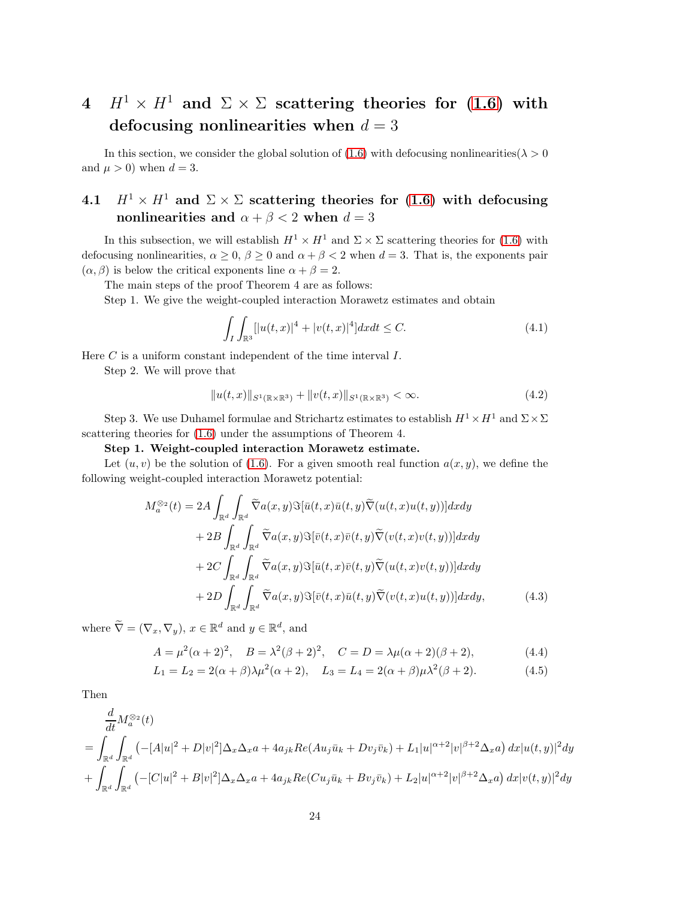# 4  $H^1 \times H^1$  and  $\Sigma \times \Sigma$  scattering theories for [\(1.6\)](#page-3-0) with defocusing nonlinearities when  $d = 3$

In this section, we consider the global solution of [\(1.6\)](#page-3-0) with defocusing nonlinearities( $\lambda > 0$ and  $\mu > 0$ ) when  $d = 3$ .

# 4.1  $H^1 \times H^1$  and  $\Sigma \times \Sigma$  scattering theories for [\(1.6\)](#page-3-0) with defocusing nonlinearities and  $\alpha + \beta < 2$  when  $d = 3$

In this subsection, we will establish  $H^1 \times H^1$  and  $\Sigma \times \Sigma$  scattering theories for [\(1.6\)](#page-3-0) with defocusing nonlinearities,  $\alpha \geq 0$ ,  $\beta \geq 0$  and  $\alpha + \beta < 2$  when  $d = 3$ . That is, the exponents pair  $(\alpha, \beta)$  is below the critical exponents line  $\alpha + \beta = 2$ .

The main steps of the proof Theorem 4 are as follows:

Step 1. We give the weight-coupled interaction Morawetz estimates and obtain

$$
\int_{I} \int_{\mathbb{R}^{3}} [|u(t,x)|^{4} + |v(t,x)|^{4}] dx dt \leq C.
$$
\n(4.1)

Here  $C$  is a uniform constant independent of the time interval  $I$ .

Step 2. We will prove that

<span id="page-23-0"></span>
$$
||u(t,x)||_{S^{1}(\mathbb{R}\times\mathbb{R}^{3})}+||v(t,x)||_{S^{1}(\mathbb{R}\times\mathbb{R}^{3})}<\infty.
$$
\n(4.2)

Step 3. We use Duhamel formulae and Strichartz estimates to establish  $H^1 \times H^1$  and  $\Sigma \times \Sigma$ scattering theories for [\(1.6\)](#page-3-0) under the assumptions of Theorem 4.

## Step 1. Weight-coupled interaction Morawetz estimate.

Let  $(u, v)$  be the solution of [\(1.6\)](#page-3-0). For a given smooth real function  $a(x, y)$ , we define the following weight-coupled interaction Morawetz potential:

$$
M_a^{\otimes_2}(t) = 2A \int_{\mathbb{R}^d} \int_{\mathbb{R}^d} \widetilde{\nabla} a(x, y) \Im[\bar{u}(t, x)\bar{u}(t, y)\widetilde{\nabla}(u(t, x)u(t, y))] dxdy + 2B \int_{\mathbb{R}^d} \int_{\mathbb{R}^d} \widetilde{\nabla} a(x, y) \Im[\bar{v}(t, x)\bar{v}(t, y)\widetilde{\nabla}(v(t, x)v(t, y))] dxdy + 2C \int_{\mathbb{R}^d} \int_{\mathbb{R}^d} \widetilde{\nabla} a(x, y) \Im[\bar{u}(t, x)\bar{v}(t, y)\widetilde{\nabla}(u(t, x)v(t, y))] dxdy + 2D \int_{\mathbb{R}^d} \int_{\mathbb{R}^d} \widetilde{\nabla} a(x, y) \Im[\bar{v}(t, x)\bar{u}(t, y)\widetilde{\nabla}(v(t, x)u(t, y))] dxdy,
$$
(4.3)

where  $\widetilde{\nabla} = (\nabla_x, \nabla_y), x \in \mathbb{R}^d$  and  $y \in \mathbb{R}^d$ , and

$$
A = \mu^2(\alpha + 2)^2, \quad B = \lambda^2(\beta + 2)^2, \quad C = D = \lambda\mu(\alpha + 2)(\beta + 2), \tag{4.4}
$$

$$
L_1 = L_2 = 2(\alpha + \beta)\lambda \mu^2(\alpha + 2), \quad L_3 = L_4 = 2(\alpha + \beta)\mu \lambda^2(\beta + 2).
$$
 (4.5)

Then

$$
\frac{d}{dt} M_a^{\otimes_2}(t) \n= \int_{\mathbb{R}^d} \int_{\mathbb{R}^d} \left( -[A|u|^2 + D|v|^2] \Delta_x \Delta_x a + 4a_{jk} Re(Au_j \bar{u}_k + Dv_j \bar{v}_k) + L_1 |u|^{\alpha+2} |v|^{\beta+2} \Delta_x a \right) dx |u(t, y)|^2 dy \n+ \int_{\mathbb{R}^d} \int_{\mathbb{R}^d} \left( -[C|u|^2 + B|v|^2] \Delta_x \Delta_x a + 4a_{jk} Re(Cu_j \bar{u}_k + Bv_j \bar{v}_k) + L_2 |u|^{\alpha+2} |v|^{\beta+2} \Delta_x a \right) dx |v(t, y)|^2 dy
$$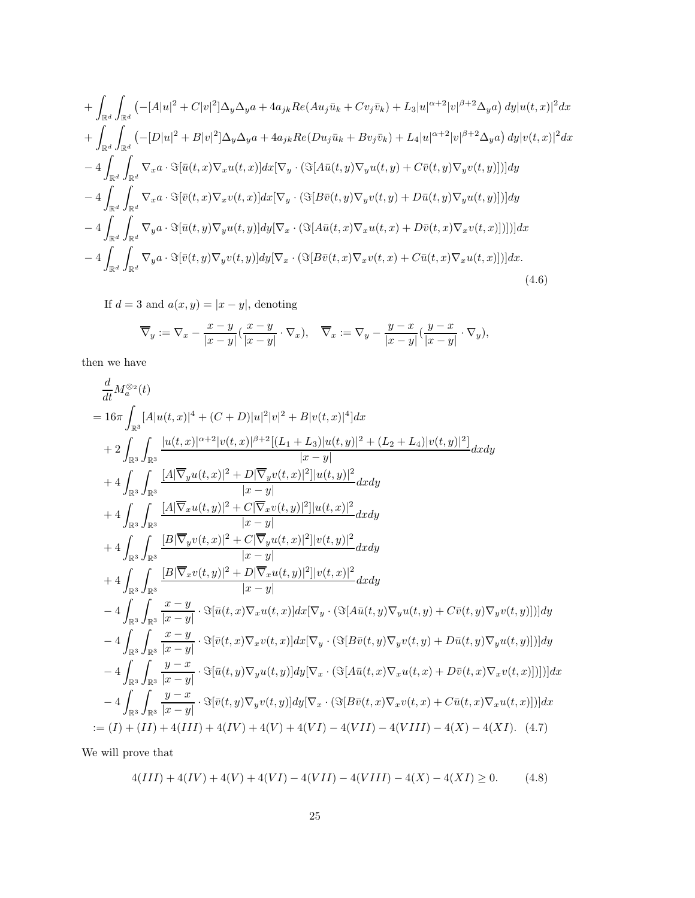$$
+ \int_{\mathbb{R}^d} \int_{\mathbb{R}^d} \left( -[A|u|^2 + C|v|^2] \Delta_y \Delta_y a + 4a_{jk} Re(Au_j \bar{u}_k + Cv_j \bar{v}_k) + L_3 |u|^{\alpha+2} |v|^{\beta+2} \Delta_y a \right) dy |u(t, x)|^2 dx
$$
  
+ 
$$
\int_{\mathbb{R}^d} \int_{\mathbb{R}^d} \left( -[D|u|^2 + B|v|^2] \Delta_y \Delta_y a + 4a_{jk} Re(Du_j \bar{u}_k + Bv_j \bar{v}_k) + L_4 |u|^{\alpha+2} |v|^{\beta+2} \Delta_y a \right) dy |v(t, x)|^2 dx
$$
  
- 
$$
4 \int_{\mathbb{R}^d} \int_{\mathbb{R}^d} \nabla_x a \cdot \Im[\bar{u}(t, x) \nabla_x u(t, x)] dx [\nabla_y \cdot (\Im[A\bar{u}(t, y) \nabla_y u(t, y) + C\bar{v}(t, y) \nabla_y v(t, y)])] dy
$$
  
- 
$$
4 \int_{\mathbb{R}^d} \int_{\mathbb{R}^d} \nabla_x a \cdot \Im[\bar{v}(t, x) \nabla_x v(t, x)] dx [\nabla_y \cdot (\Im[B\bar{v}(t, y) \nabla_y v(t, y) + D\bar{u}(t, y) \nabla_y u(t, y)])] dy
$$
  
- 
$$
4 \int_{\mathbb{R}^d} \int_{\mathbb{R}^d} \nabla_y a \cdot \Im[\bar{u}(t, y) \nabla_y u(t, y)] dy [\nabla_x \cdot (\Im[A\bar{u}(t, x) \nabla_x u(t, x) + D\bar{v}(t, x) \nabla_x v(t, x)])]] dx
$$
  
- 
$$
4 \int_{\mathbb{R}^d} \int_{\mathbb{R}^d} \nabla_y a \cdot \Im[\bar{v}(t, y) \nabla_y v(t, y)] dy [\nabla_x \cdot (\Im[B\bar{v}(t, x) \nabla_x v(t, x) + C\bar{u}(t, x) \nabla_x u(t, x)])] dx.
$$
(4.6)

If  $d = 3$  and  $a(x, y) = |x - y|$ , denoting

$$
\overline{\nabla}_y := \nabla_x - \frac{x-y}{|x-y|} \left( \frac{x-y}{|x-y|} \cdot \nabla_x \right), \quad \overline{\nabla}_x := \nabla_y - \frac{y-x}{|x-y|} \left( \frac{y-x}{|x-y|} \cdot \nabla_y \right),
$$

then we have

$$
\frac{d}{dt} M_{a}^{\otimes 2}(t) \n= 16\pi \int_{\mathbb{R}^{3}} [A|u(t,x)|^{4} + (C+D)|u|^{2}|v|^{2} + B|v(t,x)|^{4}]dx \n+ 2 \int_{\mathbb{R}^{3}} \frac{|u(t,x)|^{\alpha+2}|v(t,x)|^{\beta+2}[(L_{1}+L_{3})|u(t,y)|^{2} + (L_{2}+L_{4})|v(t,y)|^{2}]}{|x-y|} dxdy \n+ 4 \int_{\mathbb{R}^{3}} \int_{\mathbb{R}^{3}} \frac{[A|\nabla_{y}u(t,x)|^{2} + D|\nabla_{y}v(t,x)|^{2}]|u(t,y)|^{2}}{|x-y|} dxdy \n+ 4 \int_{\mathbb{R}^{3}} \int_{\mathbb{R}^{3}} \frac{[A|\nabla_{x}u(t,y)|^{2} + C|\nabla_{x}v(t,y)|^{2}]|u(t,x)|^{2}}{|x-y|} dxdy \n+ 4 \int_{\mathbb{R}^{3}} \int_{\mathbb{R}^{3}} \frac{[B|\nabla_{y}v(t,x)|^{2} + C|\nabla_{y}u(t,x)|^{2}]|v(t,y)|^{2}}{|x-y|} dxdy \n+ 4 \int_{\mathbb{R}^{3}} \int_{\mathbb{R}^{3}} \frac{[B|\nabla_{x}v(t,y)|^{2} + D|\nabla_{x}u(t,y)|^{2}]|v(t,y)|^{2}}{|x-y|} dxdy \n- 4 \int_{\mathbb{R}^{3}} \int_{\mathbb{R}^{3}} \frac{x-y}{|x-y|} \cdot \Im[\bar{u}(t,x)\nabla_{x}u(t,x)]d x|\nabla_{y} \cdot (\Im[A\bar{u}(t,y)\nabla_{y}u(t,y) + C\bar{v}(t,y)\nabla_{y}v(t,y)])]dy \n- 4 \int_{\mathbb{R}^{3}} \int_{\mathbb{R}^{3}} \frac{x-y}{|x-y|} \cdot \Im[\bar{v}(t,x)\nabla_{x}v(t,x)]d x|\nabla_{y} \cdot (\Im[B\bar{v}(t,y)\nabla_{y}u(t,y) + D\bar{u}(t,y)\nabla_{y}u(t,y)])]dy \n- 4 \int_{\mathbb{R}^{3}} \int_{\mathbb{R}^{3}}
$$

We will prove that

<span id="page-24-1"></span><span id="page-24-0"></span>
$$
4(III) + 4(IV) + 4(V) + 4(VI) - 4(VII) - 4(VIII) - 4(X) - 4(XI) \ge 0.
$$
 (4.8)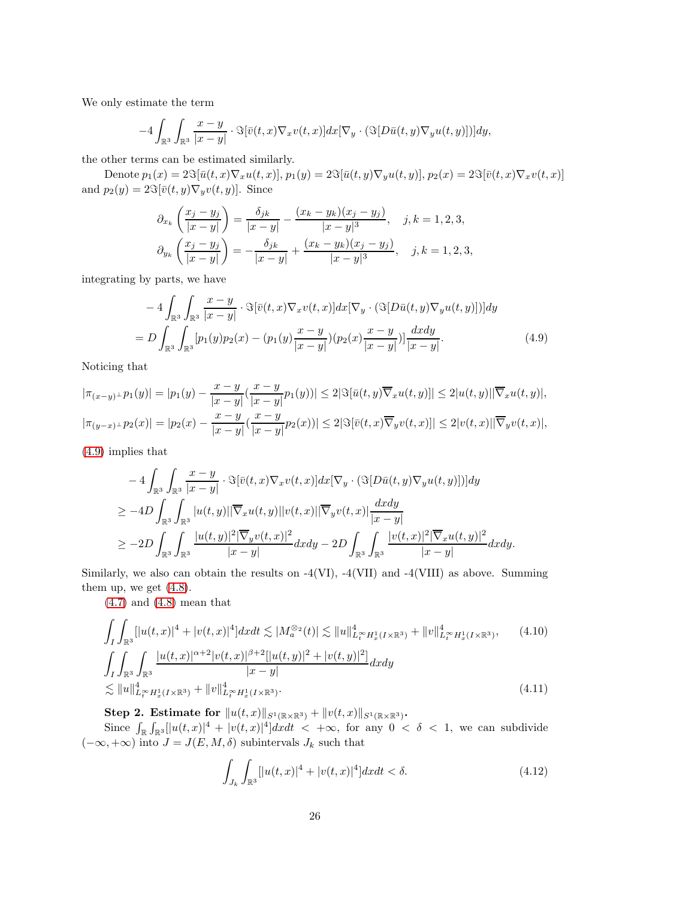We only estimate the term

$$
-4\int_{\mathbb{R}^3}\int_{\mathbb{R}^3}\frac{x-y}{|x-y|}\cdot\Im[\bar{v}(t,x)\nabla_xv(t,x)]dx[\nabla_y\cdot(\Im[D\bar{u}(t,y)\nabla_yu(t,y)])]dy,
$$

the other terms can be estimated similarly.

Denote  $p_1(x) = 2\Im[\bar{u}(t,x)\nabla_x u(t,x)], p_1(y) = 2\Im[\bar{u}(t,y)\nabla_y u(t,y)], p_2(x) = 2\Im[\bar{v}(t,x)\nabla_x v(t,x)]$ and  $p_2(y) = 2\Im[\bar{v}(t, y)\nabla_y v(t, y)]$ . Since

<span id="page-25-0"></span>
$$
\partial_{x_k} \left( \frac{x_j - y_j}{|x - y|} \right) = \frac{\delta_{jk}}{|x - y|} - \frac{(x_k - y_k)(x_j - y_j)}{|x - y|^3}, \quad j, k = 1, 2, 3,
$$
  

$$
\partial_{y_k} \left( \frac{x_j - y_j}{|x - y|} \right) = -\frac{\delta_{jk}}{|x - y|} + \frac{(x_k - y_k)(x_j - y_j)}{|x - y|^3}, \quad j, k = 1, 2, 3,
$$

integrating by parts, we have

$$
-4\int_{\mathbb{R}^3}\int_{\mathbb{R}^3}\frac{x-y}{|x-y|}\cdot\Im[\bar{v}(t,x)\nabla_x v(t,x)]dx[\nabla_y\cdot(\Im[D\bar{u}(t,y)\nabla_y u(t,y)])]dy
$$
  
= 
$$
D\int_{\mathbb{R}^3}\int_{\mathbb{R}^3}[p_1(y)p_2(x)-(p_1(y)\frac{x-y}{|x-y|})(p_2(x)\frac{x-y}{|x-y|})]\frac{dxdy}{|x-y|}. \tag{4.9}
$$

Noticing that

$$
|\pi_{(x-y)^{\perp}}p_1(y)| = |p_1(y) - \frac{x-y}{|x-y|}(\frac{x-y}{|x-y|}p_1(y))| \le 2|\Im[\bar{u}(t,y)\overline{\nabla}_x u(t,y)]| \le 2|u(t,y)||\overline{\nabla}_x u(t,y)|,
$$
  

$$
|\pi_{(y-x)^{\perp}}p_2(x)| = |p_2(x) - \frac{x-y}{|x-y|}(\frac{x-y}{|x-y|}p_2(x))| \le 2|\Im[\bar{v}(t,x)\overline{\nabla}_y v(t,x)]| \le 2|v(t,x)||\overline{\nabla}_y v(t,x)|,
$$

[\(4.9\)](#page-25-0) implies that

$$
-4\int_{\mathbb{R}^3}\int_{\mathbb{R}^3}\frac{x-y}{|x-y|}\cdot\Im[\bar{v}(t,x)\nabla_x v(t,x)]dx[\nabla_y\cdot(\Im[D\bar{u}(t,y)\nabla_y u(t,y)])]dy
$$
  
\n
$$
\geq -4D\int_{\mathbb{R}^3}\int_{\mathbb{R}^3}|u(t,y)||\overline{\nabla}_x u(t,y)||v(t,x)||\overline{\nabla}_y v(t,x)|\frac{dxdy}{|x-y|}
$$
  
\n
$$
\geq -2D\int_{\mathbb{R}^3}\int_{\mathbb{R}^3}\frac{|u(t,y)|^2|\overline{\nabla}_y v(t,x)|^2}{|x-y|}dxdy - 2D\int_{\mathbb{R}^3}\int_{\mathbb{R}^3}\frac{|v(t,x)|^2|\overline{\nabla}_x u(t,y)|^2}{|x-y|}dxdy.
$$

Similarly, we also can obtain the results on -4(VI), -4(VII) and -4(VIII) as above. Summing them up, we get [\(4.8\)](#page-24-0).

[\(4.7\)](#page-24-1) and [\(4.8\)](#page-24-0) mean that

$$
\int_{I} \int_{\mathbb{R}^{3}} [|u(t,x)|^{4} + |v(t,x)|^{4}] dx dt \lesssim |M_{a}^{\otimes_{2}}(t)| \lesssim ||u||_{L_{t}^{\infty}H_{x}^{1}(I \times \mathbb{R}^{3})}^{4} + ||v||_{L_{t}^{\infty}H_{x}^{1}(I \times \mathbb{R}^{3})}^{4}, \qquad (4.10)
$$
\n
$$
\int_{I} \int_{\mathbb{R}^{3}} \int_{\mathbb{R}^{3}} \frac{|u(t,x)|^{\alpha+2}|v(t,x)|^{\beta+2}[|u(t,y)|^{2} + |v(t,y)|^{2}]}{|x-y|} dxdy
$$
\n
$$
\lesssim ||u||_{L_{t}^{\infty}H_{x}^{1}(I \times \mathbb{R}^{3})}^{4} + ||v||_{L_{t}^{\infty}H_{x}^{1}(I \times \mathbb{R}^{3})}^{4}.
$$
\n(4.11)

Step 2. Estimate for  $||u(t, x)||_{S^1(\mathbb{R} \times \mathbb{R}^3)} + ||v(t, x)||_{S^1(\mathbb{R} \times \mathbb{R}^3)}$ .

Since  $\int_{\mathbb{R}} \int_{\mathbb{R}^3} [u(t,x)]^4 + |v(t,x)|^4] dx dt$  < + $\infty$ , for any 0 <  $\delta$  < 1, we can subdivide  $(-\infty, +\infty)$  into  $J = J(E, M, \delta)$  subintervals  $J_k$  such that

$$
\int_{J_k} \int_{\mathbb{R}^3} [|u(t,x)|^4 + |v(t,x)|^4] dx dt < \delta.
$$
\n(4.12)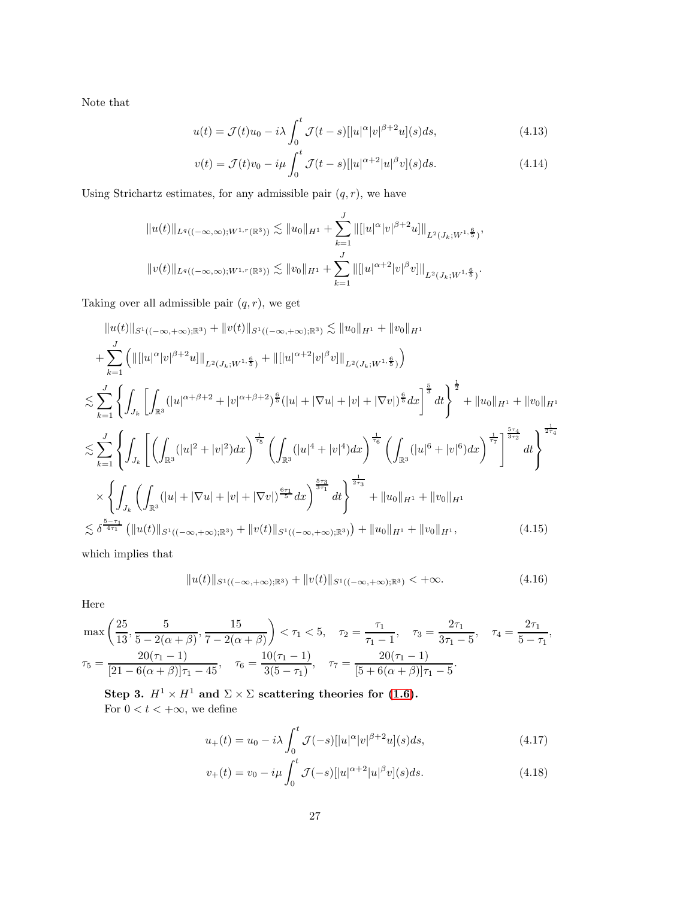Note that

$$
u(t) = \mathcal{J}(t)u_0 - i\lambda \int_0^t \mathcal{J}(t-s) [ |u|^\alpha |v|^{\beta+2} u ](s) ds, \qquad (4.13)
$$

$$
v(t) = \mathcal{J}(t)v_0 - i\mu \int_0^t \mathcal{J}(t-s) [ |u|^{\alpha+2} |u|^{\beta} v ](s) ds.
$$
 (4.14)

Using Strichartz estimates, for any admissible pair  $\left( q,r\right) ,$  we have

$$
||u(t)||_{L^{q}((-\infty,\infty);W^{1,r}(\mathbb{R}^3))} \lesssim ||u_0||_{H^1} + \sum_{k=1}^J ||[|u|^{\alpha}|v|^{\beta+2}u]||_{L^2(J_k;W^{1,\frac{6}{5}})},
$$
  

$$
||v(t)||_{L^q((-\infty,\infty);W^{1,r}(\mathbb{R}^3))} \lesssim ||v_0||_{H^1} + \sum_{k=1}^J ||[|u|^{\alpha+2}|v|^{\beta}v]||_{L^2(J_k;W^{1,\frac{6}{5}})}.
$$

Taking over all admissible pair  $(q, r)$ , we get

$$
||u(t)||_{S^{1}((-\infty,+\infty);{\mathbb{R}}^{3})} + ||v(t)||_{S^{1}((-\infty,+\infty);{\mathbb{R}}^{3})} \lesssim ||u_{0}||_{H^{1}} + ||v_{0}||_{H^{1}}
$$
  
+ 
$$
\sum_{k=1}^{J} (||[|u|^{\alpha}|v|^{\beta+2}u]||_{L^{2}(J_{k};W^{1,\frac{\beta}{5}})} + ||[|u|^{\alpha+2}|v|^{\beta}v]||_{L^{2}(J_{k};W^{1,\frac{\beta}{5}})})
$$
  

$$
\lesssim \sum_{k=1}^{J} \left\{ \int_{J_{k}} \left[ \int_{\mathbb{R}^{3}} (|u|^{\alpha+\beta+2}+|v|^{\alpha+\beta+2})^{\frac{6}{5}} (|u|+|\nabla u|+|v|+|\nabla v|)^{\frac{6}{5}} dx \right]^{\frac{5}{3}} dt \right\}^{\frac{1}{2}} + ||u_{0}||_{H^{1}} + ||v_{0}||_{H^{1}}
$$
  

$$
\lesssim \sum_{k=1}^{J} \left\{ \int_{J_{k}} \left[ \left( \int_{\mathbb{R}^{3}} (|u|^{2}+|v|^{2}) dx \right)^{\frac{1}{\tau_{5}}} \left( \int_{\mathbb{R}^{3}} (|u|^{4}+|v|^{4}) dx \right)^{\frac{1}{\tau_{6}}} \left( \int_{\mathbb{R}^{3}} (|u|^{6}+|v|^{6}) dx \right)^{\frac{1}{\tau_{7}}} \right]^{\frac{5\tau_{4}}{3\tau_{2}}} dt \right\}^{\frac{1}{2\tau_{4}}}
$$
  

$$
\times \left\{ \int_{J_{k}} \left( \int_{\mathbb{R}^{3}} (|u|+|\nabla u|+|v|+|\nabla v|)^{\frac{6\tau_{1}}{5}} dx \right)^{\frac{5\tau_{3}}{3\tau_{1}}} dt \right\}^{\frac{1}{2\tau_{3}}} + ||u_{0}||_{H^{1}} + ||v_{0}||_{H^{1}}
$$
  

$$
\lesssim \delta^{\frac{5-\tau_{1}}{4\tau_{1}}} (||u(t)||_{S^{1}((-\infty,+\infty);{\mathbb{R}}^{3})} + ||v(t)||_{S^{1}((-\infty,+\infty);{\mathbb{R}}^{3
$$

which implies that

<span id="page-26-1"></span><span id="page-26-0"></span>
$$
||u(t)||_{S^{1}((-\infty,+\infty);\mathbb{R}^{3})}+||v(t)||_{S^{1}((-\infty,+\infty);\mathbb{R}^{3})}<+\infty.
$$
\n(4.16)

Here

$$
\max\left(\frac{25}{13}, \frac{5}{5-2(\alpha+\beta)}, \frac{15}{7-2(\alpha+\beta)}\right) < \tau_1 < 5, \quad \tau_2 = \frac{\tau_1}{\tau_1 - 1}, \quad \tau_3 = \frac{2\tau_1}{3\tau_1 - 5}, \quad \tau_4 = \frac{2\tau_1}{5-\tau_1},
$$
\n
$$
\tau_5 = \frac{20(\tau_1 - 1)}{[21 - 6(\alpha+\beta)]\tau_1 - 45}, \quad \tau_6 = \frac{10(\tau_1 - 1)}{3(5-\tau_1)}, \quad \tau_7 = \frac{20(\tau_1 - 1)}{[5 + 6(\alpha+\beta)]\tau_1 - 5}.
$$

Step 3.  $H^1 \times H^1$  and  $\Sigma \times \Sigma$  scattering theories for [\(1.6\)](#page-3-0). For  $0 < t < +\infty$  , we define

$$
u_{+}(t) = u_{0} - i\lambda \int_{0}^{t} \mathcal{J}(-s)[|u|^{\alpha}|v|^{\beta+2}u](s)ds,
$$
\n(4.17)

$$
v_{+}(t) = v_{0} - i\mu \int_{0}^{t} \mathcal{J}(-s)[|u|^{\alpha+2}|u|^{\beta}v](s)ds.
$$
 (4.18)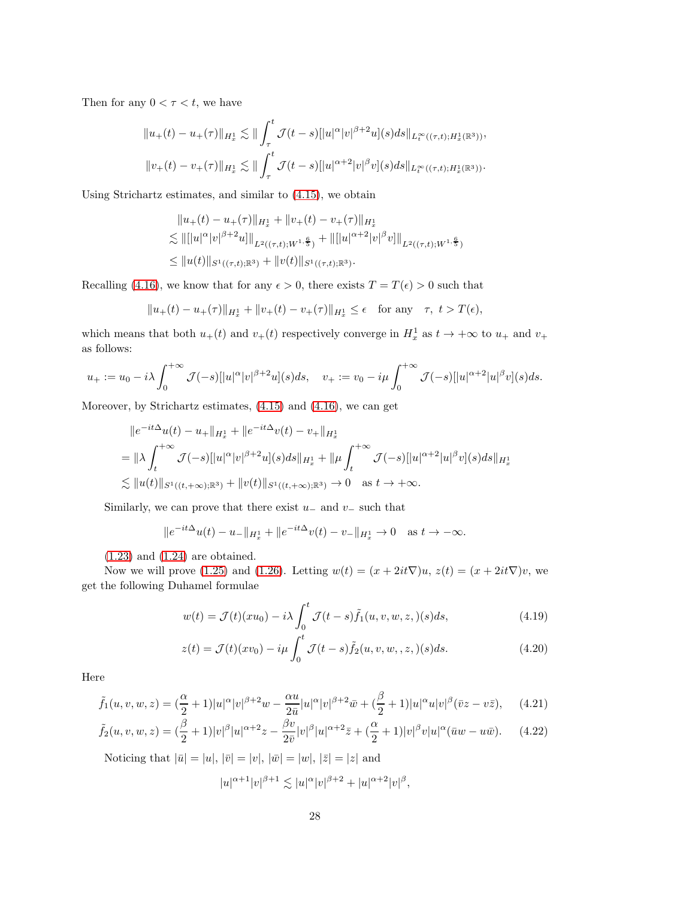Then for any  $0 < \tau < t$ , we have

$$
||u_{+}(t) - u_{+}(\tau)||_{H_{x}^{1}} \lesssim || \int_{\tau}^{t} \mathcal{J}(t-s) [ |u|^{\alpha} |v|^{\beta+2} u ](s) ds ||_{L_{t}^{\infty}((\tau,t);H_{x}^{1}(\mathbb{R}^{3}))},
$$
  

$$
||v_{+}(t) - v_{+}(\tau)||_{H_{x}^{1}} \lesssim || \int_{\tau}^{t} \mathcal{J}(t-s) [ |u|^{\alpha+2} |v|^{\beta} v ](s) ds ||_{L_{t}^{\infty}((\tau,t);H_{x}^{1}(\mathbb{R}^{3}))}.
$$

Using Strichartz estimates, and similar to [\(4.15\)](#page-26-0), we obtain

$$
||u_{+}(t) - u_{+}(\tau)||_{H_{x}^{1}} + ||v_{+}(t) - v_{+}(\tau)||_{H_{x}^{1}}
$$
  
\n
$$
\lesssim ||[u|^{\alpha}|v|^{\beta+2}u]||_{L^{2}((\tau,t);W^{1,\frac{6}{5}})} + ||[u|^{\alpha+2}|v|^{\beta}v]||_{L^{2}((\tau,t);W^{1,\frac{6}{5}})}
$$
  
\n
$$
\leq ||u(t)||_{S^{1}((\tau,t);\mathbb{R}^{3})} + ||v(t)||_{S^{1}((\tau,t);\mathbb{R}^{3})}.
$$

Recalling [\(4.16\)](#page-26-1), we know that for any  $\epsilon > 0$ , there exists  $T = T(\epsilon) > 0$  such that

$$
||u_+(t) - u_+(\tau)||_{H_x^1} + ||v_+(t) - v_+(\tau)||_{H_x^1} \le \epsilon \quad \text{for any} \quad \tau, \ t > T(\epsilon),
$$

which means that both  $u_+(t)$  and  $v_+(t)$  respectively converge in  $H_x^1$  as  $t \to +\infty$  to  $u_+$  and  $v_+$ as follows:

$$
u_+ := u_0 - i\lambda \int_0^{+\infty} \mathcal{J}(-s) \left[ |u|^\alpha |v|^{\beta+2} u \right] (s) ds, \quad v_+ := v_0 - i\mu \int_0^{+\infty} \mathcal{J}(-s) \left[ |u|^{\alpha+2} |u|^\beta v \right] (s) ds.
$$

Moreover, by Strichartz estimates, [\(4.15\)](#page-26-0) and [\(4.16\)](#page-26-1), we can get

$$
||e^{-it\Delta}u(t) - u_{+}||_{H_{x}^{1}} + ||e^{-it\Delta}v(t) - v_{+}||_{H_{x}^{1}}
$$
  
=  $||\lambda \int_{t}^{+\infty} \mathcal{J}(-s)||u|^{\alpha}|v|^{\beta+2}u|(s)ds||_{H_{x}^{1}} + ||\mu \int_{t}^{+\infty} \mathcal{J}(-s)[|u|^{\alpha+2}|u|^{\beta}v](s)ds||_{H_{x}^{1}}$   
 $\lesssim ||u(t)||_{S^{1}((t,+\infty);{\mathbb{R}}^{3})} + ||v(t)||_{S^{1}((t,+\infty);{\mathbb{R}}^{3})} \to 0 \text{ as } t \to +\infty.$ 

Similarly, we can prove that there exist  $u_-\,$  and  $v_-\,$  such that

$$
||e^{-it\Delta}u(t) - u_-||_{H_x^1} + ||e^{-it\Delta}v(t) - v_-||_{H_x^1} \to 0 \quad \text{as } t \to -\infty.
$$

[\(1.23\)](#page-8-0) and [\(1.24\)](#page-8-1) are obtained.

Now we will prove [\(1.25\)](#page-8-2) and [\(1.26\)](#page-8-3). Letting  $w(t) = (x + 2it\nabla)u$ ,  $z(t) = (x + 2it\nabla)v$ , we get the following Duhamel formulae

<span id="page-27-0"></span>
$$
w(t) = \mathcal{J}(t)(xu_0) - i\lambda \int_0^t \mathcal{J}(t-s)\tilde{f}_1(u,v,w,z,)(s)ds,
$$
\n(4.19)

$$
z(t) = \mathcal{J}(t)(xv_0) - i\mu \int_0^t \mathcal{J}(t-s)\tilde{f}_2(u,v,w,,z,)(s)ds.
$$
 (4.20)

Here

$$
\tilde{f}_1(u,v,w,z) = \left(\frac{\alpha}{2} + 1\right)|u|^\alpha |v|^{\beta+2}w - \frac{\alpha u}{2\bar{u}}|u|^\alpha |v|^{\beta+2}\bar{w} + \left(\frac{\beta}{2} + 1\right)|u|^\alpha u|v|^\beta (\bar{v}z - v\bar{z}),\tag{4.21}
$$

$$
\tilde{f}_2(u,v,w,z) = (\frac{\beta}{2} + 1)|v|^{\beta}|u|^{\alpha+2}z - \frac{\beta v}{2\bar{v}}|v|^{\beta}|u|^{\alpha+2}\bar{z} + (\frac{\alpha}{2} + 1)|v|^{\beta}v|u|^{\alpha}(\bar{u}w - u\bar{w}). \tag{4.22}
$$

Noticing that  $|\bar{u}| = |u|, |\bar{v}| = |v|, |\bar{w}| = |w|, |\bar{z}| = |z|$  and

$$
|u|^{\alpha+1}|v|^{\beta+1}\lesssim |u|^{\alpha}|v|^{\beta+2}+|u|^{\alpha+2}|v|^{\beta},
$$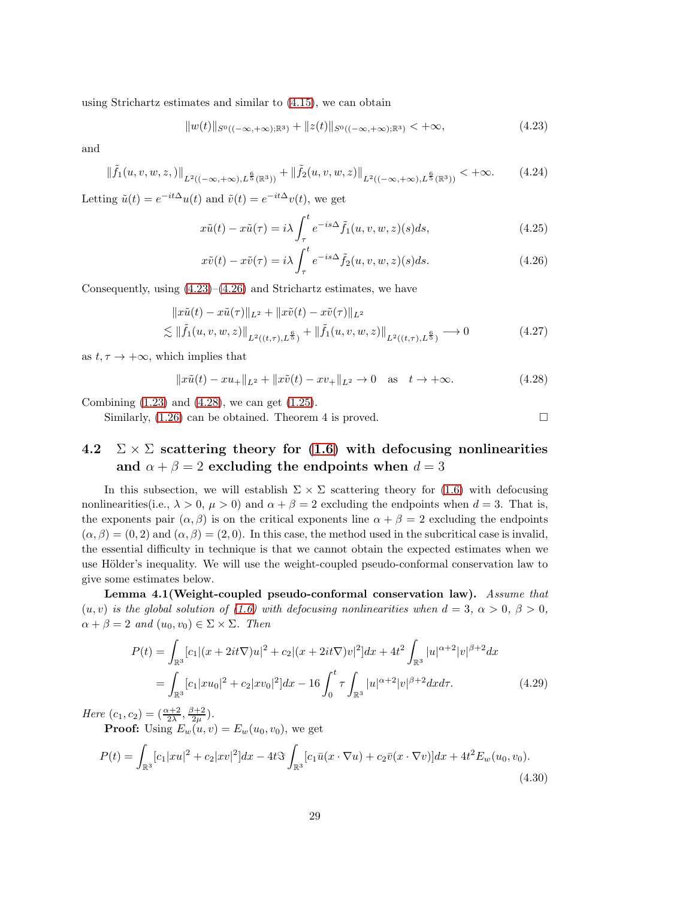using Strichartz estimates and similar to [\(4.15\)](#page-26-0), we can obtain

<span id="page-28-0"></span>
$$
||w(t)||_{S^{0}((-\infty,+\infty); \mathbb{R}^{3})} + ||z(t)||_{S^{0}((-\infty,+\infty); \mathbb{R}^{3})} < +\infty,
$$
\n(4.23)

and

$$
\|\tilde{f}_1(u,v,w,z,)\|_{L^2((-\infty,+\infty),L^{\frac{6}{5}}(\mathbb{R}^3))} + \|\tilde{f}_2(u,v,w,z)\|_{L^2((-\infty,+\infty),L^{\frac{6}{5}}(\mathbb{R}^3))} < +\infty.
$$
 (4.24)

Letting  $\tilde{u}(t) = e^{-it\Delta}u(t)$  and  $\tilde{v}(t) = e^{-it\Delta}v(t)$ , we get

$$
x\tilde{u}(t) - x\tilde{u}(\tau) = i\lambda \int_{\tau}^{t} e^{-is\Delta} \tilde{f}_1(u, v, w, z)(s)ds,
$$
\n(4.25)

<span id="page-28-4"></span><span id="page-28-2"></span><span id="page-28-1"></span>
$$
x\tilde{v}(t) - x\tilde{v}(\tau) = i\lambda \int_{\tau}^{t} e^{-is\Delta} \tilde{f}_2(u, v, w, z)(s)ds.
$$
 (4.26)

Consequently, using  $(4.23)$ – $(4.26)$  and Strichartz estimates, we have

$$
\|x\tilde{u}(t) - x\tilde{u}(\tau)\|_{L^2} + \|x\tilde{v}(t) - x\tilde{v}(\tau)\|_{L^2}
$$
  

$$
\lesssim \|\tilde{f}_1(u, v, w, z)\|_{L^2((t, \tau), L^{\frac{6}{5}})} + \|\tilde{f}_1(u, v, w, z)\|_{L^2((t, \tau), L^{\frac{6}{5}})} \longrightarrow 0
$$
 (4.27)

as  $t, \tau \rightarrow +\infty$ , which implies that

$$
||x\tilde{u}(t) - xu_+||_{L^2} + ||x\tilde{v}(t) - xv_+||_{L^2} \to 0 \quad \text{as} \quad t \to +\infty. \tag{4.28}
$$

Combining [\(1.23\)](#page-8-0) and [\(4.28\)](#page-28-2), we can get [\(1.25\)](#page-8-2).

Similarly,  $(1.26)$  can be obtained. Theorem 4 is proved.

# 4.2  $\Sigma \times \Sigma$  scattering theory for [\(1.6\)](#page-3-0) with defocusing nonlinearities and  $\alpha + \beta = 2$  excluding the endpoints when  $d = 3$

In this subsection, we will establish  $\Sigma \times \Sigma$  scattering theory for [\(1.6\)](#page-3-0) with defocusing nonlinearities(i.e.,  $\lambda > 0$ ,  $\mu > 0$ ) and  $\alpha + \beta = 2$  excluding the endpoints when  $d = 3$ . That is, the exponents pair  $(\alpha, \beta)$  is on the critical exponents line  $\alpha + \beta = 2$  excluding the endpoints  $(\alpha, \beta) = (0, 2)$  and  $(\alpha, \beta) = (2, 0)$ . In this case, the method used in the subcritical case is invalid, the essential difficulty in technique is that we cannot obtain the expected estimates when we use Hölder's inequality. We will use the weight-coupled pseudo-conformal conservation law to give some estimates below.

Lemma 4.1(Weight-coupled pseudo-conformal conservation law). Assume that  $(u, v)$  is the global solution of [\(1.6\)](#page-3-0) with defocusing nonlinearities when  $d = 3$ ,  $\alpha > 0$ ,  $\beta > 0$ ,  $\alpha + \beta = 2$  and  $(u_0, v_0) \in \Sigma \times \Sigma$ . Then

<span id="page-28-3"></span>
$$
P(t) = \int_{\mathbb{R}^3} [c_1|(x+2it\nabla)u|^2 + c_2|(x+2it\nabla)v|^2]dx + 4t^2 \int_{\mathbb{R}^3} |u|^{\alpha+2}|v|^{\beta+2}dx
$$
  
= 
$$
\int_{\mathbb{R}^3} [c_1|xu_0|^2 + c_2|xv_0|^2]dx - 16 \int_0^t \tau \int_{\mathbb{R}^3} |u|^{\alpha+2}|v|^{\beta+2}dxd\tau.
$$
 (4.29)

Here  $(c_1, c_2) = (\frac{\alpha+2}{2\lambda}, \frac{\beta+2}{2\mu}).$ 

**Proof:** Using  $E_w(u, v) = E_w(u_0, v_0)$ , we get

$$
P(t) = \int_{\mathbb{R}^3} [c_1 |xu|^2 + c_2 |xv|^2] dx - 4t \Im \int_{\mathbb{R}^3} [c_1 \bar{u}(x \cdot \nabla u) + c_2 \bar{v}(x \cdot \nabla v)] dx + 4t^2 E_w(u_0, v_0).
$$
\n(4.30)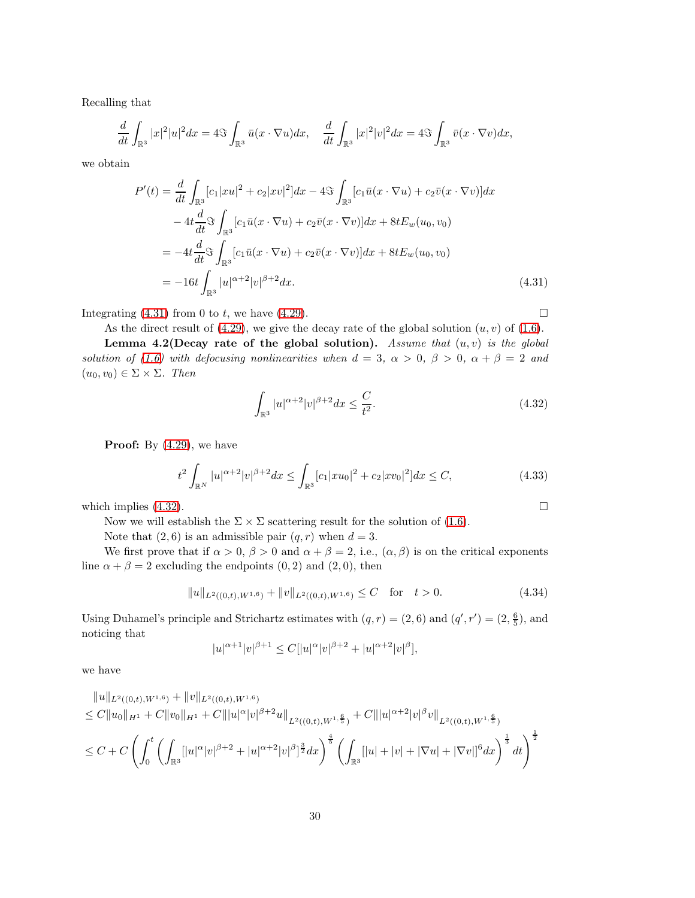Recalling that

$$
\frac{d}{dt}\int_{\mathbb{R}^3}|x|^2|u|^2dx=4\Im\int_{\mathbb{R}^3}\bar{u}(x\cdot\nabla u)dx,\quad \frac{d}{dt}\int_{\mathbb{R}^3}|x|^2|v|^2dx=4\Im\int_{\mathbb{R}^3}\bar{v}(x\cdot\nabla v)dx,
$$

we obtain

$$
P'(t) = \frac{d}{dt} \int_{\mathbb{R}^3} [c_1 |xu|^2 + c_2 |xv|^2] dx - 4 \Im \int_{\mathbb{R}^3} [c_1 \bar{u}(x \cdot \nabla u) + c_2 \bar{v}(x \cdot \nabla v)] dx
$$
  
\n
$$
- 4t \frac{d}{dt} \Im \int_{\mathbb{R}^3} [c_1 \bar{u}(x \cdot \nabla u) + c_2 \bar{v}(x \cdot \nabla v)] dx + 8t E_w(u_0, v_0)
$$
  
\n
$$
= -4t \frac{d}{dt} \Im \int_{\mathbb{R}^3} [c_1 \bar{u}(x \cdot \nabla u) + c_2 \bar{v}(x \cdot \nabla v)] dx + 8t E_w(u_0, v_0)
$$
  
\n
$$
= -16t \int_{\mathbb{R}^3} |u|^{\alpha+2} |v|^{\beta+2} dx.
$$
\n(4.31)

Integrating  $(4.31)$  from 0 to t, we have  $(4.29)$ .

<span id="page-29-1"></span><span id="page-29-0"></span>

As the direct result of [\(4.29\)](#page-28-3), we give the decay rate of the global solution  $(u, v)$  of [\(1.6\)](#page-3-0).

Lemma 4.2(Decay rate of the global solution). Assume that  $(u, v)$  is the global solution of [\(1.6\)](#page-3-0) with defocusing nonlinearities when  $d = 3$ ,  $\alpha > 0$ ,  $\beta > 0$ ,  $\alpha + \beta = 2$  and  $(u_0, v_0) \in \Sigma \times \Sigma$ . Then

$$
\int_{\mathbb{R}^3} |u|^{\alpha+2} |v|^{\beta+2} dx \le \frac{C}{t^2}.
$$
\n(4.32)

Proof: By  $(4.29)$ , we have

$$
t^{2} \int_{\mathbb{R}^{N}} |u|^{\alpha+2} |v|^{\beta+2} dx \le \int_{\mathbb{R}^{3}} [c_{1}|xu_{0}|^{2} + c_{2}|xv_{0}|^{2}] dx \le C,
$$
\n(4.33)

which implies  $(4.32)$ .

Now we will establish the  $\Sigma \times \Sigma$  scattering result for the solution of [\(1.6\)](#page-3-0).

Note that  $(2, 6)$  is an admissible pair  $(q, r)$  when  $d = 3$ .

We first prove that if  $\alpha > 0$ ,  $\beta > 0$  and  $\alpha + \beta = 2$ , i.e.,  $(\alpha, \beta)$  is on the critical exponents line  $\alpha + \beta = 2$  excluding the endpoints  $(0, 2)$  and  $(2, 0)$ , then

$$
||u||_{L^{2}((0,t),W^{1,6})} + ||v||_{L^{2}((0,t),W^{1,6})} \leq C \quad \text{for} \quad t > 0. \tag{4.34}
$$

Using Duhamel's principle and Strichartz estimates with  $(q, r) = (2, 6)$  and  $(q', r') = (2, \frac{6}{5})$ , and noticing that

$$
|u|^{\alpha+1}|v|^{\beta+1} \le C[|u|^{\alpha}|v|^{\beta+2} + |u|^{\alpha+2}|v|^{\beta}],
$$

we have

$$
||u||_{L^{2}((0,t),W^{1,6})} + ||v||_{L^{2}((0,t),W^{1,6})}
$$
  
\n
$$
\leq C||u_{0}||_{H^{1}} + C||v_{0}||_{H^{1}} + C|||u|^{\alpha}|v|^{\beta+2}u||_{L^{2}((0,t),W^{1,\frac{6}{5}})} + C|||u|^{\alpha+2}|v|^{\beta}v||_{L^{2}((0,t),W^{1,\frac{6}{5}})}
$$
  
\n
$$
\leq C + C\left(\int_{0}^{t}\left(\int_{\mathbb{R}^{3}}[|u|^{\alpha}|v|^{\beta+2} + |u|^{\alpha+2}|v|^{\beta}]^{\frac{3}{2}}dx\right)^{\frac{4}{5}}\left(\int_{\mathbb{R}^{3}}[|u| + |v| + |\nabla u| + |\nabla v|]^6dx\right)^{\frac{1}{3}}dt\right)^{\frac{1}{2}}
$$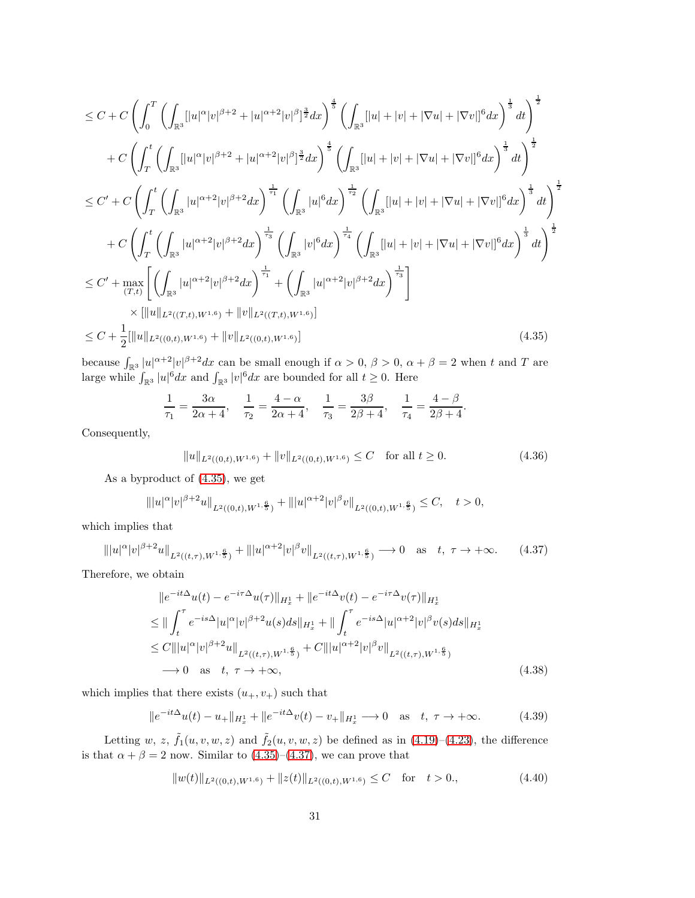$$
\leq C + C \left( \int_0^T \left( \int_{\mathbb{R}^3} [|u|^\alpha |v|^{\beta+2} + |u|^{\alpha+2} |v|^{\beta}]^{\frac{3}{2}} dx \right)^{\frac{4}{5}} \left( \int_{\mathbb{R}^3} [|u| + |v| + |\nabla u| + |\nabla v| |^6 dx \right)^{\frac{1}{3}} dt \right)^{\frac{1}{2}}
$$
  
+ 
$$
C \left( \int_T^t \left( \int_{\mathbb{R}^3} [|u|^\alpha |v|^{\beta+2} + |u|^{\alpha+2} |v|^{\beta}]^{\frac{3}{2}} dx \right)^{\frac{4}{5}} \left( \int_{\mathbb{R}^3} [|u| + |v| + |\nabla u| + |\nabla v| |^6 dx \right)^{\frac{1}{3}} dt \right)^{\frac{1}{2}}
$$
  

$$
\leq C' + C \left( \int_T^t \left( \int_{\mathbb{R}^3} |u|^{\alpha+2} |v|^{\beta+2} dx \right)^{\frac{1}{\tau_1}} \left( \int_{\mathbb{R}^3} |u|^6 dx \right)^{\frac{1}{\tau_2}} \left( \int_{\mathbb{R}^3} [|u| + |v| + |\nabla u| + |\nabla v| |^6 dx \right)^{\frac{1}{3}} dt \right)^{\frac{1}{2}}
$$
  
+ 
$$
C \left( \int_T^t \left( \int_{\mathbb{R}^3} |u|^{\alpha+2} |v|^{\beta+2} dx \right)^{\frac{1}{\tau_3}} \left( \int_{\mathbb{R}^3} |v|^6 dx \right)^{\frac{1}{\tau_4}} \left( \int_{\mathbb{R}^3} [|u| + |v| + |\nabla u| + |\nabla v| |^6 dx \right)^{\frac{1}{3}} dt \right)^{\frac{1}{2}
$$
  

$$
\leq C' + \max_{(T,t)} \left[ \left( \int_{\mathbb{R}^3} |u|^{\alpha+2} |v|^{\beta+2} dx \right)^{\frac{1}{\tau_1}} + \left( \int_{\mathbb{R}^3} |u|^{\alpha+2} |v|^{\beta+2} dx \right)^{\frac{1}{\tau_3}} \right]
$$
  

$$
\times [|u||_{L^2((T,t), W^{1,6})} + ||v||_{L^2((0,t), W^{
$$

because  $\int_{\mathbb{R}^3} |u|^{\alpha+2} |v|^{\beta+2} dx$  can be small enough if  $\alpha > 0$ ,  $\beta > 0$ ,  $\alpha + \beta = 2$  when t and T are large while  $\int_{\mathbb{R}^3} |u|^6 dx$  and  $\int_{\mathbb{R}^3} |v|^6 dx$  are bounded for all  $t \geq 0$ . Here

<span id="page-30-0"></span>
$$
\frac{1}{\tau_1} = \frac{3\alpha}{2\alpha + 4}, \quad \frac{1}{\tau_2} = \frac{4 - \alpha}{2\alpha + 4}, \quad \frac{1}{\tau_3} = \frac{3\beta}{2\beta + 4}, \quad \frac{1}{\tau_4} = \frac{4 - \beta}{2\beta + 4}.
$$

Consequently,

<span id="page-30-1"></span>
$$
||u||_{L^{2}((0,t),W^{1,6})} + ||v||_{L^{2}((0,t),W^{1,6})} \leq C \quad \text{for all } t \geq 0.
$$
 (4.36)

As a byproduct of [\(4.35\)](#page-30-0), we get

$$
\| |u|^{\alpha} |v|^{\beta+2} u \|_{L^2((0,t),W^{1,\frac{6}{5}})} + \| |u|^{\alpha+2} |v|^{\beta} v \|_{L^2((0,t),W^{1,\frac{6}{5}})} \leq C, \quad t > 0,
$$

which implies that

$$
\| |u|^{\alpha} |v|^{\beta+2} u \|_{L^{2}((t,\tau),W^{1,\frac{6}{5}})} + \| |u|^{\alpha+2} |v|^{\beta} v \|_{L^{2}((t,\tau),W^{1,\frac{6}{5}})} \longrightarrow 0 \quad \text{as} \quad t, \ \tau \to +\infty. \tag{4.37}
$$

Therefore, we obtain

$$
||e^{-it\Delta}u(t) - e^{-i\tau\Delta}u(\tau)||_{H_x^1} + ||e^{-it\Delta}v(t) - e^{-i\tau\Delta}v(\tau)||_{H_x^1}
$$
  
\n
$$
\leq ||\int_t^\tau e^{-is\Delta} |u|^\alpha |v|^{\beta+2} u(s) ds ||_{H_x^1} + ||\int_t^\tau e^{-is\Delta} |u|^{\alpha+2} |v|^\beta v(s) ds ||_{H_x^1}
$$
  
\n
$$
\leq C|||u|^\alpha |v|^{\beta+2} u||_{L^2((t,\tau), W^{1,\frac{6}{5}})} + C|||u|^{\alpha+2} |v|^\beta v||_{L^2((t,\tau), W^{1,\frac{6}{5}})}
$$
  
\n
$$
\to 0 \text{ as } t, \tau \to +\infty,
$$
\n(4.38)

which implies that there exists  $(u_+, v_+)$  such that

$$
||e^{-it\Delta}u(t) - u_+||_{H_x^1} + ||e^{-it\Delta}v(t) - v_+||_{H_x^1} \to 0 \quad \text{as} \quad t, \ \tau \to +\infty. \tag{4.39}
$$

Letting w, z,  $\tilde{f}_1(u, v, w, z)$  and  $\tilde{f}_2(u, v, w, z)$  be defined as in [\(4.19\)](#page-27-0)–[\(4.23\)](#page-28-0), the difference is that  $\alpha + \beta = 2$  now. Similar to  $(4.35)$ – $(4.37)$ , we can prove that

<span id="page-30-2"></span>
$$
||w(t)||_{L^{2}((0,t),W^{1,6})} + ||z(t)||_{L^{2}((0,t),W^{1,6})} \leq C \quad \text{for} \quad t > 0. \tag{4.40}
$$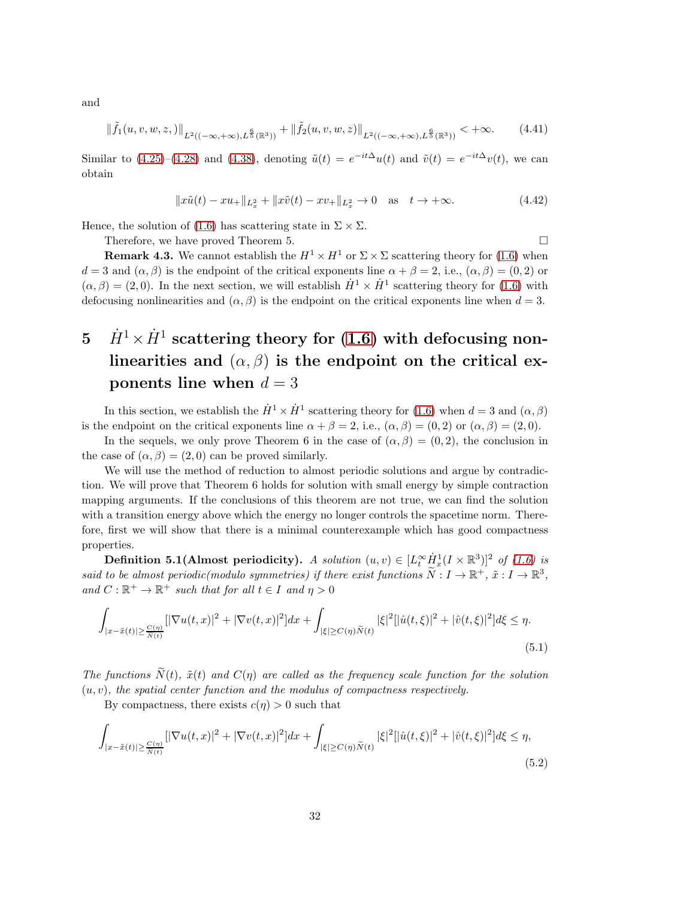and

$$
\|\tilde{f}_1(u,v,w,z,)\|_{L^2((-\infty,+\infty),L^{\frac{6}{5}}(\mathbb{R}^3))} + \|\tilde{f}_2(u,v,w,z)\|_{L^2((-\infty,+\infty),L^{\frac{6}{5}}(\mathbb{R}^3))} < +\infty.
$$
 (4.41)

Similar to  $(4.25)-(4.28)$  $(4.25)-(4.28)$  and  $(4.38)$ , denoting  $\tilde{u}(t) = e^{-it\Delta}u(t)$  and  $\tilde{v}(t) = e^{-it\Delta}v(t)$ , we can obtain

$$
||x\tilde{u}(t) - xu_+||_{L_x^2} + ||x\tilde{v}(t) - xv_+||_{L_x^2} \to 0 \quad \text{as} \quad t \to +\infty. \tag{4.42}
$$

Hence, the solution of [\(1.6\)](#page-3-0) has scattering state in  $\Sigma \times \Sigma$ .

Therefore, we have proved Theorem 5.

**Remark 4.3.** We cannot establish the  $H^1 \times H^1$  or  $\Sigma \times \Sigma$  scattering theory for [\(1.6\)](#page-3-0) when  $d = 3$  and  $(\alpha, \beta)$  is the endpoint of the critical exponents line  $\alpha + \beta = 2$ , i.e.,  $(\alpha, \beta) = (0, 2)$  or  $(\alpha, \beta) = (2, 0)$ . In the next section, we will establish  $\dot{H}^1 \times \dot{H}^1$  scattering theory for [\(1.6\)](#page-3-0) with defocusing nonlinearities and  $(\alpha, \beta)$  is the endpoint on the critical exponents line when  $d = 3$ .

# $5 \quad \dot{H}^1 \times \dot{H}^1 \text{ scattering theory for (1.6) with defocusing non-}$  $5 \quad \dot{H}^1 \times \dot{H}^1 \text{ scattering theory for (1.6) with defocusing non-}$  $5 \quad \dot{H}^1 \times \dot{H}^1 \text{ scattering theory for (1.6) with defocusing non-}$ linearities and  $(\alpha, \beta)$  is the endpoint on the critical exponents line when  $d = 3$

In this section, we establish the  $\dot{H}^1 \times \dot{H}^1$  scattering theory for [\(1.6\)](#page-3-0) when  $d = 3$  and  $(\alpha, \beta)$ is the endpoint on the critical exponents line  $\alpha + \beta = 2$ , i.e.,  $(\alpha, \beta) = (0, 2)$  or  $(\alpha, \beta) = (2, 0)$ .

In the sequels, we only prove Theorem 6 in the case of  $(\alpha, \beta) = (0, 2)$ , the conclusion in the case of  $(\alpha, \beta) = (2, 0)$  can be proved similarly.

We will use the method of reduction to almost periodic solutions and argue by contradiction. We will prove that Theorem 6 holds for solution with small energy by simple contraction mapping arguments. If the conclusions of this theorem are not true, we can find the solution with a transition energy above which the energy no longer controls the spacetime norm. Therefore, first we will show that there is a minimal counterexample which has good compactness properties.

**Definition 5.1(Almost periodicity).** A solution  $(u, v) \in [L_t^{\infty} \dot{H}_x^1 (I \times \mathbb{R}^3)]^2$  of [\(1.6\)](#page-3-0) is said to be almost periodic(modulo symmetries) if there exist functions  $\widetilde{N}: I \to \mathbb{R}^+$ ,  $\tilde{x}: I \to \mathbb{R}^3$ , and  $C : \mathbb{R}^+ \to \mathbb{R}^+$  such that for all  $t \in I$  and  $\eta > 0$ 

$$
\int_{|x-\tilde{x}(t)| \geq \frac{C(\eta)}{\tilde{N}(t)}} [|\nabla u(t,x)|^2 + |\nabla v(t,x)|^2] dx + \int_{|\xi| \geq C(\eta)\tilde{N}(t)} |\xi|^2 [|\hat{u}(t,\xi)|^2 + |\hat{v}(t,\xi)|^2] d\xi \leq \eta.
$$
\n(5.1)

The functions  $\tilde{N}(t)$ ,  $\tilde{x}(t)$  and  $C(\eta)$  are called as the frequency scale function for the solution  $(u, v)$ , the spatial center function and the modulus of compactness respectively.

By compactness, there exists  $c(\eta) > 0$  such that

$$
\int_{|x-\tilde{x}(t)| \geq \frac{C(\eta)}{\tilde{N}(t)}} [|\nabla u(t,x)|^2 + |\nabla v(t,x)|^2] dx + \int_{|\xi| \geq C(\eta)\tilde{N}(t)} |\xi|^2 [|\hat{u}(t,\xi)|^2 + |\hat{v}(t,\xi)|^2] d\xi \leq \eta,
$$
\n(5.2)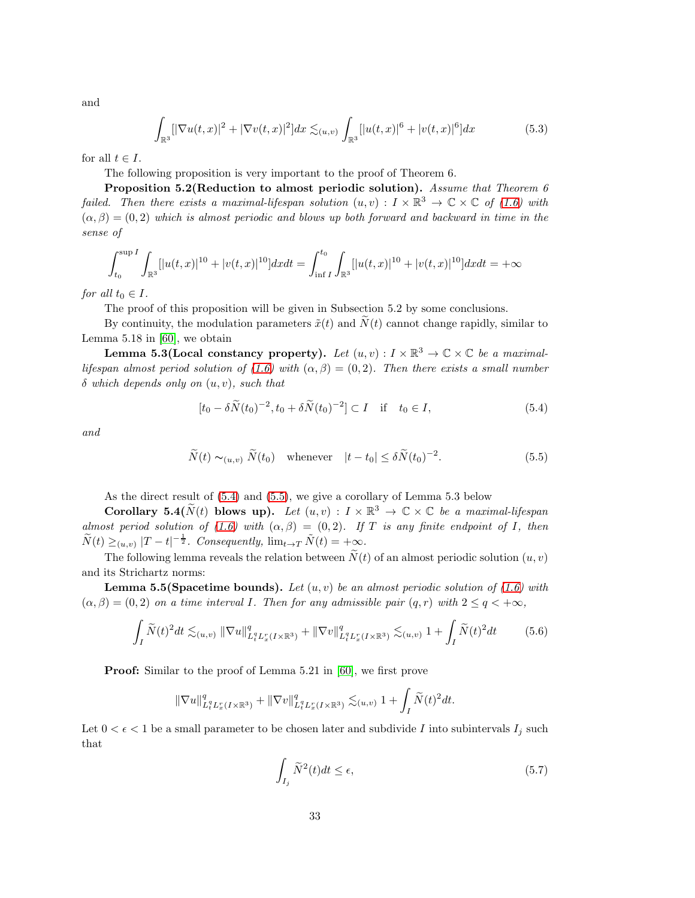and

$$
\int_{\mathbb{R}^3} [|\nabla u(t,x)|^2 + |\nabla v(t,x)|^2] dx \lesssim_{(u,v)} \int_{\mathbb{R}^3} [|u(t,x)|^6 + |v(t,x)|^6] dx \tag{5.3}
$$

for all  $t \in I$ .

The following proposition is very important to the proof of Theorem 6.

Proposition 5.2(Reduction to almost periodic solution). Assume that Theorem 6 failed. Then there exists a maximal-lifespan solution  $(u, v) : I \times \mathbb{R}^3 \to \mathbb{C} \times \mathbb{C}$  of [\(1.6\)](#page-3-0) with  $(\alpha, \beta) = (0, 2)$  which is almost periodic and blows up both forward and backward in time in the sense of

$$
\int_{t_0}^{\sup I} \int_{\mathbb{R}^3} [|u(t,x)|^{10} + |v(t,x)|^{10}] dx dt = \int_{\inf I}^{t_0} \int_{\mathbb{R}^3} [|u(t,x)|^{10} + |v(t,x)|^{10}] dx dt = +\infty
$$

for all  $t_0 \in I$ .

The proof of this proposition will be given in Subsection 5.2 by some conclusions.

By continuity, the modulation parameters  $\tilde{x}(t)$  and  $\tilde{N}(t)$  cannot change rapidly, similar to Lemma 5.18 in [\[60\]](#page-98-1), we obtain

Lemma 5.3(Local constancy property). Let  $(u, v) : I \times \mathbb{R}^3 \to \mathbb{C} \times \mathbb{C}$  be a maximal-lifespan almost period solution of [\(1.6\)](#page-3-0) with  $(\alpha, \beta) = (0, 2)$ . Then there exists a small number  $\delta$  which depends only on  $(u, v)$ , such that

<span id="page-32-1"></span><span id="page-32-0"></span>
$$
[t_0 - \delta \widetilde{N}(t_0)^{-2}, t_0 + \delta \widetilde{N}(t_0)^{-2}] \subset I \quad \text{if} \quad t_0 \in I,
$$
 (5.4)

and

$$
\widetilde{N}(t) \sim_{(u,v)} \widetilde{N}(t_0) \quad \text{whenever} \quad |t - t_0| \le \delta \widetilde{N}(t_0)^{-2}.
$$
\n(5.5)

As the direct result of [\(5.4\)](#page-32-0) and [\(5.5\)](#page-32-1), we give a corollary of Lemma 5.3 below

Corollary 5.4( $\widetilde{N}(t)$  blows up). Let  $(u, v) : I \times \mathbb{R}^3 \to \mathbb{C} \times \mathbb{C}$  be a maximal-lifespan almost period solution of [\(1.6\)](#page-3-0) with  $(\alpha, \beta) = (0, 2)$ . If T is any finite endpoint of I, then  $\widetilde{N}(t) \geq_{(u,v)} |T-t|^{-\frac{1}{2}}$ . Consequently,  $\lim_{t \to T} \widetilde{N}(t) = +\infty$ .

The following lemma reveals the relation between  $\tilde{N}(t)$  of an almost periodic solution  $(u, v)$ and its Strichartz norms:

**Lemma 5.5(Spacetime bounds).** Let  $(u, v)$  be an almost periodic solution of [\(1.6\)](#page-3-0) with  $(\alpha, \beta) = (0, 2)$  on a time interval I. Then for any admissible pair  $(q, r)$  with  $2 \leq q \leq +\infty$ ,

$$
\int_{I} \widetilde{N}(t)^{2} dt \lesssim_{(u,v)} \|\nabla u\|_{L_{t}^{q} L_{x}^{r}(I \times \mathbb{R}^{3})}^{q} + \|\nabla v\|_{L_{t}^{q} L_{x}^{r}(I \times \mathbb{R}^{3})}^{q} \lesssim_{(u,v)} 1 + \int_{I} \widetilde{N}(t)^{2} dt \tag{5.6}
$$

Proof: Similar to the proof of Lemma 5.21 in [\[60\]](#page-98-1), we first prove

$$
\|\nabla u\|_{L_t^{q}L_x^{r}(I\times{\mathbb{R}^3})}^q+\|\nabla v\|_{L_t^{q}L_x^{r}(I\times{\mathbb{R}^3})}^q\lesssim_{(u,v)}1+\int_{I}\widetilde{N}(t)^2dt.
$$

Let  $0 < \epsilon < 1$  be a small parameter to be chosen later and subdivide I into subintervals  $I_i$  such that

$$
\int_{I_j} \widetilde{N}^2(t)dt \le \epsilon,\tag{5.7}
$$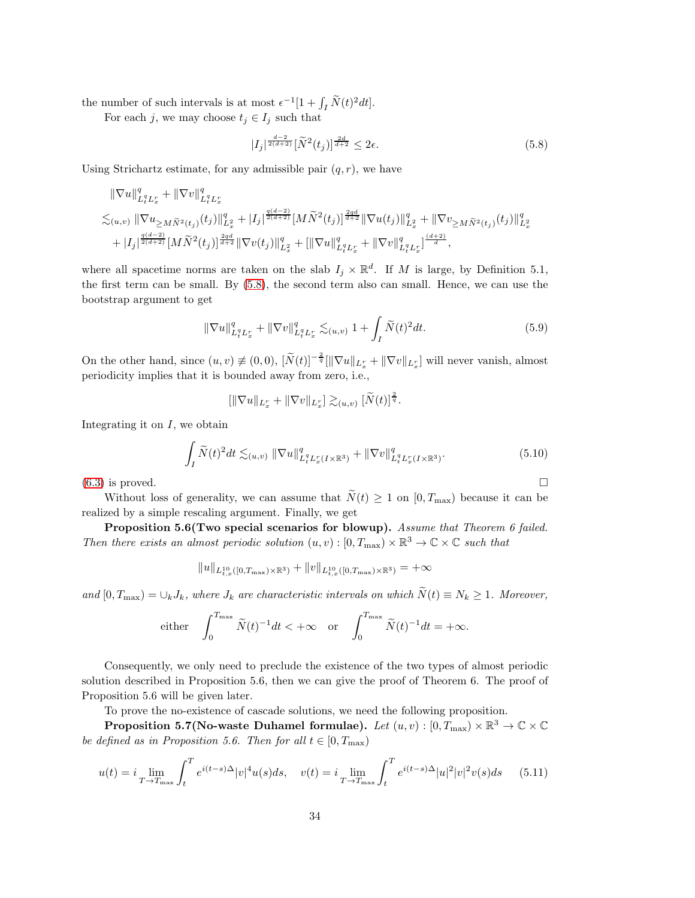the number of such intervals is at most  $\epsilon^{-1}[1 + \int_I \widetilde{N}(t)^2 dt]$ .

For each j, we may choose  $t_j \in I_j$  such that

<span id="page-33-0"></span>
$$
|I_j|^{\frac{d-2}{2(d+2)}} [\tilde{N}^2(t_j)]^{\frac{2d}{d+2}} \le 2\epsilon. \tag{5.8}
$$

Using Strichartz estimate, for any admissible pair  $(q, r)$ , we have

$$
\label{eq:3.16} \begin{split} &\|\nabla u\|_{L_t^q L_x^r}^q+\|\nabla v\|_{L_t^q L_x^r}^q\\ \lesssim_{(u,v)}\|\nabla u_{\geq M\widetilde{N}^2(t_j)}(t_j)\|_{L_x^2}^q+|I_j|^{\frac{q(d-2)}{2(d+2)}}[M\widetilde{N}^2(t_j)]^{\frac{2qd}{d+2}}\|\nabla u(t_j)\|_{L_x^2}^q+\|\nabla v_{\geq M\widetilde{N}^2(t_j)}(t_j)\|_{L_x^2}^q\\ &+|I_j|^{\frac{q(d-2)}{2(d+2)}}[M\widetilde{N}^2(t_j)]^{\frac{2qd}{d+2}}\|\nabla v(t_j)\|_{L_x^2}^q+[\|\nabla u\|_{L_t^q L_x^r}^q+\|\nabla v\|_{L_t^q L_x^r}^q]^{\frac{(d+2)}{d}}, \end{split}
$$

where all spacetime norms are taken on the slab  $I_j \times \mathbb{R}^d$ . If M is large, by Definition 5.1, the first term can be small. By [\(5.8\)](#page-33-0), the second term also can small. Hence, we can use the bootstrap argument to get

$$
\|\nabla u\|_{L_t^q L_x^r}^q + \|\nabla v\|_{L_t^q L_x^r}^q \lesssim_{(u,v)} 1 + \int_I \widetilde{N}(t)^2 dt. \tag{5.9}
$$

On the other hand, since  $(u, v) \neq (0, 0)$ ,  $[\widetilde{N}(t)]^{-\frac{2}{q}}[\|\nabla u\|_{L_x^r} + \|\nabla v\|_{L_x^r}]$  will never vanish, almost periodicity implies that it is bounded away from zero, i.e.,

$$
\left[\|\nabla u\|_{L_x^r}+\|\nabla v\|_{L_x^r}\right]\gtrsim_{(u,v)}\left[\widetilde{N}(t)\right]^{\frac{2}{q}}.
$$

Integrating it on  $I$ , we obtain

$$
\int_{I} \widetilde{N}(t)^{2} dt \lesssim_{(u,v)} \|\nabla u\|_{L_{t}^{q} L_{x}^{r}(I \times \mathbb{R}^{3})}^{q} + \|\nabla v\|_{L_{t}^{q} L_{x}^{r}(I \times \mathbb{R}^{3})}^{q}.
$$
\n(5.10)

 $(6.3)$  is proved.

Without loss of generality, we can assume that  $\widetilde{N}(t) \geq 1$  on  $[0, T_{\text{max}})$  because it can be realized by a simple rescaling argument. Finally, we get

Proposition 5.6(Two special scenarios for blowup). Assume that Theorem 6 failed. Then there exists an almost periodic solution  $(u, v) : [0, T_{\text{max}}) \times \mathbb{R}^3 \to \mathbb{C} \times \mathbb{C}$  such that

<span id="page-33-1"></span>
$$
||u||_{L_{t,x}^{10}([0,T_{\max})\times\mathbb{R}^3)} + ||v||_{L_{t,x}^{10}([0,T_{\max})\times\mathbb{R}^3)} = +\infty
$$

and  $[0, T_{\text{max}}) = \bigcup_k J_k$ , where  $J_k$  are characteristic intervals on which  $\widetilde{N}(t) \equiv N_k \geq 1$ . Moreover,

either 
$$
\int_0^{T_{\text{max}}}\tilde{N}(t)^{-1}dt < +\infty
$$
 or  $\int_0^{T_{\text{max}}}\tilde{N}(t)^{-1}dt = +\infty$ .

Consequently, we only need to preclude the existence of the two types of almost periodic solution described in Proposition 5.6, then we can give the proof of Theorem 6. The proof of Proposition 5.6 will be given later.

To prove the no-existence of cascade solutions, we need the following proposition.

Proposition 5.7(No-waste Duhamel formulae). Let  $(u,v):[0,T_{\max})\times\mathbb{R}^{3}\rightarrow\mathbb{C}\times\mathbb{C}$ be defined as in Proposition 5.6. Then for all  $t \in [0, T_{\text{max}})$ 

$$
u(t) = i \lim_{T \to T_{\text{max}}} \int_{t}^{T} e^{i(t-s)\Delta} |v|^4 u(s) ds, \quad v(t) = i \lim_{T \to T_{\text{max}}} \int_{t}^{T} e^{i(t-s)\Delta} |u|^2 |v|^2 v(s) ds \quad (5.11)
$$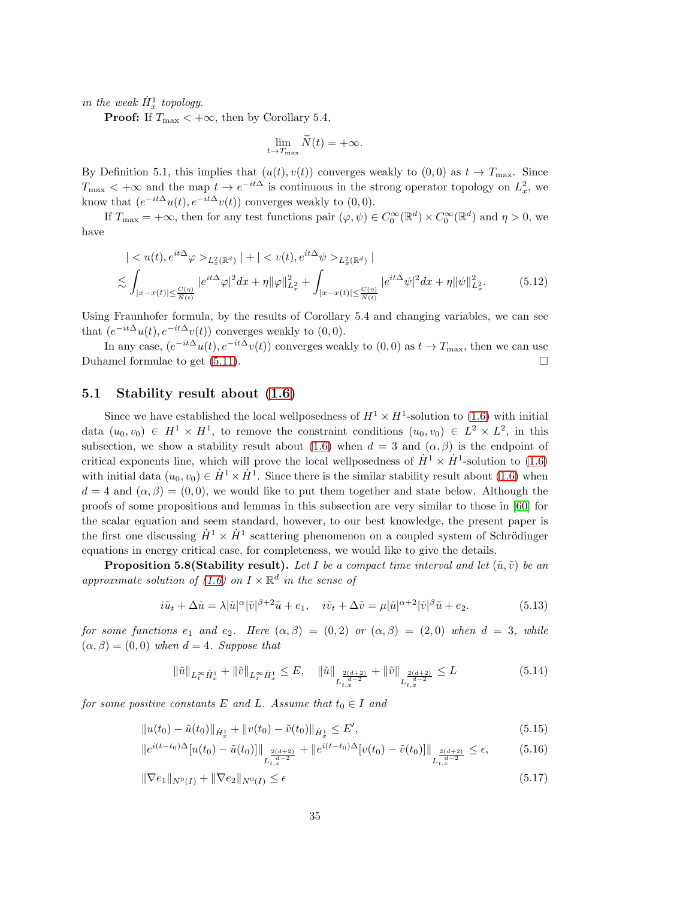in the weak  $\dot{H}_x^1$  topology.

**Proof:** If  $T_{\text{max}} < +\infty$ , then by Corollary 5.4,

$$
\lim_{t \to T_{\text{max}}} \widetilde{N}(t) = +\infty.
$$

By Definition 5.1, this implies that  $(u(t), v(t))$  converges weakly to  $(0, 0)$  as  $t \to T_{\text{max}}$ . Since  $T_{\text{max}} < +\infty$  and the map  $t \to e^{-it\Delta}$  is continuous in the strong operator topology on  $L_x^2$ , we know that  $(e^{-it\Delta}u(t), e^{-it\Delta}v(t))$  converges weakly to  $(0, 0)$ .

If  $T_{\text{max}} = +\infty$ , then for any test functions pair  $(\varphi, \psi) \in C_0^{\infty}(\mathbb{R}^d) \times C_0^{\infty}(\mathbb{R}^d)$  and  $\eta > 0$ , we have

$$
\begin{split} &| < u(t), e^{it\Delta}\varphi >_{L_x^2(\mathbb{R}^d)}| + | < v(t), e^{it\Delta}\psi >_{L_x^2(\mathbb{R}^d)}| \\ &\lesssim \int_{|x-x(t)| \le \frac{C(\eta)}{\widetilde{N}(t)}} |e^{it\Delta}\varphi|^2 dx + \eta \|\varphi\|_{L_x^2}^2 + \int_{|x-x(t)| \le \frac{C(\eta)}{\widetilde{N}(t)}} |e^{it\Delta}\psi|^2 dx + \eta \|\psi\|_{L_x^2}^2. \end{split} \tag{5.12}
$$

Using Fraunhofer formula, by the results of Corollary 5.4 and changing variables, we can see that  $(e^{-it\Delta}u(t), e^{-it\Delta}v(t))$  converges weakly to  $(0,0)$ .

In any case,  $(e^{-it\Delta}u(t), e^{-it\Delta}v(t))$  converges weakly to  $(0,0)$  as  $t \to T_{\text{max}}$ , then we can use Duhamel formulae to get  $(5.11)$ .

## 5.1 Stability result about [\(1.6\)](#page-3-0)

Since we have established the local wellposedness of  $H^1 \times H^1$ -solution to [\(1.6\)](#page-3-0) with initial data  $(u_0, v_0) \in H^1 \times H^1$ , to remove the constraint conditions  $(u_0, v_0) \in L^2 \times L^2$ , in this subsection, we show a stability result about [\(1.6\)](#page-3-0) when  $d = 3$  and  $(\alpha, \beta)$  is the endpoint of critical exponents line, which will prove the local wellposedness of  $\dot{H}^1 \times \dot{H}^1$ -solution to [\(1.6\)](#page-3-0) with initial data  $(u_0, v_0) \in \dot{H}^1 \times \dot{H}^1$ . Since there is the similar stability result about [\(1.6\)](#page-3-0) when  $d = 4$  and  $(\alpha, \beta) = (0, 0)$ , we would like to put them together and state below. Although the proofs of some propositions and lemmas in this subsection are very similar to those in [\[60\]](#page-98-1) for the scalar equation and seem standard, however, to our best knowledge, the present paper is the first one discussing  $\dot{H}^1 \times \dot{H}^1$  scattering phenomenon on a coupled system of Schrödinger equations in energy critical case, for completeness, we would like to give the details.

**Proposition 5.8(Stability result).** Let I be a compact time interval and let  $(\tilde{u}, \tilde{v})$  be an approximate solution of [\(1.6\)](#page-3-0) on  $I \times \mathbb{R}^d$  in the sense of

$$
i\tilde{u}_t + \Delta \tilde{u} = \lambda |\tilde{u}|^{\alpha} |\tilde{v}|^{\beta+2} \tilde{u} + e_1, \quad i\tilde{v}_t + \Delta \tilde{v} = \mu |\tilde{u}|^{\alpha+2} |\tilde{v}|^{\beta} \tilde{u} + e_2.
$$
 (5.13)

for some functions  $e_1$  and  $e_2$ . Here  $(\alpha, \beta) = (0, 2)$  or  $(\alpha, \beta) = (2, 0)$  when  $d = 3$ , while  $(\alpha, \beta) = (0, 0)$  when  $d = 4$ . Suppose that

$$
\|\tilde{u}\|_{L_t^\infty \dot{H}_x^1} + \|\tilde{v}\|_{L_t^\infty \dot{H}_x^1} \le E, \quad \|\tilde{u}\|_{L_{t,x}^{\frac{2(d+2)}{d-2}}} + \|\tilde{v}\|_{L_{t,x}^{\frac{2(d+2)}{d-2}}} \le L \tag{5.14}
$$

for some positive constants E and L. Assume that  $t_0 \in I$  and

$$
||u(t_0) - \tilde{u}(t_0)||_{\dot{H}_x^1} + ||v(t_0) - \tilde{v}(t_0)||_{\dot{H}_x^1} \le E',
$$
\n(5.15)

$$
||e^{i(t-t_0)\Delta}[u(t_0) - \tilde{u}(t_0)]||_{L_{t,x}^{\frac{2(d+2)}{d-2}}} + ||e^{i(t-t_0)\Delta}[v(t_0) - \tilde{v}(t_0)]||_{L_{t,x}^{\frac{2(d+2)}{d-2}}} \le \epsilon,
$$
 (5.16)

$$
\|\nabla e_1\|_{N^0(I)} + \|\nabla e_2\|_{N^0(I)} \le \epsilon \tag{5.17}
$$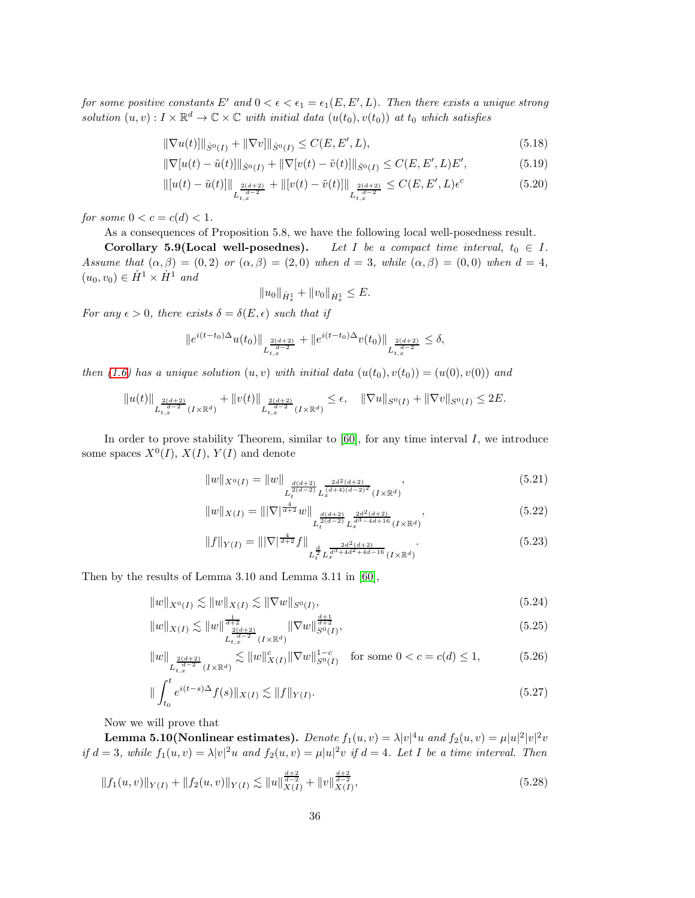for some positive constants E' and  $0 < \epsilon < \epsilon_1 = \epsilon_1(E,E',L)$ . Then there exists a unique strong solution  $(u, v) : I \times \mathbb{R}^d \to \mathbb{C} \times \mathbb{C}$  with initial data  $(u(t_0), v(t_0))$  at  $t_0$  which satisfies

$$
\|\nabla u(t)\|_{\dot{S}^0(I)} + \|\nabla v\|_{\dot{S}^0(I)} \le C(E, E', L),\tag{5.18}
$$

$$
\|\nabla[u(t) - \tilde{u}(t)]\|_{\dot{S}^0(I)} + \|\nabla[v(t) - \tilde{v}(t)]\|_{\dot{S}^0(I)} \le C(E, E', L)E',\tag{5.19}
$$

$$
\| [u(t) - \tilde{u}(t) ] \|_{L_{t,x}^{\frac{2(d+2)}{d-2}}} + \| [v(t) - \tilde{v}(t) ] \|_{L_{t,x}^{\frac{2(d+2)}{d-2}}} \leq C(E, E', L) \epsilon^c
$$
\n(5.20)

for some  $0 < c = c(d) < 1$ .

As a consequences of Proposition 5.8, we have the following local well-posedness result.

Corollary 5.9(Local well-posednes). Let I be a compact time interval,  $t_0 \in I$ . Assume that  $(\alpha, \beta) = (0, 2)$  or  $(\alpha, \beta) = (2, 0)$  when  $d = 3$ , while  $(\alpha, \beta) = (0, 0)$  when  $d = 4$ ,  $(u_0, v_0) \in \dot{H}^1 \times \dot{H}^1$  and

$$
||u_0||_{\dot{H}_x^1} + ||v_0||_{\dot{H}_x^1} \le E.
$$

For any  $\epsilon > 0$ , there exists  $\delta = \delta(E, \epsilon)$  such that if

$$
||e^{i(t-t_0)\Delta}u(t_0)||_{L_{t,x}^{\frac{2(d+2)}{d-2}}} + ||e^{i(t-t_0)\Delta}v(t_0)||_{L_{t,x}^{\frac{2(d+2)}{d-2}}} \le \delta,
$$

then [\(1.6\)](#page-3-0) has a unique solution  $(u, v)$  with initial data  $(u(t_0), v(t_0)) = (u(0), v(0))$  and

$$
||u(t)||_{L_{t,x}^{\frac{2(d+2)}{d-2}}(I\times\mathbb{R}^d)} + ||v(t)||_{L_{t,x}^{\frac{2(d+2)}{d-2}}(I\times\mathbb{R}^d)} \leq \epsilon, \quad ||\nabla u||_{S^0(I)} + ||\nabla v||_{S^0(I)} \leq 2E.
$$

In order to prove stability Theorem, similar to  $[60]$ , for any time interval I, we introduce some spaces  $X^0(I)$ ,  $X(I)$ ,  $Y(I)$  and denote

$$
||w||_{X^{0}(I)} = ||w||_{L^{\frac{d(d+2)}{2(d-2)}}_{t} L^{\frac{2d^{2}(d+2)}{(d+4)(d-2)^{2}}}_{x} (I \times \mathbb{R}^{d})},
$$
\n(5.21)

$$
||w||_{X(I)} = |||\nabla|^{\frac{4}{d+2}} w||_{L_t^{\frac{d(d+2)}{d(d-2)}} L_x^{\frac{2d^2(d+2)}{d^3 - 4d + 16}}(I \times \mathbb{R}^d)},
$$
\n(5.22)

$$
||f||_{Y(I)} = |||\nabla|^{\frac{4}{d+2}} f||_{L_t^{\frac{d}{2}} L_x^{\frac{2d^2(d+2)}{d^3+d^2+4d-16}}(I \times \mathbb{R}^d)}.
$$
\n(5.23)

Then by the results of Lemma 3.10 and Lemma 3.11 in [\[60\]](#page-98-1),

$$
||w||_{X^{0}(I)} \lesssim ||w||_{X(I)} \lesssim ||\nabla w||_{S^{0}(I)},
$$
\n(5.24)

$$
||w||_{X(I)} \lesssim ||w||_{L_{t,x}^{\frac{d+2}{d-2}}(I \times \mathbb{R}^d)}^{\frac{1}{d+2}} ||\nabla w||_{S^0(I)}^{\frac{d+1}{d+2}}, \tag{5.25}
$$

$$
||w||_{L_{t,x}^{\frac{2(d+2)}{d-2}}(I\times\mathbb{R}^d)} \lesssim ||w||_{X(I)}^c ||\nabla w||_{S^0(I)}^{1-c} \quad \text{for some } 0 < c = c(d) \le 1,
$$
 (5.26)

$$
\| \int_{t_0}^t e^{i(t-s)\Delta} f(s) \|_{X(I)} \lesssim \| f \|_{Y(I)}.
$$
\n(5.27)

Now we will prove that

Lemma 5.10(Nonlinear estimates).  $Denote~ f_1(u,v) = \lambda |v|^4 u ~and~ f_2(u,v) = \mu |u|^2 |v|^2 v$ if  $d = 3$ , while  $f_1(u, v) = \lambda |v|^2 u$  and  $f_2(u, v) = \mu |u|^2 v$  if  $d = 4$ . Let I be a time interval. Then

$$
||f_1(u,v)||_{Y(I)} + ||f_2(u,v)||_{Y(I)} \lesssim ||u||_{X(I)}^{\frac{d+2}{d-2}} + ||v||_{X(I)}^{\frac{d+2}{d-2}},
$$
\n(5.28)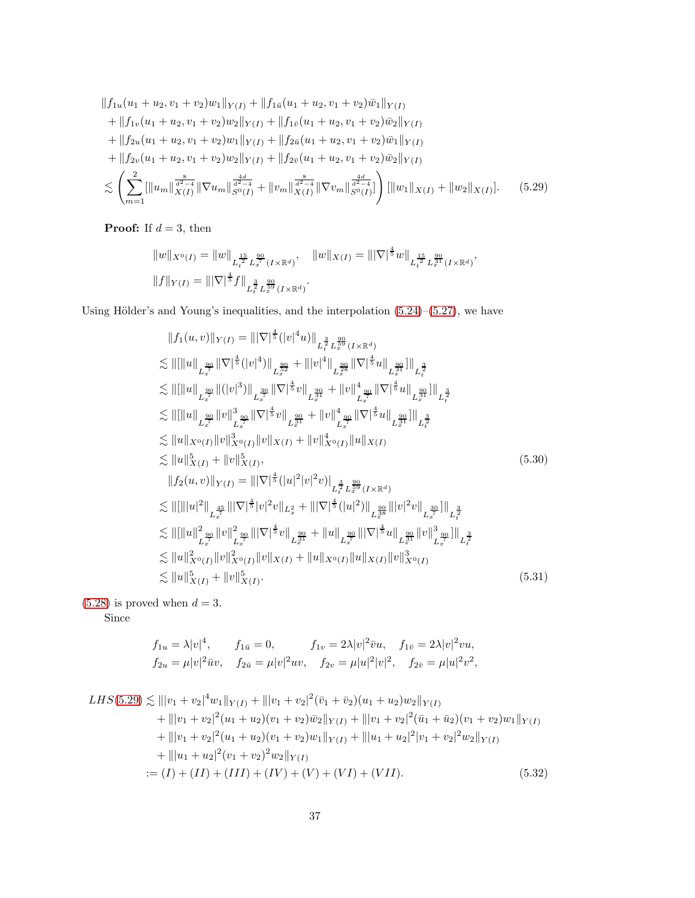$$
||f_{1u}(u_{1} + u_{2}, v_{1} + v_{2})w_{1}||_{Y(I)} + ||f_{1\bar{u}}(u_{1} + u_{2}, v_{1} + v_{2})\bar{w}_{1}||_{Y(I)}
$$
  
+ 
$$
||f_{1v}(u_{1} + u_{2}, v_{1} + v_{2})w_{2}||_{Y(I)} + ||f_{1\bar{v}}(u_{1} + u_{2}, v_{1} + v_{2})\bar{w}_{2}||_{Y(I)}
$$
  
+ 
$$
||f_{2u}(u_{1} + u_{2}, v_{1} + v_{2})w_{1}||_{Y(I)} + ||f_{2\bar{u}}(u_{1} + u_{2}, v_{1} + v_{2})\bar{w}_{1}||_{Y(I)}
$$
  
+ 
$$
||f_{2v}(u_{1} + u_{2}, v_{1} + v_{2})w_{2}||_{Y(I)} + ||f_{2\bar{v}}(u_{1} + u_{2}, v_{1} + v_{2})\bar{w}_{2}||_{Y(I)}
$$
  

$$
\leq \left(\sum_{m=1}^{2} [||u_{m}||_{X(I)}^{\frac{8}{d^{2}-4}} ||\nabla u_{m}||_{S^{0}(I)}^{\frac{4d}{d^{2}-4}} + ||v_{m}||_{X(I)}^{\frac{8}{d^{2}-4}} ||\nabla v_{m}||_{S^{0}(I)}^{\frac{4d}{d^{2}-4}}\right) [||w_{1}||_{X(I)} + ||w_{2}||_{X(I)}]. \quad (5.29)
$$

**Proof:** If  $d = 3$ , then

<span id="page-36-0"></span>
$$
||w||_{X^{0}(I)} = ||w||_{L_{t}^{\frac{15}{2}} L_{x}^{\frac{90}{7}}(I \times \mathbb{R}^{d})}, \quad ||w||_{X(I)} = |||\nabla|^{\frac{4}{5}} w||_{L_{t}^{\frac{15}{2}} L_{x}^{\frac{90}{31}}(I \times \mathbb{R}^{d})},
$$
  

$$
||f||_{Y(I)} = |||\nabla|^{\frac{4}{5}} f||_{L_{t}^{\frac{3}{2}} L_{x}^{\frac{90}{39}}(I \times \mathbb{R}^{d})}.
$$

Using Hölder's and Young's inequalities, and the interpolation  $(5.24)$ – $(5.27)$ , we have

$$
||f_{1}(u,v)||_{Y(I)} = |||\nabla|^{\frac{4}{5}}(|v|^{4}u)||_{L_{t}^{\frac{30}{2}}L_{x}^{\frac{99}{29}}(I \times \mathbb{R}^{d})
$$
  
\n
$$
\lesssim ||[||u||_{L_{x}^{\frac{90}{2}}} ||\nabla|^{\frac{4}{5}}(|v|^{4})||_{L_{x}^{\frac{99}{2}}} + |||v|^{4}||_{L_{x}^{\frac{99}{28}}} ||\nabla|^{\frac{4}{5}}u||_{L_{x}^{\frac{99}{24}}}]||_{L_{t}^{\frac{3}{2}}}
$$
  
\n
$$
\lesssim ||[||u||_{L_{x}^{\frac{90}{2}}} ||(|v|^{3})||_{L_{x}^{\frac{30}{2}}} ||\nabla|^{\frac{4}{5}}v||_{L_{x}^{\frac{99}{21}}} + ||v||_{L_{x}^{\frac{90}{2}}}^{4} ||\nabla|^{\frac{4}{5}}u||_{L_{x}^{\frac{99}{21}}}||_{L_{t}^{\frac{3}{2}}}^{4}
$$
  
\n
$$
\lesssim ||u||_{x^{0}(I)} ||v||_{x^{0}(I)}^{3} ||v||_{x(I)} + ||v||_{x^{0}(I)}^{4} ||u||_{x(I)}
$$
  
\n
$$
\lesssim ||u||_{x^{0}(I)} ||v||_{x(I)}^{3},
$$
  
\n
$$
||f_{2}(u,v)||_{Y(I)} = |||\nabla|^{\frac{4}{5}}(|u|^{2}|v|^{2}v)||_{L_{t}^{\frac{3}{2}}L_{x}^{\frac{90}{29}}(I \times \mathbb{R}^{d})
$$
  
\n
$$
\lesssim ||[|||u|^{2}||_{L_{x}^{\frac{45}{2}}} |||\nabla|^{\frac{4}{5}}|v|^{2}v||_{L_{x}^{2}} + |||\nabla|^{\frac{4}{5}}(|u|^{2})||_{L_{x}^{\frac{39}{2}}(I \times \mathbb{R}^{d})}
$$
  
\n
$$
\lesssim ||[||u||^{2}||_{L_{x}^{\frac{45}{2}}} ||\nabla|^{\frac{4}{5}}|v|^{2}v||_{L_{x}^{2}} + |||\nabla|^{\frac{4}{5}}
$$

 $(5.28)$  is proved when  $d = 3$ .

Since

<span id="page-36-2"></span><span id="page-36-1"></span>
$$
f_{1u} = \lambda |v|^4, \qquad f_{1\bar{u}} = 0, \qquad f_{1v} = 2\lambda |v|^2 \bar{v}u, \quad f_{1\bar{v}} = 2\lambda |v|^2 vu,
$$
  

$$
f_{2u} = \mu |v|^2 \bar{u}v, \quad f_{2\bar{u}} = \mu |v|^2 uv, \quad f_{2v} = \mu |u|^2 |v|^2, \quad f_{2\bar{v}} = \mu |u|^2 v^2,
$$

$$
LHS(5.29) \lesssim |||v_1 + v_2|^4 w_1||_{Y(I)} + |||v_1 + v_2|^2 (\bar{v}_1 + \bar{v}_2)(u_1 + u_2)w_2||_{Y(I)}
$$
  
+  $|||v_1 + v_2|^2 (u_1 + u_2)(v_1 + v_2)\bar{w}_2||_{Y(I)} + |||v_1 + v_2|^2 (\bar{u}_1 + \bar{u}_2)(v_1 + v_2)w_1||_{Y(I)}$   
+  $|||v_1 + v_2|^2 (u_1 + u_2)(v_1 + v_2)w_1||_{Y(I)} + |||u_1 + u_2|^2 |v_1 + v_2|^2 w_2||_{Y(I)}$   
+  $|||u_1 + u_2|^2 (v_1 + v_2)^2 w_2||_{Y(I)}$   
:=  $(I) + (II) + (III) + (IV) + (VI) + (VII)$ . (5.32)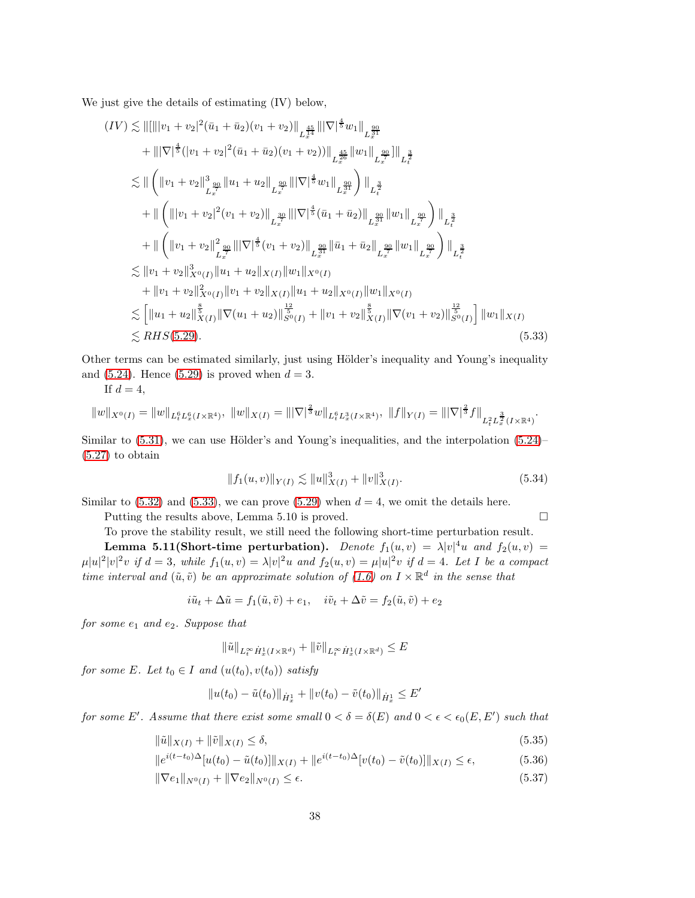We just give the details of estimating (IV) below,

$$
(IV) \lesssim ||[|||v_1 + v_2|^2 (\bar{u}_1 + \bar{u}_2)(v_1 + v_2)||_{L_x^{\frac{45}{4}} ||\nabla|^{\frac{4}{5}} w_1||_{L_x^{\frac{90}{2}}} + |||\nabla|^{\frac{4}{5}} (|v_1 + v_2|^2 (\bar{u}_1 + \bar{u}_2)(v_1 + v_2))||_{L_x^{\frac{45}{2}}} ||w_1||_{L_x^{\frac{90}{2}}} ||v_1||_{L_x^{\frac{3}{2}}} \n\lesssim || (||v_1 + v_2||_{L_x^{\frac{90}{4}} ||u_1 + u_2||_{L_x^{\frac{90}{4}} ||\nabla|^{\frac{4}{5}} w_1||_{L_x^{\frac{90}{4}}}}) ||_{L_t^{\frac{3}{2}}} + || (||v_1 + v_2|^2 (v_1 + v_2)||_{L_x^{\frac{30}{4}} ||\nabla|^{\frac{4}{5}} (\bar{u}_1 + \bar{u}_2)||_{L_x^{\frac{90}{4}} ||u_1||_{L_x^{\frac{90}{4}}}}) ||_{L_t^{\frac{3}{2}}} + || (||v_1 + v_2||_{L_x^{\frac{90}{4}} ||\nabla|^{\frac{4}{5}} (v_1 + v_2)||_{L_x^{\frac{90}{4}} ||\bar{u}_1 + \bar{u}_2||_{L_x^{\frac{90}{4}} ||u_1||_{L_x^{\frac{90}{4}}}}) ||_{L_t^{\frac{3}{2}}} \n\lesssim ||v_1 + v_2||_{X^0(I)}^3 ||u_1 + u_2||_{X(I)} ||w_1||_{X^0(I)} + ||v_1 + v_2||_{X^0(I)}^2 ||v_1 + v_2||_{X(I)} ||u_1 + u_2||_{X^0(I)} ||u_1||_{X^0(I)} \n\lesssim [||u_1 + u_2||_{X(I)}^{\frac{8}{5}} ||\nabla(u_1 + u_2)||_{S^0(I)}^{\frac{8}{5}} + ||v_1 + v_2||_{X(I)}^{\frac{8}{5}} ||\nabla(v_1 + v_2)||_{S^0(I)}^{\frac{12}{5}} ] ||w_1||_{X(I)} \n\lesssim RHS(5.29). \n(5.33)
$$

Other terms can be estimated similarly, just using Hölder's inequality and Young's inequality and  $(5.24)$ . Hence  $(5.29)$  is proved when  $d = 3$ .

If  $d=4$ ,

$$
||w||_{X^{0}(I)} = ||w||_{L_{t}^{6}L_{x}^{6}(I\times\mathbb{R}^{4})}, \ ||w||_{X(I)} = |||\nabla|^{\frac{2}{3}}w||_{L_{t}^{6}L_{x}^{3}(I\times\mathbb{R}^{4})}, \ ||f||_{Y(I)} = |||\nabla|^{\frac{2}{3}}f||_{L_{t}^{2}L_{x}^{\frac{3}{2}}(I\times\mathbb{R}^{4})}.
$$

Similar to  $(5.31)$ , we can use Hölder's and Young's inequalities, and the interpolation  $(5.24)$ [\(5.27\)](#page-35-1) to obtain

<span id="page-37-0"></span>
$$
||f_1(u,v)||_{Y(I)} \lesssim ||u||^3_{X(I)} + ||v||^3_{X(I)}.
$$
\n(5.34)

Similar to  $(5.32)$  and  $(5.33)$ , we can prove  $(5.29)$  when  $d = 4$ , we omit the details here.

Putting the results above, Lemma 5.10 is proved.

To prove the stability result, we still need the following short-time perturbation result.

**Lemma 5.11(Short-time perturbation).** Denote  $f_1(u,v) = \lambda |v|^4 u$  and  $f_2(u,v) =$  $\mu|u|^2|v|^2v$  if  $d=3$ , while  $f_1(u,v)=\lambda|v|^2u$  and  $f_2(u,v)=\mu|u|^2v$  if  $d=4$ . Let I be a compact time interval and  $(\tilde{u}, \tilde{v})$  be an approximate solution of  $(1.6)$  on  $I \times \mathbb{R}^d$  in the sense that

$$
i\tilde{u}_t + \Delta \tilde{u} = f_1(\tilde{u}, \tilde{v}) + e_1, \quad i\tilde{v}_t + \Delta \tilde{v} = f_2(\tilde{u}, \tilde{v}) + e_2
$$

for some  $e_1$  and  $e_2$ . Suppose that

<span id="page-37-3"></span><span id="page-37-1"></span>
$$
\|\tilde{u}\|_{L_t^{\infty}\dot{H}_x^1(I\times\mathbb{R}^d)} + \|\tilde{v}\|_{L_t^{\infty}\dot{H}_x^1(I\times\mathbb{R}^d)} \leq E
$$

for some E. Let  $t_0 \in I$  and  $(u(t_0), v(t_0))$  satisfy

<span id="page-37-2"></span>
$$
||u(t_0) - \tilde{u}(t_0)||_{\dot{H}^1_x} + ||v(t_0) - \tilde{v}(t_0)||_{\dot{H}^1_x} \leq E'
$$

for some E'. Assume that there exist some small  $0 < \delta = \delta(E)$  and  $0 < \epsilon < \epsilon_0(E, E')$  such that

$$
\|\tilde{u}\|_{X(I)} + \|\tilde{v}\|_{X(I)} \le \delta,\tag{5.35}
$$

$$
||e^{i(t-t_0)\Delta}[u(t_0) - \tilde{u}(t_0)]||_{X(I)} + ||e^{i(t-t_0)\Delta}[v(t_0) - \tilde{v}(t_0)]||_{X(I)} \le \epsilon,
$$
\n(5.36)

$$
\|\nabla e_1\|_{N^0(I)} + \|\nabla e_2\|_{N^0(I)} \le \epsilon. \tag{5.37}
$$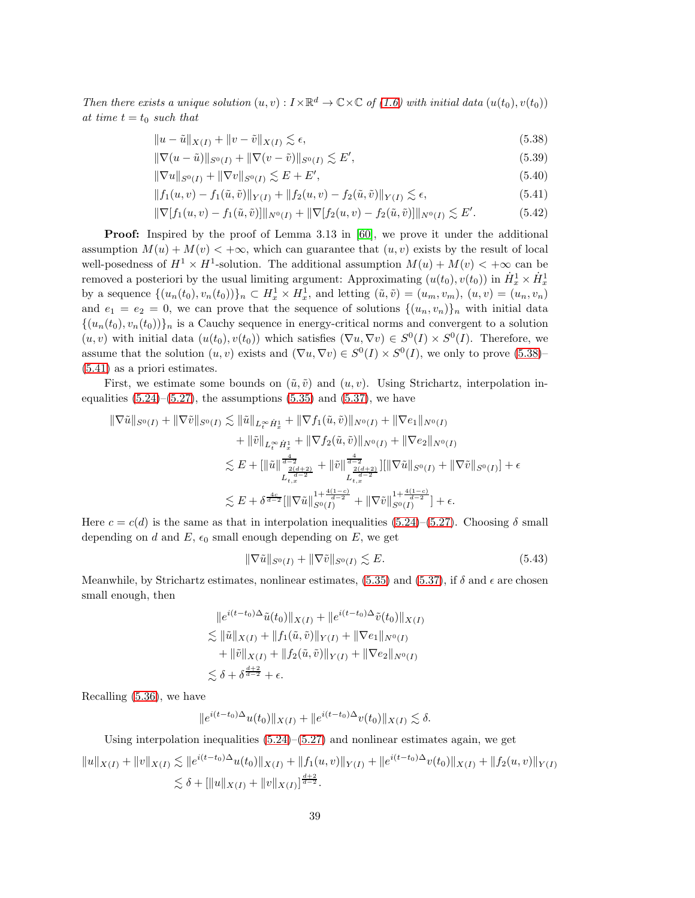Then there exists a unique solution  $(u, v) : I \times \mathbb{R}^d \to \mathbb{C} \times \mathbb{C}$  of  $(1.6)$  with initial data  $(u(t_0), v(t_0))$ at time  $t = t_0$  such that

<span id="page-38-0"></span>
$$
||u - \tilde{u}||_{X(I)} + ||v - \tilde{v}||_{X(I)} \lesssim \epsilon,
$$
\n(5.38)

<span id="page-38-2"></span>
$$
\|\nabla(u - \tilde{u})\|_{S^{0}(I)} + \|\nabla(v - \tilde{v})\|_{S^{0}(I)} \lesssim E',
$$
\n(5.39)

<span id="page-38-4"></span>
$$
\|\nabla u\|_{S^0(I)} + \|\nabla v\|_{S^0(I)} \lesssim E + E',\tag{5.40}
$$

<span id="page-38-1"></span>
$$
||f_1(u,v) - f_1(\tilde{u}, \tilde{v})||_{Y(I)} + ||f_2(u,v) - f_2(\tilde{u}, \tilde{v})||_{Y(I)} \lesssim \epsilon,
$$
\n(5.41)

<span id="page-38-5"></span>
$$
\|\nabla[f_1(u,v) - f_1(\tilde{u}, \tilde{v})]\|_{N^0(I)} + \|\nabla[f_2(u,v) - f_2(\tilde{u}, \tilde{v})]\|_{N^0(I)} \lesssim E'.\tag{5.42}
$$

Proof: Inspired by the proof of Lemma 3.13 in [\[60\]](#page-98-0), we prove it under the additional assumption  $M(u) + M(v) < +\infty$ , which can guarantee that  $(u, v)$  exists by the result of local well-posedness of  $H^1 \times H^1$ -solution. The additional assumption  $M(u) + M(v) < +\infty$  can be removed a posteriori by the usual limiting argument: Approximating  $(u(t_0), v(t_0))$  in  $\dot{H}_x^1 \times \dot{H}_x^1$ by a sequence  $\{(u_n(t_0), v_n(t_0))\}_n \subset H_x^1 \times H_x^1$ , and letting  $(\tilde{u}, \tilde{v}) = (u_m, v_m), (u, v) = (u_n, v_n)$ and  $e_1 = e_2 = 0$ , we can prove that the sequence of solutions  $\{(u_n, v_n)\}_n$  with initial data  $\{(u_n(t_0), v_n(t_0))\}_n$  is a Cauchy sequence in energy-critical norms and convergent to a solution  $(u, v)$  with initial data  $(u(t_0), v(t_0))$  which satisfies  $(\nabla u, \nabla v) \in S^0(I) \times S^0(I)$ . Therefore, we assume that the solution  $(u, v)$  exists and  $(\nabla u, \nabla v) \in S^0(I) \times S^0(I)$ , we only to prove  $(5.38)$ [\(5.41\)](#page-38-1) as a priori estimates.

First, we estimate some bounds on  $(\tilde{u}, \tilde{v})$  and  $(u, v)$ . Using Strichartz, interpolation inequalities  $(5.24)$ – $(5.27)$ , the assumptions  $(5.35)$  and  $(5.37)$ , we have

$$
\begin{split} \|\nabla \tilde{u}\|_{S^{0}(I)} + \|\nabla \tilde{v}\|_{S^{0}(I)} &\lesssim \|\tilde{u}\|_{L^{\infty}_{t} \dot{H}^{1}_{x}} + \|\nabla f_{1}(\tilde{u}, \tilde{v})\|_{N^{0}(I)} + \|\nabla e_{1}\|_{N^{0}(I)} \\ &+ \|\tilde{v}\|_{L^{\infty}_{t} \dot{H}^{1}_{x}} + \|\nabla f_{2}(\tilde{u}, \tilde{v})\|_{N^{0}(I)} + \|\nabla e_{2}\|_{N^{0}(I)} \\ &\lesssim E + [\|\tilde{u}\|_{L^{\frac{2(d+2)}{2}}_{t, x}}^{\frac{4}{d-2}} + \|\tilde{v}\|_{L^{\frac{2(d+2)}{d-2}}}^{\frac{4}{d-2}}] [\|\nabla \tilde{u}\|_{S^{0}(I)} + \|\nabla \tilde{v}\|_{S^{0}(I)}] + \epsilon \\ &\lesssim E + \delta^{\frac{4c}{d-2}} [\|\nabla \tilde{u}\|_{S^{0}(I)}^{1 + \frac{4(1-c)}{d-2}} + \|\nabla \tilde{v}\|_{S^{0}(I)}^{1 + \frac{4(1-c)}{d-2}}] + \epsilon. \end{split}
$$

Here  $c = c(d)$  is the same as that in interpolation inequalities [\(5.24\)](#page-35-0)–[\(5.27\)](#page-35-1). Choosing  $\delta$  small depending on d and E,  $\epsilon_0$  small enough depending on E, we get

<span id="page-38-3"></span>
$$
\|\nabla \tilde{u}\|_{S^0(I)} + \|\nabla \tilde{v}\|_{S^0(I)} \lesssim E. \tag{5.43}
$$

Meanwhile, by Strichartz estimates, nonlinear estimates, [\(5.35\)](#page-37-1) and [\(5.37\)](#page-37-2), if  $\delta$  and  $\epsilon$  are chosen small enough, then

$$
\|e^{i(t-t_0)\Delta}\tilde{u}(t_0)\|_{X(I)} + \|e^{i(t-t_0)\Delta}\tilde{v}(t_0)\|_{X(I)}
$$
  
\n
$$
\lesssim \|\tilde{u}\|_{X(I)} + \|f_1(\tilde{u}, \tilde{v})\|_{Y(I)} + \|\nabla e_1\|_{N^0(I)}
$$
  
\n
$$
+ \|\tilde{v}\|_{X(I)} + \|f_2(\tilde{u}, \tilde{v})\|_{Y(I)} + \|\nabla e_2\|_{N^0(I)}
$$
  
\n
$$
\lesssim \delta + \delta^{\frac{d+2}{d-2}} + \epsilon.
$$

Recalling [\(5.36\)](#page-37-3), we have

$$
||e^{i(t-t_0)\Delta}u(t_0)||_{X(I)} + ||e^{i(t-t_0)\Delta}v(t_0)||_{X(I)} \lesssim \delta.
$$

Using interpolation inequalities  $(5.24)$ – $(5.27)$  and nonlinear estimates again, we get

$$
||u||_{X(I)} + ||v||_{X(I)} \lesssim ||e^{i(t-t_0)\Delta}u(t_0)||_{X(I)} + ||f_1(u,v)||_{Y(I)} + ||e^{i(t-t_0)\Delta}v(t_0)||_{X(I)} + ||f_2(u,v)||_{Y(I)}
$$
  

$$
\lesssim \delta + [||u||_{X(I)} + ||v||_{X(I)}]^{\frac{d+2}{d-2}}.
$$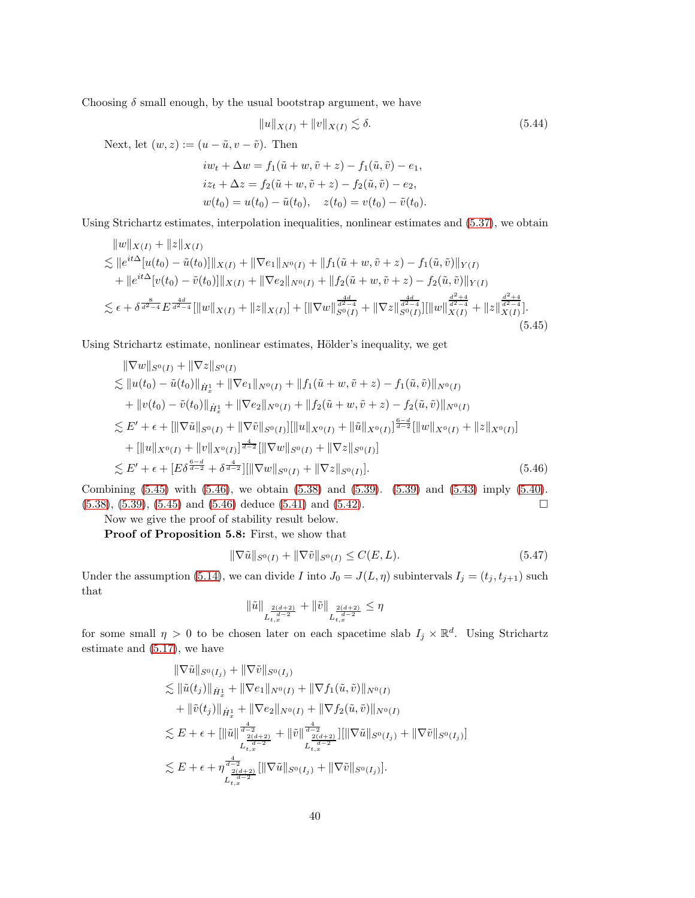Choosing  $\delta$  small enough, by the usual bootstrap argument, we have

<span id="page-39-0"></span>
$$
||u||_{X(I)} + ||v||_{X(I)} \lesssim \delta.
$$
\n(5.44)

Next, let  $(w, z) := (u - \tilde{u}, v - \tilde{v})$ . Then

$$
iw_t + \Delta w = f_1(\tilde{u} + w, \tilde{v} + z) - f_1(\tilde{u}, \tilde{v}) - e_1,
$$
  
\n
$$
iz_t + \Delta z = f_2(\tilde{u} + w, \tilde{v} + z) - f_2(\tilde{u}, \tilde{v}) - e_2,
$$
  
\n
$$
w(t_0) = u(t_0) - \tilde{u}(t_0), \quad z(t_0) = v(t_0) - \tilde{v}(t_0).
$$

Using Strichartz estimates, interpolation inequalities, nonlinear estimates and [\(5.37\)](#page-37-2), we obtain

$$
\|w\|_{X(I)} + \|z\|_{X(I)}
$$
  
\n
$$
\lesssim \|e^{it\Delta}[u(t_0) - \tilde{u}(t_0)]\|_{X(I)} + \|\nabla e_1\|_{N^0(I)} + \|f_1(\tilde{u} + w, \tilde{v} + z) - f_1(\tilde{u}, \tilde{v})\|_{Y(I)}
$$
  
\n
$$
+ \|e^{it\Delta}[v(t_0) - \tilde{v}(t_0)]\|_{X(I)} + \|\nabla e_2\|_{N^0(I)} + \|f_2(\tilde{u} + w, \tilde{v} + z) - f_2(\tilde{u}, \tilde{v})\|_{Y(I)}
$$
  
\n
$$
\lesssim \epsilon + \delta^{\frac{8}{d^2 - 4}} E^{\frac{4d}{d^2 - 4}} [\|w\|_{X(I)} + \|z\|_{X(I)}] + [\|\nabla w\|_{S^0(I)}^{\frac{4d}{d^2 - 4}} + \|\nabla z\|_{S^0(I)}^{\frac{d^2 - 4}{d^2 - 4}}] [\|w\|_{X(I)}^{\frac{d^2 - 4}{d^2 - 4}}].
$$
  
\n(5.45)

Using Strichartz estimate, nonlinear estimates, Hölder's inequality, we get

$$
\|\nabla w\|_{S^{0}(I)} + \|\nabla z\|_{S^{0}(I)}\n\lesssim \|u(t_{0}) - \tilde{u}(t_{0})\|_{\dot{H}_{x}^{1}} + \|\nabla e_{1}\|_{N^{0}(I)} + \|f_{1}(\tilde{u} + w, \tilde{v} + z) - f_{1}(\tilde{u}, \tilde{v})\|_{N^{0}(I)}\n+ \|v(t_{0}) - \tilde{v}(t_{0})\|_{\dot{H}_{x}^{1}} + \|\nabla e_{2}\|_{N^{0}(I)} + \|f_{2}(\tilde{u} + w, \tilde{v} + z) - f_{2}(\tilde{u}, \tilde{v})\|_{N^{0}(I)}\n\lesssim E' + \epsilon + [\|\nabla \tilde{u}\|_{S^{0}(I)} + \|\nabla \tilde{v}\|_{S^{0}(I)}][\|u\|_{X^{0}(I)} + \|\tilde{u}\|_{X^{0}(I)}]^{\frac{6-d}{d-2}}[\|w\|_{X^{0}(I)} + \|z\|_{X^{0}(I)}]\n+ [\|u\|_{X^{0}(I)} + \|v\|_{X^{0}(I)}]^{\frac{4}{d-2}}[\|\nabla w\|_{S^{0}(I)} + \|\nabla z\|_{S^{0}(I)}]\n\lesssim E' + \epsilon + [E\delta^{\frac{6-d}{d-2}} + \delta^{\frac{4}{d-2}}][\|\nabla w\|_{S^{0}(I)} + \|\nabla z\|_{S^{0}(I)}]. \n(5.46)
$$

Combining [\(5.45\)](#page-39-0) with [\(5.46\)](#page-39-1), we obtain [\(5.38\)](#page-38-0) and [\(5.39\)](#page-38-2). [\(5.39\)](#page-38-2) and [\(5.43\)](#page-38-3) imply [\(5.40\)](#page-38-4).  $(5.38), (5.39), (5.45) \text{ and } (5.46) \text{ deduce } (5.41) \text{ and } (5.42).$  $(5.38), (5.39), (5.45) \text{ and } (5.46) \text{ deduce } (5.41) \text{ and } (5.42).$  $(5.38), (5.39), (5.45) \text{ and } (5.46) \text{ deduce } (5.41) \text{ and } (5.42).$  $(5.38), (5.39), (5.45) \text{ and } (5.46) \text{ deduce } (5.41) \text{ and } (5.42).$  $(5.38), (5.39), (5.45) \text{ and } (5.46) \text{ deduce } (5.41) \text{ and } (5.42).$  $(5.38), (5.39), (5.45) \text{ and } (5.46) \text{ deduce } (5.41) \text{ and } (5.42).$  $(5.38), (5.39), (5.45) \text{ and } (5.46) \text{ deduce } (5.41) \text{ and } (5.42).$  $(5.38), (5.39), (5.45) \text{ and } (5.46) \text{ deduce } (5.41) \text{ and } (5.42).$  $(5.38), (5.39), (5.45) \text{ and } (5.46) \text{ deduce } (5.41) \text{ and } (5.42).$  $(5.38), (5.39), (5.45) \text{ and } (5.46) \text{ deduce } (5.41) \text{ and } (5.42).$  $(5.38), (5.39), (5.45) \text{ and } (5.46) \text{ deduce } (5.41) \text{ and } (5.42).$  $(5.38), (5.39), (5.45) \text{ and } (5.46) \text{ deduce } (5.41) \text{ and } (5.42).$ 

Now we give the proof of stability result below.

Proof of Proposition 5.8: First, we show that

<span id="page-39-1"></span>
$$
\|\nabla \tilde{u}\|_{S^{0}(I)} + \|\nabla \tilde{v}\|_{S^{0}(I)} \le C(E, L). \tag{5.47}
$$

Under the assumption [\(5.14\)](#page-34-0), we can divide I into  $J_0 = J(L, \eta)$  subintervals  $I_j = (t_j, t_{j+1})$  such that

<span id="page-39-2"></span>
$$
\|\tilde{u}\|_{L_{t,x}^{\frac{2(d+2)}{d-2}}} + \|\tilde{v}\|_{L_{t,x}^{\frac{2(d+2)}{d-2}}} \leq \eta
$$

for some small  $\eta > 0$  to be chosen later on each spacetime slab  $I_j \times \mathbb{R}^d$ . Using Strichartz estimate and [\(5.17\)](#page-34-1), we have

$$
\|\nabla \tilde{u}\|_{S^{0}(I_{j})} + \|\nabla \tilde{v}\|_{S^{0}(I_{j})} \n\lesssim \|\tilde{u}(t_{j})\|_{\dot{H}^{1}_{x}} + \|\nabla e_{1}\|_{N^{0}(I)} + \|\nabla f_{1}(\tilde{u}, \tilde{v})\|_{N^{0}(I)} \n+ \|\tilde{v}(t_{j})\|_{\dot{H}^{1}_{x}} + \|\nabla e_{2}\|_{N^{0}(I)} + \|\nabla f_{2}(\tilde{u}, \tilde{v})\|_{N^{0}(I)} \n\lesssim E + \epsilon + \|\|\tilde{u}\|_{L^{\frac{4}{d-2}}_{t,x}}^{\frac{4}{d-2}} + \|\tilde{v}\|_{\frac{2(d+2)}{d-2}}^{\frac{4}{d-2}} \|\|\nabla \tilde{u}\|_{S^{0}(I_{j})} + \|\nabla \tilde{v}\|_{S^{0}(I_{j})}] \n\lesssim E + \epsilon + \eta_{L^{\frac{4}{d-2}}_{t,x}}^{\frac{4}{d-2}} \|\nabla \tilde{u}\|_{S^{0}(I_{j})} + \|\nabla \tilde{v}\|_{S^{0}(I_{j})}.
$$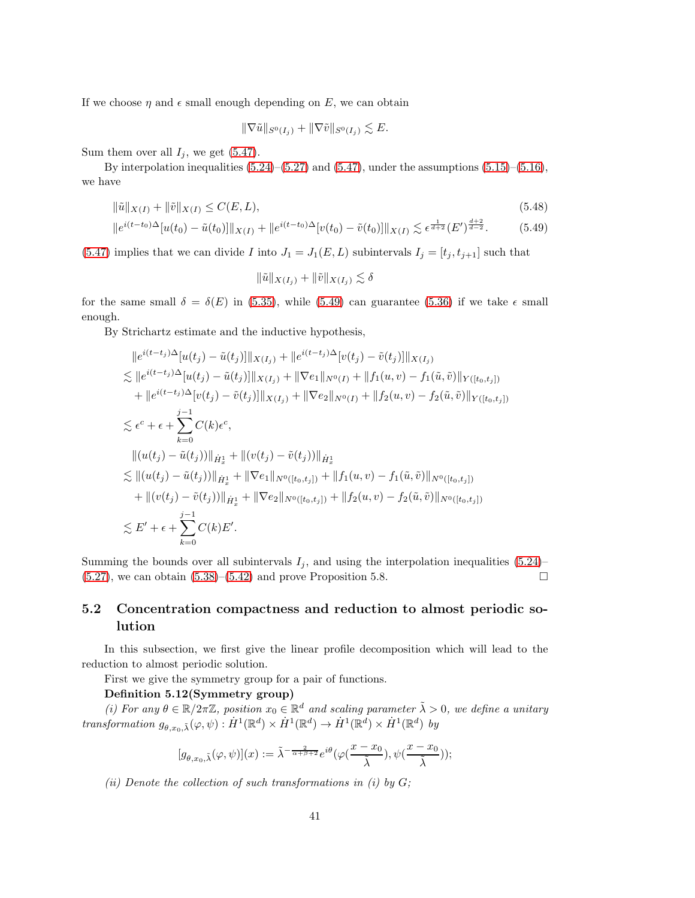If we choose  $\eta$  and  $\epsilon$  small enough depending on E, we can obtain

$$
\|\nabla \tilde{u}\|_{S^0(I_j)} + \|\nabla \tilde{v}\|_{S^0(I_j)} \lesssim E.
$$

Sum them over all  $I_j$ , we get [\(5.47\)](#page-39-2).

By interpolation inequalities  $(5.24)$ – $(5.27)$  and  $(5.47)$ , under the assumptions  $(5.15)$ – $(5.16)$ , we have

$$
\|\tilde{u}\|_{X(I)} + \|\tilde{v}\|_{X(I)} \le C(E, L),\tag{5.48}
$$

$$
||e^{i(t-t_0)\Delta}[u(t_0) - \tilde{u}(t_0)]||_{X(I)} + ||e^{i(t-t_0)\Delta}[v(t_0) - \tilde{v}(t_0)]||_{X(I)} \lesssim \epsilon^{\frac{1}{d+2}}(E')^{\frac{d+2}{d-2}}.
$$
 (5.49)

[\(5.47\)](#page-39-2) implies that we can divide I into  $J_1 = J_1(E, L)$  subintervals  $I_j = [t_j, t_{j+1}]$  such that

<span id="page-40-0"></span>
$$
\|\tilde{u}\|_{X(I_j)} + \|\tilde{v}\|_{X(I_j)} \lesssim \delta
$$

for the same small  $\delta = \delta(E)$  in [\(5.35\)](#page-37-1), while [\(5.49\)](#page-40-0) can guarantee [\(5.36\)](#page-37-3) if we take  $\epsilon$  small enough.

By Strichartz estimate and the inductive hypothesis,

$$
||e^{i(t-t_j)\Delta}[u(t_j) - \tilde{u}(t_j)]||_{X(I_j)} + ||e^{i(t-t_j)\Delta}[v(t_j) - \tilde{v}(t_j)]||_{X(I_j)}
$$
  
\n
$$
\leq ||e^{i(t-t_j)\Delta}[u(t_j) - \tilde{u}(t_j)]||_{X(I_j)} + ||\nabla e_1||_{N^0(I)} + ||f_1(u,v) - f_1(\tilde{u},\tilde{v})||_{Y([t_0,t_j])}
$$
  
\n
$$
+ ||e^{i(t-t_j)\Delta}[v(t_j) - \tilde{v}(t_j)]||_{X(I_j)} + ||\nabla e_2||_{N^0(I)} + ||f_2(u,v) - f_2(\tilde{u},\tilde{v})||_{Y([t_0,t_j])}
$$
  
\n
$$
\leq \epsilon^c + \epsilon + \sum_{k=0}^{j-1} C(k)\epsilon^c,
$$
  
\n
$$
||(u(t_j) - \tilde{u}(t_j))||_{\dot{H}^1_x} + ||v(t_j) - \tilde{v}(t_j))||_{\dot{H}^1_x}
$$
  
\n
$$
\leq ||(u(t_j) - \tilde{u}(t_j))||_{\dot{H}^1_x} + ||\nabla e_1||_{N^0([t_0,t_j])} + ||f_1(u,v) - f_1(\tilde{u},\tilde{v})||_{N^0([t_0,t_j])}
$$
  
\n
$$
+ ||(v(t_j) - \tilde{v}(t_j))||_{\dot{H}^1_x} + ||\nabla e_2||_{N^0([t_0,t_j])} + ||f_2(u,v) - f_2(\tilde{u},\tilde{v})||_{N^0([t_0,t_j])}
$$
  
\n
$$
\leq E' + \epsilon + \sum_{k=0}^{j-1} C(k)E'.
$$

Summing the bounds over all subintervals  $I_j$ , and using the interpolation inequalities [\(5.24\)](#page-35-0)–  $(5.27)$ , we can obtain  $(5.38)$ – $(5.42)$  and prove Proposition 5.8.

## 5.2 Concentration compactness and reduction to almost periodic solution

In this subsection, we first give the linear profile decomposition which will lead to the reduction to almost periodic solution.

First we give the symmetry group for a pair of functions.

### Definition 5.12(Symmetry group)

(i) For any  $\theta \in \mathbb{R}/2\pi\mathbb{Z}$ , position  $x_0 \in \mathbb{R}^d$  and scaling parameter  $\tilde{\lambda} > 0$ , we define a unitary transformation  $g_{\theta,x_0,\tilde{\lambda}}(\varphi,\psi) : \dot{H}^1(\mathbb{R}^d) \times \dot{H}^1(\mathbb{R}^d) \to \dot{H}^1(\mathbb{R}^d) \times \dot{H}^1(\mathbb{R}^d)$  by

$$
[g_{\theta,x_0,\tilde\lambda}(\varphi,\psi)](x):=\tilde\lambda^{-\frac{2}{\alpha+\beta+2}}e^{i\theta}\big(\varphi(\frac{x-x_0}{\tilde\lambda}),\psi(\frac{x-x_0}{\tilde\lambda})\big);
$$

(ii) Denote the collection of such transformations in (i) by  $G$ ;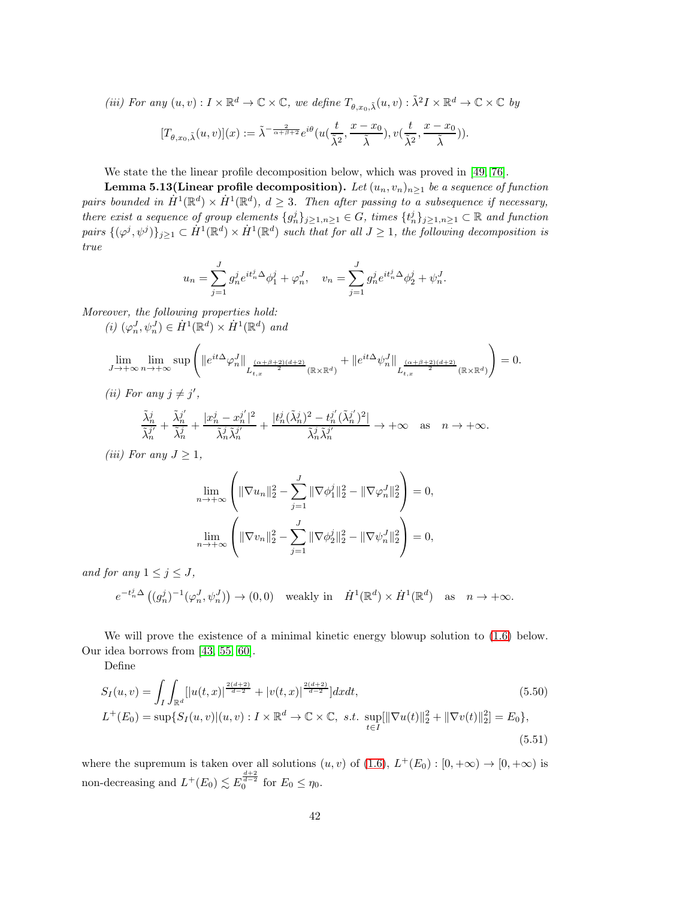(iii) For any  $(u, v) : I \times \mathbb{R}^d \to \mathbb{C} \times \mathbb{C}$ , we define  $T_{\theta, x_0, \tilde{\lambda}}(u, v) : \tilde{\lambda}^2 I \times \mathbb{R}^d \to \mathbb{C} \times \mathbb{C}$  by

$$
[T_{\theta,x_0,\tilde\lambda}(u,v)](x):=\tilde\lambda^{-\frac{2}{\alpha+\beta+2}}e^{i\theta}(u(\frac{t}{\tilde\lambda^2},\frac{x-x_0}{\tilde\lambda}),v(\frac{t}{\tilde\lambda^2},\frac{x-x_0}{\tilde\lambda})).
$$

We state the the linear profile decomposition below, which was proved in [\[49,](#page-97-0) [76\]](#page-99-0).

Lemma 5.13(Linear profile decomposition). Let  $(u_n, v_n)_{n>1}$  be a sequence of function pairs bounded in  $\dot{H}^1(\mathbb{R}^d) \times \dot{H}^1(\mathbb{R}^d)$ ,  $d \geq 3$ . Then after passing to a subsequence if necessary, there exist a sequence of group elements  $\{g_n^j\}_{j\geq 1,n\geq 1}\in G$ , times  $\{t_n^j\}_{j\geq 1,n\geq 1}\subset \mathbb{R}$  and function pairs  $\{(\varphi^j, \psi^j)\}_{j\geq 1} \subset \dot{H}^1(\mathbb{R}^d) \times \dot{H}^1(\mathbb{R}^d)$  such that for all  $J \geq 1$ , the following decomposition is true

$$
u_n = \sum_{j=1}^{J} g_n^j e^{it_n^j \Delta} \phi_1^j + \varphi_n^J, \quad v_n = \sum_{j=1}^{J} g_n^j e^{it_n^j \Delta} \phi_2^j + \psi_n^J.
$$

Moreover, the following properties hold:

 $(i)$   $(\varphi_n^J, \psi_n^J) \in \dot{H}^1(\mathbb{R}^d) \times \dot{H}^1(\mathbb{R}^d)$  and

$$
\lim_{J\to +\infty}\lim_{n\to +\infty}\sup\left(\|e^{it\Delta}\varphi^J_n\|_{L^\frac{(\alpha+\beta+2)(d+2)}{2}}_{t,x}+\|e^{it\Delta}\psi^J_n\|_{L^\frac{(\alpha+\beta+2)(d+2)}{2}}_{t,x}(\mathbb{R}\times\mathbb{R}^d)}\right)=0.
$$

(*ii*) For any  $j \neq j'$ ,

$$
\frac{\tilde{\lambda}_n^j}{\tilde{\lambda}_n^{j'}} + \frac{\tilde{\lambda}_n^{j'}}{\tilde{\lambda}_n^j} + \frac{|x_n^j - x_n^{j'}|^2}{\tilde{\lambda}_n^j \tilde{\lambda}_n^{j'}} + \frac{|t_n^j(\tilde{\lambda}_n^j)^2 - t_n^{j'}(\tilde{\lambda}_n^{j'})^2|}{\tilde{\lambda}_n^j \tilde{\lambda}_n^{j'}} \to +\infty \quad \text{as} \quad n \to +\infty.
$$

(iii) For any  $J \geq 1$ ,

$$
\lim_{n \to +\infty} \left( \|\nabla u_n\|_2^2 - \sum_{j=1}^J \|\nabla \phi_1^j\|_2^2 - \|\nabla \varphi_n^J\|_2^2 \right) = 0,
$$
  

$$
\lim_{n \to +\infty} \left( \|\nabla v_n\|_2^2 - \sum_{j=1}^J \|\nabla \phi_2^j\|_2^2 - \|\nabla \psi_n^J\|_2^2 \right) = 0,
$$

and for any  $1 \leq j \leq J$ ,

$$
e^{-t_n^j \Delta} \left( (g_n^j)^{-1} (\varphi_n^J, \psi_n^J) \right) \to (0, 0) \quad \text{weakly in} \quad \dot{H}^1(\mathbb{R}^d) \times \dot{H}^1(\mathbb{R}^d) \quad \text{as} \quad n \to +\infty.
$$

We will prove the existence of a minimal kinetic energy blowup solution to  $(1.6)$  below. Our idea borrows from [\[43,](#page-97-1) [55,](#page-98-1) [60\]](#page-98-0).

Define

$$
S_I(u, v) = \int_I \int_{\mathbb{R}^d} [|u(t, x)|^{\frac{2(d+2)}{d-2}} + |v(t, x)|^{\frac{2(d+2)}{d-2}}] dx dt,
$$
\n
$$
L^+(E_0) = \sup\{S_I(u, v)|(u, v) : I \times \mathbb{R}^d \to \mathbb{C} \times \mathbb{C}, \ s.t. \ \sup_{t \in I} [||\nabla u(t)||_2^2 + ||\nabla v(t)||_2^2] = E_0\},
$$
\n(5.51)

where the supremum is taken over all solutions  $(u, v)$  of  $(1.6)$ ,  $L^+(E_0) : [0, +\infty) \to [0, +\infty)$  is non-decreasing and  $L^+(E_0) \lesssim E_0^{\frac{d+2}{d-2}}$  for  $E_0 \leq \eta_0$ .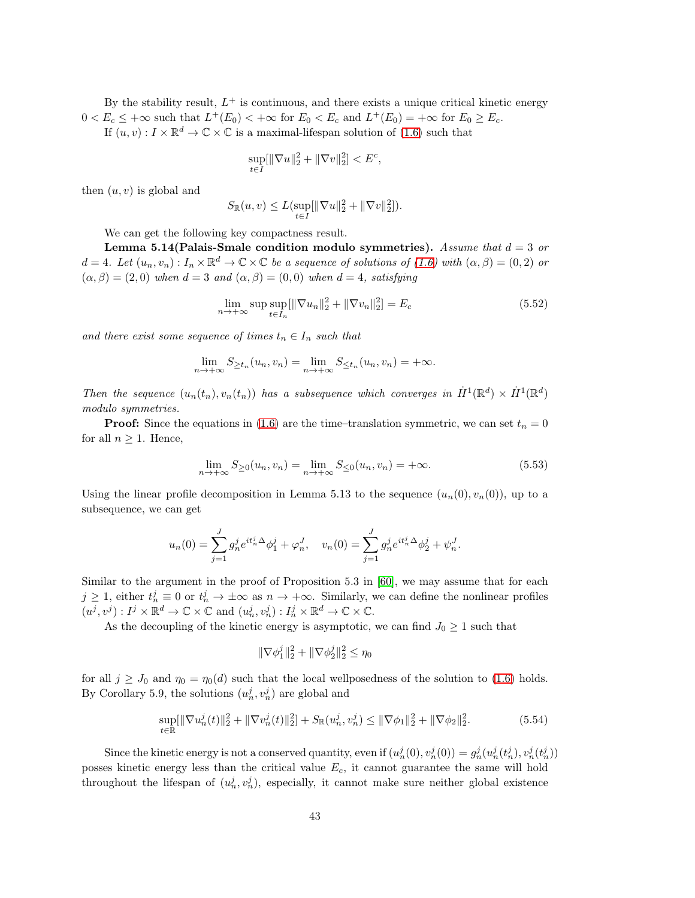By the stability result,  $L^+$  is continuous, and there exists a unique critical kinetic energy  $0 < E_c \leq +\infty$  such that  $L^+(E_0) < +\infty$  for  $E_0 < E_c$  and  $L^+(E_0) = +\infty$  for  $E_0 \geq E_c$ .

If  $(u, v) : I \times \mathbb{R}^d \to \mathbb{C} \times \mathbb{C}$  is a maximal-lifespan solution of  $(1.6)$  such that

$$
\sup_{t \in I} [\|\nabla u\|_2^2 + \|\nabla v\|_2^2] < E^c
$$

then  $(u, v)$  is global and

$$
S_{\mathbb{R}}(u, v) \le L(\sup_{t \in I} [\|\nabla u\|_2^2 + \|\nabla v\|_2^2]).
$$

We can get the following key compactness result.

Lemma 5.14 (Palais-Smale condition modulo symmetries). Assume that  $d = 3$  or  $d = 4$ . Let  $(u_n, v_n) : I_n \times \mathbb{R}^d \to \mathbb{C} \times \mathbb{C}$  be a sequence of solutions of  $(1.6)$  with  $(\alpha, \beta) = (0, 2)$  or  $(\alpha, \beta) = (2, 0)$  when  $d = 3$  and  $(\alpha, \beta) = (0, 0)$  when  $d = 4$ , satisfying

$$
\lim_{n \to +\infty} \sup \sup_{t \in I_n} [\|\nabla u_n\|_2^2 + \|\nabla v_n\|_2^2] = E_c
$$
\n(5.52)

<span id="page-42-2"></span>,

and there exist some sequence of times  $t_n \in I_n$  such that

$$
\lim_{n \to +\infty} S_{\geq t_n}(u_n, v_n) = \lim_{n \to +\infty} S_{\leq t_n}(u_n, v_n) = +\infty.
$$

Then the sequence  $(u_n(t_n), v_n(t_n))$  has a subsequence which converges in  $\dot{H}^1(\mathbb{R}^d) \times \dot{H}^1(\mathbb{R}^d)$ modulo symmetries.

**Proof:** Since the equations in [\(1.6\)](#page-3-0) are the time–translation symmetric, we can set  $t_n = 0$ for all  $n \geq 1$ . Hence,

<span id="page-42-0"></span>
$$
\lim_{n \to +\infty} S_{\geq 0}(u_n, v_n) = \lim_{n \to +\infty} S_{\leq 0}(u_n, v_n) = +\infty.
$$
\n(5.53)

Using the linear profile decomposition in Lemma 5.13 to the sequence  $(u_n(0), v_n(0))$ , up to a subsequence, we can get

$$
u_n(0) = \sum_{j=1}^J g_n^j e^{it_n^j \Delta} \phi_1^j + \varphi_n^J, \quad v_n(0) = \sum_{j=1}^J g_n^j e^{it_n^j \Delta} \phi_2^j + \psi_n^J.
$$

Similar to the argument in the proof of Proposition 5.3 in [\[60\]](#page-98-0), we may assume that for each  $j \geq 1$ , either  $t_n^j \equiv 0$  or  $t_n^j \to \pm \infty$  as  $n \to +\infty$ . Similarly, we can define the nonlinear profiles  $(u^j, v^j) : I^j \times \mathbb{R}^d \to \mathbb{C} \times \mathbb{C}$  and  $(u^j_n, v^j_n) : I^j_n \times \mathbb{R}^d \to \mathbb{C} \times \mathbb{C}$ .

As the decoupling of the kinetic energy is asymptotic, we can find  $J_0 \geq 1$  such that

<span id="page-42-1"></span>
$$
\|\nabla \phi_1^j\|_2^2 + \|\nabla \phi_2^j\|_2^2 \le \eta_0
$$

for all  $j \geq J_0$  and  $\eta_0 = \eta_0(d)$  such that the local wellposedness of the solution to [\(1.6\)](#page-3-0) holds. By Corollary 5.9, the solutions  $(u_n^j, v_n^j)$  are global and

$$
\sup_{t \in \mathbb{R}} [\|\nabla u_n^j(t)\|_2^2 + \|\nabla v_n^j(t)\|_2^2] + S_{\mathbb{R}}(u_n^j, v_n^j) \le \|\nabla \phi_1\|_2^2 + \|\nabla \phi_2\|_2^2. \tag{5.54}
$$

Since the kinetic energy is not a conserved quantity, even if  $(u_n^j(0), v_n^j(0)) = g_n^j(u_n^j(t_n^j), v_n^j(t_n^j))$ posses kinetic energy less than the critical value  $E_c$ , it cannot guarantee the same will hold throughout the lifespan of  $(u_n^j, v_n^j)$ , especially, it cannot make sure neither global existence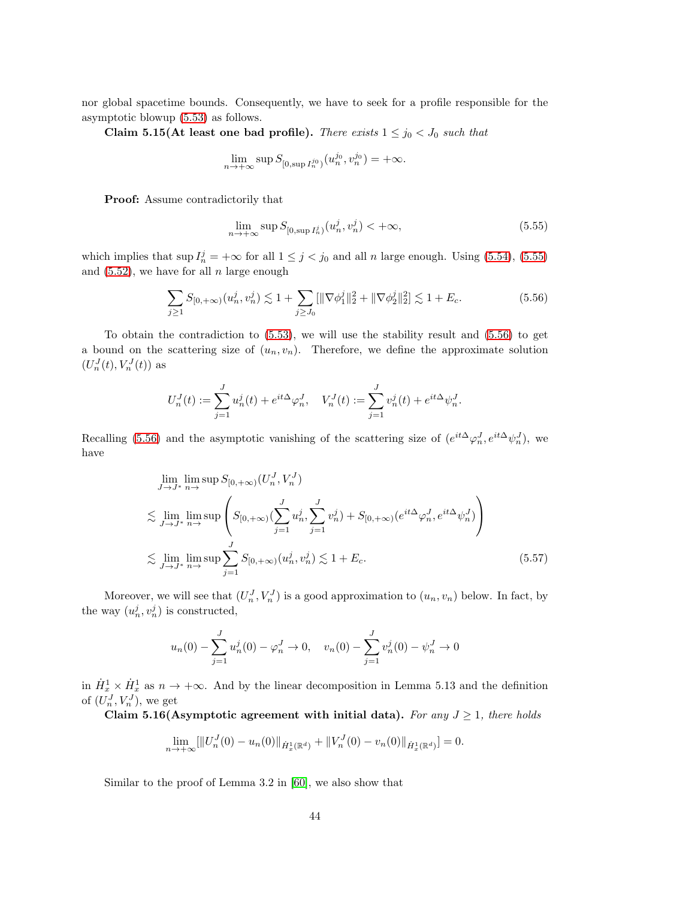nor global spacetime bounds. Consequently, we have to seek for a profile responsible for the asymptotic blowup [\(5.53\)](#page-42-0) as follows.

Claim 5.15(At least one bad profile). There exists  $1 \le j_0 < J_0$  such that

$$
\lim_{n \to +\infty} \sup S_{[0, \sup I_n^{j_0})}(u_n^{j_0}, v_n^{j_0}) = +\infty.
$$

Proof: Assume contradictorily that

<span id="page-43-1"></span><span id="page-43-0"></span>
$$
\lim_{n \to +\infty} \sup S_{[0, \sup I_n^j)}(u_n^j, v_n^j) < +\infty,\tag{5.55}
$$

which implies that  $\sup I_n^j = +\infty$  for all  $1 \leq j < j_0$  and all n large enough. Using [\(5.54\)](#page-42-1), [\(5.55\)](#page-43-0) and  $(5.52)$ , we have for all n large enough

$$
\sum_{j\geq 1} S_{[0,+\infty)}(u_n^j, v_n^j) \lesssim 1 + \sum_{j\geq J_0} [\|\nabla \phi_1^j\|_2^2 + \|\nabla \phi_2^j\|_2^2] \lesssim 1 + E_c.
$$
 (5.56)

To obtain the contradiction to [\(5.53\)](#page-42-0), we will use the stability result and [\(5.56\)](#page-43-1) to get a bound on the scattering size of  $(u_n, v_n)$ . Therefore, we define the approximate solution  $(U_n^J(t), V_n^J(t))$  as

$$
U_n^J(t) := \sum_{j=1}^J u_n^j(t) + e^{it\Delta} \varphi_n^J, \quad V_n^J(t) := \sum_{j=1}^J v_n^j(t) + e^{it\Delta} \psi_n^J.
$$

Recalling [\(5.56\)](#page-43-1) and the asymptotic vanishing of the scattering size of  $(e^{it\Delta}\varphi_n^J, e^{it\Delta}\psi_n^J)$ , we have

$$
\lim_{J \to J^*} \lim_{n \to} \sup S_{[0, +\infty)}(U_n^J, V_n^J)
$$
\n
$$
\lesssim \lim_{J \to J^*} \lim_{n \to} \sup \left( S_{[0, +\infty)}(\sum_{j=1}^J u_n^j, \sum_{j=1}^J v_n^j) + S_{[0, +\infty)}(e^{it\Delta} \varphi_n^J, e^{it\Delta} \psi_n^J) \right)
$$
\n
$$
\lesssim \lim_{J \to J^*} \lim_{n \to} \sup \sum_{j=1}^J S_{[0, +\infty)}(u_n^j, v_n^j) \lesssim 1 + E_c.
$$
\n(5.57)

Moreover, we will see that  $(U_n^J, V_n^J)$  is a good approximation to  $(u_n, v_n)$  below. In fact, by the way  $(u_n^j, v_n^j)$  is constructed,

<span id="page-43-2"></span>
$$
u_n(0) - \sum_{j=1}^J u_n^j(0) - \varphi_n^J \to 0, \quad v_n(0) - \sum_{j=1}^J v_n^j(0) - \psi_n^J \to 0
$$

in  $\dot{H}_x^1 \times \dot{H}_x^1$  as  $n \to +\infty$ . And by the linear decomposition in Lemma 5.13 and the definition of  $(U_n^J, V_n^J)$ , we get

Claim 5.16(Asymptotic agreement with initial data). For any  $J \geq 1$ , there holds

$$
\lim_{n \to +\infty} [||U_n^J(0) - u_n(0)||_{\dot{H}_x^1(\mathbb{R}^d)} + ||V_n^J(0) - v_n(0)||_{\dot{H}_x^1(\mathbb{R}^d)}] = 0.
$$

Similar to the proof of Lemma 3.2 in [\[60\]](#page-98-0), we also show that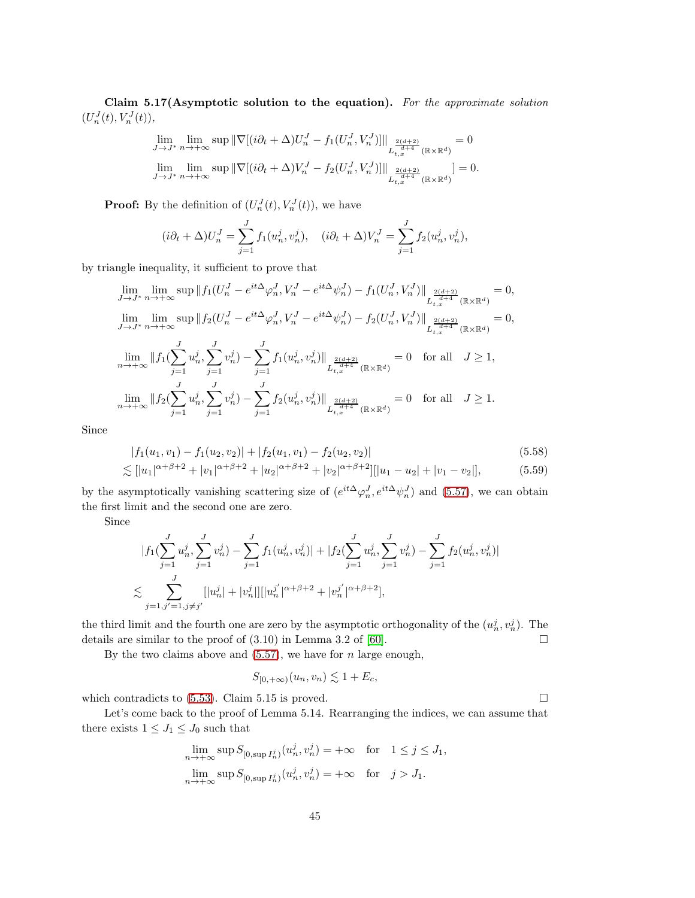Claim 5.17(Asymptotic solution to the equation). For the approximate solution  $(U_n^J(t), V_n^J(t)),$ 

$$
\lim_{J \to J^*} \lim_{n \to +\infty} \sup \|\nabla[(i\partial_t + \Delta)U_n^J - f_1(U_n^J, V_n^J)]\|_{L^{\frac{2(d+2)}{d+4}}_{t,x}(\mathbb{R} \times \mathbb{R}^d)} = 0
$$
  

$$
\lim_{J \to J^*} \lim_{n \to +\infty} \sup \|\nabla[(i\partial_t + \Delta)V_n^J - f_2(U_n^J, V_n^J)]\|_{L^{\frac{2(d+2)}{d+4}}_{t,x}(\mathbb{R} \times \mathbb{R}^d)} = 0.
$$

**Proof:** By the definition of  $(U_n^J(t), V_n^J(t))$ , we have

$$
(i\partial_t + \Delta)U_n^J = \sum_{j=1}^J f_1(u_n^j, v_n^j), \quad (i\partial_t + \Delta)V_n^J = \sum_{j=1}^J f_2(u_n^j, v_n^j),
$$

by triangle inequality, it sufficient to prove that

$$
\lim_{J \to J^*} \lim_{n \to +\infty} \sup \|f_1(U_n^J - e^{it\Delta} \varphi_n^J, V_n^J - e^{it\Delta} \psi_n^J) - f_1(U_n^J, V_n^J) \|_{L^{\frac{2(d+2)}{d+4}}_{t,x}(\mathbb{R} \times \mathbb{R}^d)} = 0,
$$
  
\n
$$
\lim_{J \to J^*} \lim_{n \to +\infty} \sup \|f_2(U_n^J - e^{it\Delta} \varphi_n^J, V_n^J - e^{it\Delta} \psi_n^J) - f_2(U_n^J, V_n^J) \|_{L^{\frac{2(d+2)}{d+4}}_{t,x}(\mathbb{R} \times \mathbb{R}^d)} = 0,
$$
  
\n
$$
\lim_{n \to +\infty} \|f_1(\sum_{j=1}^J u_n^j, \sum_{j=1}^J v_n^j) - \sum_{j=1}^J f_1(u_n^j, v_n^j) \|_{L^{\frac{2(d+2)}{d+4}}_{t,x}(\mathbb{R} \times \mathbb{R}^d)} = 0 \text{ for all } J \ge 1,
$$
  
\n
$$
\lim_{n \to +\infty} \|f_2(\sum_{j=1}^J u_n^j, \sum_{j=1}^J v_n^j) - \sum_{j=1}^J f_2(u_n^j, v_n^j) \|_{L^{\frac{2(d+2)}{d+4}}_{t,x}(\mathbb{R} \times \mathbb{R}^d)} = 0 \text{ for all } J \ge 1.
$$

Since

$$
|f_1(u_1, v_1) - f_1(u_2, v_2)| + |f_2(u_1, v_1) - f_2(u_2, v_2)|
$$
\n
$$
\lesssim [|u_1|^{\alpha + \beta + 2} + |v_1|^{\alpha + \beta + 2} + |u_2|^{\alpha + \beta + 2} + |v_2|^{\alpha + \beta + 2}] |u_1 - u_2| + |v_1 - v_2|],
$$
\n(5.59)

by the asymptotically vanishing scattering size of  $(e^{it\Delta}\varphi_n^J, e^{it\Delta}\psi_n^J)$  and [\(5.57\)](#page-43-2), we can obtain the first limit and the second one are zero.

Since

$$
|f_1(\sum_{j=1}^J u_n^j, \sum_{j=1}^J v_n^j) - \sum_{j=1}^J f_1(u_n^j, v_n^j)| + |f_2(\sum_{j=1}^J u_n^j, \sum_{j=1}^J v_n^j) - \sum_{j=1}^J f_2(u_n^j, v_n^j)|
$$
  

$$
\lesssim \sum_{j=1, j'=1, j\neq j'}^J [|u_n^j| + |v_n^j|] [|u_n^{j'}|^{\alpha+\beta+2} + |v_n^{j'}|^{\alpha+\beta+2}],
$$

the third limit and the fourth one are zero by the asymptotic orthogonality of the  $(u_n^j, v_n^j)$ . The details are similar to the proof of  $(3.10)$  in Lemma 3.2 of [\[60\]](#page-98-0).

By the two claims above and  $(5.57)$ , we have for n large enough,

$$
S_{[0,+\infty)}(u_n,v_n) \lesssim 1+E_c,
$$

which contradicts to  $(5.53)$ . Claim 5.15 is proved.  $\Box$ 

Let's come back to the proof of Lemma 5.14. Rearranging the indices, we can assume that there exists  $1 \leq J_1 \leq J_0$  such that

$$
\lim_{n \to +\infty} \sup S_{[0, \sup I_n^j)}(u_n^j, v_n^j) = +\infty \quad \text{for} \quad 1 \le j \le J_1,
$$
  

$$
\lim_{n \to +\infty} \sup S_{[0, \sup I_n^j)}(u_n^j, v_n^j) = +\infty \quad \text{for} \quad j > J_1.
$$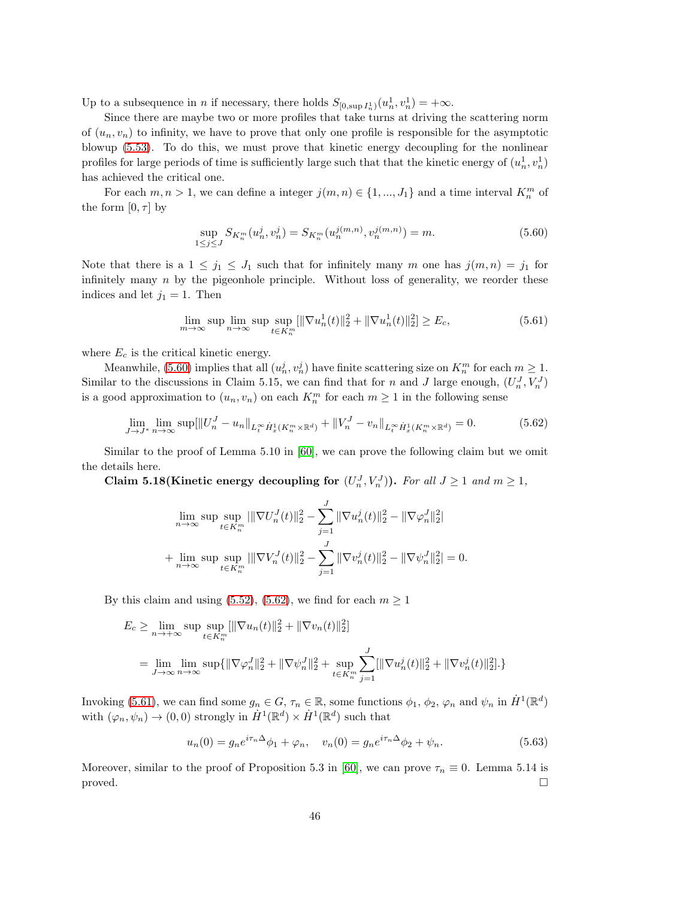Up to a subsequence in *n* if necessary, there holds  $S_{[0, \sup I_n^1)}(u_n^1, v_n^1) = +\infty$ .

Since there are maybe two or more profiles that take turns at driving the scattering norm of  $(u_n, v_n)$  to infinity, we have to prove that only one profile is responsible for the asymptotic blowup [\(5.53\)](#page-42-0). To do this, we must prove that kinetic energy decoupling for the nonlinear profiles for large periods of time is sufficiently large such that that the kinetic energy of  $(u_n^1, v_n^1)$ has achieved the critical one.

For each  $m, n > 1$ , we can define a integer  $j(m, n) \in \{1, ..., J_1\}$  and a time interval  $K_n^m$  of the form  $[0, \tau]$  by

<span id="page-45-2"></span><span id="page-45-0"></span>
$$
\sup_{1 \le j \le J} S_{K_n^m}(u_n^j, v_n^j) = S_{K_n^m}(u_n^{j(m,n)}, v_n^{j(m,n)}) = m.
$$
\n(5.60)

Note that there is a  $1 \leq j_1 \leq J_1$  such that for infinitely many m one has  $j(m, n) = j_1$  for infinitely many  $n$  by the pigeonhole principle. Without loss of generality, we reorder these indices and let  $j_1 = 1$ . Then

<span id="page-45-1"></span>
$$
\lim_{m \to \infty} \sup \lim_{n \to \infty} \sup \sup_{t \in K_n^m} [\|\nabla u_n^1(t)\|_2^2 + \|\nabla u_n^1(t)\|_2^2] \ge E_c,
$$
\n(5.61)

where  $E_c$  is the critical kinetic energy.

Meanwhile, [\(5.60\)](#page-45-0) implies that all  $(u_n^j, v_n^j)$  have finite scattering size on  $K_n^m$  for each  $m \ge 1$ . Similar to the discussions in Claim 5.15, we can find that for n and J large enough,  $(U_n^J, V_n^J)$ is a good approximation to  $(u_n, v_n)$  on each  $K_n^m$  for each  $m \geq 1$  in the following sense

$$
\lim_{J \to J^*} \lim_{n \to \infty} \sup[||U_n^J - u_n||_{L_t^\infty \dot{H}_x^1(K_n^m \times \mathbb{R}^d)} + ||V_n^J - v_n||_{L_t^\infty \dot{H}_x^1(K_n^m \times \mathbb{R}^d)} = 0. \tag{5.62}
$$

Similar to the proof of Lemma 5.10 in [\[60\]](#page-98-0), we can prove the following claim but we omit the details here.

Claim 5.18(Kinetic energy decoupling for  $(U_n^J, V_n^J)$ ). For all  $J \ge 1$  and  $m \ge 1$ ,

$$
\lim_{n \to \infty} \sup \sup_{t \in K_n^m} |||\nabla U_n^J(t)||_2^2 - \sum_{j=1}^J ||\nabla u_n^j(t)||_2^2 - ||\nabla \varphi_n^J||_2^2|
$$
  
+ 
$$
\lim_{n \to \infty} \sup \sup_{t \in K_n^m} |||\nabla V_n^J(t)||_2^2 - \sum_{j=1}^J ||\nabla v_n^j(t)||_2^2 - ||\nabla \psi_n^J||_2^2| = 0.
$$

By this claim and using [\(5.52\)](#page-42-2), [\(5.62\)](#page-45-1), we find for each  $m \ge 1$ 

$$
E_c \ge \lim_{n \to +\infty} \sup \sup_{t \in K_n^m} [\|\nabla u_n(t)\|_2^2 + \|\nabla v_n(t)\|_2^2]
$$
  
= 
$$
\lim_{J \to \infty} \lim_{n \to \infty} \sup \{ \|\nabla \varphi_n^J\|_2^2 + \|\nabla \psi_n^J\|_2^2 + \sup_{t \in K_n^m} \sum_{j=1}^J [\|\nabla u_n^j(t)\|_2^2 + \|\nabla v_n^j(t)\|_2^2] \}.
$$

Invoking [\(5.61\)](#page-45-2), we can find some  $g_n \in G$ ,  $\tau_n \in \mathbb{R}$ , some functions  $\phi_1$ ,  $\phi_2$ ,  $\varphi_n$  and  $\psi_n$  in  $\dot{H}^1(\mathbb{R}^d)$ with  $(\varphi_n, \psi_n) \to (0, 0)$  strongly in  $\dot{H}^1(\mathbb{R}^d) \times \dot{H}^1(\mathbb{R}^d)$  such that

$$
u_n(0) = g_n e^{i\tau_n \Delta} \phi_1 + \varphi_n, \quad v_n(0) = g_n e^{i\tau_n \Delta} \phi_2 + \psi_n.
$$
 (5.63)

Moreover, similar to the proof of Proposition 5.3 in [\[60\]](#page-98-0), we can prove  $\tau_n \equiv 0$ . Lemma 5.14 is proved.  $\square$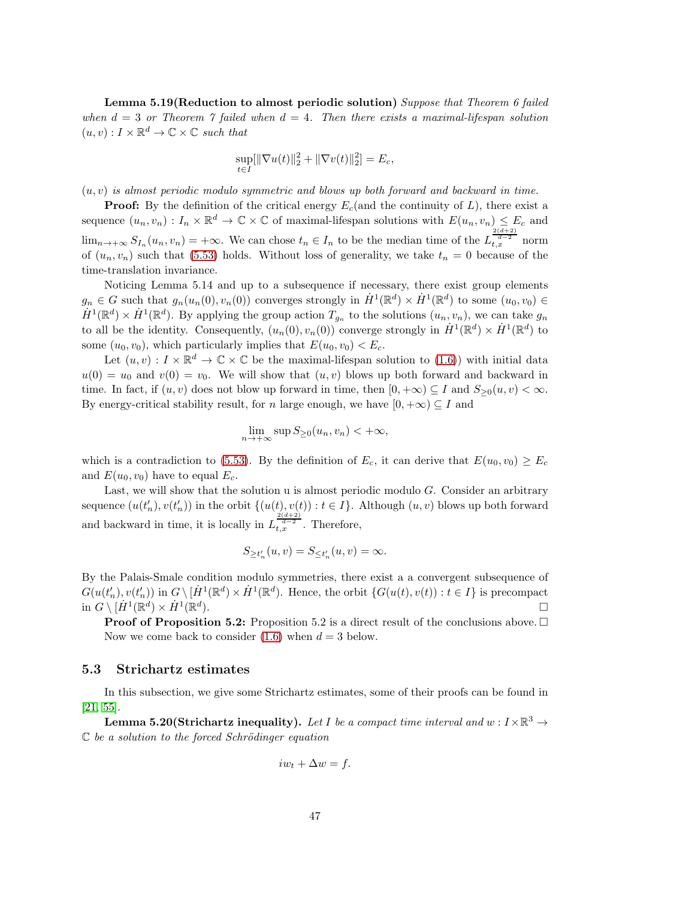Lemma 5.19(Reduction to almost periodic solution) Suppose that Theorem 6 failed when  $d = 3$  or Theorem 7 failed when  $d = 4$ . Then there exists a maximal-lifespan solution  $(u, v) : I \times \mathbb{R}^d \to \mathbb{C} \times \mathbb{C}$  such that

$$
\sup_{t \in I} [\|\nabla u(t)\|_2^2 + \|\nabla v(t)\|_2^2] = E_c,
$$

 $(u, v)$  is almost periodic modulo symmetric and blows up both forward and backward in time.

**Proof:** By the definition of the critical energy  $E_c$  (and the continuity of L), there exist a sequence  $(u_n, v_n) : I_n \times \mathbb{R}^d \to \mathbb{C} \times \mathbb{C}$  of maximal-lifespan solutions with  $E(u_n, v_n) \leq E_c$  and  $\lim_{n\to+\infty} S_{I_n}(u_n,v_n) = +\infty$ . We can chose  $t_n \in I_n$  to be the median time of the  $L_{t,x}^{\frac{2(d+2)}{d-2}}$  norm of  $(u_n, v_n)$  such that [\(5.53\)](#page-42-0) holds. Without loss of generality, we take  $t_n = 0$  because of the time-translation invariance.

Noticing Lemma 5.14 and up to a subsequence if necessary, there exist group elements  $g_n \in G$  such that  $g_n(u_n(0), v_n(0))$  converges strongly in  $\dot{H}^1(\mathbb{R}^d) \times \dot{H}^1(\mathbb{R}^d)$  to some  $(u_0, v_0) \in$  $\dot{H}^1(\mathbb{R}^d) \times \dot{H}^1(\mathbb{R}^d)$ . By applying the group action  $T_{g_n}$  to the solutions  $(u_n, v_n)$ , we can take  $g_n$ to all be the identity. Consequently,  $(u_n(0), v_n(0))$  converge strongly in  $\dot{H}^1(\mathbb{R}^d) \times \dot{H}^1(\mathbb{R}^d)$  to some  $(u_0, v_0)$ , which particularly implies that  $E(u_0, v_0) < E_c$ .

Let  $(u, v) : I \times \mathbb{R}^d \to \mathbb{C} \times \mathbb{C}$  be the maximal-lifespan solution to  $(1.6)$ ) with initial data  $u(0) = u_0$  and  $v(0) = v_0$ . We will show that  $(u, v)$  blows up both forward and backward in time. In fact, if  $(u, v)$  does not blow up forward in time, then  $[0, +\infty) \subseteq I$  and  $S_{\geq 0}(u, v) < \infty$ . By energy-critical stability result, for n large enough, we have  $[0, +\infty) \subseteq I$  and

$$
\lim_{n \to +\infty} \sup S_{\geq 0}(u_n, v_n) < +\infty,
$$

which is a contradiction to [\(5.53\)](#page-42-0). By the definition of  $E_c$ , it can derive that  $E(u_0, v_0) \ge E_c$ and  $E(u_0, v_0)$  have to equal  $E_c$ .

Last, we will show that the solution  $u$  is almost periodic modulo  $G$ . Consider an arbitrary sequence  $(u(t'_n), v(t'_n))$  in the orbit  $\{(u(t), v(t)) : t \in I\}$ . Although  $(u, v)$  blows up both forward and backward in time, it is locally in  $L_{t,x}^{\frac{2(d+2)}{d-2}}$ . Therefore,

$$
S_{\geq t'_n}(u,v) = S_{\leq t'_n}(u,v) = \infty.
$$

By the Palais-Smale condition modulo symmetries, there exist a a convergent subsequence of  $G(u(t'_n), v(t'_n))$  in  $G \setminus [\dot{H}^1(\mathbb{R}^d) \times \dot{H}^1(\mathbb{R}^d)$ . Hence, the orbit  $\{G(u(t), v(t)) : t \in I\}$  is precompact in  $G \setminus [\dot{H}^1(\mathbb{R}^d) \times \dot{H}^1(\mathbb{R}^d)]$ ). The contract of the contract of  $\Box$ 

**Proof of Proposition 5.2:** Proposition 5.2 is a direct result of the conclusions above.  $\Box$ Now we come back to consider  $(1.6)$  when  $d = 3$  below.

#### 5.3 Strichartz estimates

In this subsection, we give some Strichartz estimates, some of their proofs can be found in [\[21,](#page-96-0) [55\]](#page-98-1).

**Lemma 5.20(Strichartz inequality).** Let I be a compact time interval and  $w: I \times \mathbb{R}^3 \to$  $\mathbb C$  be a solution to the forced Schrödinger equation

$$
iw_t + \Delta w = f.
$$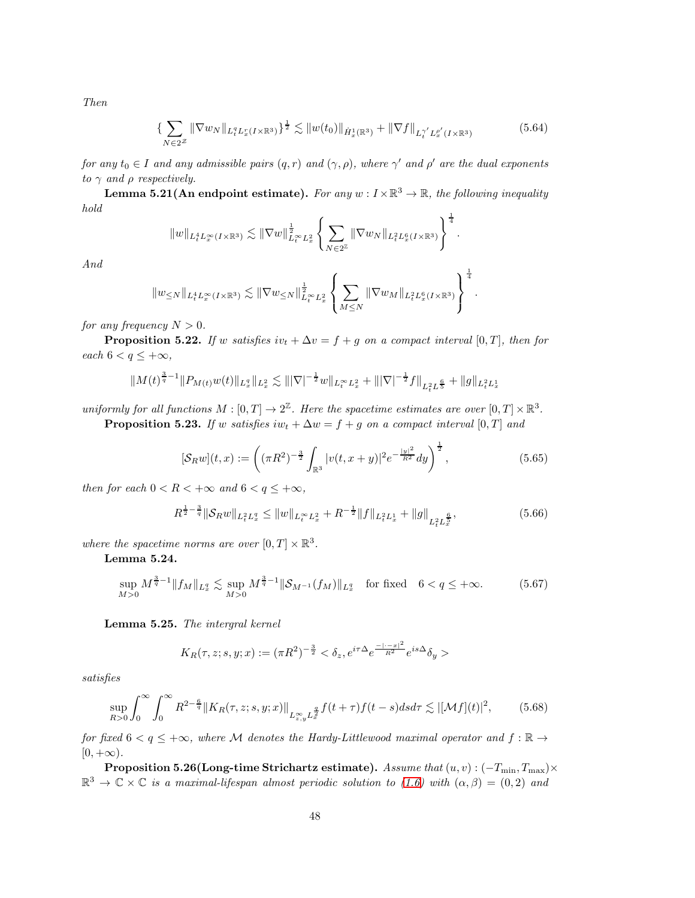Then

$$
\{\sum_{N\in 2^{Z}} \|\nabla w_{N}\|_{L_{t}^{q}L_{x}^{r}(I\times\mathbb{R}^{3})}\}^{\frac{1}{2}} \lesssim \|w(t_{0})\|_{\dot{H}_{x}^{1}(\mathbb{R}^{3})} + \|\nabla f\|_{L_{t}^{\gamma'}L_{x}^{\rho'}(I\times\mathbb{R}^{3})}
$$
(5.64)

for any  $t_0 \in I$  and any admissible pairs  $(q,r)$  and  $(\gamma, \rho)$ , where  $\gamma'$  and  $\rho'$  are the dual exponents to  $\gamma$  and  $\rho$  respectively.

**Lemma 5.21(An endpoint estimate).** For any  $w: I \times \mathbb{R}^3 \to \mathbb{R}$ , the following inequality hold  $\mathbf{1}$ 

$$
||w||_{L_t^4 L_x^{\infty}(I \times \mathbb{R}^3)} \lesssim ||\nabla w||_{L_t^{\infty} L_x^2}^{\frac{1}{2}} \left\{ \sum_{N \in 2^{\mathbb{Z}}} ||\nabla w_N||_{L_t^2 L_x^6(I \times \mathbb{R}^3)} \right\}^{\frac{1}{4}}.
$$

And

$$
||w_{\leq N}||_{L_t^4 L_x^{\infty}(I \times \mathbb{R}^3)} \lesssim ||\nabla w_{\leq N}||_{L_t^{\infty} L_x^2}^{\frac{1}{2}} \left\{ \sum_{M \leq N} ||\nabla w_M||_{L_t^2 L_x^6(I \times \mathbb{R}^3)} \right\}^{\frac{1}{4}}.
$$

for any frequency  $N > 0$ .

**Proposition 5.22.** If w satisfies  $iv_t + \Delta v = f + g$  on a compact interval [0, T], then for each  $6 < q \leq +\infty$ ,

$$
||M(t)^{\frac{3}{q}-1}||P_{M(t)}w(t)||_{L_x^q}||_{L_x^2} \lesssim |||\nabla|^{-\frac{1}{2}}w||_{L_t^\infty L_x^2} + |||\nabla|^{-\frac{1}{2}}f||_{L_t^2 L_y^{\frac{6}{5}}} + ||g||_{L_t^2 L_x^1}
$$

uniformly for all functions  $M : [0, T] \to 2^{\mathbb{Z}}$ . Here the spacetime estimates are over  $[0, T] \times \mathbb{R}^3$ . **Proposition 5.23.** If w satisfies  $iw_t + \Delta w = f + g$  on a compact interval [0, T] and

$$
[\mathcal{S}_R w](t,x) := \left( (\pi R^2)^{-\frac{3}{2}} \int_{\mathbb{R}^3} |v(t,x+y)|^2 e^{-\frac{|y|^2}{R^2}} dy \right)^{\frac{1}{2}},\tag{5.65}
$$

then for each  $0 < R < +\infty$  and  $6 < q \leq +\infty$ ,

$$
R^{\frac{1}{2} - \frac{3}{q}} \|\mathcal{S}_R w\|_{L_t^2 L_x^q} \le \|w\|_{L_t^\infty L_x^2} + R^{-\frac{1}{2}} \|f\|_{L_t^2 L_x^1} + \|g\|_{L_t^2 L_x^{\frac{6}{5}}},\tag{5.66}
$$

where the spacetime norms are over  $[0, T] \times \mathbb{R}^3$ .

#### Lemma 5.24.

$$
\sup_{M>0} M^{\frac{3}{q}-1} \|f_M\|_{L^q_x} \lesssim \sup_{M>0} M^{\frac{3}{q}-1} \|\mathcal{S}_{M^{-1}}(f_M)\|_{L^q_x} \quad \text{for fixed} \quad 6 < q \le +\infty. \tag{5.67}
$$

Lemma 5.25. The intergral kernel

$$
K_R(\tau, z; s, y; x) := (\pi R^2)^{-\frac{3}{2}} < \delta_z, e^{i\tau \Delta} e^{\frac{-|\cdot - x|^2}{R^2}} e^{is\Delta} \delta_y >
$$

satisfies

$$
\sup_{R>0} \int_0^\infty \int_0^\infty R^{2-\frac{6}{q}} \|K_R(\tau, z; s, y; x)\|_{L^\infty_{z,y} L^{\frac{q}{2}}} f(t+\tau) f(t-s) ds d\tau \lesssim |[\mathcal{M}f](t)|^2, \tag{5.68}
$$

for fixed  $6 < q \leq +\infty$ , where M denotes the Hardy-Littlewood maximal operator and  $f : \mathbb{R} \to$  $[0, +\infty).$ 

**Proposition 5.26(Long-time Strichartz estimate).** Assume that  $(u, v) : (-T_{\min}, T_{\max}) \times$  $\mathbb{R}^3 \to \mathbb{C} \times \mathbb{C}$  is a maximal-lifespan almost periodic solution to [\(1.6\)](#page-3-0) with  $(\alpha, \beta) = (0, 2)$  and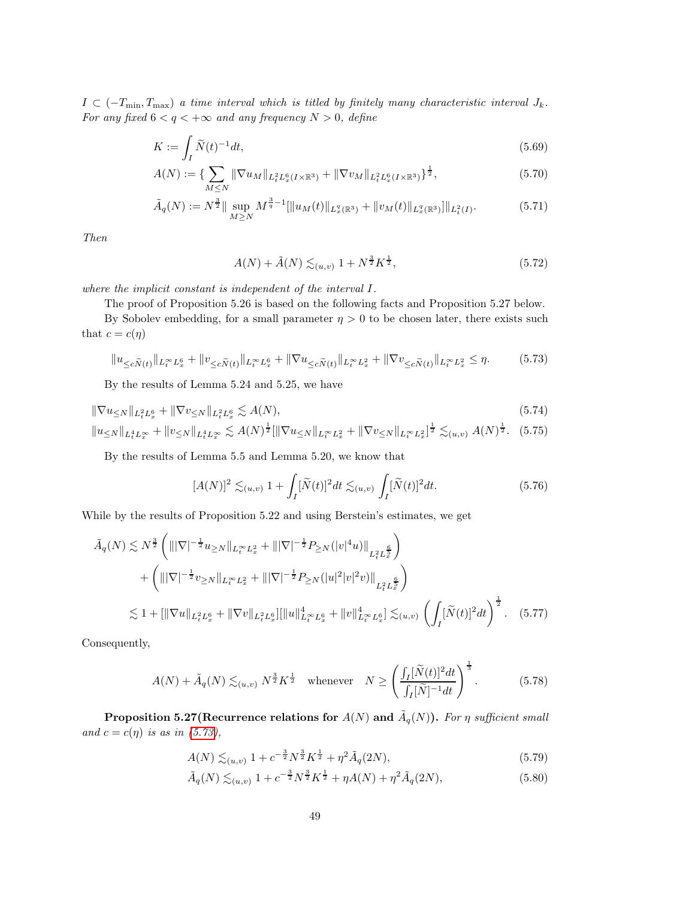$I \subset (-T_{\min}, T_{\max})$  a time interval which is titled by finitely many characteristic interval  $J_k$ . For any fixed  $6 < q < +\infty$  and any frequency  $N > 0$ , define

$$
K := \int_{I} \widetilde{N}(t)^{-1} dt,\tag{5.69}
$$

$$
A(N) := \{ \sum_{M \le N} \|\nabla u_M\|_{L^2_t L^6_x(I \times \mathbb{R}^3)} + \|\nabla v_M\|_{L^2_t L^6_x(I \times \mathbb{R}^3)} \}^{\frac{1}{2}},
$$
(5.70)

$$
\tilde{A}_q(N) := N^{\frac{3}{2}} \|\sup_{M \ge N} M^{\frac{3}{q}-1} [\|u_M(t)\|_{L_x^q(\mathbb{R}^3)} + \|v_M(t)\|_{L_x^q(\mathbb{R}^3)}] \|_{L_t^2(I)}.
$$
\n(5.71)

Then

<span id="page-48-6"></span><span id="page-48-2"></span><span id="page-48-1"></span><span id="page-48-0"></span>
$$
A(N) + \tilde{A}(N) \lesssim_{(u,v)} 1 + N^{\frac{3}{2}} K^{\frac{1}{2}},
$$
\n(5.72)

where the implicit constant is independent of the interval I.

The proof of Proposition 5.26 is based on the following facts and Proposition 5.27 below.

By Sobolev embedding, for a small parameter  $\eta > 0$  to be chosen later, there exists such that  $c = c(\eta)$ 

$$
||u_{\leq c\tilde{N}(t)}||_{L_t^{\infty}L_x^6} + ||v_{\leq c\tilde{N}(t)}||_{L_t^{\infty}L_x^6} + ||\nabla u_{\leq c\tilde{N}(t)}||_{L_t^{\infty}L_x^2} + ||\nabla v_{\leq c\tilde{N}(t)}||_{L_t^{\infty}L_x^2} \leq \eta.
$$
 (5.73)

By the results of Lemma 5.24 and 5.25, we have

$$
\|\nabla u_{\leq N}\|_{L_t^2 L_x^6} + \|\nabla v_{\leq N}\|_{L_t^2 L_x^6} \lesssim A(N),
$$
\n
$$
\|u_{\leq N}\|_{L_t^4 L_x^\infty} + \|v_{\leq N}\|_{L_t^4 L_x^\infty} \lesssim A(N)^{\frac{1}{2}} [\|\nabla u_{\leq N}\|_{L_t^\infty L_x^2} + \|\nabla v_{\leq N}\|_{L_t^\infty L_x^2}]^{\frac{1}{2}} \lesssim_{(u,v)} A(N)^{\frac{1}{2}}. \tag{5.75}
$$

By the results of Lemma 5.5 and Lemma 5.20, we know that

$$
[A(N)]^2 \lesssim_{(u,v)} 1 + \int_I [\widetilde{N}(t)]^2 dt \lesssim_{(u,v)} \int_I [\widetilde{N}(t)]^2 dt.
$$
 (5.76)

While by the results of Proposition 5.22 and using Berstein's estimates, we get

$$
\tilde{A}_{q}(N) \lesssim N^{\frac{3}{2}} \left( \|\nabla\|^{-\frac{1}{2}} u_{\geq N} \|_{L_{t}^{\infty} L_{x}^{2}} + \||\nabla\|^{-\frac{1}{2}} P_{\geq N}(|v|^{4} u) \|_{L_{t}^{2} L_{x}^{\frac{6}{5}}} \right) \n+ \left( \|\nabla\|^{-\frac{1}{2}} v_{\geq N} \|_{L_{t}^{\infty} L_{x}^{2}} + \||\nabla\|^{-\frac{1}{2}} P_{\geq N}(|u|^{2} |v|^{2} v) \|_{L_{t}^{2} L_{x}^{\frac{6}{5}}} \right) \n\lesssim 1 + \left[ \|\nabla u\|_{L_{t}^{2} L_{x}^{6}} + \|\nabla v\|_{L_{t}^{2} L_{x}^{6}} \right] \left[ \|u\|_{L_{t}^{\infty} L_{x}^{6}}^{4} + \|v\|_{L_{t}^{\infty} L_{x}^{6}}^{4} \right] \lesssim_{(u,v)} \left( \int_{I} [\widetilde{N}(t)]^{2} dt \right)^{\frac{1}{2}}.
$$
\n(5.77)

Consequently,

$$
A(N) + \tilde{A}_q(N) \lesssim_{(u,v)} N^{\frac{3}{2}} K^{\frac{1}{2}} \quad \text{whenever} \quad N \ge \left(\frac{\int_I [\tilde{N}(t)]^2 dt}{\int_I [\tilde{N}]^{-1} dt}\right)^{\frac{1}{3}}.
$$
 (5.78)

Proposition 5.27(Recurrence relations for  $A(N)$  and  $\tilde{A}_q(N)$ ). For  $\eta$  sufficient small and  $c = c(\eta)$  is as in [\(5.73\)](#page-48-0),

<span id="page-48-5"></span><span id="page-48-4"></span><span id="page-48-3"></span>
$$
A(N) \lesssim_{(u,v)} 1 + c^{-\frac{3}{2}} N^{\frac{3}{2}} K^{\frac{1}{2}} + \eta^2 \tilde{A}_q(2N), \tag{5.79}
$$

$$
\tilde{A}_q(N) \lesssim_{(u,v)} 1 + c^{-\frac{3}{2}} N^{\frac{3}{2}} K^{\frac{1}{2}} + \eta A(N) + \eta^2 \tilde{A}_q(2N),\tag{5.80}
$$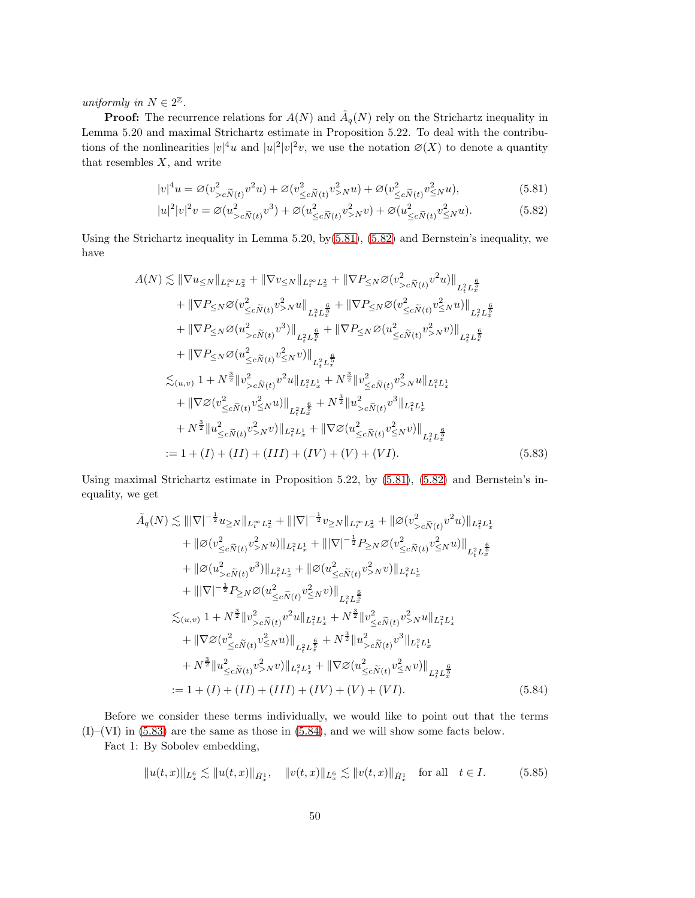uniformly in  $N \in 2^{\mathbb{Z}}$ .

**Proof:** The recurrence relations for  $A(N)$  and  $\tilde{A}_q(N)$  rely on the Strichartz inequality in Lemma 5.20 and maximal Strichartz estimate in Proposition 5.22. To deal with the contributions of the nonlinearities  $|v|^4u$  and  $|u|^2|v|^2v$ , we use the notation  $\varnothing(X)$  to denote a quantity that resembles  $X$ , and write

<span id="page-49-0"></span>
$$
|v|^4 u = \varnothing (v_{>c\widetilde{N}(t)}^2 v^2 u) + \varnothing (v_{\leq c\widetilde{N}(t)}^2 v_{>N}^2 u) + \varnothing (v_{\leq c\widetilde{N}(t)}^2 v_{\leq N}^2 u),\tag{5.81}
$$

<span id="page-49-1"></span>
$$
|u|^2|v|^2v = \mathcal{O}(u_{>c\tilde{N}(t)}^2v^3) + \mathcal{O}(u_{\leq c\tilde{N}(t)}^2v_{>N}^2v) + \mathcal{O}(u_{\leq c\tilde{N}(t)}^2v_{\leq N}^2u). \tag{5.82}
$$

Using the Strichartz inequality in Lemma 5.20, by $(5.81)$ ,  $(5.82)$  and Bernstein's inequality, we have

$$
A(N) \lesssim \|\nabla u_{\leq N}\|_{L_t^{\infty} L_x^2} + \|\nabla v_{\leq N}\|_{L_t^{\infty} L_x^2} + \|\nabla P_{\leq N} \varnothing (v_{>c}^2 \tilde{N}(t) v^2 u)\|_{L_t^2 L_x^{\frac{6}{5}}} + \|\nabla P_{\leq N} \varnothing (v_{\leq c}^2 \tilde{N}(t) v_{>N}^2 u\|_{L_t^2 L_x^{\frac{6}{5}}} + \|\nabla P_{\leq N} \varnothing (v_{\leq c}^2 \tilde{N}(t) v^2 u)\|_{L_t^2 L_x^{\frac{6}{5}}} + \|\nabla P_{\leq N} \varnothing (u_{>c}^2 \tilde{N}(t) v^3)\|_{L_t^2 L_x^{\frac{6}{5}}} + \|\nabla P_{\leq N} \varnothing (u_{\leq c}^2 \tilde{N}(t) v^2 N v)\|_{L_t^2 L_x^{\frac{6}{5}}} + \|\nabla P_{\leq N} \varnothing (u_{\leq c}^2 \tilde{N}(t) v^2 \tilde{N}(t) \|_{L_t^2 L_x^{\frac{6}{5}}} \leq
$$
  

$$
\lesssim_{(u,v)} 1 + N^{\frac{3}{2}} \|v_{>c}^2 \tilde{N}(t) v^2 u\|_{L_t^2 L_x^1} + N^{\frac{3}{2}} \|v_{\leq c}^2 \tilde{N}(t) v^2 N u\|_{L_t^2 L_x^1} + \|\nabla \varnothing (v_{\leq c}^2 \tilde{N}(t) v^2 \tilde{N}(t) \|_{L_t^2 L_x^{\frac{6}{5}}} + N^{\frac{3}{2}} \|u_{>c}^2 \tilde{N}(t) v^3\|_{L_t^2 L_x^1} + N^{\frac{3}{2}} \|u_{\leq c}^2 \tilde{N}(t) v^2 N v)\|_{L_t^2 L_x^1} + \|\nabla \varnothing (u_{\leq c}^2 \tilde{N}(t) v^2 N v)\|_{L_t^2 L_x^{\frac{6}{5}}} := 1 + (I) + (II) + (III) + (IV) + (V) + (VI). \tag{5.83}
$$

Using maximal Strichartz estimate in Proposition 5.22, by [\(5.81\)](#page-49-0), [\(5.82\)](#page-49-1) and Bernstein's inequality, we get

<span id="page-49-2"></span>
$$
\tilde{A}_{q}(N) \lesssim |||\nabla|^{-\frac{1}{2}}u_{\geq N}||_{L_{t}^{\infty}L_{x}^{2}} + |||\nabla|^{-\frac{1}{2}}v_{\geq N}||_{L_{t}^{\infty}L_{x}^{2}} + ||\varnothing(v_{>c\tilde{N}(t)}^{2}v^{2}u)||_{L_{t}^{2}L_{x}^{1}} \n+ ||\varnothing(v_{\leq c\tilde{N}(t)}^{2}v_{>N}^{2}u)||_{L_{t}^{2}L_{x}^{1}} + |||\nabla|^{-\frac{1}{2}}P_{\geq N}\varnothing(v_{\leq c\tilde{N}(t)}^{2}v_{\leq N}^{2}u)||_{L_{t}^{2}L_{x}^{\frac{6}{5}} \n+ ||\varnothing(u_{>c\tilde{N}(t)}^{2}v^{3})||_{L_{t}^{2}L_{x}^{1}} + ||\varnothing(u_{\leq c\tilde{N}(t)}^{2}v_{>N}^{2}v)||_{L_{t}^{2}L_{x}^{1}} \n+ |||\nabla|^{-\frac{1}{2}}P_{\geq N}\varnothing(u_{\leq c\tilde{N}(t)}^{2}v_{\leq N}^{2}v)||_{L_{t}^{2}L_{x}^{\frac{6}{5}} \n\lesssim_{(u,v)} 1 + N^{\frac{3}{2}}||v_{>c\tilde{N}(t)}^{2}v^{2}u||_{L_{t}^{2}L_{x}^{1}} + N^{\frac{3}{2}}||v_{\leq c\tilde{N}(t)}^{2}v_{>N}^{2}u||_{L_{t}^{2}L_{x}^{1}} \n+ ||\nabla\varnothing(v_{\leq c\tilde{N}(t)}^{2}v_{\leq N}^{2}u)||_{L_{t}^{2}L_{x}^{\frac{6}{5}}} + N^{\frac{3}{2}}||u_{>c\tilde{N}(t)}^{2}v^{3}||_{L_{t}^{2}L_{x}^{1}} \n+ N^{\frac{3}{2}}||u_{\leq c\tilde{N}(t)}^{2}v_{>N}^{2}v)||_{L_{t}^{2}L_{x}^{1}} + ||\nabla\varnothing(u_{\leq c\tilde{N}(t)}^{2}v_{\leq N}^{2}v)||_{L_{t}^{2}L_{x}^{\frac{
$$

Before we consider these terms individually, we would like to point out that the terms (I)–(VI) in [\(5.83\)](#page-49-2) are the same as those in [\(5.84\)](#page-49-3), and we will show some facts below.

Fact 1: By Sobolev embedding,

<span id="page-49-3"></span>
$$
||u(t,x)||_{L_x^6} \lesssim ||u(t,x)||_{\dot{H}_x^1}, \quad ||v(t,x)||_{L_x^6} \lesssim ||v(t,x)||_{\dot{H}_x^1} \quad \text{for all} \quad t \in I. \tag{5.85}
$$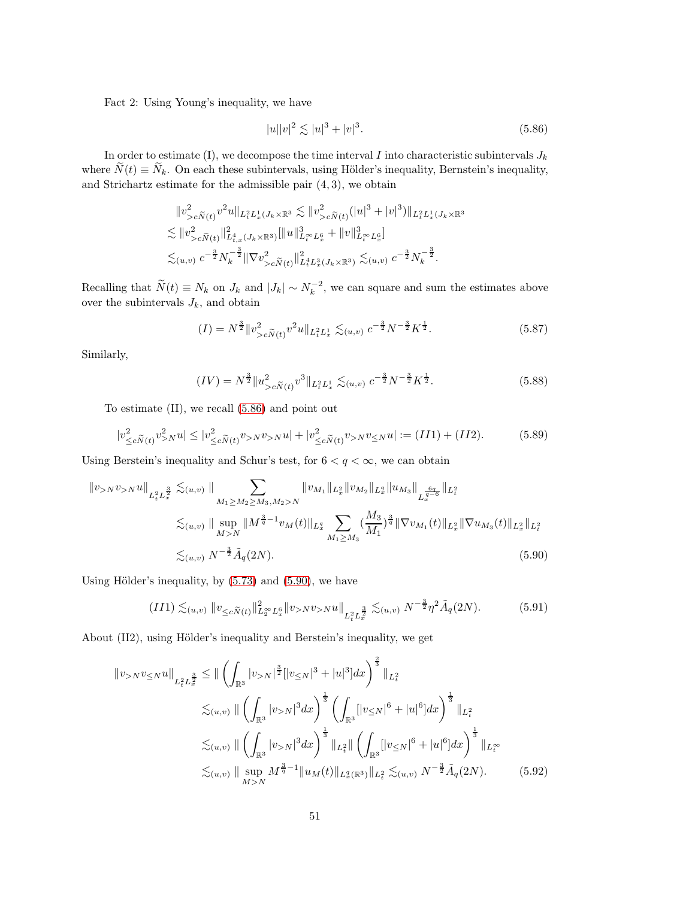Fact 2: Using Young's inequality, we have

<span id="page-50-2"></span><span id="page-50-0"></span>
$$
|u||v|^2 \lesssim |u|^3 + |v|^3. \tag{5.86}
$$

In order to estimate (I), we decompose the time interval I into characteristic subintervals  $J_k$ where  $\widetilde{N}(t) \equiv \widetilde{N}_k$ . On each these subintervals, using Hölder's inequality, Bernstein's inequality, and Strichartz estimate for the admissible pair  $(4, 3)$ , we obtain

$$
\|v_{>c\tilde{N}(t)}^{2}v^{2}u\|_{L_{t}^{2}L_{x}^{1}(J_{k}\times\mathbb{R}^{3}} \lesssim \|v_{>c\tilde{N}(t)}^{2}(|u|^{3}+|v|^{3})\|_{L_{t}^{2}L_{x}^{1}(J_{k}\times\mathbb{R}^{3}}
$$
  

$$
\lesssim \|v_{>c\tilde{N}(t)}^{2}\|_{L_{t,x}^{4}(J_{k}\times\mathbb{R}^{3})}^{2}\|\|u\|_{L_{t}^{\infty}L_{x}^{6}}^{3}+\|v\|_{L_{t}^{\infty}L_{x}^{6}}^{3}\|
$$
  

$$
\lesssim_{(u,v)} c^{-\frac{3}{2}}N_{k}^{-\frac{3}{2}}\|\nabla v_{>c\tilde{N}(t)}^{2}\|_{L_{t}^{4}L_{x}^{3}(J_{k}\times\mathbb{R}^{3})}^{2}\lesssim_{(u,v)} c^{-\frac{3}{2}}N_{k}^{-\frac{3}{2}}.
$$

Recalling that  $\widetilde{N}(t) \equiv N_k$  on  $J_k$  and  $|J_k| \sim N_k^{-2}$ , we can square and sum the estimates above over the subintervals  $J_k$ , and obtain

$$
(I) = N^{\frac{3}{2}} \|v_{>c\tilde{N}(t)}^2 v^2 u\|_{L_t^2 L_x^1} \lesssim_{(u,v)} c^{-\frac{3}{2}} N^{-\frac{3}{2}} K^{\frac{1}{2}}.
$$
 (5.87)

Similarly,

<span id="page-50-1"></span>
$$
(IV) = N^{\frac{3}{2}} \|u_{>c\tilde{N}(t)}^2 v^3\|_{L^2_t L^1_x} \lesssim_{(u,v)} c^{-\frac{3}{2}} N^{-\frac{3}{2}} K^{\frac{1}{2}}.
$$
 (5.88)

To estimate (II), we recall [\(5.86\)](#page-50-0) and point out

$$
|v_{\leq c\tilde{N}(t)}^2 v_{>N}^2 u| \leq |v_{\leq c\tilde{N}(t)}^2 v_{>N} v_{>N} u| + |v_{\leq c\tilde{N}(t)}^2 v_{>N} v_{\leq N} u| := (II1) + (II2). \tag{5.89}
$$

Using Berstein's inequality and Schur's test, for  $6 < q < \infty$ , we can obtain

$$
||v_{>N}v_{>N}u||_{L_{t}^{2}L_{x}^{\frac{3}{2}}}\n\lesssim_{(u,v)} ||\sum_{M_{1}\geq M_{2}\geq M_{3},M_{2}>N} ||v_{M_{1}}||_{L_{x}^{2}}||v_{M_{2}}||_{L_{x}^{q}}||u_{M_{3}}||_{L_{x}^{\frac{6q}{q-6}}}\n||_{L_{t}^{2}}\n\lesssim_{(u,v)} ||\sup_{M>N}||M^{\frac{3}{q}-1}v_{M}(t)||_{L_{x}^{q}}\n\sum_{M_{1}\geq M_{3}}\left(\frac{M_{3}}{M_{1}}\right)^{\frac{3}{q}}||\nabla v_{M_{1}}(t)||_{L_{x}^{2}}||\nabla u_{M_{3}}(t)||_{L_{x}^{2}}||_{L_{t}^{2}}\n\lesssim_{(u,v)} N^{-\frac{3}{2}}\tilde{A}_{q}(2N).
$$
\n(5.90)

Using Hölder's inequality, by  $(5.73)$  and  $(5.90)$ , we have

$$
(II1) \lesssim_{(u,v)} \|v_{\leq c\widetilde{N}(t)}\|_{L_2^{\infty}L_x^6}^2 \|v_{>N}v_{>N}u\|_{L_t^2L_x^{\frac{3}{2}}} \lesssim_{(u,v)} N^{-\frac{3}{2}}\eta^2\widetilde{A}_q(2N). \tag{5.91}
$$

About (II2), using Hölder's inequality and Berstein's inequality, we get

$$
\|v_{>N}v_{\leq N}u\|_{L_{t}^{2}L_{x}^{\frac{3}{2}}}\leq \|\left(\int_{\mathbb{R}^{3}}|v_{>N}|^{\frac{3}{2}}[|v_{\leq N}|^{3}+|u|^{3}]dx\right)^{\frac{2}{3}}\|_{L_{t}^{2}}\lesssim_{(u,v)}\|\left(\int_{\mathbb{R}^{3}}|v_{>N}|^{3}dx\right)^{\frac{1}{3}}\left(\int_{\mathbb{R}^{3}}[|v_{\leq N}|^{6}+|u|^{6}]dx\right)^{\frac{1}{3}}\|_{L_{t}^{2}}\lesssim_{(u,v)}\|\left(\int_{\mathbb{R}^{3}}|v_{>N}|^{3}dx\right)^{\frac{1}{3}}\|_{L_{t}^{2}}\|\left(\int_{\mathbb{R}^{3}}[|v_{\leq N}|^{6}+|u|^{6}]dx\right)^{\frac{1}{3}}\|_{L_{t}^{\infty}}\lesssim_{(u,v)}\|\sup_{M>N}M^{\frac{3}{q}-1}\|u_{M}(t)\|_{L_{x}^{q}(\mathbb{R}^{3})}\|_{L_{t}^{2}}\lesssim_{(u,v)}N^{-\frac{3}{2}}\tilde{A}_{q}(2N).
$$
\n(5.92)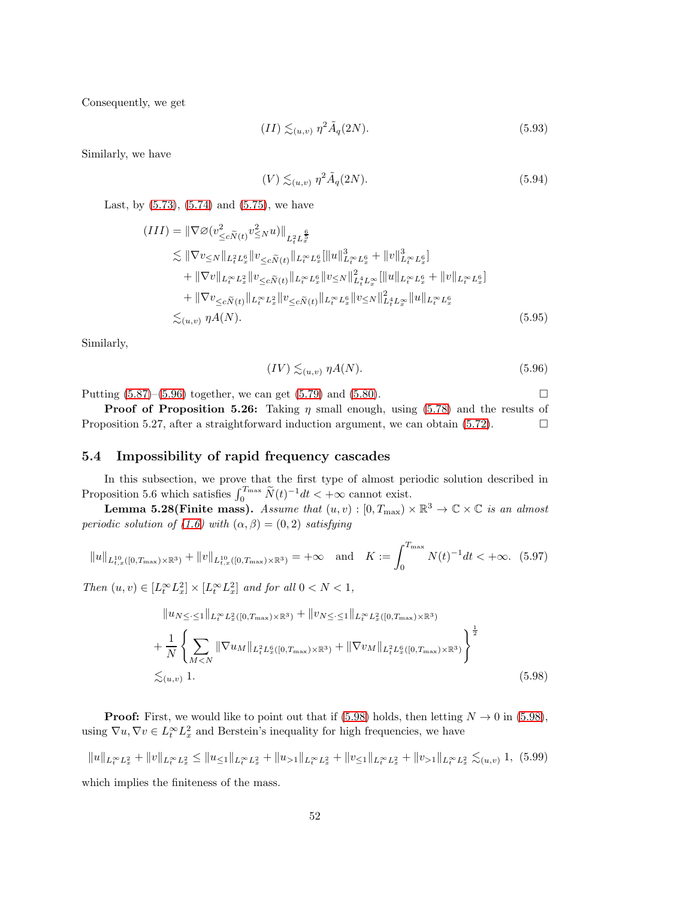Consequently, we get

$$
(II) \lesssim_{(u,v)} \eta^2 \tilde{A}_q(2N). \tag{5.93}
$$

Similarly, we have

$$
(V) \lesssim_{(u,v)} \eta^2 \tilde{A}_q(2N). \tag{5.94}
$$

Last, by  $(5.73)$ ,  $(5.74)$  and  $(5.75)$ , we have

$$
(III) = \|\nabla \varnothing (v_{\leq c}^2 \tilde{N}(t) v_{\leq N}^2 u)\|_{L_t^2 L_x^{\frac{6}{5}}} \n\lesssim \|\nabla v_{\leq N}\|_{L_t^2 L_x^6} \|v_{\leq c} \tilde{N}(t) \|_{L_t^{\infty} L_x^6} \|u\|_{L_t^{\infty} L_x^6}^3 + \|v\|_{L_t^{\infty} L_x^6}^3 \n+ \|\nabla v\|_{L_t^{\infty} L_x^2} \|v_{\leq c} \tilde{N}(t) \|_{L_t^{\infty} L_x^6} \|v_{\leq N}\|_{L_t^4 L_x^{\infty}}^2 \|u\|_{L_t^{\infty} L_x^6} + \|v\|_{L_t^{\infty} L_x^6} \n+ \|\nabla v_{\leq c} \tilde{N}(t) \|_{L_t^{\infty} L_x^2} \|v_{\leq c} \tilde{N}(t) \|_{L_t^{\infty} L_x^6} \|v_{\leq N}\|_{L_t^4 L_x^{\infty}}^2 \|u\|_{L_t^{\infty} L_x^6} \n\lesssim_{(u,v)} \eta A(N).
$$
\n(5.95)

Similarly,

<span id="page-51-0"></span>
$$
(IV) \lesssim_{(u,v)} \eta A(N). \tag{5.96}
$$

Putting  $(5.87)$ – $(5.96)$  together, we can get  $(5.79)$  and  $(5.80)$ .

**Proof of Proposition 5.26:** Taking  $\eta$  small enough, using [\(5.78\)](#page-48-5) and the results of Proposition 5.27, after a straightforward induction argument, we can obtain  $(5.72)$ .

#### 5.4 Impossibility of rapid frequency cascades

In this subsection, we prove that the first type of almost periodic solution described in Proposition 5.6 which satisfies  $\int_0^{T_{\text{max}}} \tilde{N}(t)^{-1} dt < +\infty$  cannot exist.

**Lemma 5.28(Finite mass).** Assume that  $(u, v) : [0, T_{\text{max}}) \times \mathbb{R}^3 \to \mathbb{C} \times \mathbb{C}$  is an almost periodic solution of [\(1.6\)](#page-3-0) with  $(\alpha, \beta) = (0, 2)$  satisfying

$$
||u||_{L_{t,x}^{10}([0,T_{\max})\times\mathbb{R}^3)} + ||v||_{L_{t,x}^{10}([0,T_{\max})\times\mathbb{R}^3)} = +\infty \quad \text{and} \quad K := \int_0^{T_{\max}} N(t)^{-1}dt < +\infty. \tag{5.97}
$$

Then  $(u, v) \in [L_t^{\infty} L_x^2] \times [L_t^{\infty} L_x^2]$  and for all  $0 < N < 1$ ,

<span id="page-51-1"></span>
$$
||u_{N\leq} \leq 1||_{L_{t}^{\infty}L_{x}^{2}([0, T_{\max})\times\mathbb{R}^{3})} + ||v_{N\leq} \leq 1||_{L_{t}^{\infty}L_{x}^{2}([0, T_{\max})\times\mathbb{R}^{3})} + \frac{1}{N} \left\{ \sum_{M\leq N} ||\nabla u_{M}||_{L_{t}^{2}L_{x}^{6}([0, T_{\max})\times\mathbb{R}^{3})} + ||\nabla v_{M}||_{L_{t}^{2}L_{x}^{6}([0, T_{\max})\times\mathbb{R}^{3})} \right\}^{\frac{1}{2}} \n\lesssim_{(u,v)} 1.
$$
\n(5.98)

**Proof:** First, we would like to point out that if [\(5.98\)](#page-51-1) holds, then letting  $N \to 0$  in (5.98), using  $\nabla u, \nabla v \in L_t^{\infty} L_x^2$  and Berstein's inequality for high frequencies, we have

$$
||u||_{L_t^{\infty}L_x^2} + ||v||_{L_t^{\infty}L_x^2} \le ||u_{\leq 1}||_{L_t^{\infty}L_x^2} + ||u_{>1}||_{L_t^{\infty}L_x^2} + ||v_{\leq 1}||_{L_t^{\infty}L_x^2} + ||v_{>1}||_{L_t^{\infty}L_x^2} \lesssim_{(u,v)} 1, (5.99)
$$
  
which implies the finiteness of the mass.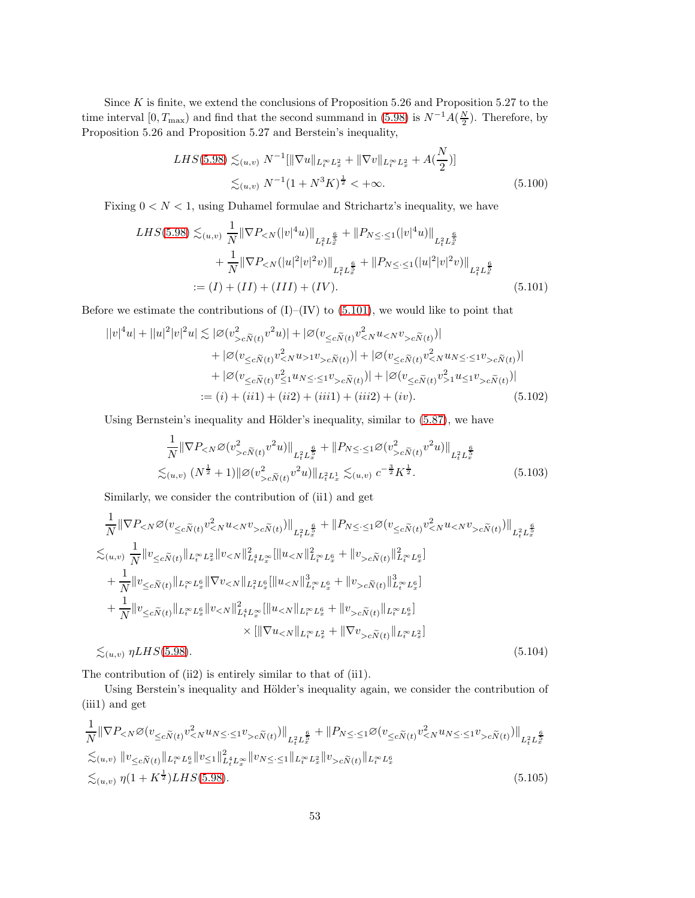Since  $K$  is finite, we extend the conclusions of Proposition 5.26 and Proposition 5.27 to the time interval  $[0, T_{\text{max}})$  and find that the second summand in [\(5.98\)](#page-51-1) is  $N^{-1}A(\frac{N}{2})$ . Therefore, by Proposition 5.26 and Proposition 5.27 and Berstein's inequality,

<span id="page-52-0"></span>
$$
LHS(5.98) \lesssim_{(u,v)} N^{-1}[\|\nabla u\|_{L_t^{\infty} L_x^2} + \|\nabla v\|_{L_t^{\infty} L_x^2} + A(\frac{N}{2})]
$$
  

$$
\lesssim_{(u,v)} N^{-1} (1 + N^3 K)^{\frac{1}{2}} < +\infty.
$$
 (5.100)

Fixing  $0 < N < 1$ , using Duhamel formulae and Strichartz's inequality, we have

$$
LHS(5.98) \lesssim_{(u,v)} \frac{1}{N} \|\nabla P_{< N}(|v|^4 u)\|_{L_t^2 L_x^{\frac{6}{5}}} + \|P_{N \leq \cdot} \leq 1(|v|^4 u)\|_{L_t^2 L_x^{\frac{6}{5}}} + \frac{1}{N} \|\nabla P_{< N}(|u|^2 |v|^2 v)\|_{L_t^2 L_x^{\frac{6}{5}}} + \|P_{N \leq \cdot} \leq 1(|u|^2 |v|^2 v)\|_{L_t^2 L_x^{\frac{6}{5}}} = (I) + (II) + (III) + (IV).
$$
\n
$$
(5.101)
$$

Before we estimate the contributions of  $(I)$ – $(IV)$  to  $(5.101)$ , we would like to point that

$$
||v|^4u| + ||u|^2|v|^2u| \lesssim |\varnothing(v_{\leq c\widetilde{N}(t)}^2v^2u)| + |\varnothing(v_{\leq c\widetilde{N}(t)}v_{\leq N}^2u_{\leq N}v_{>c\widetilde{N}(t)})| + |\varnothing(v_{\leq c\widetilde{N}(t)}v_{\leq N}^2u_{>1}v_{>c\widetilde{N}(t)})| + |\varnothing(v_{\leq c\widetilde{N}(t)}v_{\leq N}^2u_{N}\leq \leq 1v_{>c\widetilde{N}(t)})| + |\varnothing(v_{\leq c\widetilde{N}(t)}v_{\leq 1}^2u_{N}\leq \leq 1v_{>c\widetilde{N}(t)})| + |\varnothing(v_{\leq c\widetilde{N}(t)}v_{>1}^2u_{\leq 1}v_{>c\widetilde{N}(t)})| := (i) + (ii1) + (ii2) + (iii1) + (iii2) + (iv).
$$
 (5.102)

Using Bernstein's inequality and Hölder's inequality, similar to  $(5.87)$ , we have

<span id="page-52-1"></span>
$$
\frac{1}{N} \|\nabla P_{< N} \varnothing (v_{> c\widetilde{N}(t)}^2 v^2 u)\|_{L_t^2 L_x^{\frac{6}{5}}} + \|P_{N \leq \cdot \leq 1} \varnothing (v_{> c\widetilde{N}(t)}^2 v^2 u)\|_{L_t^2 L_x^{\frac{6}{5}}} \n\lesssim_{(u,v)} (N^{\frac{1}{2}} + 1) \|\varnothing (v_{> c\widetilde{N}(t)}^2 v^2 u)\|_{L_t^2 L_x^1} \lesssim_{(u,v)} c^{-\frac{3}{2}} K^{\frac{1}{2}}.
$$
\n(5.103)

Similarly, we consider the contribution of (ii1) and get

$$
\frac{1}{N} \|\nabla P_{\leq N} \varnothing (v_{\leq c\widetilde{N}(t)} v_{\leq N}^2 u_{\leq N} v_{>c\widetilde{N}(t)})\|_{L_t^2 L_x^{\frac{6}{5}}} + \|P_{N \leq \cdot \leq 1} \varnothing (v_{\leq c\widetilde{N}(t)} v_{\leq N}^2 u_{\leq N} v_{>c\widetilde{N}(t)})\|_{L_t^2 L_x^{\frac{6}{5}}} \n\lesssim_{(u,v)} \frac{1}{N} \|v_{\leq c\widetilde{N}(t)}\|_{L_t^{\infty} L_x^2} \|v_{\leq N}\|_{L_t^4 L_x^{\infty}}^2 [\|u_{\leq N}\|_{L_t^{\infty} L_x^6}^2 + \|v_{>c\widetilde{N}(t)}\|_{L_t^{\infty} L_x^6}^2 ] \n+ \frac{1}{N} \|v_{\leq c\widetilde{N}(t)}\|_{L_t^{\infty} L_x^6} \|\nabla v_{\leq N}\|_{L_t^2 L_x^6} [\|u_{\leq N}\|_{L_t^{\infty} L_x^6}^3 + \|v_{>c\widetilde{N}(t)}\|_{L_t^{\infty} L_x^6}^3 ] \n+ \frac{1}{N} \|v_{\leq c\widetilde{N}(t)}\|_{L_t^{\infty} L_x^6} \|v_{\leq N}\|_{L_t^4 L_x^{\infty}}^2 [\|u_{\leq N}\|_{L_t^{\infty} L_x^6} + \|v_{>c\widetilde{N}(t)}\|_{L_t^{\infty} L_x^6}] \n\times [\|\nabla u_{\leq N}\|_{L_t^{\infty} L_x^2} + \|\nabla v_{>c\widetilde{N}(t)}\|_{L_t^{\infty} L_x^2}] \n\lesssim_{(u,v)} \eta LHS(5.98).
$$
\n(5.104)

The contribution of (ii2) is entirely similar to that of (ii1).

Using Berstein's inequality and Hölder's inequality again, we consider the contribution of (iii1) and get

$$
\frac{1}{N} \|\nabla P_{\leq N} \varnothing (v_{\leq c\widetilde{N}(t)} v_{\leq N}^2 u_{N \leq \cdot \leq 1} v_{>c\widetilde{N}(t)})\|_{L^2_t L^{\frac{6}{5}}} + \|P_{N \leq \cdot \leq 1} \varnothing (v_{\leq c\widetilde{N}(t)} v_{\leq N}^2 u_{N \leq \cdot \leq 1} v_{>c\widetilde{N}(t)})\|_{L^2_t L^{\frac{6}{5}}_x}
$$
  

$$
\lesssim_{(u,v)} \|v_{\leq c\widetilde{N}(t)}\|_{L^\infty_t L^6_x} \|v_{\leq 1}\|_{L^4_t L^\infty_x} \|v_{N \leq \cdot \leq 1}\|_{L^\infty_t L^2_x} \|v_{>c\widetilde{N}(t)}\|_{L^\infty_t L^6_x}
$$
  

$$
\lesssim_{(u,v)} \eta (1 + K^{\frac{1}{2}}) LHS(5.98).
$$
 (5.105)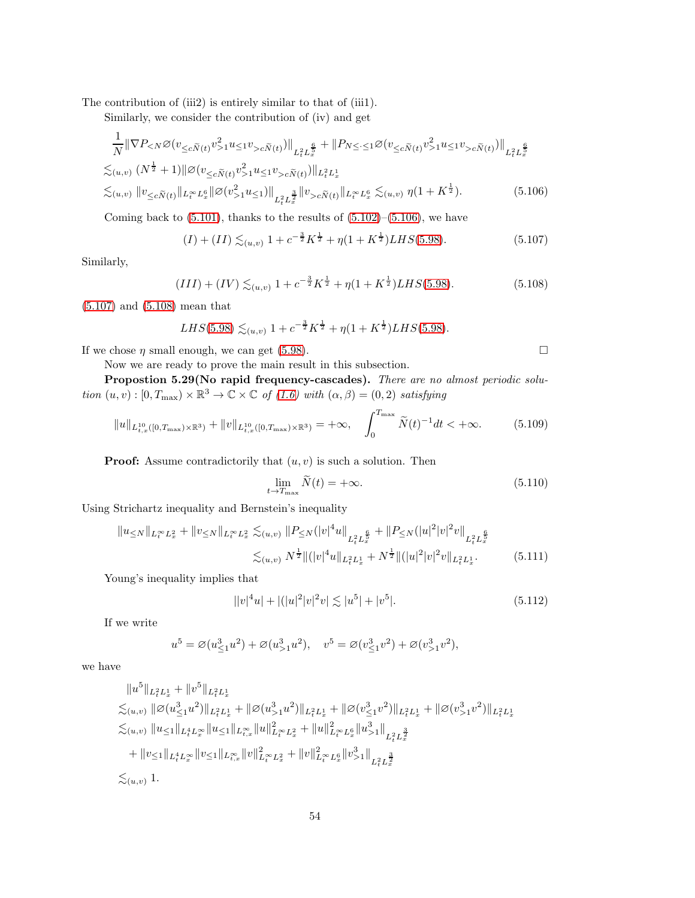The contribution of (iii2) is entirely similar to that of (iii1).

Similarly, we consider the contribution of (iv) and get

$$
\frac{1}{N} \|\nabla P_{\leq N} \varnothing(v_{\leq c\widetilde{N}(t)} v_{>1}^2 u_{\leq 1} v_{>c\widetilde{N}(t)})\|_{L_t^2 L_x^{\frac{6}{5}}} + \|P_{N\leq \cdot \leq 1} \varnothing(v_{\leq c\widetilde{N}(t)} v_{>1}^2 u_{\leq 1} v_{>c\widetilde{N}(t)})\|_{L_t^2 L_x^{\frac{6}{5}}}
$$
  

$$
\lesssim_{(u,v)} (N^{\frac{1}{2}} + 1) \|\varnothing(v_{\leq c\widetilde{N}(t)} v_{>1}^2 u_{\leq 1} v_{>c\widetilde{N}(t)})\|_{L_t^2 L_x^1}
$$
  

$$
\lesssim_{(u,v)} \|v_{\leq c\widetilde{N}(t)}\|_{L_t^\infty L_x^6} \|\varnothing(v_{>1}^2 u_{\leq 1})\|_{L_t^2 L_x^{\frac{3}{2}}} \|v_{>c\widetilde{N}(t)}\|_{L_t^\infty L_x^6} \lesssim_{(u,v)} \eta(1 + K^{\frac{1}{2}}). \tag{5.106}
$$

Coming back to  $(5.101)$ , thanks to the results of  $(5.102)$ – $(5.106)$ , we have

$$
(I) + (II) \lesssim_{(u,v)} 1 + c^{-\frac{3}{2}} K^{\frac{1}{2}} + \eta (1 + K^{\frac{1}{2}}) LHS(5.98). \tag{5.107}
$$

Similarly,

$$
(III) + (IV) \lesssim_{(u,v)} 1 + c^{-\frac{3}{2}} K^{\frac{1}{2}} + \eta (1 + K^{\frac{1}{2}}) LHS(5.98).
$$
 (5.108)

[\(5.107\)](#page-53-1) and [\(5.108\)](#page-53-2) mean that

$$
LHS(5.98) \lesssim_{(u,v)} 1 + c^{-\frac{3}{2}} K^{\frac{1}{2}} + \eta (1 + K^{\frac{1}{2}}) LHS(5.98).
$$

If we chose  $\eta$  small enough, we can get [\(5.98\)](#page-51-1).

<span id="page-53-5"></span><span id="page-53-4"></span><span id="page-53-3"></span><span id="page-53-2"></span><span id="page-53-1"></span><span id="page-53-0"></span>

Now we are ready to prove the main result in this subsection.

Propostion 5.29(No rapid frequency-cascades). There are no almost periodic solution  $(u, v) : [0, T_{\text{max}}) \times \mathbb{R}^3 \to \mathbb{C} \times \mathbb{C}$  of  $(1.6)$  with  $(\alpha, \beta) = (0, 2)$  satisfying

$$
||u||_{L_{t,x}^{10}([0,T_{\max})\times\mathbb{R}^3)} + ||v||_{L_{t,x}^{10}([0,T_{\max})\times\mathbb{R}^3)} = +\infty, \quad \int_0^{T_{\max}} \widetilde{N}(t)^{-1}dt < +\infty.
$$
 (5.109)

**Proof:** Assume contradictorily that  $(u, v)$  is such a solution. Then

$$
\lim_{t \to T_{\text{max}}} \widetilde{N}(t) = +\infty. \tag{5.110}
$$

Using Strichartz inequality and Bernstein's inequality

$$
||u_{\leq N}||_{L_t^{\infty}L_x^2} + ||v_{\leq N}||_{L_t^{\infty}L_x^2} \lesssim_{(u,v)} ||P_{\leq N}(|v|^4 u||_{L_t^2 L_x^{\frac{6}{5}}} + ||P_{\leq N}(|u|^2 |v|^2 v||_{L_t^2 L_x^{\frac{6}{5}}}
$$

$$
\lesssim_{(u,v)} N^{\frac{1}{2}} ||(|v|^4 u||_{L_t^2 L_x^1} + N^{\frac{1}{2}} ||(|u|^2 |v|^2 v||_{L_t^2 L_x^1}.
$$
(5.111)

Young's inequality implies that

$$
||v|^4u| + |(|u|^2|v|^2v| \lesssim |u^5| + |v^5|.
$$
\n(5.112)

If we write

$$
u^{5} = \varnothing (u_{\leq 1}^{3} u^{2}) + \varnothing (u_{>1}^{3} u^{2}), \quad v^{5} = \varnothing (v_{\leq 1}^{3} v^{2}) + \varnothing (v_{>1}^{3} v^{2}),
$$

we have

$$
\|u^5\|_{L_t^2 L_x^1} + \|v^5\|_{L_t^2 L_x^1}
$$
  
\n
$$
\lesssim_{(u,v)} \|\varnothing(u_{\leq 1}^3 u^2)\|_{L_t^2 L_x^1} + \|\varnothing(u_{\geq 1}^3 u^2)\|_{L_t^2 L_x^1} + \|\varnothing(v_{\leq 1}^3 v^2)\|_{L_t^2 L_x^1} + \|\varnothing(v_{\geq 1}^3 v^2)\|_{L_t^2 L_x^1}
$$
  
\n
$$
\lesssim_{(u,v)} \|u_{\leq 1}\|_{L_t^4 L_x^{\infty}} \|u_{\leq 1}\|_{L_{t,x}^{\infty}} \|u\|_{L_t^{\infty} L_x^2}^2 + \|u\|_{L_t^{\infty} L_x^6}^2 \|u_{\geq 1}^3\|_{L_t^2 L_x^{\frac{3}{2}}}
$$
  
\n
$$
+ \|v_{\leq 1}\|_{L_t^4 L_x^{\infty}} \|v_{\leq 1}\|_{L_{t,x}^{\infty}} \|v\|_{L_t^{\infty} L_x^2}^2 + \|v\|_{L_t^{\infty} L_x^6}^2 \|v_{\geq 1}^3\|_{L_t^2 L_x^{\frac{3}{2}}}
$$
  
\n
$$
\lesssim_{(u,v)} 1.
$$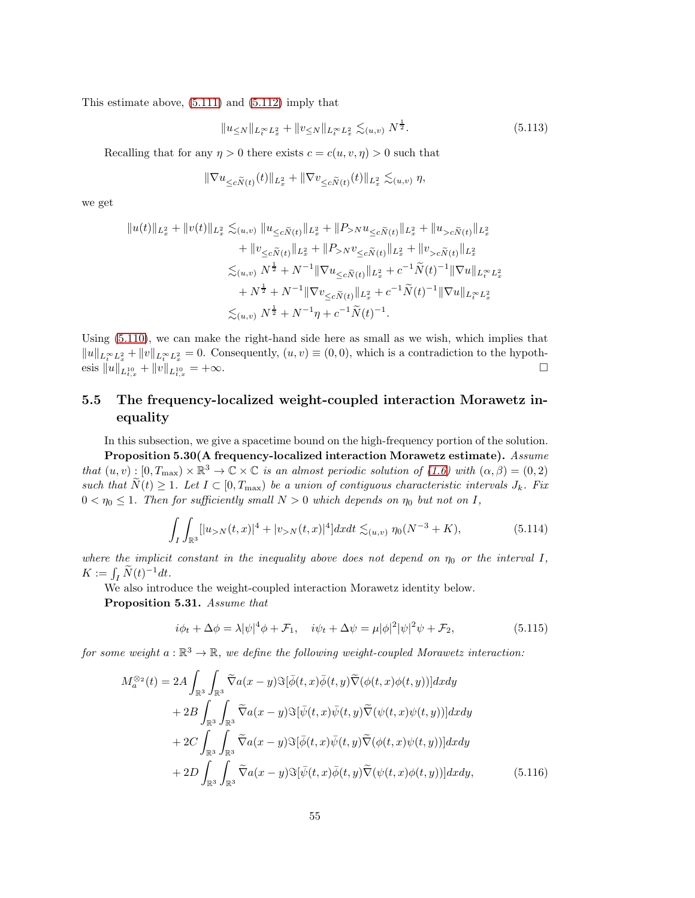This estimate above, [\(5.111\)](#page-53-3) and [\(5.112\)](#page-53-4) imply that

$$
||u_{\leq N}||_{L_t^{\infty}L_x^2} + ||v_{\leq N}||_{L_t^{\infty}L_x^2} \lesssim_{(u,v)} N^{\frac{1}{2}}.
$$
\n(5.113)

Recalling that for any  $\eta > 0$  there exists  $c = c(u, v, \eta) > 0$  such that

$$
\|\nabla u_{\leq c\widetilde N(t)}(t)\|_{L^2_x}+\|\nabla v_{\leq c\widetilde N(t)}(t)\|_{L^2_x}\lesssim_{(u,v)}\eta,
$$

we get

$$
||u(t)||_{L_x^2} + ||v(t)||_{L_x^2} \lesssim_{(u,v)} ||u_{\leq c\widetilde{N}(t)} ||_{L_x^2} + ||P_{>N}u_{\leq c\widetilde{N}(t)} ||_{L_x^2} + ||u_{>c\widetilde{N}(t)} ||_{L_x^2}
$$
  
+ 
$$
||v_{\leq c\widetilde{N}(t)} ||_{L_x^2} + ||P_{>N}v_{\leq c\widetilde{N}(t)} ||_{L_x^2} + ||v_{>c\widetilde{N}(t)} ||_{L_x^2}
$$
  

$$
\lesssim_{(u,v)} N^{\frac{1}{2}} + N^{-1} ||\nabla u_{\leq c\widetilde{N}(t)} ||_{L_x^2} + c^{-1} \widetilde{N}(t)^{-1} ||\nabla u||_{L_t^\infty L_x^2}
$$
  
+ 
$$
N^{\frac{1}{2}} + N^{-1} ||\nabla v_{\leq c\widetilde{N}(t)} ||_{L_x^2} + c^{-1} \widetilde{N}(t)^{-1} ||\nabla u||_{L_t^\infty L_x^2}
$$
  

$$
\lesssim_{(u,v)} N^{\frac{1}{2}} + N^{-1}\eta + c^{-1} \widetilde{N}(t)^{-1}.
$$

Using [\(5.110\)](#page-53-5), we can make the right-hand side here as small as we wish, which implies that  $||u||_{L_t^{\infty}L_x^2} + ||v||_{L_t^{\infty}L_x^2} = 0.$  Consequently,  $(u, v) \equiv (0, 0)$ , which is a contradiction to the hypothesis  $\|u\|_{L^{10}_{t,x}}+\|v\|_{L^{10}_{t,x}}$  $= +\infty$ .

## 5.5 The frequency-localized weight-coupled interaction Morawetz inequality

In this subsection, we give a spacetime bound on the high-frequency portion of the solution. Proposition 5.30(A frequency-localized interaction Morawetz estimate). Assume that  $(u, v) : [0, T_{\text{max}}) \times \mathbb{R}^3 \to \mathbb{C} \times \mathbb{C}$  is an almost periodic solution of [\(1.6\)](#page-3-0) with  $(\alpha, \beta) = (0, 2)$ such that  $\tilde{N}(t) \geq 1$ . Let  $I \subset [0, T_{\text{max}})$  be a union of contiguous characteristic intervals  $J_k$ . Fix  $0 < \eta_0 \leq 1$ . Then for sufficiently small  $N > 0$  which depends on  $\eta_0$  but not on I,

$$
\int_{I} \int_{\mathbb{R}^{3}} [|u_{>N}(t,x)|^{4} + |v_{>N}(t,x)|^{4}] dx dt \lesssim_{(u,v)} \eta_{0}(N^{-3} + K), \tag{5.114}
$$

where the implicit constant in the inequality above does not depend on  $\eta_0$  or the interval I,  $K := \int_I \widetilde{N}(t)^{-1} dt.$ 

We also introduce the weight-coupled interaction Morawetz identity below.

Proposition 5.31. Assume that

<span id="page-54-0"></span>
$$
i\phi_t + \Delta\phi = \lambda |\psi|^4 \phi + \mathcal{F}_1, \quad i\psi_t + \Delta\psi = \mu |\phi|^2 |\psi|^2 \psi + \mathcal{F}_2,
$$
\n(5.115)

for some weight  $a: \mathbb{R}^3 \to \mathbb{R}$ , we define the following weight-coupled Morawetz interaction:

$$
M_a^{\otimes_2}(t) = 2A \int_{\mathbb{R}^3} \int_{\mathbb{R}^3} \widetilde{\nabla} a(x - y) \Im[\bar{\phi}(t, x) \bar{\phi}(t, y) \widetilde{\nabla}(\phi(t, x) \phi(t, y))] dx dy + 2B \int_{\mathbb{R}^3} \int_{\mathbb{R}^3} \widetilde{\nabla} a(x - y) \Im[\bar{\phi}(t, x) \bar{\psi}(t, y) \widetilde{\nabla}(\psi(t, x) \psi(t, y))] dx dy + 2C \int_{\mathbb{R}^3} \int_{\mathbb{R}^3} \widetilde{\nabla} a(x - y) \Im[\bar{\phi}(t, x) \bar{\psi}(t, y) \widetilde{\nabla}(\phi(t, x) \psi(t, y))] dx dy + 2D \int_{\mathbb{R}^3} \int_{\mathbb{R}^3} \widetilde{\nabla} a(x - y) \Im[\bar{\psi}(t, x) \bar{\phi}(t, y) \widetilde{\nabla}(\psi(t, x) \phi(t, y))] dx dy, \qquad (5.116)
$$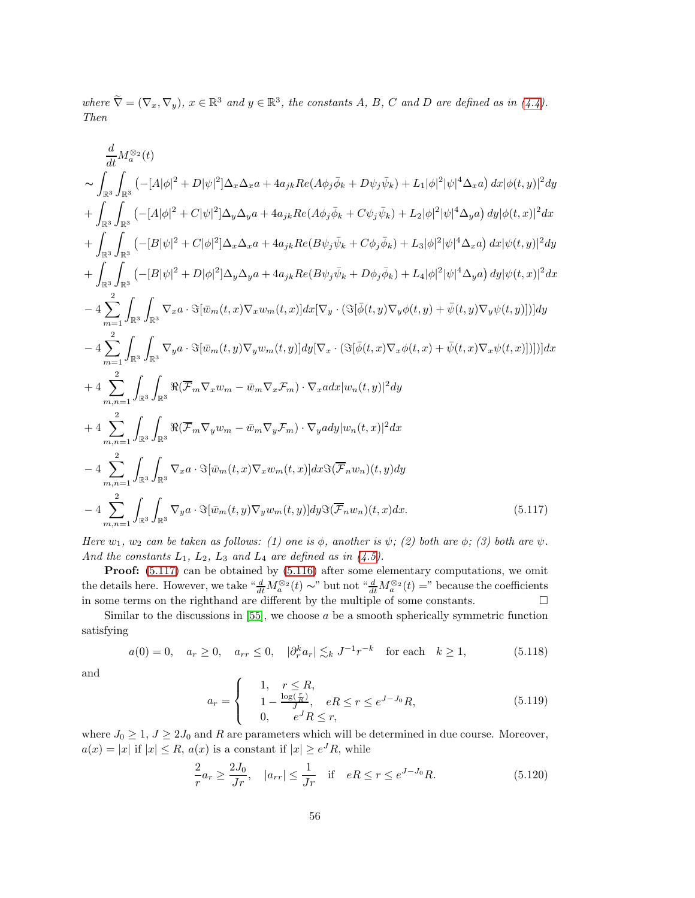where  $\tilde{\nabla} = (\nabla_x, \nabla_y), x \in \mathbb{R}^3$  and  $y \in \mathbb{R}^3$ , the constants A, B, C and D are defined as in [\(4.4\)](#page-23-0). Then

$$
\frac{d}{dt}M_{a}^{\otimes_{2}}(t) \n\sim \int_{\mathbb{R}^{3}} \int_{\mathbb{R}^{3}} (-[A|\phi|^{2} + D|\psi|^{2}] \Delta_{x} \Delta_{x}a + 4a_{jk}Re(A\phi_{j}\bar{\phi}_{k} + D\psi_{j}\bar{\psi}_{k}) + L_{1}|\phi|^{2}|\psi|^{4} \Delta_{x}a) dx |\phi(t,y)|^{2}dy \n+ \int_{\mathbb{R}^{3}} \int_{\mathbb{R}^{3}} (-[A|\phi|^{2} + C|\psi|^{2}] \Delta_{y} \Delta_{y}a + 4a_{jk}Re(A\phi_{j}\bar{\phi}_{k} + C\psi_{j}\bar{\psi}_{k}) + L_{2}|\phi|^{2}|\psi|^{4} \Delta_{y}a) dy |\phi(t,x)|^{2}dx \n+ \int_{\mathbb{R}^{3}} \int_{\mathbb{R}^{3}} (-[B|\psi|^{2} + C|\phi|^{2}] \Delta_{x} \Delta_{x}a + 4a_{jk}Re(B\psi_{j}\bar{\psi}_{k} + C\phi_{j}\bar{\phi}_{k}) + L_{3}|\phi|^{2}|\psi|^{4} \Delta_{x}a) dx |\psi(t,y)|^{2}dy \n+ \int_{\mathbb{R}^{3}} \int_{\mathbb{R}^{3}} (-[B|\psi|^{2} + D|\phi|^{2}] \Delta_{y} \Delta_{y}a + 4a_{jk}Re(B\psi_{j}\bar{\psi}_{k} + D\phi_{j}\bar{\phi}_{k}) + L_{4}|\phi|^{2}|\psi|^{4} \Delta_{y}a) dx |\psi(t,x)|^{2}dx \n- 4 \sum_{m=1}^{2} \int_{\mathbb{R}^{3}} \int_{\mathbb{R}^{3}} \nabla_{x}a \cdot \Im[\bar{w}_{m}(t,x) \nabla_{x}w_{m}(t,x)] dx [\nabla_{y} \cdot (\Im[\bar{\phi}(t,y) \nabla_{y}\phi(t,y) + \bar{\psi}(t,y) \nabla_{y}\psi(t,y)])]dy \n- 4 \sum_{m=1}^{2} \int_{\mathbb{R}^{3}} \int_{\mathbb{R}^{3}} \nabla_{y}a \cdot \Im[\bar{w}_{m}(t,y) \nabla_{y}w_{m}(t,y)] dy [\nabla_{x} \cdot (\Im[\bar{\phi}(t,x) \nabla_{x}\phi(t,x) + \bar{\
$$

Here  $w_1$ ,  $w_2$  can be taken as follows: (1) one is  $\phi$ , another is  $\psi$ ; (2) both are  $\phi$ ; (3) both are  $\psi$ . And the constants  $L_1$ ,  $L_2$ ,  $L_3$  and  $L_4$  are defined as in [\(4.5\)](#page-23-1).

Proof:  $(5.117)$  can be obtained by  $(5.116)$  after some elementary computations, we omit the details here. However, we take  $\frac{d}{dt} M_a^{\otimes 2}(t) \sim$ " but not  $\frac{d}{dt} M_a^{\otimes 2}(t) =$ " because the coefficients in some terms on the righthand are different by the multiple of some constants.  $\Box$ 

Similar to the discussions in  $[55]$ , we choose  $a$  be a smooth spherically symmetric function satisfying

$$
a(0) = 0
$$
,  $a_r \ge 0$ ,  $a_{rr} \le 0$ ,  $|\partial_r^k a_r| \lesssim_k J^{-1} r^{-k}$  for each  $k \ge 1$ ,  $(5.118)$ 

and

<span id="page-55-2"></span><span id="page-55-1"></span><span id="page-55-0"></span>
$$
a_r = \begin{cases} 1, & r \le R, \\ 1 - \frac{\log(\frac{r}{R})}{J}, & eR \le r \le e^{J-J_0}R, \\ 0, & e^J R \le r, \end{cases}
$$
 (5.119)

where  $J_0 \geq 1, J \geq 2J_0$  and R are parameters which will be determined in due course. Moreover,  $a(x) = |x|$  if  $|x| \le R$ ,  $a(x)$  is a constant if  $|x| \ge e^J R$ , while

<span id="page-55-3"></span>
$$
\frac{2}{r}a_r \ge \frac{2J_0}{Jr}, \quad |a_{rr}| \le \frac{1}{Jr} \quad \text{if} \quad eR \le r \le e^{J-J_0}R. \tag{5.120}
$$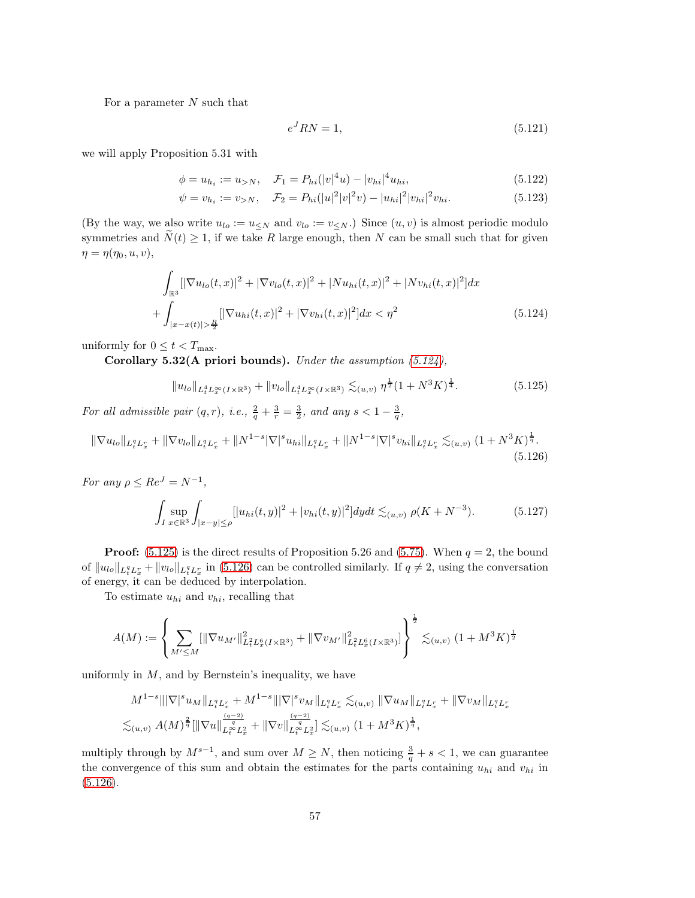For a parameter  $N$  such that

<span id="page-56-4"></span><span id="page-56-1"></span><span id="page-56-0"></span>
$$
e^{J}RN = 1,\tag{5.121}
$$

we will apply Proposition 5.31 with

$$
\phi = u_{h_i} := u_{>N}, \quad \mathcal{F}_1 = P_{hi}(|v|^4 u) - |v_{hi}|^4 u_{hi}, \tag{5.122}
$$

$$
\psi = v_{h_i} := v_{>N}, \quad \mathcal{F}_2 = P_{hi}(|u|^2 |v|^2 v) - |u_{hi}|^2 |v_{hi}|^2 v_{hi}.
$$
\n(5.123)

(By the way, we also write  $u_{lo} := u \leq_N$  and  $v_{lo} := v \leq_N$ .) Since  $(u, v)$  is almost periodic modulo symmetries and  $\tilde{N}(t) \geq 1$ , if we take R large enough, then N can be small such that for given  $\eta = \eta(\eta_0, u, v),$ 

$$
\int_{\mathbb{R}^3} [|\nabla u_{lo}(t,x)|^2 + |\nabla v_{lo}(t,x)|^2 + |Nu_{hi}(t,x)|^2 + |Nv_{hi}(t,x)|^2] dx
$$
  
+ 
$$
\int_{|x-x(t)| > \frac{R}{2}} ||\nabla u_{hi}(t,x)|^2 + |\nabla v_{hi}(t,x)|^2] dx < \eta^2
$$
(5.124)

uniformly for  $0 \leq t < T_{\text{max}}$ .

Corollary 5.32(A priori bounds). Under the assumption  $(5.124)$ ,

<span id="page-56-2"></span>
$$
||u_{lo}||_{L_t^4 L_x^{\infty}(I \times \mathbb{R}^3)} + ||v_{lo}||_{L_t^4 L_x^{\infty}(I \times \mathbb{R}^3)} \lesssim_{(u,v)} \eta^{\frac{1}{2}} (1 + N^3 K)^{\frac{1}{4}}.
$$
 (5.125)

For all admissible pair  $(q, r)$ , i.e.,  $\frac{2}{q} + \frac{3}{r} = \frac{3}{2}$ , and any  $s < 1 - \frac{3}{q}$ ,

$$
\|\nabla u_{lo}\|_{L_t^q L_x^r} + \|\nabla v_{lo}\|_{L_t^q L_x^r} + \|N^{1-s}|\nabla|^s u_{hi}\|_{L_t^q L_x^r} + \|N^{1-s}|\nabla|^s v_{hi}\|_{L_t^q L_x^r} \lesssim_{(u,v)} (1 + N^3 K)^{\frac{1}{q}}.
$$
\n(5.126)

For any  $\rho \leq Re^J = N^{-1}$ ,

<span id="page-56-3"></span>
$$
\int_{I} \sup_{x \in \mathbb{R}^3} \int_{|x-y| \le \rho} [|u_{hi}(t,y)|^2 + |v_{hi}(t,y)|^2] dy dt \lesssim_{(u,v)} \rho(K + N^{-3}). \tag{5.127}
$$

**Proof:** [\(5.125\)](#page-56-1) is the direct results of Proposition 5.26 and [\(5.75\)](#page-48-2). When  $q = 2$ , the bound of  $||u_{lo}||_{L_t^q L_x^r} + ||v_{lo}||_{L_t^q L_x^r}$  in [\(5.126\)](#page-56-2) can be controlled similarly. If  $q \neq 2$ , using the conversation of energy, it can be deduced by interpolation.

To estimate  $u_{hi}$  and  $v_{hi}$ , recalling that

$$
A(M) := \left\{ \sum_{M' \le M} [\|\nabla u_{M'}\|_{L^2_t L^6_x(I \times \mathbb{R}^3)}^2 + \|\nabla v_{M'}\|_{L^2_t L^6_x(I \times \mathbb{R}^3)}^2] \right\}^{\frac{1}{2}} \lesssim_{(u,v)} (1 + M^3 K)^{\frac{1}{2}}
$$

uniformly in  $M$ , and by Bernstein's inequality, we have

$$
M^{1-s} \|\|\nabla|^s u_M\|_{L_t^q L_x^r} + M^{1-s} \|\|\nabla|^s v_M\|_{L_t^q L_x^r} \lesssim_{(u,v)} \|\nabla u_M\|_{L_t^q L_x^r} + \|\nabla v_M\|_{L_t^q L_x^r}
$$
  

$$
\lesssim_{(u,v)} A(M)^{\frac{2}{q}} \|\|\nabla u\|_{L_t^\infty L_x^2}^{\frac{(q-2)}{q}} + \|\nabla v\|_{L_t^\infty L_x^2}^{\frac{(q-2)}{q}} \lesssim_{(u,v)} (1 + M^3 K)^{\frac{1}{q}},
$$

multiply through by  $M^{s-1}$ , and sum over  $M \geq N$ , then noticing  $\frac{3}{q} + s < 1$ , we can guarantee the convergence of this sum and obtain the estimates for the parts containing  $u_{hi}$  and  $v_{hi}$  in  $(5.126).$  $(5.126).$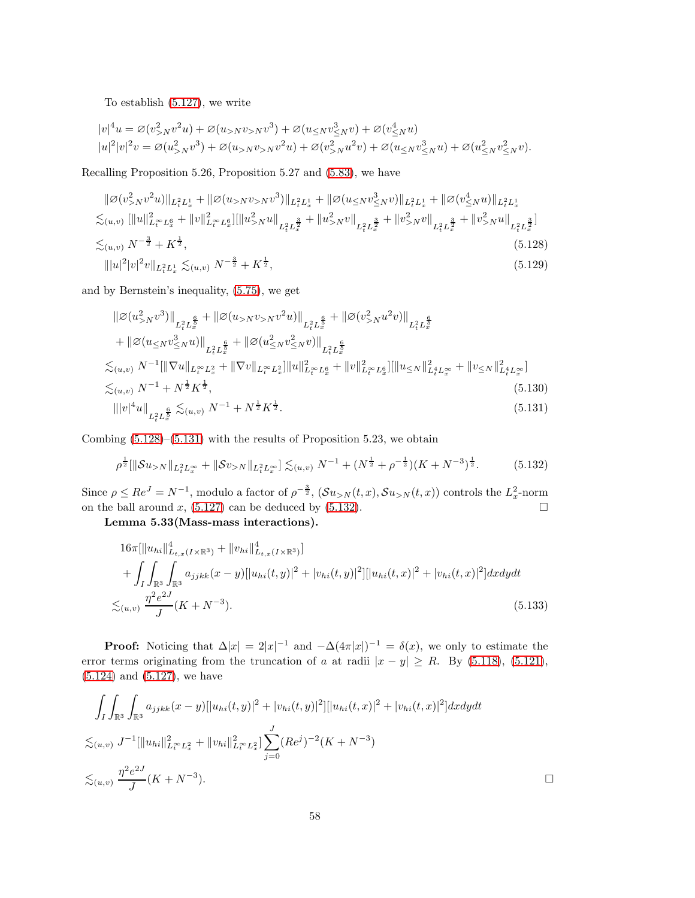To establish [\(5.127\)](#page-56-3), we write

$$
|v|^4 u = \varnothing(v_{>N}^2 v^2 u) + \varnothing(u_{>N}v_{>N}v^3) + \varnothing(u_{\leq N}v_{\leq N}^3 v) + \varnothing(v_{\leq N}^4 u) |u|^2 |v|^2 v = \varnothing(u_{>N}^2 v^3) + \varnothing(u_{>N}v_{>N}v^2 u) + \varnothing(v_{>N}^2 u^2 v) + \varnothing(u_{\leq N}v_{\leq N}^3 u) + \varnothing(u_{\leq N}^2 v_{\leq N}^2 v).
$$

Recalling Proposition 5.26, Proposition 5.27 and [\(5.83\)](#page-49-2), we have

$$
\|\varnothing(v_{>N}^2v^2u)\|_{L_t^2L_x^1} + \|\varnothing(u_{>N}v_{>N}v^3)\|_{L_t^2L_x^1} + \|\varnothing(u_{\leq N}v_{\leq N}^3v)\|_{L_t^2L_x^1} + \|\varnothing(v_{\leq N}^4u)\|_{L_t^2L_x^1}
$$
  

$$
\lesssim_{(u,v)} [\|u\|_{L_t^\infty L_x^6}^2 + \|v\|_{L_t^\infty L_x^6}^2] [\|u_{>N}^2u\|_{L_t^2L_x^{\frac{3}{2}}} + \|u_{>N}^2v\|_{L_t^2L_x^{\frac{3}{2}}} + \|v_{>N}^2v\|_{L_t^2L_x^{\frac{3}{2}}} + \|v_{>N}^2u\|_{L_t^2L_x^{\frac{3}{2}}} ]
$$
  

$$
\lesssim_{(u,v)} N^{-\frac{3}{2}} + K^{\frac{1}{2}},
$$
  

$$
[\|u\|^2|v|^2v\|_{L_t^2L_x^1} \lesssim_{(u,v)} N^{-\frac{3}{2}} + K^{\frac{1}{2}},
$$
  
(5.128)  
(5.129)

and by Bernstein's inequality, [\(5.75\)](#page-48-2), we get

<span id="page-57-0"></span>
$$
\|\varnothing(u_{>N}^{2}v^{3})\|_{L_{t}^{2}L_{x}^{\frac{6}{5}}} + \|\varnothing(u_{>N}v_{>N}v^{2}u)\|_{L_{t}^{2}L_{x}^{\frac{6}{5}}} + \|\varnothing(v_{>N}^{2}u^{2}v)\|_{L_{t}^{2}L_{x}^{\frac{6}{5}}} + \|\varnothing(u_{\leq N}v_{\leq N}^{3}u)\|_{L_{t}^{2}L_{x}^{\frac{6}{5}}} + \|\varnothing(u_{\leq N}^{2}v_{\leq N}^{2}v)\|_{L_{t}^{2}L_{x}^{\frac{6}{5}}} \n\lesssim_{(u,v)} N^{-1} [\|\nabla u\|_{L_{t}^{\infty}L_{x}^{2}} + \|\nabla v\|_{L_{t}^{\infty}L_{x}^{2}}] \|u\|_{L_{t}^{\infty}L_{x}^{6}}^{2} + \|v\|_{L_{t}^{\infty}L_{x}^{6}}^{2}][\|u_{\leq N}\|_{L_{t}^{4}L_{x}^{\infty}}^{2} + \|v_{\leq N}\|_{L_{t}^{4}L_{x}^{\infty}}^{2}] \n\lesssim_{(u,v)} N^{-1} + N^{\frac{1}{2}} K^{\frac{1}{2}},
$$
\n(5.130)  
\n
$$
\| |v|^{4}u \|_{L_{t}^{2}L_{x}^{\frac{6}{5}}} \lesssim_{(u,v)} N^{-1} + N^{\frac{1}{2}} K^{\frac{1}{2}}.
$$
\n(5.131)

Combing  $(5.128)$ – $(5.131)$  with the results of Proposition 5.23, we obtain

<span id="page-57-2"></span><span id="page-57-1"></span>
$$
\rho^{\frac{1}{2}}[\|\mathcal{S}u_{>N}\|_{L_t^2 L_x^{\infty}} + \|\mathcal{S}v_{>N}\|_{L_t^2 L_x^{\infty}}] \lesssim_{(u,v)} N^{-1} + (N^{\frac{1}{2}} + \rho^{-\frac{1}{2}})(K + N^{-3})^{\frac{1}{2}}.
$$
 (5.132)

Since  $\rho \le Re^J = N^{-1}$ , modulo a factor of  $\rho^{-\frac{3}{2}}$ ,  $(\mathcal{S}u_{>N}(t,x), \mathcal{S}u_{>N}(t,x))$  controls the  $L_x^2$ -norm on the ball around x,  $(5.127)$  can be deduced by  $(5.132)$ .

Lemma 5.33(Mass-mass interactions).

$$
16\pi \left[ \|u_{hi}\|_{L_{t,x}(I\times\mathbb{R}^3)}^4 + \|v_{hi}\|_{L_{t,x}(I\times\mathbb{R}^3)}^4 \right] + \int_I \int_{\mathbb{R}^3} \int_{\mathbb{R}^3} a_{jjkk}(x-y) [|u_{hi}(t,y)|^2 + |v_{hi}(t,y)|^2] |u_{hi}(t,x)|^2 + |v_{hi}(t,x)|^2] dxdydt < \lesssim_{(u,v)} \frac{\eta^2 e^{2J}}{J}(K+N^{-3}).
$$
\n(5.133)

**Proof:** Noticing that  $\Delta |x| = 2|x|^{-1}$  and  $-\Delta(4\pi |x|)^{-1} = \delta(x)$ , we only to estimate the error terms originating from the truncation of a at radii  $|x - y| \ge R$ . By [\(5.118\)](#page-55-1), [\(5.121\)](#page-56-4), [\(5.124\)](#page-56-0) and [\(5.127\)](#page-56-3), we have

$$
\int_{I} \int_{\mathbb{R}^{3}} \int_{\mathbb{R}^{3}} a_{jjkk}(x - y)[|u_{hi}(t, y)|^{2} + |v_{hi}(t, y)|^{2}] |[u_{hi}(t, x)|^{2} + |v_{hi}(t, x)|^{2}] dx dy dt
$$
  

$$
\lesssim_{(u, v)} J^{-1} [||u_{hi}||_{L_{t}^{\infty} L_{x}^{2}}^{2} + ||v_{hi}||_{L_{t}^{\infty} L_{x}^{2}}^{2}] \sum_{j=0}^{J} (Re^{j})^{-2} (K + N^{-3})
$$
  

$$
\lesssim_{(u, v)} \frac{\eta^{2} e^{2J}}{J} (K + N^{-3}).
$$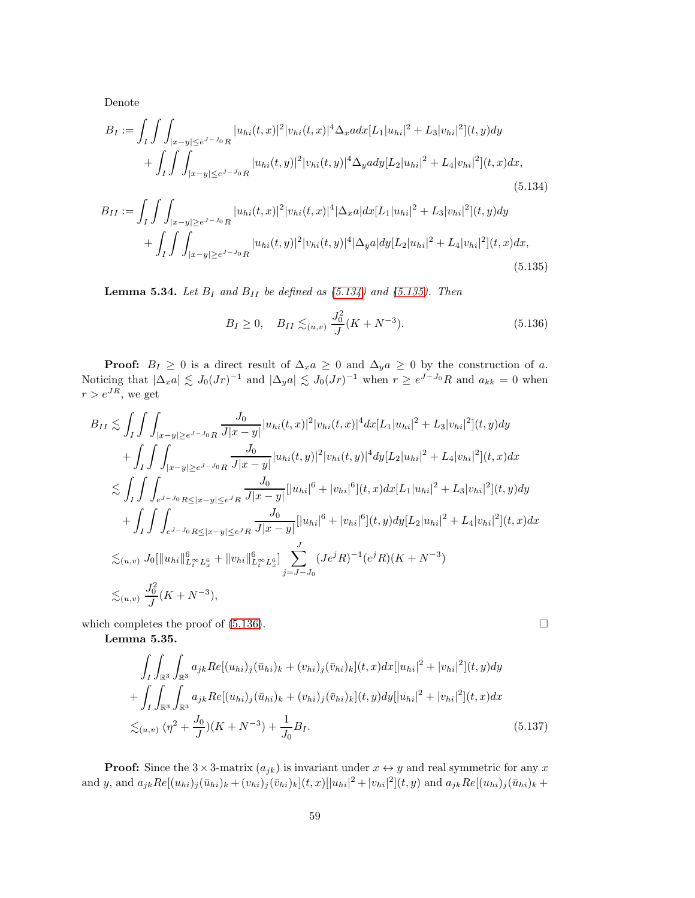Denote

$$
B_{I} := \int_{I} \int \int_{|x-y| \leq e^{J-J_{0}}R} |u_{hi}(t,x)|^{2} |v_{hi}(t,x)|^{4} \Delta_{x} adx [L_{1}|u_{hi}|^{2} + L_{3}|v_{hi}|^{2}] (t,y) dy
$$
  
+ 
$$
\int_{I} \int \int_{|x-y| \leq e^{J-J_{0}}R} |u_{hi}(t,y)|^{2} |v_{hi}(t,y)|^{4} \Delta_{y} ady [L_{2}|u_{hi}|^{2} + L_{4}|v_{hi}|^{2}] (t,x) dx,
$$
  
(5.134)  

$$
B_{II} := \int_{I} \int \int_{|x-y| \geq e^{J-J_{0}}R} |u_{hi}(t,x)|^{2} |v_{hi}(t,x)|^{4} |\Delta_{x} a| dx [L_{1}|u_{hi}|^{2} + L_{3}|v_{hi}|^{2}] (t,y) dy
$$
  
+ 
$$
\int_{I} \int \int_{|x-y| \geq e^{J-J_{0}}R} |u_{hi}(t,y)|^{2} |v_{hi}(t,y)|^{4} |\Delta_{y} a| dy [L_{2}|u_{hi}|^{2} + L_{4}|v_{hi}|^{2}] (t,x) dx,
$$

<span id="page-58-2"></span><span id="page-58-1"></span><span id="page-58-0"></span>(5.135)

**Lemma 5.34.** Let  $B_I$  and  $B_{II}$  be defined as [\(5.134\)](#page-58-0) and [\(5.135\)](#page-58-1). Then

$$
B_I \ge 0, \quad B_{II} \lesssim_{(u,v)} \frac{J_0^2}{J}(K + N^{-3}). \tag{5.136}
$$

**Proof:**  $B_I \geq 0$  is a direct result of  $\Delta_x a \geq 0$  and  $\Delta_y a \geq 0$  by the construction of a. Noticing that  $|\Delta_x a| \lesssim J_0(Jr)^{-1}$  and  $|\Delta_y a| \lesssim J_0(Jr)^{-1}$  when  $r \geq e^{J-J_0}R$  and  $a_{kk} = 0$  when  $r > e^{JR}$ , we get

$$
B_{II} \lesssim \int_{I} \int \int_{|x-y| \geq e^{J-J_0}R} \frac{J_0}{J|x-y|} |u_{hi}(t,x)|^2 |v_{hi}(t,x)|^4 dx [L_1 |u_{hi}|^2 + L_3 |v_{hi}|^2](t,y) dy
$$
  
+ 
$$
\int_{I} \int \int_{|x-y| \geq e^{J-J_0}R} \frac{J_0}{J|x-y|} |u_{hi}(t,y)|^2 |v_{hi}(t,y)|^4 dy [L_2 |u_{hi}|^2 + L_4 |v_{hi}|^2](t,x) dx
$$
  

$$
\lesssim \int_{I} \int \int_{e^{J-J_0}R \leq |x-y| \leq e^{J}R} \frac{J_0}{J|x-y|} [|u_{hi}|^6 + |v_{hi}|^6](t,x) dx [L_1 |u_{hi}|^2 + L_3 |v_{hi}|^2](t,y) dy
$$
  
+ 
$$
\int_{I} \int \int_{e^{J-J_0}R \leq |x-y| \leq e^{J}R} \frac{J_0}{J|x-y|} [|u_{hi}|^6 + |v_{hi}|^6](t,y) dy [L_2 |u_{hi}|^2 + L_4 |v_{hi}|^2](t,x) dx
$$
  

$$
\lesssim_{(u,v)} J_0 [||u_{hi}||_{L_t^{\infty}L_x^6}^6 + ||v_{hi}||_{L_t^{\infty}L_x^6}^6] \sum_{j=J-J_0} (Je^{j}R)^{-1} (e^{j}R)(K+N^{-3})
$$
  

$$
\lesssim_{(u,v)} \frac{J_0^2}{J}(K+N^{-3}),
$$

which completes the proof of  $(5.136)$ .

Lemma 5.35.

$$
\int_{I} \int_{\mathbb{R}^{3}} \int_{\mathbb{R}^{3}} a_{jk} Re[(u_{hi})_{j}(\bar{u}_{hi})_{k} + (v_{hi})_{j}(\bar{v}_{hi})_{k}](t, x) dx [|u_{hi}|^{2} + |v_{hi}|^{2}](t, y) dy \n+ \int_{I} \int_{\mathbb{R}^{3}} \int_{\mathbb{R}^{3}} a_{jk} Re[(u_{hi})_{j}(\bar{u}_{hi})_{k} + (v_{hi})_{j}(\bar{v}_{hi})_{k}](t, y) dy [|u_{hi}|^{2} + |v_{hi}|^{2}](t, x) dx \n\lesssim_{(u,v)} (\eta^{2} + \frac{J_{0}}{J})(K + N^{-3}) + \frac{1}{J_{0}} B_{I}.
$$
\n(5.137)

**Proof:** Since the  $3 \times 3$ -matrix  $(a_{jk})$  is invariant under  $x \leftrightarrow y$  and real symmetric for any x and y, and  $a_{jk}Re[(u_{hi})_j(\bar{u}_{hi})_k + (v_{hi})_j(\bar{v}_{hi})_k](t, x)[|u_{hi}|^2 + |v_{hi}|^2](t, y)$  and  $a_{jk}Re[(u_{hi})_j(\bar{u}_{hi})_k +$ 

<span id="page-58-3"></span>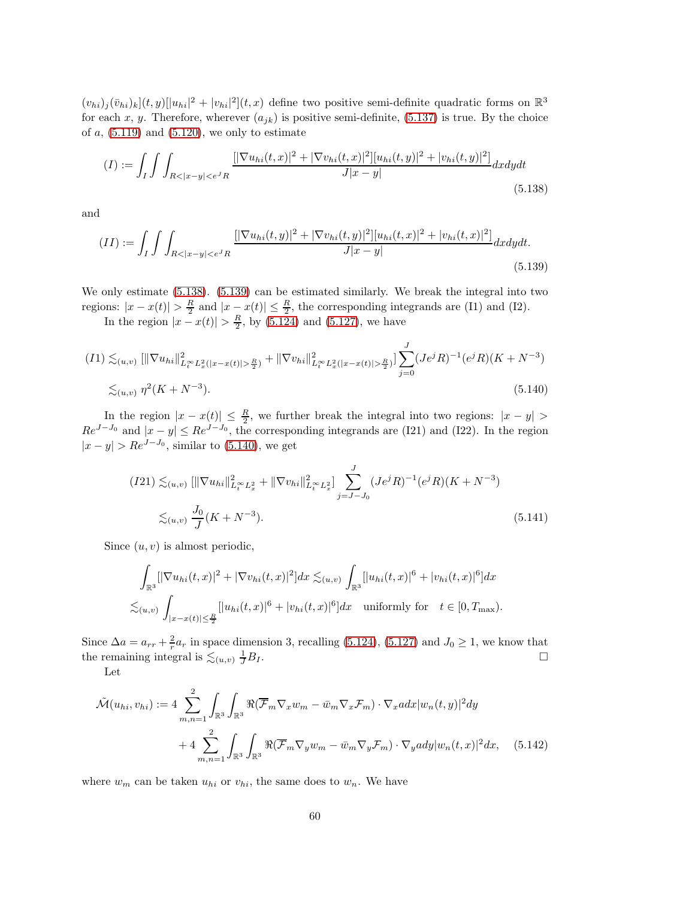$(v_{hi})_j(\bar{v}_{hi})_k](t, y)[|u_{hi}|^2 + |v_{hi}|^2](t, x)$  define two positive semi-definite quadratic forms on  $\mathbb{R}^3$ for each x, y. Therefore, wherever  $(a_{jk})$  is positive semi-definite, [\(5.137\)](#page-58-3) is true. By the choice of  $a$ ,  $(5.119)$  and  $(5.120)$ , we only to estimate

<span id="page-59-0"></span>
$$
(I) := \int_{I} \int \int_{R < |x - y| < e^{J}R} \frac{\left[ |\nabla u_{hi}(t, x)|^{2} + |\nabla v_{hi}(t, x)|^{2} \right] [u_{hi}(t, y)|^{2} + |v_{hi}(t, y)|^{2}]}{J|x - y|} dxdydt \tag{5.138}
$$

and

$$
(II) := \int_{I} \int \int_{R < |x - y| < e^{J}R} \frac{[|\nabla u_{hi}(t, y)|^{2} + |\nabla v_{hi}(t, y)|^{2}] [u_{hi}(t, x)|^{2} + |v_{hi}(t, x)|^{2}]}{J|x - y|} dx dy dt. \tag{5.139}
$$

We only estimate  $(5.138)$ .  $(5.139)$  can be estimated similarly. We break the integral into two regions:  $|x-x(t)| > \frac{R}{2}$  and  $|x-x(t)| \leq \frac{R}{2}$ , the corresponding integrands are (I1) and (I2).

<span id="page-59-1"></span>In the region  $|x - x(t)| > \frac{R}{2}$ , by [\(5.124\)](#page-56-0) and [\(5.127\)](#page-56-3), we have

$$
(I1) \lesssim_{(u,v)} [\|\nabla u_{hi}\|_{L_t^\infty L_x^2(|x-x(t)|>\frac{R}{2})}^2 + \|\nabla v_{hi}\|_{L_t^\infty L_x^2(|x-x(t)|>\frac{R}{2})}^2] \sum_{j=0}^J (Je^jR)^{-1}(e^jR)(K+N^{-3})
$$
  

$$
\lesssim_{(u,v)} \eta^2(K+N^{-3}). \tag{5.140}
$$

In the region  $|x-x(t)| \leq \frac{R}{2}$ , we further break the integral into two regions:  $|x-y| >$  $Re^{J-J_0}$  and  $|x-y| \leq Re^{J-J_0}$ , the corresponding integrands are (I21) and (I22). In the region  $|x-y| > Re^{J-J_0}$ , similar to [\(5.140\)](#page-59-2), we get

<span id="page-59-2"></span>
$$
(I21) \lesssim_{(u,v)} [\|\nabla u_{hi}\|_{L_t^\infty L_x^2}^2 + \|\nabla v_{hi}\|_{L_t^\infty L_x^2}^2] \sum_{j=J-J_0}^J (Je^jR)^{-1} (e^jR)(K+N^{-3})
$$
  

$$
\lesssim_{(u,v)} \frac{J_0}{J}(K+N^{-3}).
$$
 (5.141)

Since  $(u, v)$  is almost periodic,

$$
\int_{\mathbb{R}^3} [|\nabla u_{hi}(t,x)|^2 + |\nabla v_{hi}(t,x)|^2] dx \lesssim_{(u,v)} \int_{\mathbb{R}^3} [|u_{hi}(t,x)|^6 + |v_{hi}(t,x)|^6] dx
$$
  

$$
\lesssim_{(u,v)} \int_{|x-x(t)| \le \frac{R}{2}} [|u_{hi}(t,x)|^6 + |v_{hi}(t,x)|^6] dx \text{ uniformly for } t \in [0, T_{\text{max}}).
$$

Since  $\Delta a = a_{rr} + \frac{2}{r} a_r$  in space dimension 3, recalling [\(5.124\)](#page-56-0), [\(5.127\)](#page-56-3) and  $J_0 \ge 1$ , we know that the remaining integral is  $\lesssim_{(u,v)} \frac{1}{J}$  $\frac{1}{J}B_I$ .

Let

$$
\tilde{\mathcal{M}}(u_{hi}, v_{hi}) := 4 \sum_{m,n=1}^{2} \int_{\mathbb{R}^3} \int_{\mathbb{R}^3} \Re(\overline{\mathcal{F}}_m \nabla_x w_m - \bar{w}_m \nabla_x \mathcal{F}_m) \cdot \nabla_x a dx |w_n(t,y)|^2 dy
$$

$$
+ 4 \sum_{m,n=1}^{2} \int_{\mathbb{R}^3} \int_{\mathbb{R}^3} \Re(\overline{\mathcal{F}}_m \nabla_y w_m - \bar{w}_m \nabla_y \mathcal{F}_m) \cdot \nabla_y a dy |w_n(t,x)|^2 dx, \quad (5.142)
$$

where  $w_m$  can be taken  $u_{hi}$  or  $v_{hi}$ , the same does to  $w_n$ . We have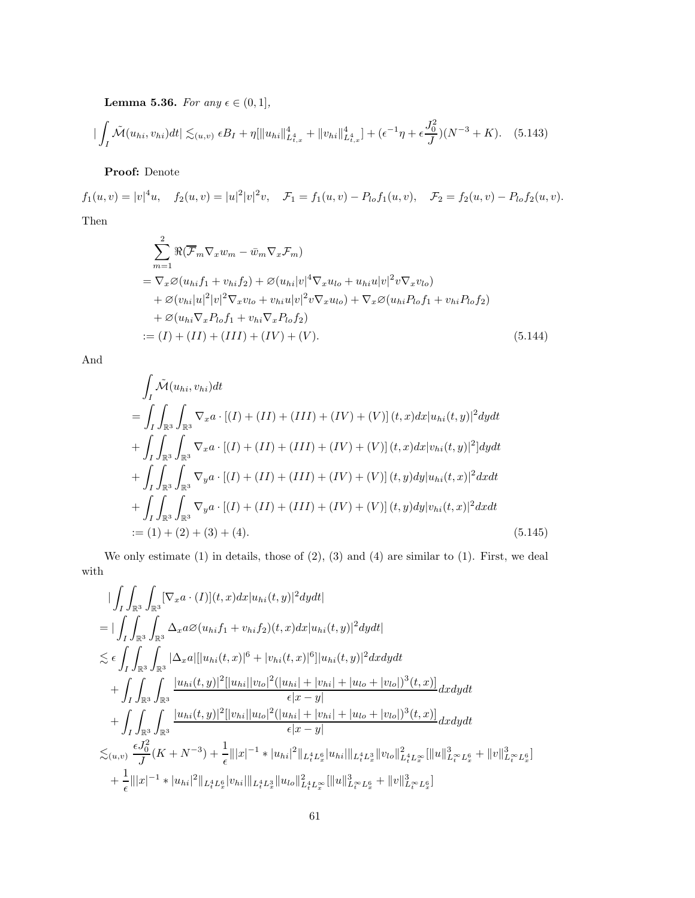Lemma 5.36. For any  $\epsilon \in (0,1],$ 

$$
\left| \int_{I} \tilde{\mathcal{M}}(u_{hi}, v_{hi}) dt \right| \lesssim_{(u,v)} \epsilon B_I + \eta [\|u_{hi}\|_{L^4_{t,x}}^4 + \|v_{hi}\|_{L^4_{t,x}}^4] + (\epsilon^{-1}\eta + \epsilon \frac{J_0^2}{J})(N^{-3} + K). \tag{5.143}
$$

Proof: Denote

 $f_1(u, v) = |v|^4 u$ ,  $f_2(u, v) = |u|^2 |v|^2 v$ ,  $\mathcal{F}_1 = f_1(u, v) - P_{lo} f_1(u, v)$ ,  $\mathcal{F}_2 = f_2(u, v) - P_{lo} f_2(u, v)$ . Then

$$
\sum_{m=1}^{2} \Re(\overline{\mathcal{F}}_{m} \nabla_{x} w_{m} - \bar{w}_{m} \nabla_{x} \mathcal{F}_{m})
$$
\n
$$
= \nabla_{x} \varnothing (u_{hi} f_{1} + v_{hi} f_{2}) + \varnothing (u_{hi} |v|^{4} \nabla_{x} u_{lo} + u_{hi} u |v|^{2} v \nabla_{x} v_{lo})
$$
\n
$$
+ \varnothing (v_{hi} |u|^{2} |v|^{2} \nabla_{x} v_{lo} + v_{hi} u |v|^{2} v \nabla_{x} u_{lo}) + \nabla_{x} \varnothing (u_{hi} P_{lo} f_{1} + v_{hi} P_{lo} f_{2})
$$
\n
$$
+ \varnothing (u_{hi} \nabla_{x} P_{lo} f_{1} + v_{hi} \nabla_{x} P_{lo} f_{2})
$$
\n
$$
:= (I) + (II) + (III) + (IV) + (V).
$$
\n(5.144)

And

$$
\int_{I} \tilde{\mathcal{M}}(u_{hi}, v_{hi}) dt
$$
\n
$$
= \int_{I} \int_{\mathbb{R}^{3}} \int_{\mathbb{R}^{3}} \nabla_{x} a \cdot [(I) + (II) + (III) + (IV) + (V)] (t, x) dx |u_{hi}(t, y)|^{2} dy dt
$$
\n
$$
+ \int_{I} \int_{\mathbb{R}^{3}} \int_{\mathbb{R}^{3}} \nabla_{x} a \cdot [(I) + (II) + (III) + (IV) + (V)] (t, x) dx |v_{hi}(t, y)|^{2}] dy dt
$$
\n
$$
+ \int_{I} \int_{\mathbb{R}^{3}} \int_{\mathbb{R}^{3}} \nabla_{y} a \cdot [(I) + (II) + (III) + (IV) + (V)] (t, y) dy |u_{hi}(t, x)|^{2} dx dt
$$
\n
$$
+ \int_{I} \int_{\mathbb{R}^{3}} \int_{\mathbb{R}^{3}} \nabla_{y} a \cdot [(I) + (II) + (III) + (IV) + (V)] (t, y) dy |v_{hi}(t, x)|^{2} dx dt
$$
\n
$$
:= (1) + (2) + (3) + (4).
$$
\n(5.145)

We only estimate  $(1)$  in details, those of  $(2)$ ,  $(3)$  and  $(4)$  are similar to  $(1)$ . First, we deal with

$$
\begin{split}\n&\left|\int_{I}\int_{\mathbb{R}^{3}}\int_{\mathbb{R}^{3}}\left[\nabla_{x}a\cdot(I)(t,x)dx|u_{hi}(t,y)|^{2}dydt\right|\right.\\
&\left|\int_{I}\int_{\mathbb{R}^{3}}\int_{\mathbb{R}^{3}}\Delta_{x}a\varnothing(u_{hi}f_{1}+v_{hi}f_{2})(t,x)dx|u_{hi}(t,y)|^{2}dydt\right| \\
&\leq\epsilon\int_{I}\int_{\mathbb{R}^{3}}\int_{\mathbb{R}^{3}}\left|\Delta_{x}a\right|[|u_{hi}(t,x)|^{6}+|v_{hi}(t,x)|^{6}]|u_{hi}(t,y)|^{2}dxdydt \\
&\quad+\int_{I}\int_{\mathbb{R}^{3}}\int_{\mathbb{R}^{3}}\frac{|u_{hi}(t,y)|^{2}[|u_{hi}||v_{lo}|^{2}(|u_{hi}|+|v_{hi}|+|u_{lo}+|v_{lo}|)^{3}(t,x)]}{\epsilon|x-y|}dxdydt \\
&\quad+\int_{I}\int_{\mathbb{R}^{3}}\int_{\mathbb{R}^{3}}\frac{|u_{hi}(t,y)|^{2}[|v_{hi}||u_{lo}|^{2}(|u_{hi}|+|v_{hi}|+|u_{lo}+|v_{lo}|)^{3}(t,x)]}{\epsilon|x-y|}dxdydt \\
&\leq_{(u,v)}\frac{\epsilon J_{0}^{2}}{J}(K+N^{-3})+\frac{1}{\epsilon}\| |x|^{-1}\ast |u_{hi}|^{2}\|_{L_{t}^{4}L_{x}^{6}}|u_{hi}|\|_{L_{t}^{4}L_{x}^{3}}\|v_{lo}\|_{L_{t}^{4}L_{x}^{\infty}}^{2}\|u\|_{L_{t}^{\infty}}^{3}L_{x}^{6}+\|v\|_{L_{t}^{\infty}}^{3}L_{x}^{6}\|u\|_{L_{t}^{\infty}}^{3}\|v_{lo}\|_{L_{t}^{4}L_{x}^{\infty}}^{2}\|u\|_{L_{t}^{\infty}}^{3}\|v_{lo}\|_{L_{t}^{\infty}}^{3}\|v_{lo}\|_{L_{t}^{\infty}}^{3}\|v_{lo}\|_{L_{t}^{\infty}}^{3} \end{split}
$$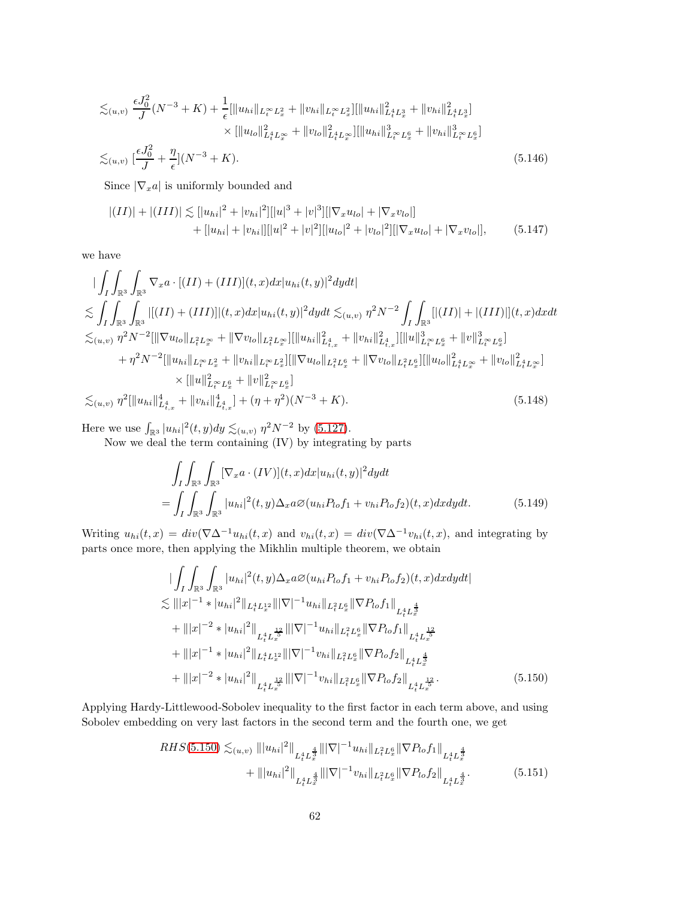$$
\lesssim_{(u,v)} \frac{\epsilon J_0^2}{J}(N^{-3} + K) + \frac{1}{\epsilon} [\|u_{hi}\|_{L_t^\infty L_x^2} + \|v_{hi}\|_{L_t^\infty L_x^2}] [\|u_{hi}\|_{L_t^4 L_x^3}^2 + \|v_{hi}\|_{L_t^4 L_x^3}^2]
$$
  
\n
$$
\times [\|u_{lo}\|_{L_t^4 L_x^\infty}^2 + \|v_{lo}\|_{L_t^4 L_x^\infty}^2] [\|u_{hi}\|_{L_t^\infty L_x^6}^3 + \|v_{hi}\|_{L_t^\infty L_x^6}^3]
$$
  
\n
$$
\lesssim_{(u,v)} [\frac{\epsilon J_0^2}{J} + \frac{\eta}{\epsilon}] (N^{-3} + K).
$$
\n(5.146)

Since  $|\nabla_x a|$  is uniformly bounded and

$$
|(II)| + |(III)| \lesssim ||u_{hi}|^2 + |v_{hi}|^2 ||u|^3 + |v|^3 ||\nabla_x u_{lo}| + |\nabla_x v_{lo}||
$$
  
+ 
$$
[|u_{hi}| + |v_{hi}|] [|u|^2 + |v|^2] [|u_{lo}|^2 + |v_{lo}|^2] [|\nabla_x u_{lo}| + |\nabla_x v_{lo}|],
$$
 (5.147)

we have

$$
\begin{split}\n&\left|\int_{I}\int_{\mathbb{R}^{3}}\int_{\mathbb{R}^{3}}\nabla_{x}a\cdot[(II)+(III)](t,x)dx|u_{hi}(t,y)|^{2}dydt\right| \\
&\lesssim &\int_{I}\int_{\mathbb{R}^{3}}\int_{\mathbb{R}^{3}}\left||(II)+(III)]|(t,x)dx|u_{hi}(t,y)|^{2}dydt \lesssim_{(u,v)} \eta^{2}N^{-2}\int_{I}\int_{\mathbb{R}^{3}}\left||(II)|+|(III)||(t,x)dxdt\right| \\
&\lesssim_{(u,v)} \eta^{2}N^{-2}[\|\nabla u_{lo}\|_{L_{t}^{2}L_{x}^{\infty}}+\|\nabla v_{lo}\|_{L_{t}^{2}L_{x}^{\infty}}]\left|\|\|u_{hi}\|_{L_{t,x}^{4}}^{2}+\|v_{hi}\|_{L_{t,x}^{4}}^{2}\right|\left|\|\|u\|_{L_{t}^{\infty}L_{x}^{6}}^{2}+\|v\|_{L_{t}^{\infty}L_{x}^{6}}^{3}\right| \\
&\quad+\eta^{2}N^{-2}[\|u_{hi}\|_{L_{t}^{\infty}L_{x}^{2}}+\|v_{hi}\|_{L_{t}^{\infty}L_{x}^{2}}]\left|\|\nabla u_{lo}\|_{L_{t}^{2}L_{x}^{6}}+\|\nabla v_{lo}\|_{L_{t}^{2}L_{x}^{6}}\right|\left|\|u_{lo}\|_{L_{t}^{4}L_{x}^{\infty}}^{2}+\|v_{lo}\|_{L_{t}^{4}L_{x}^{\infty}}^{2}\right| \\
&\quad\times\|u\|_{L_{t}^{\infty}L_{x}^{6}}^{2}+\|v\|_{L_{t}^{\infty}L_{x}^{6}}^{2}\right] \\
&\lesssim_{(u,v)} \eta^{2}[\|u_{hi}\|_{L_{t,x}^{4}}^{4}+\|v_{hi}\|_{L_{t,x}^{4}}^{4}]+(\eta+\eta^{2})(N^{-3}+K). \end{split} \tag{5.148}
$$

Here we use  $\int_{\mathbb{R}^3} |u_{hi}|^2(t, y) dy \lesssim_{(u,v)} \eta^2 N^{-2}$  by [\(5.127\)](#page-56-3).

Now we deal the term containing (IV) by integrating by parts

<span id="page-61-1"></span>
$$
\int_{I} \int_{\mathbb{R}^{3}} \int_{\mathbb{R}^{3}} \left[ \nabla_{x} a \cdot (IV) \right](t, x) dx |u_{hi}(t, y)|^{2} dy dt
$$
\n
$$
= \int_{I} \int_{\mathbb{R}^{3}} \int_{\mathbb{R}^{3}} |u_{hi}|^{2}(t, y) \Delta_{x} a \varnothing (u_{hi} P_{lo} f_{1} + v_{hi} P_{lo} f_{2})(t, x) dx dy dt. \tag{5.149}
$$

Writing  $u_{hi}(t, x) = div(\nabla \Delta^{-1} u_{hi}(t, x))$  and  $v_{hi}(t, x) = div(\nabla \Delta^{-1} v_{hi}(t, x))$ , and integrating by parts once more, then applying the Mikhlin multiple theorem, we obtain

$$
\begin{split}\n&\left|\int_{I}\int_{\mathbb{R}^{3}}\int_{\mathbb{R}^{3}}|u_{hi}|^{2}(t,y)\Delta_{x}a\varnothing(u_{hi}P_{lo}f_{1}+v_{hi}P_{lo}f_{2})(t,x)dxdydt\right| \\
&\lesssim \|||x|^{-1} * |u_{hi}|^{2}\||_{L_{t}^{4}L_{x}^{12}}\||\nabla|^{-1}u_{hi}\||_{L_{t}^{2}L_{x}^{6}}\|\nabla P_{lo}f_{1}\|_{L_{t}^{4}L_{x}^{\frac{4}{3}} \\
&+\|||x|^{-2} * |u_{hi}|^{2}\||_{L_{t}^{4}L_{x}^{\frac{12}{5}}}\||\nabla|^{-1}u_{hi}\||_{L_{t}^{2}L_{x}^{6}}\|\nabla P_{lo}f_{1}\|_{L_{t}^{4}L_{x}^{\frac{12}{5}} \\
&+\|||x|^{-1} * |u_{hi}|^{2}\||_{L_{t}^{4}L_{x}^{12}}\||\nabla|^{-1}v_{hi}\||_{L_{t}^{2}L_{x}^{6}}\|\nabla P_{lo}f_{2}\|_{L_{t}^{4}L_{x}^{\frac{43}{5}} \\
&+\|||x|^{-2} * |u_{hi}|^{2}\||_{L_{t}^{4}L_{x}^{\frac{12}{5}}}\||\nabla|^{-1}v_{hi}\||_{L_{t}^{2}L_{x}^{6}}\|\nabla P_{lo}f_{2}\|_{L_{t}^{4}L_{x}^{\frac{12}{5}}}\n\end{split} \tag{5.150}
$$

Applying Hardy-Littlewood-Sobolev inequality to the first factor in each term above, and using Sobolev embedding on very last factors in the second term and the fourth one, we get

<span id="page-61-0"></span>
$$
RHS(5.150) \lesssim_{(u,v)} |||u_{hi}|^2||_{L_t^4 L_x^{\frac{4}{3}}} |||\nabla|^{-1} u_{hi}||_{L_t^2 L_x^6} ||\nabla P_{lo} f_1||_{L_t^4 L_x^{\frac{4}{3}}} + |||u_{hi}|^2||_{L_t^4 L_x^{\frac{4}{3}}} |||\nabla|^{-1} v_{hi}||_{L_t^2 L_x^6} ||\nabla P_{lo} f_2||_{L_t^4 L_x^{\frac{4}{3}}}.
$$
 (5.151)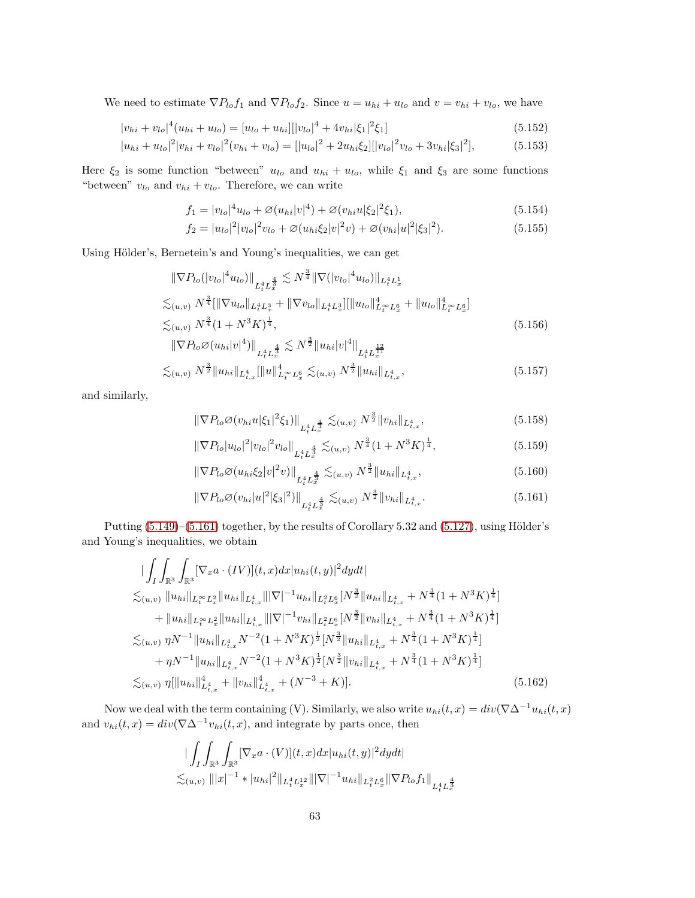We need to estimate  $\nabla P_{lo} f_1$  and  $\nabla P_{lo} f_2$ . Since  $u = u_{hi} + u_{lo}$  and  $v = v_{hi} + v_{lo}$ , we have

$$
|v_{hi} + v_{lo}|^4 (u_{hi} + u_{lo}) = [u_{lo} + u_{hi}][|v_{lo}|^4 + 4v_{hi}|\xi_1|^2 \xi_1]
$$
\n(5.152)

$$
|u_{hi} + u_{lo}|^2 |v_{hi} + v_{lo}|^2 (v_{hi} + v_{lo}) = [|u_{lo}|^2 + 2u_{hi}\xi_2][|v_{lo}|^2 v_{lo} + 3v_{hi}|\xi_3|^2],\tag{5.153}
$$

Here  $\xi_2$  is some function "between"  $u_{lo}$  and  $u_{hi} + u_{lo}$ , while  $\xi_1$  and  $\xi_3$  are some functions "between"  $v_{lo}$  and  $v_{hi} + v_{lo}$ . Therefore, we can write

<span id="page-62-1"></span>
$$
f_1 = |v_{lo}|^4 u_{lo} + \mathcal{O}(u_{hi}|v|^4) + \mathcal{O}(v_{hi}u|\xi_2|^2 \xi_1),
$$
\n(5.154)

$$
f_2 = |u_{lo}|^2 |v_{lo}|^2 v_{lo} + \varnothing (u_{hi} \xi_2 |v|^2 v) + \varnothing (v_{hi} |u|^2 | \xi_3 |^2).
$$
 (5.155)

Using Hölder's, Bernetein's and Young's inequalities, we can get

$$
\|\nabla P_{lo}(|v_{lo}|^4 u_{lo})\|_{L_t^4 L_x^{\frac{4}{3}}} \lesssim N^{\frac{3}{4}} \|\nabla (|v_{lo}|^4 u_{lo})\|_{L_t^4 L_x^1}
$$
  

$$
\lesssim_{(u,v)} N^{\frac{3}{4}} [\|\nabla u_{lo}\|_{L_t^4 L_x^3} + \|\nabla v_{lo}\|_{L_t^4 L_x^3}] [\|u_{lo}\|_{L_t^\infty L_x^6}^4 + \|u_{lo}\|_{L_t^\infty L_x^6}^4]
$$
  

$$
\lesssim_{(u,v)} N^{\frac{3}{4}} (1 + N^3 K)^{\frac{1}{4}},
$$
 (5.156)

$$
\|\nabla P_{lo}\varnothing(u_{hi}|v|^4)\|_{L_t^4 L_x^{\frac{4}{3}}} \lesssim N^{\frac{3}{2}} \|u_{hi}|v|^4\|_{L_t^4 L_x^{\frac{12}{11}}}
$$

$$
\lesssim_{(u,v)} N^{\frac{3}{2}} \|u_{hi}\|_{L^4_{t,x}} [\|u\|_{L^\infty_t L^6_x}^4 \lesssim_{(u,v)} N^{\frac{3}{2}} \|u_{hi}\|_{L^4_{t,x}}, \tag{5.157}
$$

and similarly,

$$
\|\nabla P_{lo}\mathcal{O}(v_{hi}u|\xi_1|^2\xi_1)\|_{L^4_tL^{\frac{4}{3}}_x} \lesssim_{(u,v)} N^{\frac{3}{2}}\|v_{hi}\|_{L^4_{t,x}},\tag{5.158}
$$

$$
\|\nabla P_{lo}|u_{lo}|^2|v_{lo}|^2v_{lo}\|_{L^4_tL^{\frac{4}{3}}_x} \lesssim_{(u,v)} N^{\frac{3}{4}}(1+N^3K)^{\frac{1}{4}},\tag{5.159}
$$

<span id="page-62-0"></span>
$$
\|\nabla P_{lo}\varnothing(u_{hi}\xi_2|v|^2v)\|_{L^4_tL^{\frac{4}{3}}_x} \lesssim_{(u,v)} N^{\frac{3}{2}} \|u_{hi}\|_{L^4_{t,x}},\tag{5.160}
$$

$$
\|\nabla P_{lo}\mathcal{O}(v_{hi}|u|^2|\xi_3|^2)\|_{L^4_t L^{\frac{4}{3}}_x} \lesssim_{(u,v)} N^{\frac{3}{2}}\|v_{hi}\|_{L^4_{t,x}}.\tag{5.161}
$$

Putting  $(5.149)$ – $(5.161)$  together, by the results of Corollary 5.32 and  $(5.127)$ , using Hölder's and Young's inequalities, we obtain

$$
\begin{split}\n&\left|\int_{I} \int_{\mathbb{R}^{3}} \int_{\mathbb{R}^{3}} [\nabla_{x} a \cdot (IV)](t, x) dx |u_{hi}(t, y)|^{2} dy dt\right| \\
&\leq_{(u, v)} \|u_{hi}\|_{L_{t}^{\infty} L_{x}^{2}} \|u_{hi}\|_{L_{t,x}^{4}} \|\nabla|^{-1} u_{hi}\|_{L_{t}^{2} L_{x}^{6}} [N^{\frac{3}{2}} \|u_{hi}\|_{L_{t,x}^{4}} + N^{\frac{3}{4}} (1 + N^{3} K)^{\frac{1}{4}}] \\
&\quad + \|u_{hi}\|_{L_{t}^{\infty} L_{x}^{2}} \|u_{hi}\|_{L_{t,x}^{4}} \|\nabla|^{-1} v_{hi}\|_{L_{t}^{2} L_{x}^{6}} [N^{\frac{3}{2}} \|v_{hi}\|_{L_{t,x}^{4}} + N^{\frac{3}{4}} (1 + N^{3} K)^{\frac{1}{4}}] \\
&\leq_{(u,v)} \eta N^{-1} \|u_{hi}\|_{L_{t,x}^{4}} N^{-2} (1 + N^{3} K)^{\frac{1}{2}} [N^{\frac{3}{2}} \|u_{hi}\|_{L_{t,x}^{4}} + N^{\frac{3}{4}} (1 + N^{3} K)^{\frac{1}{4}}] \\
&\quad + \eta N^{-1} \|u_{hi}\|_{L_{t,x}^{4}} N^{-2} (1 + N^{3} K)^{\frac{1}{2}} [N^{\frac{3}{2}} \|v_{hi}\|_{L_{t,x}^{4}} + N^{\frac{3}{4}} (1 + N^{3} K)^{\frac{1}{4}}] \\
&\leq_{(u,v)} \eta [\|u_{hi}\|_{L_{t,x}^{4}}^{4} + \|v_{hi}\|_{L_{t,x}^{4}}^{4} + (N^{-3} + K)].\n\end{split} \tag{5.162}
$$

Now we deal with the term containing (V). Similarly, we also write  $u_{hi}(t, x) = div(\nabla \Delta^{-1} u_{hi}(t, x))$ and  $v_{hi}(t, x) = div(\nabla \Delta^{-1} v_{hi}(t, x))$ , and integrate by parts once, then

$$
\begin{aligned} &\qquad\int_{I}\int_{\mathbb{R}^{3}}\int_{\mathbb{R}^{3}}[\nabla_{x}a\cdot(V)](t,x)dx|u_{hi}(t,y)|^{2}dydt|\\ \lesssim_{(u,v)}\||x|^{-1}\ast|u_{hi}|^{2}\|_{L_{t}^{4}L_{x}^{12}}\||\nabla|^{-1}u_{hi}\|_{L_{t}^{2}L_{x}^{6}}\|\nabla P_{lo}f_{1}\|_{L_{t}^{4}L_{x}^{\frac{4}{3}}}.\end{aligned}
$$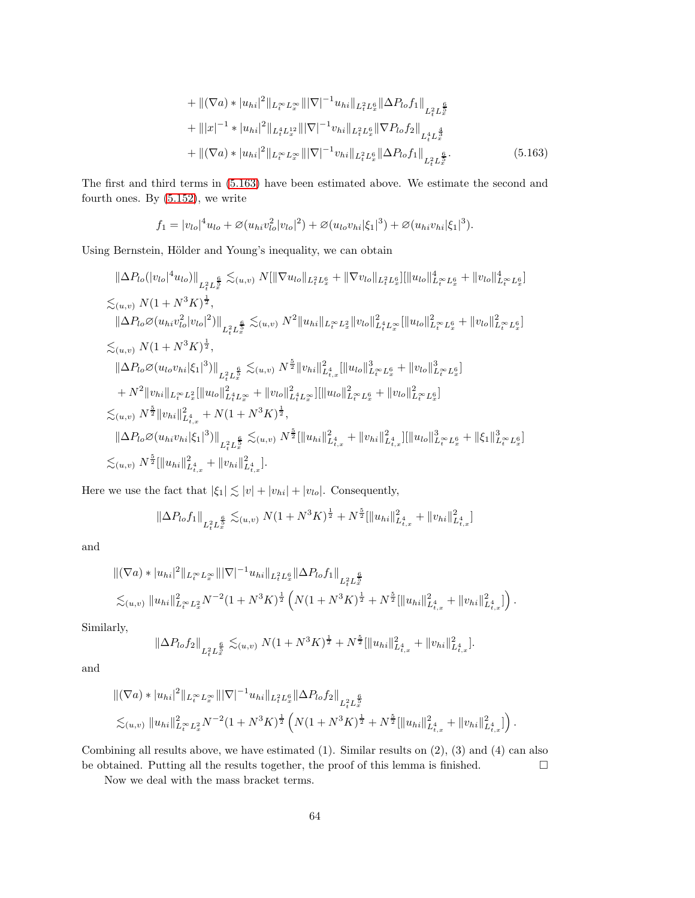<span id="page-63-0"></span>
$$
+ \| (\nabla a) * |u_{hi}|^2 \|_{L_t^\infty L_x^\infty} \| |\nabla|^{-1} u_{hi} \|_{L_t^2 L_x^6} \| \Delta P_{lo} f_1 \|_{L_t^2 L_x^{\frac{6}{5}}} + \| |x|^{-1} * |u_{hi}|^2 \|_{L_t^4 L_x^{12}} \| |\nabla|^{-1} v_{hi} \|_{L_t^2 L_x^6} \| \nabla P_{lo} f_2 \|_{L_t^4 L_x^{\frac{4}{3}}} + \| (\nabla a) * |u_{hi}|^2 \|_{L_t^\infty L_x^\infty} \| |\nabla|^{-1} v_{hi} \|_{L_t^2 L_x^6} \| \Delta P_{lo} f_1 \|_{L_t^2 L_x^{\frac{6}{5}}}.
$$
\n
$$
(5.163)
$$

The first and third terms in [\(5.163\)](#page-63-0) have been estimated above. We estimate the second and fourth ones. By [\(5.152\)](#page-62-1), we write

$$
f_1 = |v_{lo}|^4 u_{lo} + \varnothing (u_{hi} v_{lo}^2 |v_{lo}|^2) + \varnothing (u_{lo} v_{hi} |\xi_1|^3) + \varnothing (u_{hi} v_{hi} |\xi_1|^3).
$$

Using Bernstein, Hölder and Young's inequality, we can obtain

$$
\|\Delta P_{lo}(|v_{lo}|^{4}u_{lo})\|_{L_{t}^{2}L_{x}^{\frac{6}{5}}}\n\lesssim_{(u,v)} N[\|\nabla u_{lo}\|_{L_{t}^{2}L_{x}^{6}} + \|\nabla v_{lo}\|_{L_{t}^{2}L_{x}^{6}}] [\|u_{lo}\|_{L_{t}^{\infty}L_{x}^{6}}^{4} + \|v_{lo}\|_{L_{t}^{\infty}L_{x}^{6}}^{4}]
$$
\n
$$
\lesssim_{(u,v)} N(1 + N^{3}K)^{\frac{1}{2}},
$$
\n
$$
\|\Delta P_{lo}\varnothing(u_{hi}v_{lo}^{2}|v_{lo}|^{2})\|_{L_{t}^{2}L_{x}^{\frac{6}{5}}}\n\lesssim_{(u,v)} N^{2} \|u_{hi}\|_{L_{t}^{\infty}L_{x}^{2}} \|v_{lo}\|_{L_{t}^{4}L_{x}^{\infty}}^{2} [\|u_{lo}\|_{L_{t}^{\infty}L_{x}^{6}}^{2} + \|v_{lo}\|_{L_{t}^{\infty}L_{x}^{6}}^{2}]
$$
\n
$$
\lesssim_{(u,v)} N(1 + N^{3}K)^{\frac{1}{2}},
$$
\n
$$
\|\Delta P_{lo}\varnothing(u_{lo}v_{hi}|\xi_{1}|^{3})\|_{L_{t}^{2}L_{x}^{\frac{6}{5}}}\n\lesssim_{(u,v)} N^{\frac{5}{2}} \|v_{hi}\|_{L_{t,x}^{4}}^{2} [\|u_{lo}\|_{L_{t}^{\infty}L_{x}^{6}}^{3} + \|v_{lo}\|_{L_{t}^{\infty}L_{x}^{6}}^{3}]
$$
\n
$$
+ N^{2} \|v_{hi}\|_{L_{t}^{\infty}L_{x}^{2}} [\|u_{lo}\|_{L_{t}^{4}L_{x}^{\infty}}^{2} + \|v_{lo}\|_{L_{t}^{4}L_{x}^{\infty}}^{2}][\|u_{lo}\|_{L_{t}^{\infty}L_{x}^{6}}^{2} + \|v_{lo}\|_{L_{t}^{\infty}L_{x}^{6}}^{2}]
$$
\n
$$
\lesssim_{(u,v)} N^{\frac{5}{2}} \|v_{hi}\|_{L_{t,x}^{4}}^{2} + N(1 + N^{3}K)^{\frac{1
$$

Here we use the fact that  $|\xi_1| \lesssim |v| + |v_{hi}| + |v_{lo}|$ . Consequently,

$$
\|\Delta P_{lo}f_1\|_{L^2_tL^{\frac{6}{5}}_x}\lesssim_{(u,v)} N(1+N^3K)^{\frac{1}{2}}+N^{\frac{5}{2}}[\|u_{hi}\|_{L^4_{t,x}}^2+\|v_{hi}\|_{L^4_{t,x}}^2]
$$

and

$$
\begin{split} &\| (\nabla a) * |u_{hi}|^2 \|_{L_t^\infty L_x^\infty} \| |\nabla|^{-1} u_{hi} \|_{L_t^2 L_x^6} \| \Delta P_{lo} f_1 \|_{L_t^2 L_x^{\frac{6}{5}}} \\ &\lesssim_{(u,v)} \| u_{hi} \|_{L_t^\infty L_x^2}^2 N^{-2} (1 + N^3 K)^{\frac{1}{2}} \left( N(1 + N^3 K)^{\frac{1}{2}} + N^{\frac{5}{2}} [\|u_{hi}\|_{L_{t,x}^4}^2 + \|v_{hi}\|_{L_{t,x}^4}^2] \right). \end{split}
$$

Similarly,

$$
\|\Delta P_{lo}f_2\|_{L^2_tL^{\frac{6}{5}}_x}\lesssim_{(u,v)} N(1+N^3K)^{\frac{1}{2}}+N^{\frac{5}{2}}[\|u_{hi}\|_{L^4_{t,x}}^2+\|v_{hi}\|_{L^4_{t,x}}^2].
$$

and

$$
\begin{split} &\| (\nabla a) * |u_{hi}|^2 \|_{L_t^\infty L_x^\infty} \| |\nabla|^{-1} u_{hi} \|_{L_t^2 L_x^6} \| \Delta P_{lo} f_2 \|_{L_t^2 L_x^{\frac{6}{5}}} \\ &\lesssim_{(u,v)} \| u_{hi} \|_{L_t^\infty L_x^2}^2 N^{-2} (1 + N^3 K)^{\frac{1}{2}} \left( N(1 + N^3 K)^{\frac{1}{2}} + N^{\frac{5}{2}} [\| u_{hi} \|_{L_{t,x}^4}^2 + \| v_{hi} \|_{L_{t,x}^4}^2] \right). \end{split}
$$

Combining all results above, we have estimated (1). Similar results on (2), (3) and (4) can also be obtained. Putting all the results together, the proof of this lemma is finished.  $\square$ 

Now we deal with the mass bracket terms.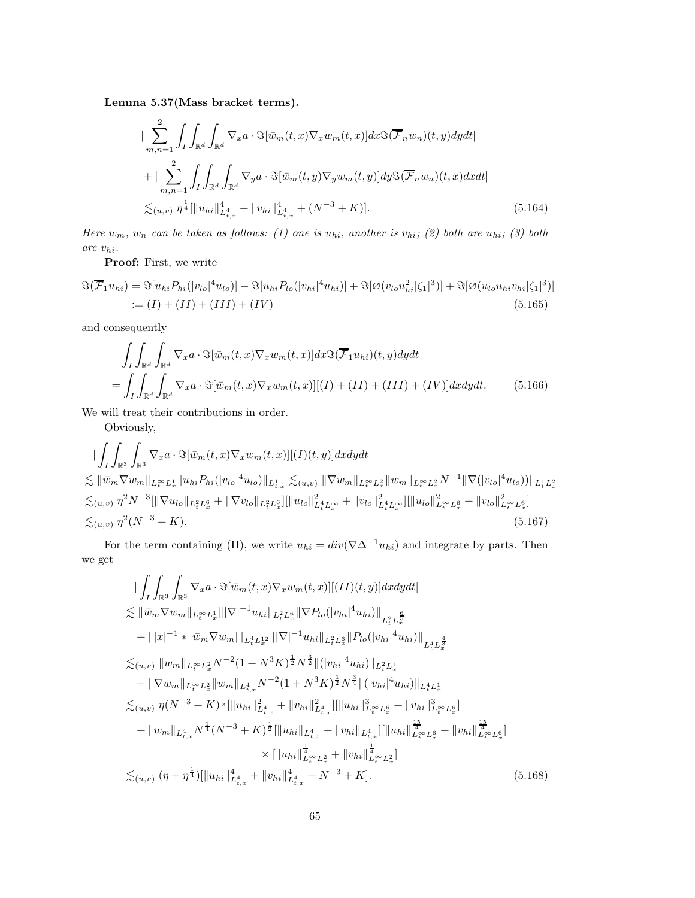Lemma 5.37(Mass bracket terms).

$$
\begin{split}\n&\left|\sum_{m,n=1}^{2} \int_{I} \int_{\mathbb{R}^{d}} \int_{\mathbb{R}^{d}} \nabla_{x} a \cdot \Im[\bar{w}_{m}(t,x) \nabla_{x} w_{m}(t,x)] dx \Im(\overline{\mathcal{F}}_{n} w_{n})(t,y) dy dt\right| \\
&+\left|\sum_{m,n=1}^{2} \int_{I} \int_{\mathbb{R}^{d}} \int_{\mathbb{R}^{d}} \nabla_{y} a \cdot \Im[\bar{w}_{m}(t,y) \nabla_{y} w_{m}(t,y)] dy \Im(\overline{\mathcal{F}}_{n} w_{n})(t,x) dx dt\right| \\
&\lesssim_{(u,v)} \eta^{\frac{1}{4}} [\|u_{hi}\|_{L_{t,x}^{4}}^{4} + \|v_{hi}\|_{L_{t,x}^{4}}^{4} + (N^{-3} + K)].\n\end{split} \tag{5.164}
$$

Here  $w_m$ ,  $w_n$  can be taken as follows: (1) one is  $u_{hi}$ , another is  $v_{hi}$ ; (2) both are  $u_{hi}$ ; (3) both are  $v_{hi}.$ 

Proof: First, we write

$$
\Im(\overline{\mathcal{F}}_1 u_{hi}) = \Im[u_{hi} P_{hi}(|v_{lo}|^4 u_{lo})] - \Im[u_{hi} P_{lo}(|v_{hi}|^4 u_{hi})] + \Im[\varnothing(v_{lo} u_{hi}^2 |\zeta_1|^3)] + \Im[\varnothing(u_{lo} u_{hi} v_{hi} |\zeta_1|^3)]
$$
  
 := (I) + (II) + (III) + (IV) (5.165)

and consequently

$$
\int_{I} \int_{\mathbb{R}^{d}} \int_{\mathbb{R}^{d}} \nabla_{x} a \cdot \Im[\bar{w}_{m}(t,x) \nabla_{x} w_{m}(t,x)] dx \Im(\overline{\mathcal{F}}_{1} u_{hi})(t,y) dy dt \n= \int_{I} \int_{\mathbb{R}^{d}} \int_{\mathbb{R}^{d}} \nabla_{x} a \cdot \Im[\bar{w}_{m}(t,x) \nabla_{x} w_{m}(t,x)][(I) + (II) + (III) + (IV)] dx dy dt.
$$
\n(5.166)

We will treat their contributions in order.

Obviously,

$$
\begin{split}\n&\left|\int_{I} \int_{\mathbb{R}^{3}} \int_{\mathbb{R}^{3}} \nabla_{x} a \cdot \Im[\bar{w}_{m}(t,x) \nabla_{x} w_{m}(t,x)][(I)(t,y)] dx dy dt\right|\n\leq & \|\bar{w}_{m} \nabla w_{m}\|_{L_{t}^{\infty} L_{x}^{1}} \|u_{hi} P_{hi}(|v_{lo}|^{4} u_{lo})\|_{L_{t,x}^{1}} \lesssim_{(u,v)} \|\nabla w_{m}\|_{L_{t}^{\infty} L_{x}^{2}} \|w_{m}\|_{L_{t}^{\infty} L_{x}^{2}} N^{-1} \|\nabla(|v_{lo}|^{4} u_{lo})\|_{L_{t}^{1} L_{x}^{2}}\n\leq_{(u,v)} \eta^{2} N^{-3} [\|\nabla u_{lo}\|_{L_{t}^{2} L_{x}^{6}} + \|\nabla v_{lo}\|_{L_{t}^{2} L_{x}^{6}}] [\|u_{lo}\|_{L_{t}^{4} L_{x}^{\infty}}^{2} + \|v_{lo}\|_{L_{t}^{4} L_{x}^{\infty}}^{2}] [\|u_{lo}\|_{L_{t}^{2} L_{x}^{6}}^{2} + \|v_{lo}\|_{L_{t}^{\infty} L_{x}^{6}}^{2}] \\
&\leq_{(u,v)} \eta^{2} (N^{-3} + K).\n\end{split} \tag{5.167}
$$

For the term containing (II), we write  $u_{hi} = div(\nabla \Delta^{-1} u_{hi})$  and integrate by parts. Then we get

$$
\begin{split}\n&\left|\int_{I}\int_{\mathbb{R}^{3}}\int_{\mathbb{R}^{3}}\nabla_{x}a\cdot\Im[\bar{w}_{m}(t,x)\nabla_{x}w_{m}(t,x)][(II)(t,y)]dxdydt\right| \\
&\lesssim \|\bar{w}_{m}\nabla w_{m}\|_{L_{t}^{\infty}L_{x}^{1}}\||\nabla|^{-1}u_{hi}\|_{L_{t}^{2}L_{x}^{6}}\|\nabla P_{lo}(|v_{hi}|^{4}u_{hi})\|_{L_{t}^{2}L_{x}^{\frac{6}{5}}} \\
&\quad+\||x|^{-1}\ast|\bar{w}_{m}\nabla w_{m}|\|_{L_{t}^{4}L_{x}^{12}}\||\nabla|^{-1}u_{hi}\|_{L_{t}^{2}L_{x}^{6}}\|P_{lo}(|v_{hi}|^{4}u_{hi})\|_{L_{t}^{4}L_{x}^{\frac{4}{3}}} \\
&\lesssim_{(u,v)}\|w_{m}\|_{L_{t}^{\infty}L_{x}^{2}}N^{-2}(1+N^{3}K)^{\frac{1}{2}}N^{\frac{3}{2}}\|(|v_{hi}|^{4}u_{hi})\|_{L_{t}^{2}L_{x}^{1}} \\
&\quad+\|\nabla w_{m}\|_{L_{t}^{\infty}L_{x}^{2}}\|w_{m}\|_{L_{t,x}^{4}}N^{-2}(1+N^{3}K)^{\frac{1}{2}}N^{\frac{3}{4}}\|(|v_{hi}|^{4}u_{hi})\|_{L_{t}^{4}L_{x}^{1}} \\
&\lesssim_{(u,v)}\eta(N^{-3}+K)^{\frac{1}{2}}\|u_{hi}\|_{L_{t,x}^{4}}^{2}+\|v_{hi}\|_{L_{t,x}^{4}}^{2}\|||u_{hi}\|_{L_{t}^{\infty}L_{x}^{6}}^{3}+\|v_{hi}\|_{L_{t}^{\infty}L_{x}^{6}}^{3} \\
&\quad+\|w_{m}\|_{L_{t,x}^{4}}N^{\frac{1}{4}}(N^{-3}+K)^{\frac{1}{2}}\|u_{hi}\|_{L_{t,x}^{4}}^{4}+\|v_{hi}\|_{L_{t,x}^{4}}^{4}\|||u_{hi}||_{L_{t}^{\infty}L_{x}^{6}}^{4}+\|v_{hi}\|_{L_{t}^{\infty}L_{x}^{6
$$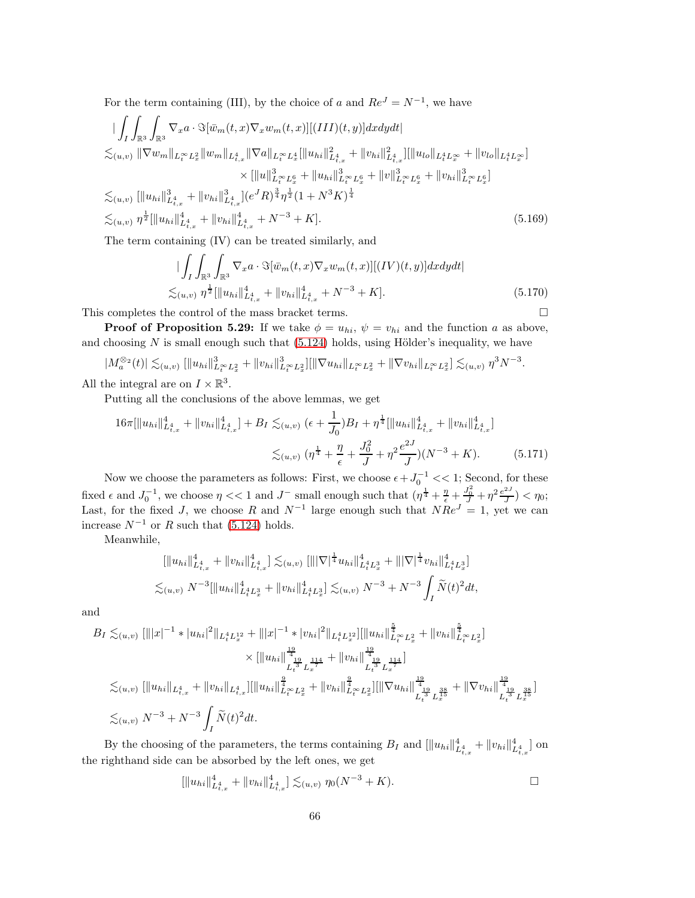For the term containing (III), by the choice of a and  $Re^{J} = N^{-1}$ , we have

$$
\begin{split}\n&\left|\int_{I}\int_{\mathbb{R}^{3}}\int_{\mathbb{R}^{3}}\nabla_{x}a\cdot\Im[\bar{w}_{m}(t,x)\nabla_{x}w_{m}(t,x)][(III)(t,y)]dxdydt\right|\right.\\
&\leq_{(u,v)}\|\nabla w_{m}\|_{L_{t}^{\infty}L_{x}^{2}}\|w_{m}\|_{L_{t,x}^{4}}\|\nabla a\|_{L_{t}^{\infty}L_{x}^{4}}\|u_{hi}\|_{L_{t,x}^{4}}^{2}+\|v_{hi}\|_{L_{t,x}^{4}}^{2}\| \|u_{lo}\|_{L_{t}^{4}L_{x}^{\infty}}+\|v_{lo}\|_{L_{t}^{4}L_{x}^{\infty}}\| \\ \n&\times\| \|u\|_{L_{t}^{\infty}L_{x}^{6}}^{3}+\|u_{hi}\|_{L_{t}^{\infty}L_{x}^{6}}^{3}+\|v\|_{L_{t}^{\infty}L_{x}^{6}}^{3}+\|v\|_{L_{t}^{\infty}L_{x}^{6}}^{3}+\|v_{hi}\|_{L_{t}^{\infty}L_{x}^{6}}^{3} \\ \n&\leq_{(u,v)}\|\|u_{hi}\|_{L_{t,x}^{4}}^{3}+\|v_{hi}\|_{L_{t,x}^{4}}^{3}+(e^{J}R)^{\frac{3}{4}}\eta^{\frac{1}{2}}(1+N^{3}K)^{\frac{1}{4}}\\ \n&\leq_{(u,v)}\eta^{\frac{1}{2}}\|\|u_{hi}\|_{L_{t,x}^{4}}^{4}+\|v_{hi}\|_{L_{t,x}^{4}}^{4}+N^{-3}+K].\n\end{split} \tag{5.169}
$$

The term containing (IV) can be treated similarly, and

$$
\begin{split}\n&\int_{I} \int_{\mathbb{R}^{3}} \int_{\mathbb{R}^{3}} \nabla_{x} a \cdot \Im[\bar{w}_{m}(t,x) \nabla_{x} w_{m}(t,x)][(IV)(t,y)] dx dy dt \\
&\lesssim_{(u,v)} \eta^{\frac{1}{2}} [\|u_{hi}\|_{L_{t,x}^{4}}^{4} + \|v_{hi}\|_{L_{t,x}^{4}}^{4} + N^{-3} + K].\n\end{split} \tag{5.170}
$$

This completes the control of the mass bracket terms.  $\hfill \Box$ 

**Proof of Proposition 5.29:** If we take  $\phi = u_{hi}$ ,  $\psi = v_{hi}$  and the function a as above, and choosing  $N$  is small enough such that [\(5.124\)](#page-56-0) holds, using Hölder's inequality, we have

$$
|M_a^{\otimes 2}(t)| \lesssim_{(u,v)} [||u_{hi}||^3_{L_t^{\infty} L_x^2} + ||v_{hi}||^3_{L_t^{\infty} L_x^2}] [||\nabla u_{hi}||_{L_t^{\infty} L_x^2} + ||\nabla v_{hi}||_{L_t^{\infty} L_x^2}] \lesssim_{(u,v)} \eta^3 N^{-3}.
$$

All the integral are on  $I \times \mathbb{R}^3$ .

Putting all the conclusions of the above lemmas, we get

$$
16\pi \left[ \|u_{hi}\|_{L_{t,x}^4}^4 + \|v_{hi}\|_{L_{t,x}^4}^4 \right] + B_I \lesssim_{(u,v)} (\epsilon + \frac{1}{J_0})B_I + \eta^{\frac{1}{4}} \left[ \|u_{hi}\|_{L_{t,x}^4}^4 + \|v_{hi}\|_{L_{t,x}^4}^4 \right] \lesssim_{(u,v)} (\eta^{\frac{1}{4}} + \frac{\eta}{\epsilon} + \frac{J_0^2}{J} + \eta^2 \frac{e^{2J}}{J})(N^{-3} + K).
$$
 (5.171)

Now we choose the parameters as follows: First, we choose  $\epsilon + J_0^{-1} << 1$ ; Second, for these fixed  $\epsilon$  and  $J_0^{-1}$ , we choose  $\eta \ll 1$  and  $J^-$  small enough such that  $(\eta^{\frac{1}{4}} + \frac{\eta}{\epsilon} + \frac{J_0^2}{J} + \eta^2 \frac{e^{2J}}{J})$  $\frac{1}{J}$ ) <  $\eta_0$ ; Last, for the fixed J, we choose R and  $N^{-1}$  large enough such that  $NRe^J = 1$ , yet we can increase  $N^{-1}$  or R such that [\(5.124\)](#page-56-0) holds.

Meanwhile,

$$
[||u_{hi}||_{L^4_{t,x}}^4 + ||v_{hi}||_{L^4_{t,x}}^4] \lesssim_{(u,v)} [|||\nabla|^{\frac{1}{4}} u_{hi}||_{L^4_t L^3_x}^4 + |||\nabla|^{\frac{1}{4}} v_{hi}||_{L^4_t L^3_x}^4]
$$
  

$$
\lesssim_{(u,v)} N^{-3} [||u_{hi}||_{L^4_t L^3_x}^4 + ||v_{hi}||_{L^4_t L^3_x}^4] \lesssim_{(u,v)} N^{-3} + N^{-3} \int_I \widetilde{N}(t)^2 dt,
$$

and

$$
B_{I} \lesssim_{(u,v)} [\||x|^{-1} * |u_{hi}|^{2}||_{L_{t}^{4}L_{x}^{12}} + ||x|^{-1} * |v_{hi}|^{2}||_{L_{t}^{4}L_{x}^{12}}] [||u_{hi}||_{L_{t}^{\infty}L_{x}^{2}}^{\frac{5}{4}} + ||v_{hi}||_{L_{t}^{\infty}L_{x}^{2}}^{\frac{5}{4}}]\times [||u_{hi}||_{L_{t}^{4}}^{\frac{19}{4}} + ||v_{hi}||_{L_{t}^{4}}^{\frac{19}{4}}]_{L_{t}^{12}}^{\frac{114}{4}} + ||v_{hi}||_{L_{t}^{4}}^{\frac{19}{4}}]_{L_{t}^{12}}^{\frac{114}{4}}]\lesssim_{(u,v)} [||u_{hi}||_{L_{t,x}^{4}} + ||v_{hi}||_{L_{t,x}^{4}}] [||u_{hi}||_{L_{t}^{\infty}L_{x}^{2}}^{\frac{9}{4}} + ||v_{hi}||_{L_{t}^{\infty}L_{x}^{2}}^{\frac{9}{4}}] [||\nabla u_{hi}||_{L_{t}^{4}}^{\frac{19}{4}}]_{L_{t}^{3}}^{\frac{38}{4}} + ||\nabla v_{hi}||_{L_{t}^{4}}^{\frac{19}{4}}]_{L_{t}^{3}}^{\frac{38}{4}}]_{L_{t}^{3}}^{\frac{38}{4}}]\lesssim_{(u,v)} N^{-3} + N^{-3} \int_{I} \widetilde{N}(t)^{2} dt.
$$

By the choosing of the parameters, the terms containing  $B_I$  and  $[||u_{hi}||_{L_{t,x}^4}^4 + ||v_{hi}||_{L_{t,x}^4}^4]$  on the righthand side can be absorbed by the left ones, we get

$$
\left[ \|u_{hi}\|_{L^4_{t,x}}^4 + \|v_{hi}\|_{L^4_{t,x}}^4 \right] \lesssim_{(u,v)} \eta_0(N^{-3} + K).
$$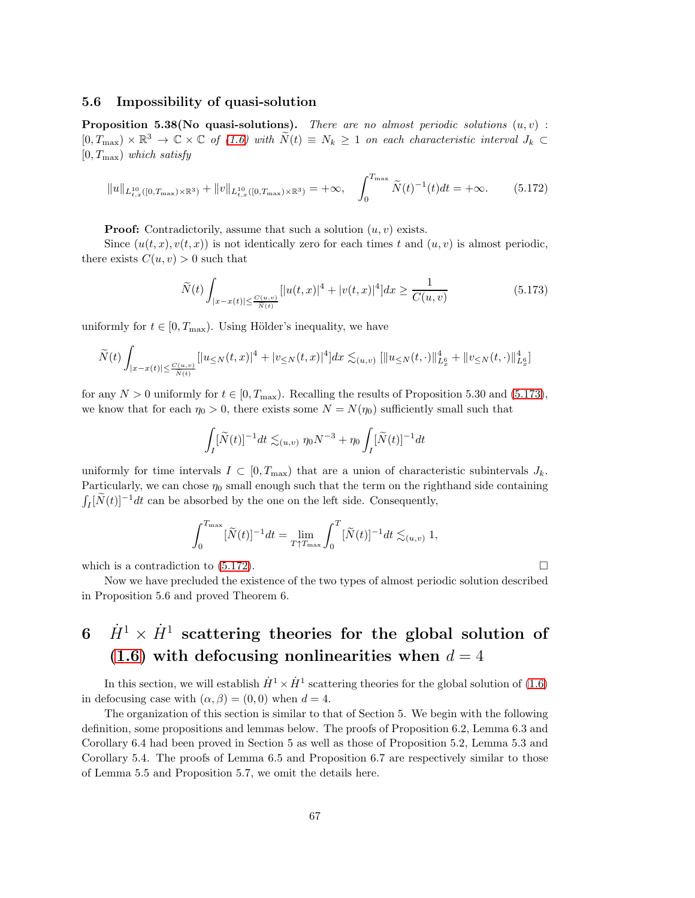#### 5.6 Impossibility of quasi-solution

**Proposition 5.38(No quasi-solutions).** There are no almost periodic solutions  $(u, v)$ :  $[0, T_{\text{max}}) \times \mathbb{R}^3 \to \mathbb{C} \times \mathbb{C}$  of [\(1.6\)](#page-3-0) with  $\widetilde{N}(t) \equiv N_k \geq 1$  on each characteristic interval  $J_k \subset$  $[0, T_{\text{max}})$  which satisfy

$$
||u||_{L_{t,x}^{10}([0,T_{\max})\times\mathbb{R}^3)} + ||v||_{L_{t,x}^{10}([0,T_{\max})\times\mathbb{R}^3)} = +\infty, \quad \int_0^{T_{\max}} \widetilde{N}(t)^{-1}(t)dt = +\infty.
$$
 (5.172)

**Proof:** Contradictorily, assume that such a solution  $(u, v)$  exists.

Since  $(u(t, x), v(t, x))$  is not identically zero for each times t and  $(u, v)$  is almost periodic, there exists  $C(u, v) > 0$  such that

<span id="page-66-1"></span>
$$
\widetilde{N}(t) \int_{|x-x(t)| \le \frac{C(u,v)}{\widetilde{N}(t)}} [|u(t,x)|^4 + |v(t,x)|^4] dx \ge \frac{1}{C(u,v)}\tag{5.173}
$$

uniformly for  $t \in [0, T_{\text{max}})$ . Using Hölder's inequality, we have

$$
\widetilde{N}(t)\int_{|x-x(t)|\leq \frac{C(u,v)}{\widetilde{N}(t)} }[|u_{\leq N}(t,x)|^4+|v_{\leq N}(t,x)|^4]dx\lesssim_{(u,v)} [ \|u_{\leq N}(t,\cdot)\|_{L^6_x}^4+\|v_{\leq N}(t,\cdot)\|_{L^6_x}^4]
$$

for any  $N > 0$  uniformly for  $t \in [0, T_{\text{max}})$ . Recalling the results of Proposition 5.30 and [\(5.173\)](#page-66-0), we know that for each  $\eta_0 > 0$ , there exists some  $N = N(\eta_0)$  sufficiently small such that

$$
\int_I [\widetilde N(t)]^{-1} dt \lesssim_{(u,v)} \eta_0 N^{-3} + \eta_0 \int_I [\widetilde N(t)]^{-1} dt
$$

uniformly for time intervals  $I \subset [0, T_{\text{max}})$  that are a union of characteristic subintervals  $J_k$ . Particularly, we can chose  $\eta_0$  small enough such that the term on the righthand side containing  $\int_I [\widetilde N(t)]^{-1}dt$  can be absorbed by the one on the left side. Consequently,

$$
\int_0^{T_{\max}} [\widetilde{N}(t)]^{-1} dt = \lim_{T \uparrow T_{\max}} \int_0^T [\widetilde{N}(t)]^{-1} dt \lesssim_{(u,v)} 1,
$$

which is a contradiction to  $(5.172)$ .

Now we have precluded the existence of the two types of almost periodic solution described in Proposition 5.6 and proved Theorem 6.

# $6$   $\dot{H}^1 \times \dot{H}^1$  scattering theories for the global solution of [\(1.6\)](#page-3-0) with defocusing nonlinearities when  $d = 4$

In this section, we will establish  $\dot{H}^1 \times \dot{H}^1$  scattering theories for the global solution of [\(1.6\)](#page-3-0) in defocusing case with  $(\alpha, \beta) = (0, 0)$  when  $d = 4$ .

The organization of this section is similar to that of Section 5. We begin with the following definition, some propositions and lemmas below. The proofs of Proposition 6.2, Lemma 6.3 and Corollary 6.4 had been proved in Section 5 as well as those of Proposition 5.2, Lemma 5.3 and Corollary 5.4. The proofs of Lemma 6.5 and Proposition 6.7 are respectively similar to those of Lemma 5.5 and Proposition 5.7, we omit the details here.

<span id="page-66-0"></span>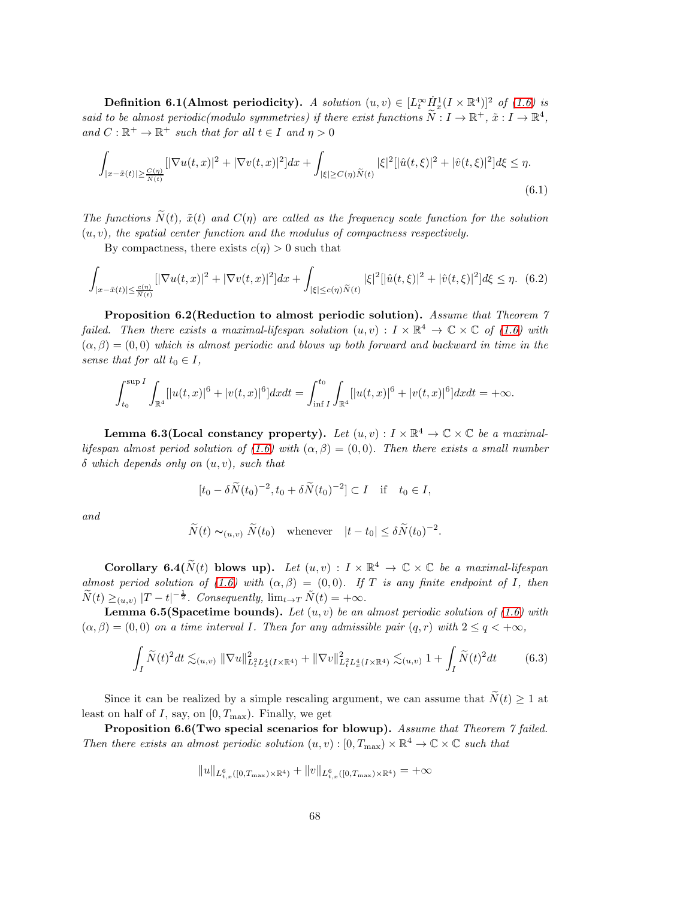**Definition 6.1(Almost periodicity).** A solution  $(u, v) \in [L_t^{\infty} \dot{H}_x^1 (I \times \mathbb{R}^4)]^2$  of [\(1.6\)](#page-3-0) is said to be almost periodic(modulo symmetries) if there exist functions  $\widetilde{N}: I \to \mathbb{R}^+$ ,  $\tilde{x}: I \to \mathbb{R}^4$ , and  $C : \mathbb{R}^+ \to \mathbb{R}^+$  such that for all  $t \in I$  and  $\eta > 0$ 

$$
\int_{|x-\tilde{x}(t)| \geq \frac{C(\eta)}{\tilde{N}(t)}} [|\nabla u(t,x)|^2 + |\nabla v(t,x)|^2] dx + \int_{|\xi| \geq C(\eta)\tilde{N}(t)} |\xi|^2 [|\hat{u}(t,\xi)|^2 + |\hat{v}(t,\xi)|^2] d\xi \leq \eta.
$$
\n(6.1)

The functions  $\tilde{N}(t)$ ,  $\tilde{x}(t)$  and  $C(\eta)$  are called as the frequency scale function for the solution  $(u, v)$ , the spatial center function and the modulus of compactness respectively.

By compactness, there exists  $c(\eta) > 0$  such that

$$
\int_{|x-\tilde{x}(t)| \leq \frac{c(\eta)}{\tilde{N}(t)}} [|\nabla u(t,x)|^2 + |\nabla v(t,x)|^2] dx + \int_{|\xi| \leq c(\eta)\tilde{N}(t)} |\xi|^2 [|\hat{u}(t,\xi)|^2 + |\hat{v}(t,\xi)|^2] d\xi \leq \eta. \tag{6.2}
$$

Proposition 6.2(Reduction to almost periodic solution). Assume that Theorem 7 failed. Then there exists a maximal-lifespan solution  $(u, v) : I \times \mathbb{R}^4 \to \mathbb{C} \times \mathbb{C}$  of [\(1.6\)](#page-3-0) with  $(\alpha, \beta) = (0, 0)$  which is almost periodic and blows up both forward and backward in time in the sense that for all  $t_0 \in I$ ,

$$
\int_{t_0}^{\sup I} \int_{\mathbb{R}^4} [|u(t,x)|^6 + |v(t,x)|^6] dx dt = \int_{\inf I}^{t_0} \int_{\mathbb{R}^4} [|u(t,x)|^6 + |v(t,x)|^6] dx dt = +\infty.
$$

Lemma 6.3(Local constancy property). Let  $(u, v) : I \times \mathbb{R}^4 \to \mathbb{C} \times \mathbb{C}$  be a maximal-lifespan almost period solution of [\(1.6\)](#page-3-0) with  $(\alpha, \beta) = (0, 0)$ . Then there exists a small number  $\delta$  which depends only on  $(u, v)$ , such that

$$
[t_0 - \delta \widetilde{N}(t_0)^{-2}, t_0 + \delta \widetilde{N}(t_0)^{-2}] \subset I \quad \text{if} \quad t_0 \in I,
$$

and

$$
\widetilde{N}(t) \sim_{(u,v)} \widetilde{N}(t_0)
$$
 whenever  $|t - t_0| \leq \delta \widetilde{N}(t_0)^{-2}$ .

Corollary 6.4( $\widetilde{N}(t)$  blows up). Let  $(u, v) : I \times \mathbb{R}^4 \to \mathbb{C} \times \mathbb{C}$  be a maximal-lifespan almost period solution of [\(1.6\)](#page-3-0) with  $(\alpha, \beta) = (0, 0)$ . If T is any finite endpoint of I, then  $\widetilde{N}(t) \geq_{(u,v)} |T-t|^{-\frac{1}{2}}$ . Consequently,  $\lim_{t \to T} \widetilde{N}(t) = +\infty$ .

**Lemma 6.5(Spacetime bounds).** Let  $(u, v)$  be an almost periodic solution of [\(1.6\)](#page-3-0) with  $(\alpha, \beta) = (0, 0)$  on a time interval I. Then for any admissible pair  $(q, r)$  with  $2 \leq q < +\infty$ ,

$$
\int_{I} \widetilde{N}(t)^{2} dt \lesssim_{(u,v)} \|\nabla u\|_{L_{t}^{2} L_{x}^{4}(I \times \mathbb{R}^{4})}^{2} + \|\nabla v\|_{L_{t}^{2} L_{x}^{4}(I \times \mathbb{R}^{4})}^{2} \lesssim_{(u,v)} 1 + \int_{I} \widetilde{N}(t)^{2} dt \qquad (6.3)
$$

Since it can be realized by a simple rescaling argument, we can assume that  $\widetilde{N}(t) \geq 1$  at least on half of I, say, on  $[0, T_{\text{max}})$ . Finally, we get

Proposition 6.6(Two special scenarios for blowup). Assume that Theorem  $\gamma$  failed. Then there exists an almost periodic solution  $(u, v) : [0, T_{\text{max}}) \times \mathbb{R}^4 \to \mathbb{C} \times \mathbb{C}$  such that

$$
\|u\|_{L_{t,x}^6([0,T_{\max})\times {\mathbb{R}}^4)}+\|v\|_{L_{t,x}^6([0,T_{\max})\times {\mathbb{R}}^4)}=+\infty
$$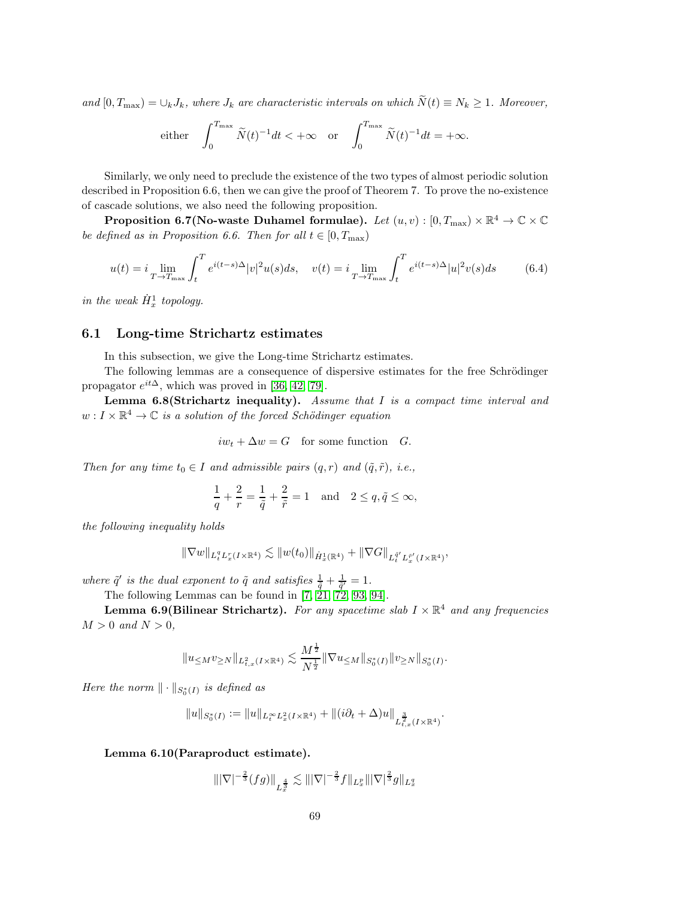and  $[0, T_{\text{max}}) = \bigcup_k J_k$ , where  $J_k$  are characteristic intervals on which  $\widetilde{N}(t) \equiv N_k \geq 1$ . Moreover,

either 
$$
\int_0^{T_{\max}} \tilde{N}(t)^{-1} dt < +\infty
$$
 or  $\int_0^{T_{\max}} \tilde{N}(t)^{-1} dt = +\infty$ .

Similarly, we only need to preclude the existence of the two types of almost periodic solution described in Proposition 6.6, then we can give the proof of Theorem 7. To prove the no-existence of cascade solutions, we also need the following proposition.

Proposition 6.7(No-waste Duhamel formulae). Let  $(u,v):[0,T_{\max})\times\mathbb{R}^{4}\rightarrow\mathbb{C}\times\mathbb{C}$ be defined as in Proposition 6.6. Then for all  $t \in [0, T_{\text{max}})$ 

$$
u(t) = i \lim_{T \to T_{\text{max}}} \int_{t}^{T} e^{i(t-s)\Delta} |v|^2 u(s) ds, \quad v(t) = i \lim_{T \to T_{\text{max}}} \int_{t}^{T} e^{i(t-s)\Delta} |u|^2 v(s) ds \tag{6.4}
$$

in the weak  $\dot{H}_x^1$  topology.

#### 6.1 Long-time Strichartz estimates

In this subsection, we give the Long-time Strichartz estimates.

The following lemmas are a consequence of dispersive estimates for the free Schrödinger propagator  $e^{it\Delta}$ , which was proved in [\[36,](#page-97-2) [42,](#page-97-3) [79\]](#page-99-1).

**Lemma 6.8(Strichartz inequality).** Assume that  $I$  is a compact time interval and  $w: I \times \mathbb{R}^4 \to \mathbb{C}$  is a solution of the forced Schödinger equation

$$
iw_t + \Delta w = G \quad \text{for some function} \quad G.
$$

Then for any time  $t_0 \in I$  and admissible pairs  $(q, r)$  and  $(\tilde{q}, \tilde{r})$ , i.e.,

$$
\frac{1}{q} + \frac{2}{r} = \frac{1}{\tilde{q}} + \frac{2}{\tilde{r}} = 1 \quad \text{and} \quad 2 \le q, \tilde{q} \le \infty,
$$

the following inequality holds

$$
\|\nabla w\|_{L^q_tL^r_x(I\times {{\mathbb R}}^4)}\lesssim \|w(t_0)\|_{\dot{H}^1_x({{\mathbb R}}^4)}+\|\nabla G\|_{L^{\bar{q}'}_tL^{\bar{r}'}_x(I\times {{\mathbb R}}^4)},
$$

where  $\tilde{q}'$  is the dual exponent to  $\tilde{q}$  and satisfies  $\frac{1}{\tilde{q}} + \frac{1}{\tilde{q}'} = 1$ .

The following Lemmas can be found in  $[7, 21, 72, 93, 94]$  $[7, 21, 72, 93, 94]$  $[7, 21, 72, 93, 94]$  $[7, 21, 72, 93, 94]$  $[7, 21, 72, 93, 94]$ .

**Lemma 6.9(Bilinear Strichartz).** For any spacetime slab  $I \times \mathbb{R}^4$  and any frequencies  $M > 0$  and  $N > 0$ ,

$$
||u \leq M^{v} \geq N||_{L_{t,x}^{2}(I \times \mathbb{R}^{4})} \lesssim \frac{M^{\frac{1}{2}}}{N^{\frac{1}{2}}} ||\nabla u \leq M||_{S_{0}^{*}(I)} ||v \geq N||_{S_{0}^{*}(I)}.
$$

Here the norm  $\|\cdot\|_{S^*_0(I)}$  is defined as

$$
||u||_{S_0^*(I)} := ||u||_{L_t^\infty L_x^2(I \times \mathbb{R}^4)} + ||(i\partial_t + \Delta)u||_{L_{t,x}^{\frac{3}{2}}(I \times \mathbb{R}^4)}.
$$

Lemma 6.10(Paraproduct estimate).

$$
\| |\nabla|^{-\frac{2}{3}} (fg)\|_{L_x^{\frac{4}{3}}} \lesssim \||\nabla|^{-\frac{2}{3}} f\|_{L_x^p} \||\nabla|^{\frac{2}{3}} g\|_{L_x^q}
$$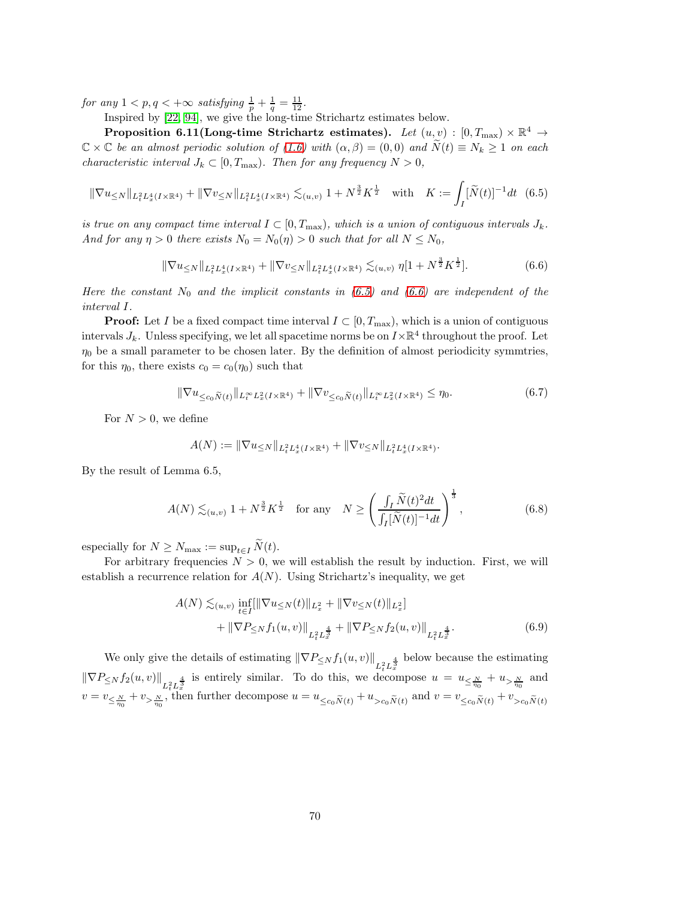for any  $1 < p, q < +\infty$  satisfying  $\frac{1}{p} + \frac{1}{q} = \frac{11}{12}$ .

Inspired by [\[22,](#page-96-1) [94\]](#page-100-1), we give the long-time Strichartz estimates below.

Proposition 6.11(Long-time Strichartz estimates). Let  $(u, v) : [0, T_{\max}) \times \mathbb{R}^4 \rightarrow$  $\mathbb{C} \times \mathbb{C}$  be an almost periodic solution of [\(1.6\)](#page-3-0) with  $(\alpha, \beta) = (0, 0)$  and  $N(t) \equiv N_k \geq 1$  on each characteristic interval  $J_k \subset [0, T_{\text{max}})$ . Then for any frequency  $N > 0$ ,

$$
\|\nabla u_{\leq N}\|_{L_t^2 L_x^4(I \times \mathbb{R}^4)} + \|\nabla v_{\leq N}\|_{L_t^2 L_x^4(I \times \mathbb{R}^4)} \lesssim_{(u,v)} 1 + N^{\frac{3}{2}} K^{\frac{1}{2}} \quad \text{with} \quad K := \int_I [\widetilde{N}(t)]^{-1} dt \tag{6.5}
$$

is true on any compact time interval  $I \subset [0, T_{\text{max}})$ , which is a union of contiguous intervals  $J_k$ . And for any  $\eta > 0$  there exists  $N_0 = N_0(\eta) > 0$  such that for all  $N \le N_0$ ,

<span id="page-69-1"></span><span id="page-69-0"></span>
$$
\|\nabla u_{\leq N}\|_{L_t^2 L_x^4(I \times \mathbb{R}^4)} + \|\nabla v_{\leq N}\|_{L_t^2 L_x^4(I \times \mathbb{R}^4)} \lesssim_{(u,v)} \eta[1 + N^{\frac{3}{2}} K^{\frac{1}{2}}].\tag{6.6}
$$

Here the constant  $N_0$  and the implicit constants in [\(6.5\)](#page-69-0) and [\(6.6\)](#page-69-1) are independent of the interval I.

**Proof:** Let I be a fixed compact time interval  $I \subset [0, T_{\text{max}})$ , which is a union of contiguous intervals  $J_k$ . Unless specifying, we let all spacetime norms be on  $I \times \mathbb{R}^4$  throughout the proof. Let  $\eta_0$  be a small parameter to be chosen later. By the definition of almost periodicity symmtries, for this  $\eta_0$ , there exists  $c_0 = c_0(\eta_0)$  such that

$$
\|\nabla u_{\leq c_0 \widetilde{N}(t)}\|_{L_t^\infty L_x^2(I \times \mathbb{R}^4)} + \|\nabla v_{\leq c_0 \widetilde{N}(t)}\|_{L_t^\infty L_x^2(I \times \mathbb{R}^4)} \leq \eta_0. \tag{6.7}
$$

For  $N > 0$ , we define

<span id="page-69-2"></span>
$$
A(N) := \|\nabla u_{\leq N}\|_{L^2_t L^4_x(I \times \mathbb{R}^4)} + \|\nabla v_{\leq N}\|_{L^2_t L^4_x(I \times \mathbb{R}^4)}.
$$

By the result of Lemma 6.5,

$$
A(N) \lesssim_{(u,v)} 1 + N^{\frac{3}{2}} K^{\frac{1}{2}} \quad \text{for any} \quad N \ge \left(\frac{\int_I \widetilde{N}(t)^2 dt}{\int_I [\widetilde{N}(t)]^{-1} dt}\right)^{\frac{1}{3}},\tag{6.8}
$$

especially for  $N \geq N_{\text{max}} := \sup_{t \in I} \widetilde{N}(t)$ .

For arbitrary frequencies  $N > 0$ , we will establish the result by induction. First, we will establish a recurrence relation for  $A(N)$ . Using Strichartz's inequality, we get

$$
A(N) \lesssim_{(u,v)} \inf_{t \in I} \left\| |\nabla u_{\leq N}(t)| |_{L_x^2} + |\nabla v_{\leq N}(t)| |_{L_x^2} \right\| + \left\| |\nabla P_{\leq N} f_1(u,v)| \right\|_{L_t^2 L_x^{\frac{4}{3}}} + \left\| |\nabla P_{\leq N} f_2(u,v)| \right\|_{L_t^2 L_x^{\frac{4}{3}}}.
$$
(6.9)

We only give the details of estimating  $\|\nabla P_{\leq N} f_1(u, v)\|_{L^2_t L^{\frac{4}{3}}}$  below because the estimating  $\|\nabla P_{\leq N} f_2(u,v)\|_{L^2_t L^{\frac{4}{3}}}$  is entirely similar. To do this, we decompose  $u = u_{\leq \frac{N}{\eta_0}} + u_{> \frac{N}{\eta_0}}$  and  $v = v_{\leq \frac{N}{\eta_0}} + v_{> \frac{N}{\eta_0}}$ , then further decompose  $u = u_{\leq c_0\widetilde{N}(t)} + u_{> c_0\widetilde{N}(t)}$  and  $v = v_{\leq c_0\widetilde{N}(t)} + v_{> c_0\widetilde{N}(t)}$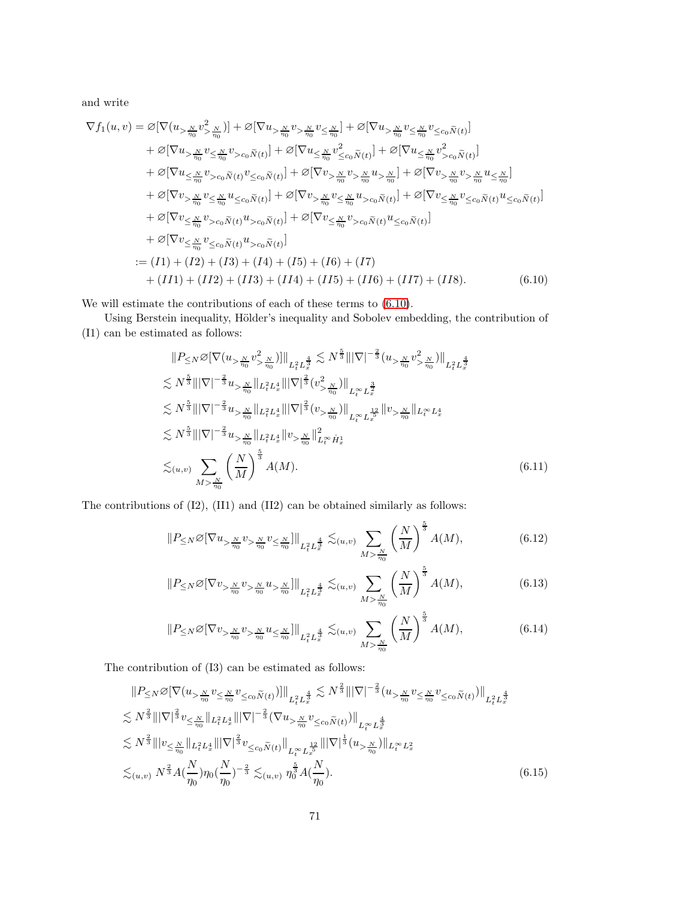and write

$$
\nabla f_1(u,v) = \varnothing [\nabla (u_{>\frac{N}{\eta_0}} v_{>\frac{N}{\eta_0}}^2)] + \varnothing [\nabla u_{>\frac{N}{\eta_0}} v_{>\frac{N}{\eta_0}}^2] + \varnothing [\nabla u_{>\frac{N}{\eta_0}} v_{<\frac{N}{\eta_0}}^2] + \varnothing [\nabla u_{>\frac{N}{\eta_0}} v_{<\frac{N}{\eta_0}}^2] + \varnothing [\nabla u_{<\frac{N}{\eta_0}} v_{<\frac{N}{\eta_0}}^2] + \varnothing [\nabla u_{<\frac{N}{\eta_0}} v_{<\frac{N}{\eta_0}}^2] + \varnothing [\nabla u_{<\frac{N}{\eta_0}} v_{>\frac{N}{\eta_0}}^2] + \varnothing [\nabla u_{<\frac{N}{\eta_0}} v_{>\frac{N}{\eta_0}}^2] + \varnothing [\nabla v_{>\frac{N}{\eta_0}} v_{>\frac{N}{\eta_0}}^2] + \varnothing [\nabla v_{>\frac{N}{\eta_0}} v_{>\frac{N}{\eta_0}}^2] + \varnothing [\nabla v_{>\frac{N}{\eta_0}} v_{<\frac{N}{\eta_0}}^2] + \varnothing [\nabla v_{>\frac{N}{\eta_0}} v_{<\frac{N}{\eta_0}}^2] + \varnothing [\nabla v_{<\frac{N}{\eta_0}} v_{<\frac{N}{\eta_0}}^2] + \varnothing [\nabla v_{<\frac{N}{\eta_0}} v_{<\alpha}^2 \tilde{N}(t)] + \varnothing [\nabla v_{<\frac{N}{\eta_0}} v_{<\alpha}^2 \tilde{N}(t)] + \varnothing [\nabla v_{<\frac{N}{\eta_0}} v_{<\alpha}^2 \tilde{N}(t)] + \varnothing [\nabla v_{<\frac{N}{\eta_0}} v_{<\alpha}^2 \tilde{N}(t)] + \varnothing [\nabla v_{<\frac{N}{\eta_0}} v_{<\alpha}^2 \tilde{N}(t)] + \varnothing [\nabla v_{<\frac{N}{\eta_0}} v_{<\alpha}^2 \tilde{N}(t)] + \varnothing [\nabla
$$

We will estimate the contributions of each of these terms to [\(6.10\)](#page-70-0).

Using Berstein inequality, Hölder's inequality and Sobolev embedding, the contribution of (I1) can be estimated as follows:

<span id="page-70-0"></span>
$$
||P_{\leq N} \oslash [\nabla (u_{> \frac{N}{\eta_0}} v_{> \frac{N}{\eta_0}}^2)]||_{L_t^2 L_x^{\frac{4}{3}}} \lesssim N^{\frac{5}{3}} |||\nabla|^{-\frac{2}{3}} (u_{> \frac{N}{\eta_0}} v_{> \frac{N}{\eta_0}}^2) ||_{L_t^2 L_x^{\frac{4}{3}}}
$$
  
\n
$$
\lesssim N^{\frac{5}{3}} |||\nabla|^{-\frac{2}{3}} u_{> \frac{N}{\eta_0}} ||_{L_t^2 L_x^4} |||\nabla|^{\frac{2}{3}} (v_{> \frac{N}{\eta_0}}^2) ||_{L_t^{\infty} L_x^{\frac{3}{2}}}
$$
  
\n
$$
\lesssim N^{\frac{5}{3}} |||\nabla|^{-\frac{2}{3}} u_{> \frac{N}{\eta_0}} ||_{L_t^2 L_x^4} |||\nabla|^{\frac{2}{3}} (v_{> \frac{N}{\eta_0}}^2) ||_{L_t^{\infty} L_x^{\frac{12}{3}}} ||v_{> \frac{N}{\eta_0}} ||_{L_t^{\infty} L_x^4}
$$
  
\n
$$
\lesssim N^{\frac{5}{3}} |||\nabla|^{-\frac{2}{3}} u_{> \frac{N}{\eta_0}} ||_{L_t^2 L_x^4} ||v_{> \frac{N}{\eta_0}} ||_{L_t^{\infty} \dot{H}_x^1}
$$
  
\n
$$
\lesssim_{(u,v)} \sum_{M > \frac{N}{\eta_0}} \left(\frac{N}{M}\right)^{\frac{5}{3}} A(M).
$$
 (6.11)

The contributions of (I2), (II1) and (II2) can be obtained similarly as follows:

$$
||P_{\leq N} \varnothing \left[\nabla u_{> \frac{N}{\eta_0}} v_{> \frac{N}{\eta_0}} v_{\leq \frac{N}{\eta_0}}\right]||_{L_t^2 L_x^{\frac{4}{3}}} \lesssim_{(u,v)} \sum_{M > \frac{N}{\eta_0}} \left(\frac{N}{M}\right)^{\frac{5}{3}} A(M),\tag{6.12}
$$

$$
||P_{\leq N} \varnothing [\nabla v_{> \frac{N}{\eta_0}} v_{> \frac{N}{\eta_0}} u_{> \frac{N}{\eta_0}}]||_{L_t^2 L_x^{\frac{4}{3}}} \lesssim_{(u,v)} \sum_{M > \frac{N}{\eta_0}} \left(\frac{N}{M}\right)^{\frac{5}{3}} A(M),
$$
(6.13)

$$
||P_{\leq N} \varnothing \left[\nabla v_{> \frac{N}{\eta_0}} v_{> \frac{N}{\eta_0}} u_{\leq \frac{N}{\eta_0}}\right]||_{L_t^2 L_x^{\frac{4}{3}}} \lesssim_{(u,v)} \sum_{M > \frac{N}{\eta_0}} \left(\frac{N}{M}\right)^{\frac{5}{3}} A(M),\tag{6.14}
$$

The contribution of (I3) can be estimated as follows:

$$
||P_{\leq N} \varnothing [\nabla (u_{> \frac{N}{\eta_0}} v_{\leq \frac{N}{\eta_0}} v_{\leq c_0} \tilde{N}(t))]||_{L_t^2 L_x^{\frac{4}{3}}} \lesssim N^{\frac{2}{3}} |||\nabla|^{-\frac{2}{3}} (u_{> \frac{N}{\eta_0}} v_{\leq c_0} \tilde{N}(t))||_{L_t^2 L_x^{\frac{4}{3}}}
$$
  
\n
$$
\lesssim N^{\frac{2}{3}} |||\nabla|^{\frac{2}{3}} v_{\leq \frac{N}{\eta_0}} ||_{L_t^2 L_x^4} |||\nabla|^{-\frac{2}{3}} (\nabla u_{> \frac{N}{\eta_0}} v_{\leq c_0} \tilde{N}(t))||_{L_t^{\infty} L_x^{\frac{4}{3}}}
$$
  
\n
$$
\lesssim N^{\frac{2}{3}} |||v_{\leq \frac{N}{\eta_0}} ||_{L_t^2 L_x^4} |||\nabla|^{\frac{2}{3}} v_{\leq c_0} \tilde{N}(t) ||_{L_t^{\infty} L_x^{\frac{12}{3}}} |||\nabla|^{\frac{1}{3}} (u_{> \frac{N}{\eta_0}}) ||_{L_t^{\infty} L_x^2}
$$
  
\n
$$
\lesssim_{(u,v)} N^{\frac{2}{3}} A(\frac{N}{\eta_0}) \eta_0 (\frac{N}{\eta_0})^{-\frac{2}{3}} \lesssim_{(u,v)} \eta_0^{\frac{5}{3}} A(\frac{N}{\eta_0}).
$$
\n(6.15)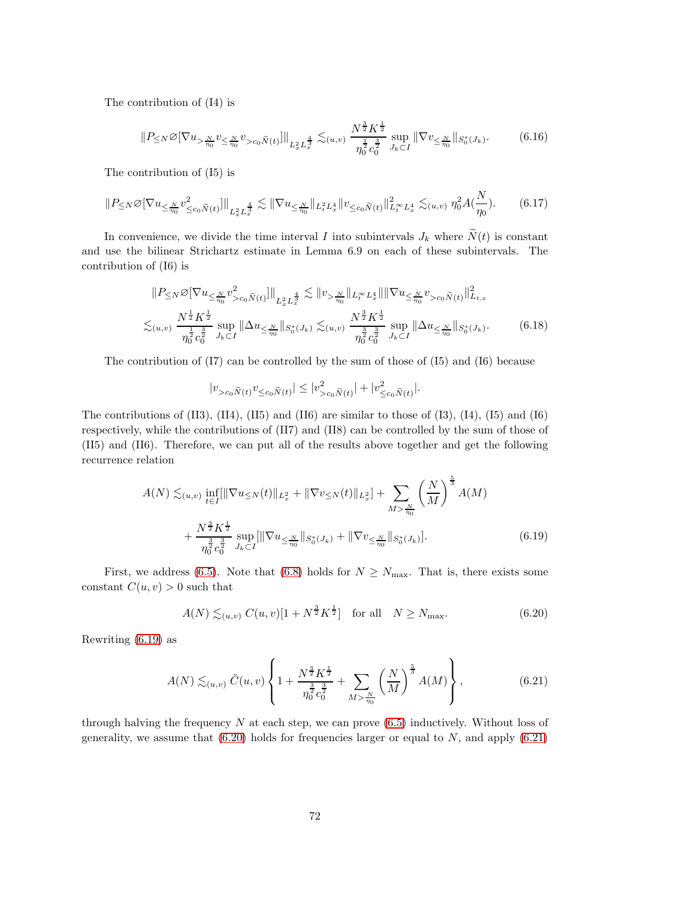The contribution of (I4) is

$$
||P \leq N \mathcal{Q}[\nabla u_{> \frac{N}{\eta_0}} v_{\leq \frac{N}{\eta_0}} v_{> c_0 \widetilde{N}(t)}]||_{L_x^2 L_x^{\frac{4}{3}}} \lesssim_{(u,v)} \frac{N^{\frac{3}{2}} K^{\frac{1}{2}}}{\eta_0^{\frac{1}{2}} c_0^{\frac{3}{2}}} \sup_{J_k \subset I} ||\nabla v_{\leq \frac{N}{\eta_0}}||_{S_0^*(J_k)}.
$$
 (6.16)

The contribution of (I5) is

$$
||P_{\leq N} \varnothing [\nabla u_{\leq \frac{N}{\eta_0}} v_{\leq c_0 \tilde{N}(t)}^2]||_{L_x^2 L_x^{\frac{4}{3}}} \lesssim ||\nabla u_{\leq \frac{N}{\eta_0}}||_{L_t^2 L_x^4} ||v_{\leq c_0 \tilde{N}(t)}||_{L_t^\infty L_x^4}^2 \lesssim_{(u,v)} \eta_0^2 A(\frac{N}{\eta_0}).
$$
 (6.17)

In convenience, we divide the time interval I into subintervals  $J_k$  where  $\widetilde{N}(t)$  is constant and use the bilinear Strichartz estimate in Lemma 6.9 on each of these subintervals. The contribution of (I6) is

$$
||P_{\leq N} \varnothing \left[\nabla u_{\leq \frac{N}{\eta_0}} v_{>c_0 \tilde{N}(t)}^2\right]||_{L_x^2 L_x^{\frac{4}{3}}} \lesssim ||v_{> \frac{N}{\eta_0}}||_{L_t^{\infty} L_x^4} || ||\nabla u_{\leq \frac{N}{\eta_0}} v_{>c_0 \tilde{N}(t)}||_{L_{t,x}}^2
$$
  

$$
\lesssim_{(u,v)} \frac{N^{\frac{1}{2}} K^{\frac{1}{2}}}{\eta_0^{\frac{1}{2}} c_0^{\frac{3}{2}}} \sup_{J_k \subset I} ||\Delta u_{\leq \frac{N}{\eta_0}}||_{S_0^*(J_k)} \lesssim_{(u,v)} \frac{N^{\frac{3}{2}} K^{\frac{1}{2}}}{\eta_0^{\frac{3}{2}} c_0^{\frac{3}{2}}} \sup_{J_k \subset I} ||\Delta u_{\leq \frac{N}{\eta_0}}||_{S_0^*(J_k)}.
$$
 (6.18)

The contribution of  $(17)$  can be controlled by the sum of those of  $(15)$  and  $(16)$  because

<span id="page-71-0"></span>
$$
|v_{>c_0}\tilde{N}(t)v_{\leq c_0}\tilde{N}(t)| \leq |v_{>c_0}\tilde{N}(t)| + |v_{\leq c_0}\tilde{N}(t)|.
$$

The contributions of  $(II3)$ ,  $(II4)$ ,  $(II5)$  and  $(II6)$  are similar to those of  $(I3)$ ,  $(I4)$ ,  $(I5)$  and  $(I6)$ respectively, while the contributions of (II7) and (II8) can be controlled by the sum of those of (II5) and (II6). Therefore, we can put all of the results above together and get the following recurrence relation

$$
A(N) \lesssim_{(u,v)} \inf_{t \in I} \{ \|\nabla u_{\leq N}(t)\|_{L_x^2} + \|\nabla v_{\leq N}(t)\|_{L_x^2} \} + \sum_{M > \frac{N}{\eta_0}} \left(\frac{N}{M}\right)^{\frac{5}{3}} A(M) + \frac{N^{\frac{3}{2}} K^{\frac{1}{2}}}{\eta_0^{\frac{3}{2}} c_0^{\frac{3}{2}}} \sup_{J_k \subset I} \{\|\nabla u_{\leq \frac{N}{\eta_0}}\|_{S_0^*(J_k)} + \|\nabla v_{\leq \frac{N}{\eta_0}}\|_{S_0^*(J_k)}\}. \tag{6.19}
$$

First, we address [\(6.5\)](#page-69-0). Note that [\(6.8\)](#page-69-2) holds for  $N \geq N_{\text{max}}$ . That is, there exists some constant  $C(u, v) > 0$  such that

<span id="page-71-2"></span><span id="page-71-1"></span>
$$
A(N) \lesssim_{(u,v)} C(u,v)[1 + N^{\frac{3}{2}} K^{\frac{1}{2}}] \text{ for all } N \ge N_{\text{max}}.
$$
 (6.20)

Rewriting [\(6.19\)](#page-71-0) as

$$
A(N) \lesssim_{(u,v)} \tilde{C}(u,v) \left\{ 1 + \frac{N^{\frac{3}{2}} K^{\frac{1}{2}}}{\eta_0^{\frac{3}{2}} c_0^{\frac{3}{2}}} + \sum_{M > \frac{N}{\eta_0}} \left( \frac{N}{M} \right)^{\frac{5}{3}} A(M) \right\},
$$
(6.21)

through halving the frequency  $N$  at each step, we can prove  $(6.5)$  inductively. Without loss of generality, we assume that  $(6.20)$  holds for frequencies larger or equal to N, and apply  $(6.21)$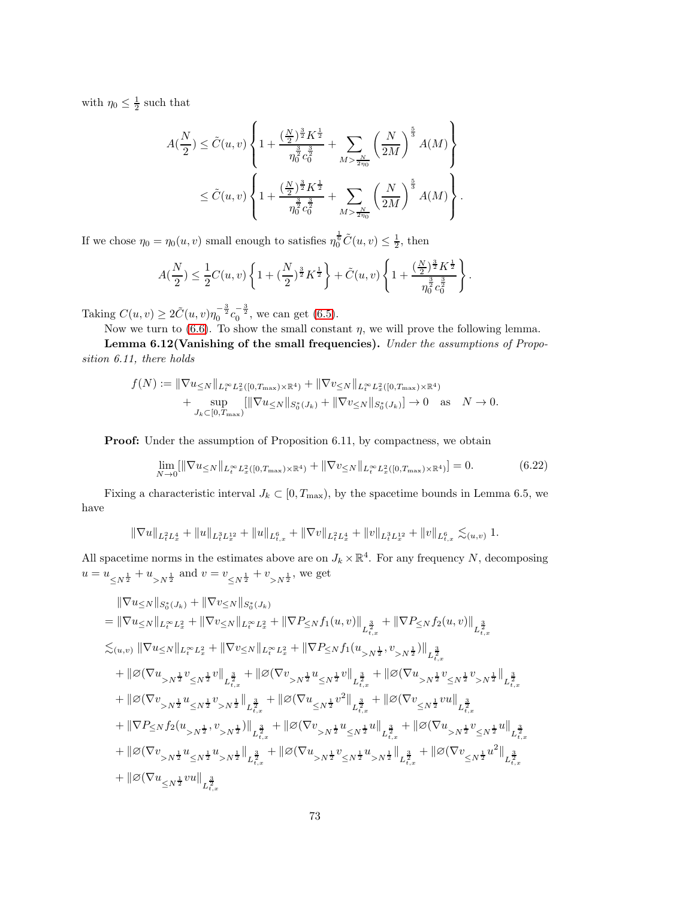with  $\eta_0 \leq \frac{1}{2}$  such that

$$
A(\frac{N}{2}) \le \tilde{C}(u, v) \left\{ 1 + \frac{(\frac{N}{2})^{\frac{3}{2}} K^{\frac{1}{2}}}{\eta_0^{\frac{3}{2}} c_0^{\frac{3}{2}}} + \sum_{M > \frac{N}{2\eta_0}} \left(\frac{N}{2M}\right)^{\frac{5}{3}} A(M) \right\}
$$
  

$$
\le \tilde{C}(u, v) \left\{ 1 + \frac{(\frac{N}{2})^{\frac{3}{2}} K^{\frac{1}{2}}}{\eta_0^{\frac{3}{2}} c_0^{\frac{3}{2}}} + \sum_{M > \frac{N}{2\eta_0}} \left(\frac{N}{2M}\right)^{\frac{5}{3}} A(M) \right\}.
$$

If we chose  $\eta_0 = \eta_0(u, v)$  small enough to satisfies  $\eta_0^{\frac{1}{6}}\tilde{C}(u, v) \leq \frac{1}{2}$ , then

$$
A(\frac{N}{2}) \leq \frac{1}{2}C(u,v)\left\{1 + \left(\frac{N}{2}\right)^{\frac{3}{2}}K^{\frac{1}{2}}\right\} + \tilde{C}(u,v)\left\{1 + \frac{\left(\frac{N}{2}\right)^{\frac{3}{2}}K^{\frac{1}{2}}}{\eta_0^{\frac{3}{2}}c_0^{\frac{3}{2}}}\right\}.
$$

Taking  $C(u, v) \ge 2\tilde{C}(u, v)\eta_0^{-\frac{3}{2}}c_0^{-\frac{3}{2}}$ , we can get [\(6.5\)](#page-69-0).

Now we turn to  $(6.6)$ . To show the small constant  $\eta$ , we will prove the following lemma.

Lemma 6.12(Vanishing of the small frequencies). Under the assumptions of Proposition 6.11, there holds

$$
f(N) := \|\nabla u_{\leq N}\|_{L_t^{\infty} L_x^2([0, T_{\max}) \times \mathbb{R}^4)} + \|\nabla v_{\leq N}\|_{L_t^{\infty} L_x^2([0, T_{\max}) \times \mathbb{R}^4)} + \sup_{J_k \subset [0, T_{\max})} [\|\nabla u_{\leq N}\|_{S_0^*(J_k)} + \|\nabla v_{\leq N}\|_{S_0^*(J_k)}] \to 0 \text{ as } N \to 0.
$$

Proof: Under the assumption of Proposition 6.11, by compactness, we obtain

<span id="page-72-0"></span>
$$
\lim_{N \to 0} [\|\nabla u_{\leq N} \|_{L_t^\infty} L_x^2([0, T_{\max}) \times \mathbb{R}^4) + \|\nabla v_{\leq N} \|_{L_t^\infty} L_x^2([0, T_{\max}) \times \mathbb{R}^4)] = 0.
$$
\n(6.22)

Fixing a characteristic interval  $J_k \subset [0, T_{\text{max}})$ , by the spacetime bounds in Lemma 6.5, we have

$$
\|\nabla u\|_{L^2_tL^4_x}+\|u\|_{L^3_tL^{12}_x}+\|u\|_{L^6_{t,x}}+\|\nabla v\|_{L^2_tL^4_x}+\|v\|_{L^3_tL^{12}_x}+\|v\|_{L^6_{t,x}}\lesssim_{(u,v)} 1.
$$

All spacetime norms in the estimates above are on  $J_k \times \mathbb{R}^4$ . For any frequency N, decomposing  $u = u_{\leq N^{\frac{1}{2}}} + u_{>N^{\frac{1}{2}}}$  and  $v = v_{\leq N^{\frac{1}{2}}} + v_{>N^{\frac{1}{2}}}$ , we get

$$
\begin{aligned} &\|\nabla u_{\leq N}\|_{S_0^*(J_k)}+\|\nabla v_{\leq N}\|_{S_0^*(J_k)}\\ &=\|\nabla u_{\leq N}\|_{L_t^\infty L_x^2}+\|\nabla v_{\leq N}\|_{L_t^\infty L_x^2}+\|\nabla P_{\leq N}f_1(u,v)\|_{L_{t,x}^{\frac{3}{2}}}+\|\nabla P_{\leq N}f_2(u,v)\|_{L_{t,x}^{\frac{3}{2}}}\\ \lesssim_{(u,v)}\|\nabla u_{\leq N}\|_{L_t^\infty L_x^2}+\|\nabla v_{\leq N}\|_{L_t^\infty L_x^2}+\|\nabla P_{\leq N}f_1(u_{>N}^\frac{1}{2},v_{>N}^\frac{1}{2})\|_{L_{t,x}^{\frac{3}{2}}}\\ &+\|\varnothing(\nabla u_{>N}^\frac{1}{2}v_{\leq N}^\frac{1}{2}v\|_{L_{t,x}^{\frac{3}{2}}}+\|\varnothing(\nabla v_{>N}^\frac{1}{2}u_{\leq N}^\frac{1}{2}v\|_{L_{t,x}^{\frac{3}{2}}}+\|\varnothing(\nabla u_{>N}^\frac{1}{2}v_{\leq N}^\frac{1}{2}v_{>N}^\frac{1}{2}\|_{L_{t,x}^{\frac{3}{2}}}\\ &+\|\varnothing(\nabla v_{>N}^\frac{1}{2}u_{\leq N}^\frac{1}{2}v_{>N}^\frac{1}{2}\|_{L_{t,x}^{\frac{3}{2}}}+\|\varnothing(\nabla u_{\leq N}^\frac{1}{2}v^2\|_{L_{t,x}^{\frac{3}{2}}}+\|\varnothing(\nabla v_{\leq N}^\frac{1}{2}vu\|_{L_{t,x}^{\frac{3}{2}}}\\ &+\|\nabla P_{\leq N}f_2(u_{>N}^\frac{1}{2},v_{>N}^\frac{1}{2})\|_{L_{t,x}^{\frac{3}{2}}}+\|\varnothing(\nabla v_{>N}^\frac{1}{2}u_{\leq N}^\frac{1}{2}u\|_{L_{t,x}^{\frac{3}{2}}}+\|\varnothing(\nabla u_{>N}^\frac{1}{2}v_{\leq N}^\frac{1}{2}u\|_{L_{t,x}^{\frac{3}{2}}}\\ &+\|\varnothing(\nabla v_{>N
$$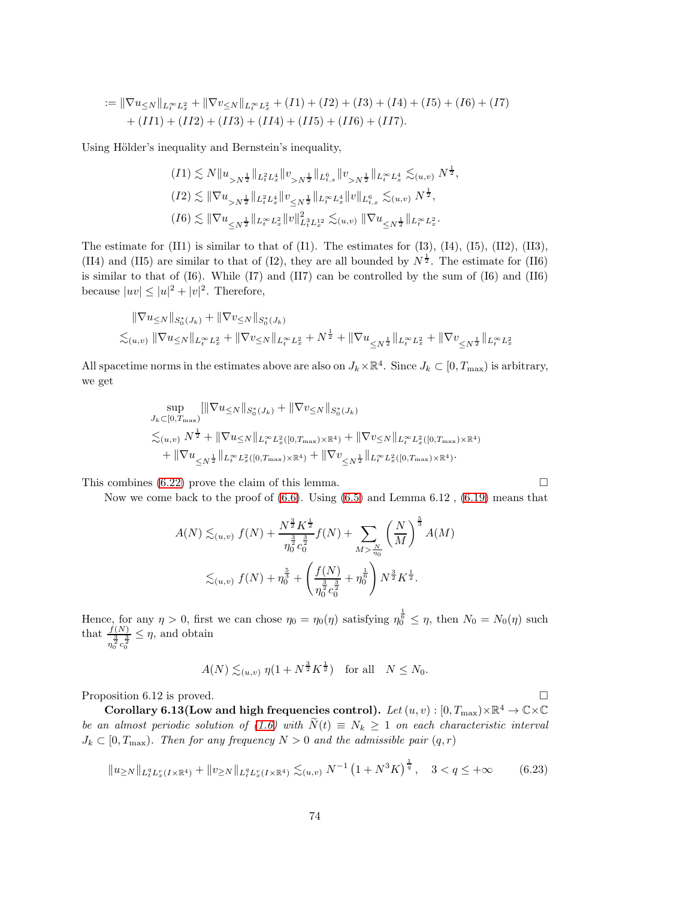$$
:= \|\nabla u_{\leq N}\|_{L_t^{\infty}L_x^2} + \|\nabla v_{\leq N}\|_{L_t^{\infty}L_x^2} + (I1) + (I2) + (I3) + (I4) + (I5) + (I6) + (I7) + (II1) + (II2) + (II3) + (II4) + (II5) + (II6) + (II7).
$$

Using Hölder's inequality and Bernstein's inequality,

$$
(I1) \lesssim N \|u_{>N^{\frac{1}{2}}}\|_{L_{t}^{2}L_{x}^{4}} \|v_{>N^{\frac{1}{2}}}\|_{L_{t,x}^{6}} \|v_{>N^{\frac{1}{2}}}\|_{L_{t}^{\infty}L_{x}^{4}} \lesssim_{(u,v)} N^{\frac{1}{2}},
$$
  
\n
$$
(I2) \lesssim \|\nabla u_{>N^{\frac{1}{2}}}\|_{L_{t}^{2}L_{x}^{4}} \|v_{\leq N^{\frac{1}{2}}}\|_{L_{t}^{\infty}L_{x}^{4}} \|v\|_{L_{t,x}^{6}} \lesssim_{(u,v)} N^{\frac{1}{2}},
$$
  
\n
$$
(I6) \lesssim \|\nabla u_{\leq N^{\frac{1}{2}}}\|_{L_{t}^{\infty}L_{x}^{2}} \|v\|_{L_{t}^{3}L_{x}^{12}}^{2} \lesssim_{(u,v)} \|\nabla u_{\leq N^{\frac{1}{2}}}\|_{L_{t}^{\infty}L_{x}^{2}}.
$$

The estimate for  $(II1)$  is similar to that of  $(I1)$ . The estimates for  $(I3)$ ,  $(I4)$ ,  $(I5)$ ,  $(II2)$ ,  $(II3)$ , (II4) and (II5) are similar to that of (I2), they are all bounded by  $N^{\frac{1}{2}}$ . The estimate for (II6) is similar to that of (I6). While (I7) and (II7) can be controlled by the sum of (I6) and (II6) because  $|uv| \leq |u|^2 + |v|^2$ . Therefore,

$$
\|\nabla u_{\leq N}\|_{S_0^*(J_k)} + \|\nabla v_{\leq N}\|_{S_0^*(J_k)}\n\lesssim_{(u,v)} \|\nabla u_{\leq N}\|_{L_t^\infty L_x^2} + \|\nabla v_{\leq N}\|_{L_t^\infty L_x^2} + N^{\frac{1}{2}} + \|\nabla u_{\leq N^{\frac{1}{2}}}\|_{L_t^\infty L_x^2} + \|\nabla v_{\leq N^{\frac{1}{2}}}\|_{L_t^\infty L_x^2}
$$

All spacetime norms in the estimates above are also on  $J_k \times \mathbb{R}^4$ . Since  $J_k \subset [0, T_{\text{max}})$  is arbitrary, we get

$$
\sup_{J_k \subset [0, T_{\text{max}}]} [\|\nabla u_{\leq N} \|_{S_0^*(J_k)} + \|\nabla v_{\leq N} \|_{S_0^*(J_k)}\n\leq_{(u,v)} N^{\frac{1}{2}} + \|\nabla u_{\leq N} \|_{L_t^{\infty} L_x^2([0, T_{\text{max}}) \times \mathbb{R}^4)} + \|\nabla v_{\leq N} \|_{L_t^{\infty} L_x^2([0, T_{\text{max}}) \times \mathbb{R}^4)}\n+ \|\nabla u_{\leq N^{\frac{1}{2}}} \|_{L_t^{\infty} L_x^2([0, T_{\text{max}}) \times \mathbb{R}^4)} + \|\nabla v_{\leq N^{\frac{1}{2}}} \|_{L_t^{\infty} L_x^2([0, T_{\text{max}}) \times \mathbb{R}^4)}.
$$

This combines  $(6.22)$  prove the claim of this lemma.

Now we come back to the proof of [\(6.6\)](#page-69-1). Using [\(6.5\)](#page-69-0) and Lemma 6.12 , [\(6.19\)](#page-71-0) means that

$$
A(N) \lesssim_{(u,v)} f(N) + \frac{N^{\frac{3}{2}} K^{\frac{1}{2}}}{\eta_0^{\frac{3}{2}} c_0^{\frac{3}{2}}} f(N) + \sum_{M > \frac{N}{\eta_0}} \left(\frac{N}{M}\right)^{\frac{5}{3}} A(M)
$$
  

$$
\lesssim_{(u,v)} f(N) + \eta_0^{\frac{5}{3}} + \left(\frac{f(N)}{\eta_0^{\frac{3}{2}} c_0^{\frac{3}{2}}} + \eta_0^{\frac{1}{6}}\right) N^{\frac{3}{2}} K^{\frac{1}{2}}.
$$

Hence, for any  $\eta > 0$ , first we can chose  $\eta_0 = \eta_0(\eta)$  satisfying  $\eta_0^{\frac{1}{6}} \leq \eta$ , then  $N_0 = N_0(\eta)$  such that  $\frac{f(N)}{\frac{3}{\eta_0^2} c_0^{\frac{3}{2}}}$  $\leq \eta$ , and obtain

$$
A(N) \lesssim_{(u,v)} \eta(1 + N^{\frac{3}{2}} K^{\frac{1}{2}})
$$
 for all  $N \le N_0$ .

Proposition 6.12 is proved.

Corollary 6.13(Low and high frequencies control).  $Let\,(u,v):[0,T_{\max})\times\mathbb{R}^{4}\rightarrow\mathbb{C}\times\mathbb{C}$ be an almost periodic solution of [\(1.6\)](#page-3-0) with  $\tilde{N}(t) \equiv N_k \ge 1$  on each characteristic interval  $J_k \subset [0, T_{\text{max}})$ . Then for any frequency  $N > 0$  and the admissible pair  $(q, r)$ 

$$
||u_{\geq N}||_{L_t^q L_x^r(I \times \mathbb{R}^4)} + ||v_{\geq N}||_{L_t^q L_x^r(I \times \mathbb{R}^4)} \lesssim_{(u,v)} N^{-1} \left(1 + N^3 K\right)^{\frac{1}{q}}, \quad 3 < q \leq +\infty \tag{6.23}
$$

<span id="page-73-0"></span>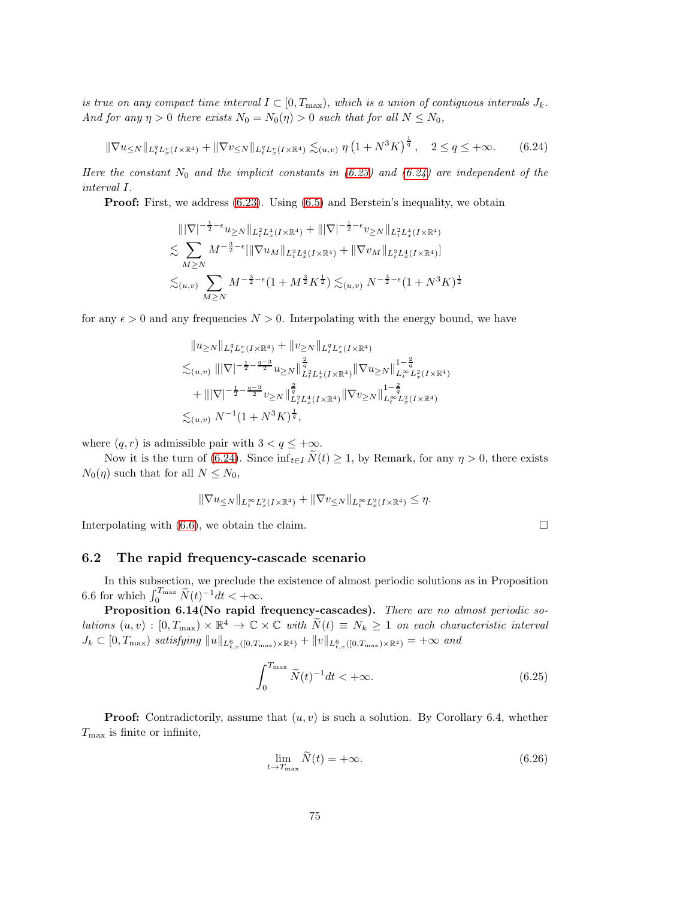is true on any compact time interval  $I \subset [0, T_{\text{max}})$ , which is a union of contiguous intervals  $J_k$ . And for any  $\eta > 0$  there exists  $N_0 = N_0(\eta) > 0$  such that for all  $N \le N_0$ ,

$$
\|\nabla u_{\leq N}\|_{L_t^q L_x^r(I \times \mathbb{R}^4)} + \|\nabla v_{\leq N}\|_{L_t^q L_x^r(I \times \mathbb{R}^4)} \lesssim_{(u,v)} \eta \left(1 + N^3 K\right)^{\frac{1}{q}}, \quad 2 \leq q \leq +\infty. \tag{6.24}
$$

Here the constant  $N_0$  and the implicit constants in [\(6.23\)](#page-73-0) and [\(6.24\)](#page-74-0) are independent of the interval I.

**Proof:** First, we address [\(6.23\)](#page-73-0). Using [\(6.5\)](#page-69-0) and Berstein's inequality, we obtain

<span id="page-74-0"></span>
$$
\begin{split}\n\|\nabla|^{-\frac{1}{2}-\epsilon} u_{\geq N} \|_{L_{t}^{2} L_{x}^{4}(I \times \mathbb{R}^{4})} + \|\nabla|^{-\frac{1}{2}-\epsilon} v_{\geq N} \|_{L_{t}^{2} L_{x}^{4}(I \times \mathbb{R}^{4})} \\
&\lesssim \sum_{M \geq N} M^{-\frac{3}{2}-\epsilon} [\|\nabla u_{M} \|_{L_{t}^{2} L_{x}^{4}(I \times \mathbb{R}^{4})} + \|\nabla v_{M} \|_{L_{t}^{2} L_{x}^{4}(I \times \mathbb{R}^{4})}] \\
&\lesssim_{(u,v)} \sum_{M \geq N} M^{-\frac{3}{2}-\epsilon} (1 + M^{\frac{3}{2}} K^{\frac{1}{2}}) \lesssim_{(u,v)} N^{-\frac{3}{2}-\epsilon} (1 + N^{3} K)^{\frac{1}{2}}\n\end{split}
$$

for any  $\epsilon > 0$  and any frequencies  $N > 0$ . Interpolating with the energy bound, we have

$$
\begin{split} \|u_{\geq N}\|_{L_t^q L_x^r(I \times \mathbb{R}^4)} + \|v_{\geq N}\|_{L_t^q L_x^r(I \times \mathbb{R}^4)}\\ \lesssim_{(u,v)} \| |\nabla|^{-\frac{1}{2}-\frac{q-3}{2}} u_{\geq N} \|_{L_t^2 L_x^4(I \times \mathbb{R}^4)}^{\frac{2}{q}} \| \nabla u_{\geq N} \|_{L_t^\infty L_x^2(I \times \mathbb{R}^4)}^{1-\frac{2}{q}} \\ &+ \| |\nabla|^{-\frac{1}{2}-\frac{q-3}{2}} v_{\geq N} \|_{L_t^2 L_x^4(I \times \mathbb{R}^4)}^{\frac{2}{q}} \| \nabla v_{\geq N} \|_{L_t^\infty L_x^2(I \times \mathbb{R}^4)}^{1-\frac{2}{q}} \\ \lesssim_{(u,v)} N^{-1} (1+N^3K)^{\frac{1}{q}}, \end{split}
$$

where  $(q, r)$  is admissible pair with  $3 < q \leq +\infty$ .

Now it is the turn of [\(6.24\)](#page-74-0). Since  $\inf_{t \in I} N(t) \geq 1$ , by Remark, for any  $\eta > 0$ , there exists  $N_0(\eta)$  such that for all  $N \leq N_0$ ,

$$
\|\nabla u_{\leq N}\|_{L_t^\infty L_x^2(I\times\mathbb{R}^4)} + \|\nabla v_{\leq N}\|_{L_t^\infty L_x^2(I\times\mathbb{R}^4)} \leq \eta.
$$

Interpolating with  $(6.6)$ , we obtain the claim.

<span id="page-74-2"></span><span id="page-74-1"></span>

### 6.2 The rapid frequency-cascade scenario

In this subsection, we preclude the existence of almost periodic solutions as in Proposition 6.6 for which  $\int_0^{T_{\text{max}}}\tilde{N}(t)^{-1}dt < +\infty$ .

Proposition 6.14(No rapid frequency-cascades). There are no almost periodic solutions  $(u, v) : [0, T_{max}) \times \mathbb{R}^4 \to \mathbb{C} \times \mathbb{C}$  with  $\widetilde{N}(t) \equiv N_k \ge 1$  on each characteristic interval  $J_k \subset [0, T_{\max})$  satisfying  $||u||_{L^6_{t,x}([0,T_{\max})\times\mathbb{R}^4)} + ||v||_{L^6_{t,x}([0,T_{\max})\times\mathbb{R}^4)} = +\infty$  and

$$
\int_0^{T_{\text{max}}} \tilde{N}(t)^{-1} dt < +\infty.
$$
\n(6.25)

**Proof:** Contradictorily, assume that  $(u, v)$  is such a solution. By Corollary 6.4, whether  $T_{\text{max}}$  is finite or infinite,

$$
\lim_{t \to T_{\text{max}}} \widetilde{N}(t) = +\infty. \tag{6.26}
$$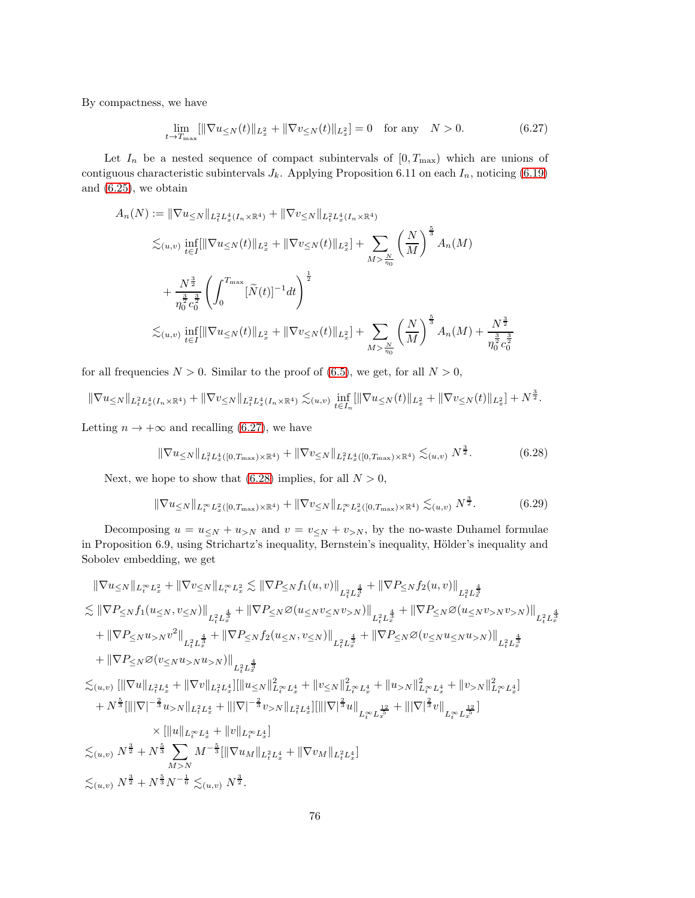By compactness, we have

<span id="page-75-0"></span>
$$
\lim_{t \to T_{\text{max}}} [\|\nabla u_{\leq N}(t)\|_{L_x^2} + \|\nabla v_{\leq N}(t)\|_{L_x^2}] = 0 \quad \text{for any} \quad N > 0. \tag{6.27}
$$

Let  $I_n$  be a nested sequence of compact subintervals of  $[0, T_{\text{max}})$  which are unions of contiguous characteristic subintervals  $J_k$ . Applying Proposition 6.11 on each  $I_n$ , noticing [\(6.19\)](#page-71-0) and [\(6.25\)](#page-74-1), we obtain

$$
A_n(N) := \|\nabla u_{\leq N}\|_{L_t^2 L_x^4(I_n \times \mathbb{R}^4)} + \|\nabla v_{\leq N}\|_{L_t^2 L_x^4(I_n \times \mathbb{R}^4)}
$$
  
\n
$$
\lesssim_{(u,v)} \inf_{t \in I} \{\|\nabla u_{\leq N}(t)\|_{L_x^2} + \|\nabla v_{\leq N}(t)\|_{L_x^2}\} + \sum_{M > \frac{N}{\eta_0}} \left(\frac{N}{M}\right)^{\frac{5}{3}} A_n(M)
$$
  
\n
$$
+ \frac{N^{\frac{3}{2}}}{\eta_0^{\frac{3}{2}} c_0^{\frac{3}{2}}} \left(\int_0^{T_{\text{max}}} [\widetilde{N}(t)]^{-1} dt\right)^{\frac{1}{2}}
$$
  
\n
$$
\lesssim_{(u,v)} \inf_{t \in I} \{\|\nabla u_{\leq N}(t)\|_{L_x^2} + \|\nabla v_{\leq N}(t)\|_{L_x^2}\} + \sum_{M > \frac{N}{\eta_0}} \left(\frac{N}{M}\right)^{\frac{5}{3}} A_n(M) + \frac{N^{\frac{3}{2}}}{\eta_0^{\frac{3}{2}} c_0^{\frac{3}{2}}}
$$

for all frequencies  $N > 0$ . Similar to the proof of [\(6.5\)](#page-69-0), we get, for all  $N > 0$ ,

$$
\|\nabla u_{\leq N}\|_{L_t^2 L_x^4(I_n\times\mathbb{R}^4)} + \|\nabla v_{\leq N}\|_{L_t^2 L_x^4(I_n\times\mathbb{R}^4)} \lesssim_{(u,v)} \inf_{t\in I_n} [\|\nabla u_{\leq N}(t)\|_{L_x^2} + \|\nabla v_{\leq N}(t)\|_{L_x^2}] + N^{\frac{3}{2}}.
$$

Letting  $n \to +\infty$  and recalling [\(6.27\)](#page-75-0), we have

<span id="page-75-2"></span><span id="page-75-1"></span>
$$
\|\nabla u_{\leq N}\|_{L_t^2 L_x^4([0,T_{\max})\times\mathbb{R}^4)} + \|\nabla v_{\leq N}\|_{L_t^2 L_x^4([0,T_{\max})\times\mathbb{R}^4)} \lesssim_{(u,v)} N^{\frac{3}{2}}.
$$
 (6.28)

Next, we hope to show that [\(6.28\)](#page-75-1) implies, for all  $N > 0$ ,

$$
\|\nabla u_{\leq N}\|_{L_t^\infty L_x^2([0,T_{\max})\times \mathbb{R}^4)} + \|\nabla v_{\leq N}\|_{L_t^\infty L_x^2([0,T_{\max})\times \mathbb{R}^4)} \lesssim_{(u,v)} N^{\frac{3}{2}}.
$$
 (6.29)

Decomposing  $u = u \le N + u > N$  and  $v = v \le N + v > N$ , by the no-waste Duhamel formulae in Proposition 6.9, using Strichartz's inequality, Bernstein's inequality, Hölder's inequality and Sobolev embedding, we get

$$
\begin{split} &\|\nabla u_{\leq N}\|_{L_{t}^{\infty}L_{x}^{2}}+\|\nabla v_{\leq N}\|_{L_{t}^{\infty}L_{x}^{2}} \lesssim \|\nabla P_{\leq N}f_{1}(u,v)\|_{L_{t}^{2}L_{x}^{\frac{4}{3}}} +\|\nabla P_{\leq N}f_{2}(u,v)\|_{L_{t}^{2}L_{x}^{\frac{4}{3}}} \\ &\lesssim \|\nabla P_{\leq N}f_{1}(u_{\leq N},v_{\leq N})\|_{L_{t}^{2}L_{x}^{\frac{4}{3}}} +\|\nabla P_{\leq N}\varnothing(u_{\leq N}v_{\leq N})\|_{L_{t}^{2}L_{x}^{\frac{4}{3}}} +\|\nabla P_{\leq N}\varnothing(u_{\leq N}v_{>N})\|_{L_{t}^{2}L_{x}^{\frac{4}{3}}} \\ &+\|\nabla P_{\leq N}u_{>N}v^{2}\|_{L_{t}^{2}L_{x}^{\frac{4}{3}}} +\|\nabla P_{\leq N}f_{2}(u_{\leq N},v_{\leq N})\|_{L_{t}^{2}L_{x}^{\frac{4}{3}}} +\|\nabla P_{\leq N}\varnothing(v_{\leq N}u_{\leq N}v_{>N})\|_{L_{t}^{2}L_{x}^{\frac{4}{3}}} \\ &+\|\nabla P_{\leq N}\varnothing(v_{\leq N}u_{>N}u_{>N})\|_{L_{t}^{2}L_{x}^{\frac{4}{3}}} \\ &\lesssim_{(u,v)} [\|\nabla u\|_{L_{t}^{2}L_{x}^{4}}+\|\nabla v\|_{L_{t}^{2}L_{x}^{4}}] [\|u_{\leq N}\|_{L_{t}^{\infty}L_{x}^{4}}^{2} +\|v_{\leq N}\|_{L_{t}^{\infty}L_{x}^{4}}^{2} +\|u_{>N}\|_{L_{t}^{\infty}L_{x}^{4}}^{2} +\|v_{>N}\|_{L_{t}^{\infty}L_{x}^{4}}^{2}] \\ &\quad +N^{\frac{5}{3}} [\|\nabla|^{-\frac{2}{3}}u_{>N}\|_{L_{t}^{2}L_{x}^{4}}+\|\nabla|^{-\frac{2}{3}}v_{>
$$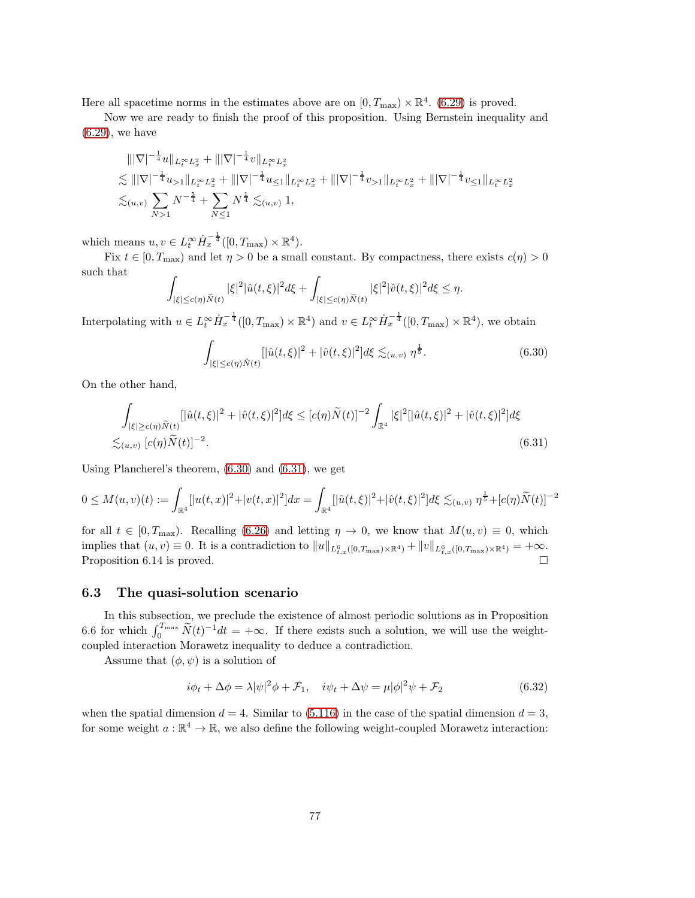Here all spacetime norms in the estimates above are on  $[0, T_{\text{max}}) \times \mathbb{R}^4$ . [\(6.29\)](#page-75-2) is proved.

Now we are ready to finish the proof of this proposition. Using Bernstein inequality and [\(6.29\)](#page-75-2), we have

$$
\begin{split} &\||\nabla|^{-\frac{1}{4}}u\|_{L^{\infty}_{t}L^{2}_{x}}+\||\nabla|^{-\frac{1}{4}}v\|_{L^{\infty}_{t}L^{2}_{x}}\\ &\lesssim \||\nabla|^{-\frac{1}{4}}u_{>1}\|_{L^{\infty}_{t}L^{2}_{x}}+\||\nabla|^{-\frac{1}{4}}u_{\leq 1}\|_{L^{\infty}_{t}L^{2}_{x}}+\||\nabla|^{-\frac{1}{4}}v_{>1}\|_{L^{\infty}_{t}L^{2}_{x}}+\||\nabla|^{-\frac{1}{4}}v_{>1}\|_{L^{\infty}_{t}L^{2}_{x}}+\||\nabla|^{-\frac{1}{4}}v_{\leq 1}\|_{L^{\infty}_{t}L^{2}_{x}}\\ &\lesssim_{(u,v)}\sum_{N>1}N^{-\frac{5}{4}}+\sum_{N\leq 1}N^{\frac{1}{4}}\lesssim_{(u,v)}1, \end{split}
$$

which means  $u, v \in L_t^{\infty} \dot{H}_x^{-\frac{1}{4}}([0, T_{\max}) \times \mathbb{R}^4)$ .

Fix  $t \in [0, T_{\text{max}})$  and let  $\eta > 0$  be a small constant. By compactness, there exists  $c(\eta) > 0$ such that Z

$$
\int_{|\xi| \leq c(\eta)\widetilde{N}(t)} |\xi|^2 |\hat{u}(t,\xi)|^2 d\xi + \int_{|\xi| \leq c(\eta)\widetilde{N}(t)} |\xi|^2 |\hat{v}(t,\xi)|^2 d\xi \leq \eta.
$$

Interpolating with  $u \in L_t^{\infty} \dot{H}_x^{-\frac{1}{4}}([0, T_{\max}) \times \mathbb{R}^4)$  and  $v \in L_t^{\infty} \dot{H}_x^{-\frac{1}{4}}([0, T_{\max}) \times \mathbb{R}^4)$ , we obtain

<span id="page-76-1"></span><span id="page-76-0"></span>
$$
\int_{|\xi| \le c(\eta)\hat{N}(t)} [|\hat{u}(t,\xi)|^2 + |\hat{v}(t,\xi)|^2] d\xi \lesssim_{(u,v)} \eta^{\frac{1}{5}}.
$$
 (6.30)

On the other hand,

$$
\int_{|\xi| \ge c(\eta)\tilde{N}(t)} [|\hat{u}(t,\xi)|^2 + |\hat{v}(t,\xi)|^2] d\xi \le [c(\eta)\tilde{N}(t)]^{-2} \int_{\mathbb{R}^4} |\xi|^2 [|\hat{u}(t,\xi)|^2 + |\hat{v}(t,\xi)|^2] d\xi
$$
  

$$
\lesssim_{(u,v)} [c(\eta)\tilde{N}(t)]^{-2}.
$$
 (6.31)

Using Plancherel's theorem, [\(6.30\)](#page-76-0) and [\(6.31\)](#page-76-1), we get

$$
0 \leq M(u,v)(t) := \int_{\mathbb{R}^4} [|u(t,x)|^2 + |v(t,x)|^2] dx = \int_{\mathbb{R}^4} [|\tilde{u}(t,\xi)|^2 + |\hat{v}(t,\xi)|^2] d\xi \lesssim_{(u,v)} \eta^{\frac{1}{5}} + [c(\eta)\tilde{N}(t)]^{-2}
$$

for all  $t \in [0, T_{\text{max}})$ . Recalling  $(6.26)$  and letting  $\eta \to 0$ , we know that  $M(u, v) \equiv 0$ , which implies that  $(u, v) \equiv 0$ . It is a contradiction to  $||u||_{L^6_{t,x}([0,T_{\max})\times\mathbb{R}^4)} + ||v||_{L^6_{t,x}([0,T_{\max})\times\mathbb{R}^4)} = +\infty$ . Proposition 6.14 is proved.

### 6.3 The quasi-solution scenario

In this subsection, we preclude the existence of almost periodic solutions as in Proposition 6.6 for which  $\int_0^{T_{\text{max}}} \tilde{N}(t)^{-1} dt = +\infty$ . If there exists such a solution, we will use the weightcoupled interaction Morawetz inequality to deduce a contradiction.

Assume that  $(\phi, \psi)$  is a solution of

$$
i\phi_t + \Delta\phi = \lambda |\psi|^2 \phi + \mathcal{F}_1, \quad i\psi_t + \Delta\psi = \mu |\phi|^2 \psi + \mathcal{F}_2 \tag{6.32}
$$

when the spatial dimension  $d = 4$ . Similar to [\(5.116\)](#page-54-0) in the case of the spatial dimension  $d = 3$ , for some weight  $a: \mathbb{R}^4 \to \mathbb{R}$ , we also define the following weight-coupled Morawetz interaction: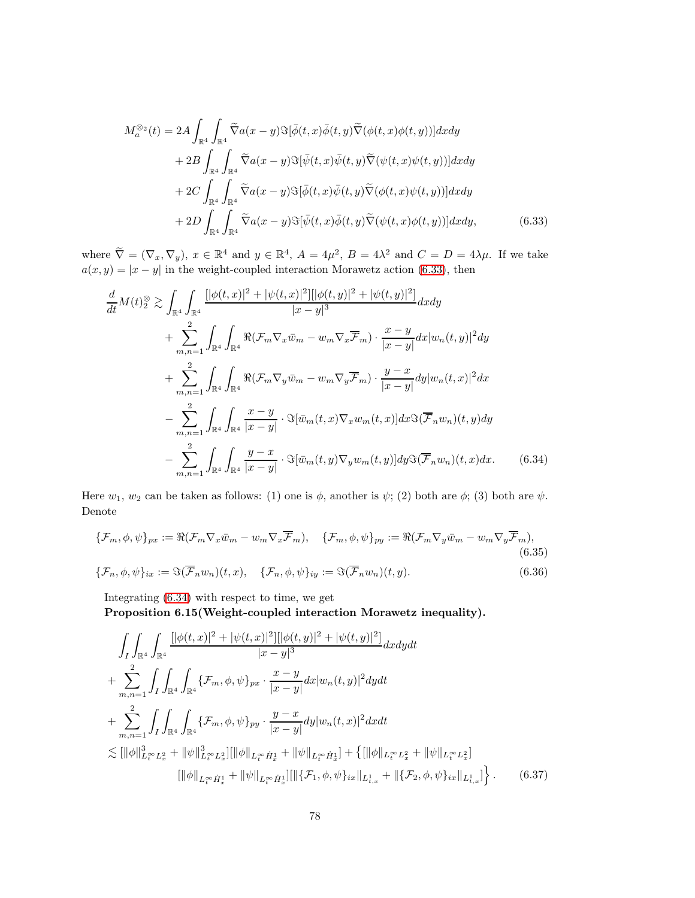<span id="page-77-0"></span>
$$
M_a^{\otimes_2}(t) = 2A \int_{\mathbb{R}^4} \int_{\mathbb{R}^4} \widetilde{\nabla} a(x - y) \Im[\overline{\phi}(t, x) \overline{\phi}(t, y) \widetilde{\nabla}(\phi(t, x) \phi(t, y))] dx dy + 2B \int_{\mathbb{R}^4} \int_{\mathbb{R}^4} \widetilde{\nabla} a(x - y) \Im[\overline{\psi}(t, x) \overline{\psi}(t, y) \widetilde{\nabla}(\psi(t, x) \psi(t, y))] dx dy + 2C \int_{\mathbb{R}^4} \int_{\mathbb{R}^4} \widetilde{\nabla} a(x - y) \Im[\overline{\phi}(t, x) \overline{\psi}(t, y) \widetilde{\nabla}(\phi(t, x) \psi(t, y))] dx dy + 2D \int_{\mathbb{R}^4} \int_{\mathbb{R}^4} \widetilde{\nabla} a(x - y) \Im[\overline{\psi}(t, x) \overline{\phi}(t, y) \widetilde{\nabla}(\psi(t, x) \phi(t, y))] dx dy, \tag{6.33}
$$

where  $\widetilde{\nabla} = (\nabla_x, \nabla_y), x \in \mathbb{R}^4$  and  $y \in \mathbb{R}^4$ ,  $A = 4\mu^2$ ,  $B = 4\lambda^2$  and  $C = D = 4\lambda\mu$ . If we take  $a(x, y) = |x - y|$  in the weight-coupled interaction Morawetz action [\(6.33\)](#page-77-0), then

$$
\frac{d}{dt}M(t)_{2}^{\otimes} \gtrsim \int_{\mathbb{R}^{4}} \int_{\mathbb{R}^{4}} \frac{[|\phi(t,x)|^{2} + |\psi(t,x)|^{2}] [|\phi(t,y)|^{2} + |\psi(t,y)|^{2}]}{|x-y|^{3}} dx dy \n+ \sum_{m,n=1}^{2} \int_{\mathbb{R}^{4}} \int_{\mathbb{R}^{4}} \Re(\mathcal{F}_{m} \nabla_{x} \bar{w}_{m} - w_{m} \nabla_{x} \overline{\mathcal{F}}_{m}) \cdot \frac{x-y}{|x-y|} dx |w_{n}(t,y)|^{2} dy \n+ \sum_{m,n=1}^{2} \int_{\mathbb{R}^{4}} \int_{\mathbb{R}^{4}} \Re(\mathcal{F}_{m} \nabla_{y} \bar{w}_{m} - w_{m} \nabla_{y} \overline{\mathcal{F}}_{m}) \cdot \frac{y-x}{|x-y|} dy |w_{n}(t,x)|^{2} dx \n- \sum_{m,n=1}^{2} \int_{\mathbb{R}^{4}} \int_{\mathbb{R}^{4}} \frac{x-y}{|x-y|} \cdot \Im[\bar{w}_{m}(t,x) \nabla_{x} w_{m}(t,x)] dx \Im(\overline{\mathcal{F}}_{n} w_{n})(t,y) dy \n- \sum_{m,n=1}^{2} \int_{\mathbb{R}^{4}} \int_{\mathbb{R}^{4}} \frac{y-x}{|x-y|} \cdot \Im[\bar{w}_{m}(t,y) \nabla_{y} w_{m}(t,y)] dy \Im(\overline{\mathcal{F}}_{n} w_{n})(t,x) dx.
$$
\n(6.34)

Here  $w_1, w_2$  can be taken as follows: (1) one is  $\phi$ , another is  $\psi$ ; (2) both are  $\phi$ ; (3) both are  $\psi$ . Denote

<span id="page-77-1"></span>
$$
\{\mathcal{F}_m, \phi, \psi\}_{px} := \Re(\mathcal{F}_m \nabla_x \bar{w}_m - w_m \nabla_x \overline{\mathcal{F}}_m), \quad \{\mathcal{F}_m, \phi, \psi\}_{py} := \Re(\mathcal{F}_m \nabla_y \bar{w}_m - w_m \nabla_y \overline{\mathcal{F}}_m),
$$
\n(6.35)\n
$$
\{\mathcal{F}_n, \phi, \psi\}_{ix} := \Im(\overline{\mathcal{F}}_n w_n)(t, x), \quad \{\mathcal{F}_n, \phi, \psi\}_{iy} := \Im(\overline{\mathcal{F}}_n w_n)(t, y).
$$
\n(6.36)

Integrating [\(6.34\)](#page-77-1) with respect to time, we get

Proposition 6.15(Weight-coupled interaction Morawetz inequality).

$$
\int_{I} \int_{\mathbb{R}^{4}} \int_{\mathbb{R}^{4}} \frac{[|\phi(t,x)|^{2} + |\psi(t,x)|^{2}] [|\phi(t,y)|^{2} + |\psi(t,y)|^{2}]}{|x-y|^{3}} dx dy dt
$$
\n+ 
$$
\sum_{m,n=1}^{2} \int_{I} \int_{\mathbb{R}^{4}} \int_{\mathbb{R}^{4}} \{ \mathcal{F}_{m}, \phi, \psi \}_{px} \cdot \frac{x-y}{|x-y|} dx |w_{n}(t,y)|^{2} dy dt
$$
\n+ 
$$
\sum_{m,n=1}^{2} \int_{I} \int_{\mathbb{R}^{4}} \int_{\mathbb{R}^{4}} \{ \mathcal{F}_{m}, \phi, \psi \}_{py} \cdot \frac{y-x}{|x-y|} dy |w_{n}(t,x)|^{2} dx dt
$$
\n
$$
\lesssim [\|\phi\|_{L_{t}^{\infty} L_{x}^{2}}^{3} + \|\psi\|_{L_{t}^{\infty} L_{x}^{2}}^{3}][\|\phi\|_{L_{t}^{\infty} \dot{H}_{x}^{1}} + \|\psi\|_{L_{t}^{\infty} \dot{H}_{x}^{1}}] + \{ [\|\phi\|_{L_{t}^{\infty} L_{x}^{2}} + \|\psi\|_{L_{t}^{\infty} L_{x}^{2}} ]
$$
\n
$$
[\|\phi\|_{L_{t}^{\infty} \dot{H}_{x}^{1}} + \|\psi\|_{L_{t}^{\infty} \dot{H}_{x}^{1}}] [\|\{\mathcal{F}_{1}, \phi, \psi\}_{ix} \|_{L_{t,x}^{1}} + \|\{\mathcal{F}_{2}, \phi, \psi\}_{ix} \|_{L_{t,x}^{1}} ] \} .
$$
\n(6.37)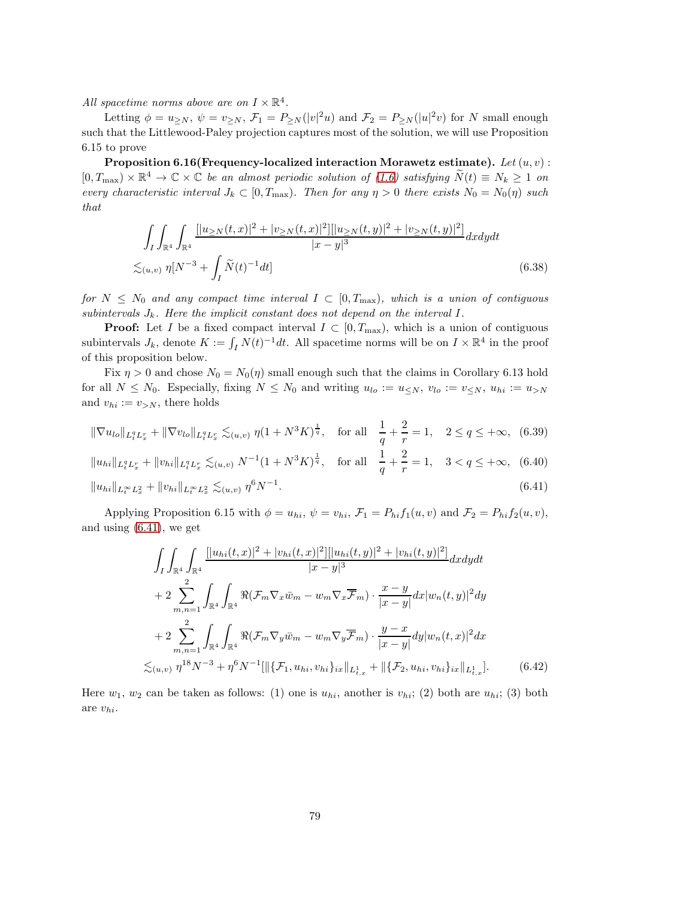All spacetime norms above are on  $I \times \mathbb{R}^4$ .

Letting  $\phi = u_{\geq N}$ ,  $\psi = v_{\geq N}$ ,  $\mathcal{F}_1 = P_{\geq N}(|v|^2u)$  and  $\mathcal{F}_2 = P_{\geq N}(|u|^2v)$  for N small enough such that the Littlewood-Paley projection captures most of the solution, we will use Proposition 6.15 to prove

Proposition 6.16(Frequency-localized interaction Morawetz estimate). Let  $(u, v)$ :  $[0, T_{\text{max}}) \times \mathbb{R}^4 \to \mathbb{C} \times \mathbb{C}$  be an almost periodic solution of [\(1.6\)](#page-3-0) satisfying  $\widetilde{N}(t) \equiv N_k \ge 1$  on every characteristic interval  $J_k \subset [0, T_{\text{max}})$ . Then for any  $\eta > 0$  there exists  $N_0 = N_0(\eta)$  such that

<span id="page-78-3"></span>
$$
\int_{I} \int_{\mathbb{R}^{4}} \int_{\mathbb{R}^{4}} \frac{[|u_{\geq N}(t,x)|^{2} + |v_{\geq N}(t,x)|^{2}] |[u_{\geq N}(t,y)|^{2} + |v_{\geq N}(t,y)|^{2}]}{|x-y|^{3}} dx dy dt
$$
  

$$
\lesssim_{(u,v)} \eta [N^{-3} + \int_{I} \widetilde{N}(t)^{-1} dt]
$$
(6.38)

for  $N \leq N_0$  and any compact time interval  $I \subset [0, T_{\text{max}})$ , which is a union of contiguous subintervals  $J_k$ . Here the implicit constant does not depend on the interval I.

**Proof:** Let I be a fixed compact interval  $I \subset [0, T_{\text{max}})$ , which is a union of contiguous subintervals  $J_k$ , denote  $K := \int_I N(t)^{-1} dt$ . All spacetime norms will be on  $I \times \mathbb{R}^4$  in the proof of this proposition below.

Fix  $\eta > 0$  and chose  $N_0 = N_0(\eta)$  small enough such that the claims in Corollary 6.13 hold for all  $N \leq N_0$ . Especially, fixing  $N \leq N_0$  and writing  $u_{lo} := u \leq N$ ,  $v_{lo} := v \leq N$ ,  $u_{hi} := u > N$ and  $v_{hi} := v_{>N}$ , there holds

$$
\|\nabla u_{lo}\|_{L_t^q L_x^r} + \|\nabla v_{lo}\|_{L_t^q L_x^r} \lesssim_{(u,v)} \eta (1 + N^3 K)^{\frac{1}{q}}, \quad \text{for all} \quad \frac{1}{q} + \frac{2}{r} = 1, \quad 2 \le q \le +\infty, \tag{6.39}
$$

$$
||u_{hi}||_{L_t^q L_x^r} + ||v_{hi}||_{L_t^q L_x^r} \lesssim_{(u,v)} N^{-1} (1 + N^3 K)^{\frac{1}{q}}, \quad \text{for all} \quad \frac{1}{q} + \frac{2}{r} = 1, \quad 3 < q \le +\infty, \tag{6.40}
$$

$$
||u_{hi}||_{L_t^{\infty}L_x^2} + ||v_{hi}||_{L_t^{\infty}L_x^2} \lesssim_{(u,v)} \eta^6 N^{-1}.
$$
\n(6.41)

Applying Proposition 6.15 with  $\phi = u_{hi}$ ,  $\psi = v_{hi}$ ,  $\mathcal{F}_1 = P_{hi} f_1(u, v)$  and  $\mathcal{F}_2 = P_{hi} f_2(u, v)$ , and using [\(6.41\)](#page-78-0), we get

<span id="page-78-2"></span><span id="page-78-1"></span><span id="page-78-0"></span>
$$
\int_{I} \int_{\mathbb{R}^{4}} \int_{\mathbb{R}^{4}} \frac{[|u_{hi}(t,x)|^{2} + |v_{hi}(t,x)|^{2}] [|u_{hi}(t,y)|^{2} + |v_{hi}(t,y)|^{2}]}{|x-y|^{3}} dx dy dt
$$
  
+ 
$$
2 \sum_{m,n=1}^{2} \int_{\mathbb{R}^{4}} \int_{\mathbb{R}^{4}} \Re(\mathcal{F}_{m} \nabla_{x} \bar{w}_{m} - w_{m} \nabla_{x} \overline{\mathcal{F}}_{m}) \cdot \frac{x-y}{|x-y|} dx |w_{n}(t,y)|^{2} dy
$$
  
+ 
$$
2 \sum_{m,n=1}^{2} \int_{\mathbb{R}^{4}} \int_{\mathbb{R}^{4}} \Re(\mathcal{F}_{m} \nabla_{y} \bar{w}_{m} - w_{m} \nabla_{y} \overline{\mathcal{F}}_{m}) \cdot \frac{y-x}{|x-y|} dy |w_{n}(t,x)|^{2} dx
$$
  

$$
\lesssim_{(u,v)} \eta^{18} N^{-3} + \eta^{6} N^{-1} [\| \{\mathcal{F}_{1}, u_{hi}, v_{hi}\}_{ix} \|_{L_{t,x}^{1}} + \| \{\mathcal{F}_{2}, u_{hi}, v_{hi}\}_{ix} \|_{L_{t,x}^{1}}].
$$
 (6.42)

Here  $w_1, w_2$  can be taken as follows: (1) one is  $u_{hi}$ , another is  $v_{hi}$ ; (2) both are  $u_{hi}$ ; (3) both are vhi.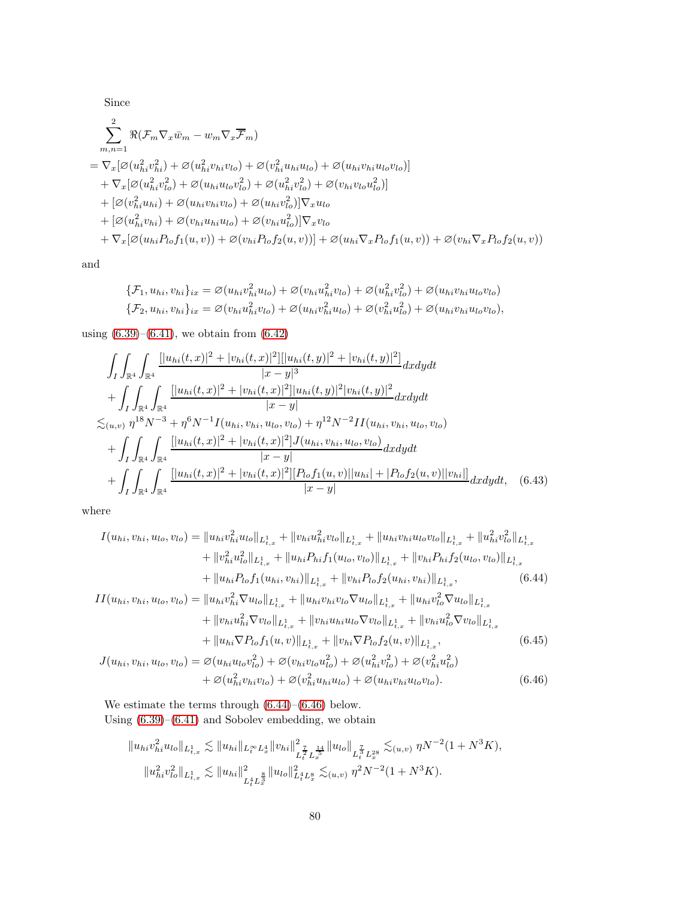Since

$$
\sum_{m,n=1}^{2} \Re(\mathcal{F}_{m} \nabla_{x} \bar{w}_{m} - w_{m} \nabla_{x} \overline{\mathcal{F}}_{m})
$$
\n
$$
= \nabla_{x} [\varnothing(u_{hi}^{2} v_{hi}^{2}) + \varnothing(u_{hi}^{2} v_{hi} v_{lo}) + \varnothing(v_{hi}^{2} u_{hi} u_{lo}) + \varnothing(u_{hi} v_{hi} u_{lo} v_{lo})]
$$
\n
$$
+ \nabla_{x} [\varnothing(u_{hi}^{2} v_{lo}^{2}) + \varnothing(u_{hi} u_{lo} v_{lo}^{2}) + \varnothing(u_{hi}^{2} v_{lo}^{2}) + \varnothing(v_{hi} v_{lo} u_{lo}^{2})]
$$
\n
$$
+ [\varnothing(v_{hi}^{2} u_{hi}) + \varnothing(u_{hi} v_{hi} v_{lo}) + \varnothing(u_{hi} v_{lo}^{2})] \nabla_{x} u_{lo}
$$
\n
$$
+ [\varnothing(u_{hi}^{2} v_{hi}) + \varnothing(v_{hi} u_{hi} u_{lo}) + \varnothing(v_{hi} u_{lo}^{2})] \nabla_{x} v_{lo}
$$
\n
$$
+ \nabla_{x} [\varnothing(u_{hi} P_{lo} f_{1}(u, v)) + \varnothing(v_{hi} P_{lo} f_{2}(u, v))] + \varnothing(u_{hi} \nabla_{x} P_{lo} f_{1}(u, v)) + \varnothing(v_{hi} \nabla_{x} P_{lo} f_{2}(u, v))
$$

and

$$
\{\mathcal{F}_1, u_{hi}, v_{hi}\}_{ix} = \varnothing(u_{hi}v_{hi}^2 u_{lo}) + \varnothing(v_{hi}u_{hi}^2 v_{lo}) + \varnothing(u_{hi}^2 v_{lo}^2) + \varnothing(u_{hi}v_{hi}u_{lo}v_{lo})
$$
  

$$
\{\mathcal{F}_2, u_{hi}, v_{hi}\}_{ix} = \varnothing(v_{hi}u_{hi}^2 v_{lo}) + \varnothing(u_{hi}v_{hi}^2 u_{lo}) + \varnothing(v_{hi}^2 u_{lo}^2) + \varnothing(u_{hi}v_{hi}u_{lo}v_{lo}),
$$

using  $(6.39)$ – $(6.41)$ , we obtain from  $(6.42)$ 

$$
\int_{I} \int_{\mathbb{R}^{4}} \int_{\mathbb{R}^{4}} \frac{[|u_{hi}(t,x)|^{2} + |v_{hi}(t,x)|^{2}] [|u_{hi}(t,y)|^{2} + |v_{hi}(t,y)|^{2}]}{|x-y|^{3}} dxdydt \n+ \int_{I} \int_{\mathbb{R}^{4}} \int_{\mathbb{R}^{4}} \frac{[|u_{hi}(t,x)|^{2} + |v_{hi}(t,x)|^{2}] |u_{hi}(t,y)|^{2} |v_{hi}(t,y)|^{2}}{|x-y|} dxdydt \n\lesssim_{(u,v)} \eta^{18} N^{-3} + \eta^{6} N^{-1} I(u_{hi}, v_{hi}, u_{lo}, v_{lo}) + \eta^{12} N^{-2} II(u_{hi}, v_{hi}, u_{lo}, v_{lo}) \n+ \int_{I} \int_{\mathbb{R}^{4}} \int_{\mathbb{R}^{4}} \frac{[|u_{hi}(t,x)|^{2} + |v_{hi}(t,x)|^{2}] J(u_{hi}, v_{hi}, u_{lo}, v_{lo})}{|x-y|} dxdydt \n+ \int_{I} \int_{\mathbb{R}^{4}} \int_{\mathbb{R}^{4}} \frac{[|u_{hi}(t,x)|^{2} + |v_{hi}(t,x)|^{2}] [P_{lo} f_{1}(u,v)||u_{hi}| + |P_{lo} f_{2}(u,v)||v_{hi}|]}{|x-y|} dxdydt, \quad (6.43)
$$

where

$$
I(u_{hi}, v_{hi}, u_{lo}, v_{lo}) = ||u_{hi}v_{hi}^2 u_{lo}||_{L_{t,x}^1} + ||v_{hi}u_{hi}^2 v_{lo}||_{L_{t,x}^1} + ||u_{hi}v_{hi}u_{lo}v_{lo}||_{L_{t,x}^1} + ||u_{hi}^2 v_{lo}^2||_{L_{t,x}^1}
$$
  
+  $||v_{hi}^2 u_{lo}^2||_{L_{t,x}^1} + ||u_{hi}P_{hi}f_1(u_{lo}, v_{lo})||_{L_{t,x}^1} + ||v_{hi}P_{hi}f_2(u_{lo}, v_{lo})||_{L_{t,x}^1}$   
+  $||u_{hi}P_{lo}f_1(u_{hi}, v_{hi})||_{L_{t,x}^1} + ||v_{hi}P_{lo}f_2(u_{hi}, v_{hi})||_{L_{t,x}^1},$  (6.44)  

$$
II(u_{hi}, v_{hi}, u_{lo}, v_{lo}) = ||u_{hi}v_{hi}^2 \nabla u_{lo}||_{L_{t,x}^1} + ||u_{hi}v_{hi}v_{lo} \nabla u_{lo}||_{L_{t,x}^1} + ||u_{hi}v_{lo}^2 \nabla u_{lo}||_{L_{t,x}^1}
$$
  
+  $||v_{hi}u_{hi}^2 \nabla v_{lo}||_{L_{t,x}^1} + ||v_{hi}u_{hi}u_{lo} \nabla v_{lo}||_{L_{t,x}^1} + ||v_{hi}u_{lo}^2 \nabla v_{lo}||_{L_{t,x}^1}$   
+  $||u_{hi} \nabla P_{lo}f_1(u, v)||_{L_{t,x}^1} + ||v_{hi} \nabla P_{lo}f_2(u, v)||_{L_{t,x}^1},$  (6.45)  

$$
J(u_{hi}, v_{hi}, u_{lo}, v_{lo}) = \varnothing(u_{hi}u_{lo}v_{lo}^2) + \varnothing(v_{hi}v_{lo}u_{lo}^2) + \varnothing(u_{hi}^2v_{lo}^2) + \varnothing(v_{hi}^2u_{lo}^2).
$$
  
+  $\varnothing(u_{hi}^2 v_{hi}v_{lo}) + \varnothing(v_{hi}^2 u_{hi}u_{lo}) + \varnothing(u_{hi}v_{hi}u_{lo}v_{lo}).$  (6.46)

We estimate the terms through  $(6.44)$ – $(6.46)$  below. Using [\(6.39\)](#page-78-1)–[\(6.41\)](#page-78-0) and Sobolev embedding, we obtain

<span id="page-79-2"></span><span id="page-79-1"></span><span id="page-79-0"></span>
$$
||u_{hi}v_{hi}^2 u_{lo}||_{L^1_{t,x}} \lesssim ||u_{hi}||_{L^\infty_t L^4_x} ||v_{hi}||_{L^{\frac{7}{2}}_t L^{\frac{14}{5}}_x}^2 ||u_{lo}||_{L^{\frac{7}{5}}_t L^{28}_x} \lesssim_{(u,v)} \eta N^{-2} (1 + N^3 K),
$$
  

$$
||u_{hi}^2 v_{lo}^2||_{L^1_{t,x}} \lesssim ||u_{hi}||^2_{L^4_t L^8_x} ||u_{lo}||_{L^4_t L^8_x}^2 \lesssim_{(u,v)} \eta^2 N^{-2} (1 + N^3 K).
$$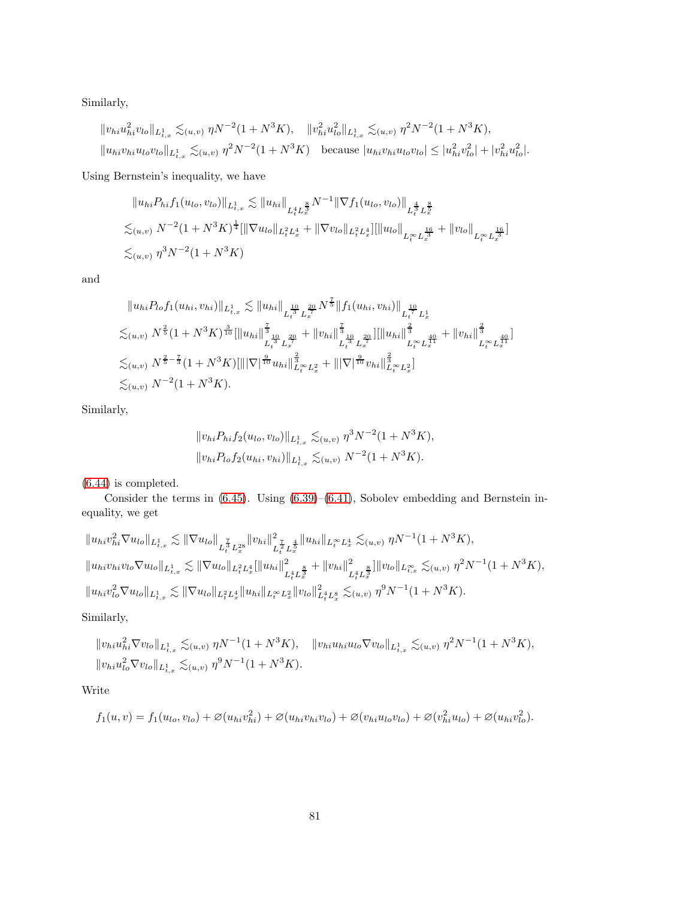Similarly,

$$
||v_{hi}u_{hi}^2v_{lo}||_{L^1_{t,x}} \lesssim_{(u,v)} \eta N^{-2} (1+N^3K), \quad ||v_{hi}^2u_{lo}^2||_{L^1_{t,x}} \lesssim_{(u,v)} \eta^2 N^{-2} (1+N^3K),
$$
  

$$
||u_{hi}v_{hi}u_{lo}v_{lo}||_{L^1_{t,x}} \lesssim_{(u,v)} \eta^2 N^{-2} (1+N^3K) \quad \text{because } |u_{hi}v_{hi}u_{lo}v_{lo}| \le |u_{hi}^2v_{lo}^2| + |v_{hi}^2u_{lo}^2|.
$$

Using Bernstein's inequality, we have

$$
||u_{hi}P_{hi}f_1(u_{lo}, v_{lo})||_{L^1_{t,x}} \lesssim ||u_{hi}||_{L^4_t L^{\frac{8}{3}}} N^{-1} || \nabla f_1(u_{lo}, v_{lo})||_{L^{\frac{4}{3}}_t L^{\frac{8}{3}}_x}
$$
  

$$
\lesssim_{(u,v)} N^{-2} (1 + N^3 K)^{\frac{1}{4}} [|| \nabla u_{lo}||_{L^2_t L^4_x} + || \nabla v_{lo}||_{L^2_t L^4_x}] [||u_{lo}||_{L^\infty_t L^{\frac{16}{3}}} + ||v_{lo}||_{L^\infty_t L^{\frac{16}{3}}_x}]
$$
  

$$
\lesssim_{(u,v)} \eta^3 N^{-2} (1 + N^3 K)
$$

and

$$
||u_{hi}P_{lo}f_1(u_{hi}, v_{hi})||_{L^1_{t,x}} \lesssim ||u_{hi}||_{L^{\frac{10}{3}}_t^{\frac{20}{3}} L^{\frac{20}{3}}} N^{\frac{7}{5}} ||f_1(u_{hi}, v_{hi})||_{L^{\frac{10}{7}}_t^{\frac{10}{7}} L^1_x}
$$
  
\n
$$
\lesssim_{(u,v)} N^{\frac{2}{5}} (1 + N^3 K)^{\frac{3}{10}} [||u_{hi}||_{L^{\frac{20}{3}}_t^{\frac{20}{3}}} + ||v_{hi}||_{L^{\frac{30}{3}}_t^{\frac{20}{3}}}^{\frac{7}{5}} ||||u_{hi}||_{L^{\infty}_t^{\frac{20}{3}}}^{\frac{7}{5}} + ||v_{hi}||_{L^{\infty}_t^{\frac{40}{3}}}^{\frac{7}{5}} + ||v_{hi}||_{L^{\infty}_t^{\frac{40}{3}}}^{\frac{7}{5}} \n\lesssim_{(u,v)} N^{\frac{2}{5} - \frac{7}{3}} (1 + N^3 K) [|||\nabla|^{\frac{9}{10}} u_{hi}||_{L^{\infty}_t^{\frac{2}{3}} L^2_x}^{\frac{2}{5}} + |||\nabla|^{\frac{9}{10}} v_{hi}||_{L^{\infty}_t^{\frac{2}{3}} L^2_x}^{\frac{2}{5}}]\n\lesssim_{(u,v)} N^{-2} (1 + N^3 K).
$$

Similarly,

$$
||v_{hi}P_{hi}f_2(u_{lo}, v_{lo})||_{L^1_{t,x}} \lesssim_{(u,v)} \eta^3 N^{-2} (1 + N^3 K),
$$
  

$$
||v_{hi}P_{lo}f_2(u_{hi}, v_{hi})||_{L^1_{t,x}} \lesssim_{(u,v)} N^{-2} (1 + N^3 K).
$$

[\(6.44\)](#page-79-0) is completed.

Consider the terms in [\(6.45\)](#page-79-2). Using [\(6.39\)](#page-78-1)–[\(6.41\)](#page-78-0), Sobolev embedding and Bernstein inequality, we get

$$
\|u_{hi}v_{hi}^2 \nabla u_{lo}\|_{L^1_{t,x}} \lesssim \|\nabla u_{lo}\|_{L^{\frac{7}{4}}_tL^{2s}_x} \|v_{hi}\|_{L^{\frac{7}{4}}_tL^{\frac{4}{5}}_x}^2 \|u_{hi}\|_{L^\infty_tL^4_x} \lesssim_{(u,v)} \eta N^{-1} (1+N^3K),
$$
  

$$
\|u_{hi}v_{hi}v_{lo} \nabla u_{lo}\|_{L^1_{t,x}} \lesssim \|\nabla u_{lo}\|_{L^2_tL^4_x} \|\|u_{hi}\|_{L^4_tL^{\frac{8}{3}}_x}^2 + \|v_{hi}\|_{L^4_tL^{\frac{8}{3}}_x}^2 \|v_{lo}\|_{L^\infty_{t,x}} \lesssim_{(u,v)} \eta^2 N^{-1} (1+N^3K),
$$
  

$$
\|u_{hi}v_{lo}^2 \nabla u_{lo}\|_{L^1_{t,x}} \lesssim \|\nabla u_{lo}\|_{L^2_tL^4_x} \|u_{hi}\|_{L^\infty_tL^2_x} \|v_{lo}\|_{L^4_tL^8_x}^2 \lesssim_{(u,v)} \eta^9 N^{-1} (1+N^3K).
$$

Similarly,

$$
\begin{aligned} &\|v_{hi}u_{hi}^2 \nabla v_{lo}\|_{L^1_{t,x}} \lesssim_{(u,v)} \eta N^{-1} (1 + N^3 K), \quad \|v_{hi}u_{hi}u_{lo} \nabla v_{lo}\|_{L^1_{t,x}} \lesssim_{(u,v)} \eta^2 N^{-1} (1 + N^3 K), \\ &\|v_{hi}u_{lo}^2 \nabla v_{lo}\|_{L^1_{t,x}} \lesssim_{(u,v)} \eta^9 N^{-1} (1 + N^3 K). \end{aligned}
$$

Write

$$
f_1(u, v) = f_1(u_{lo}, v_{lo}) + \varnothing(u_{hi}v_{hi}^2) + \varnothing(u_{hi}v_{hi}v_{lo}) + \varnothing(v_{hi}u_{lo}v_{lo}) + \varnothing(v_{hi}^2u_{lo}) + \varnothing(u_{hi}v_{lo}^2).
$$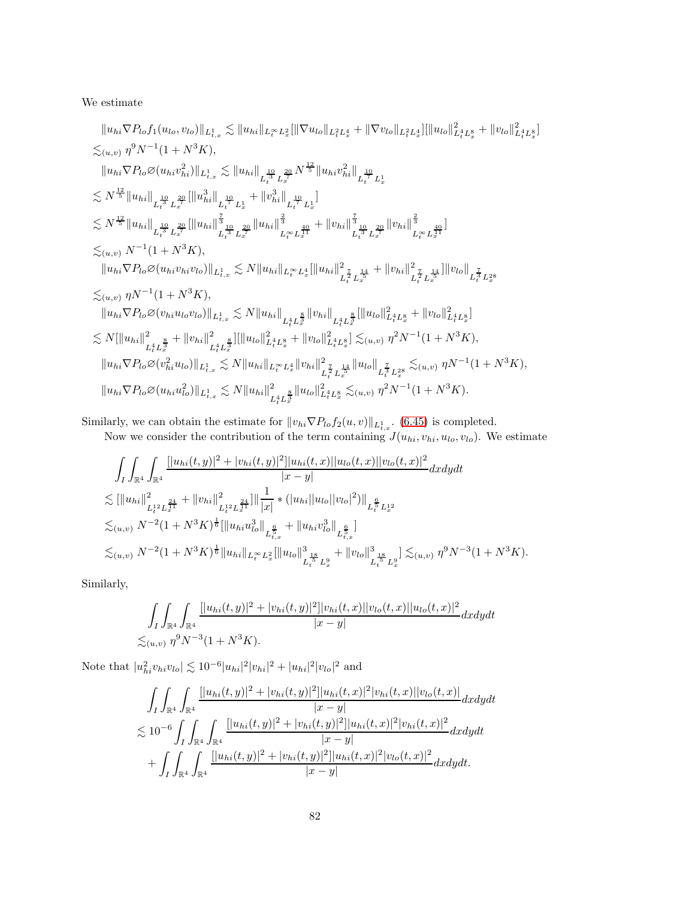### We estimate

$$
||u_{hi}\nabla P_{lo}f_1(u_{lo},v_{lo})||_{L^1_{t,x}} \lesssim ||u_{hi}||_{L^{\infty}_t L^2_x} |||\nabla u_{lo}||_{L^2_t L^4_x} + ||\nabla v_{lo}||_{L^2_t L^4_x} ||||u_{lo}||_{L^4_t L^8_x}^2 + ||v_{lo}||_{L^4_t L^8_x}^2
$$
  
\n
$$
\lesssim_{(u,v)} \eta^9 N^{-1} (1 + N^3 K),
$$
  
\n
$$
||u_{hi}\nabla P_{lo}\varnothing(u_{hi}v_{hi}^2)||_{L^1_{t,x}} \lesssim ||u_{hi}||_{L^{\frac{10}{3}}_t L^{\frac{10}{3}}_x} ||u_{hi}v_{hi}^2||_{L^{\frac{10}{3}}_t L^{\frac{10}{3}}_x}
$$
  
\n
$$
\lesssim N^{\frac{12}{5}} ||u_{hi}||_{L^{\frac{10}{5}}_t L^{\frac{10}{5}}_x} ||u_{hi}||_{L^{\frac{10}{5}}_t L^{\frac{10}{5}}_x} + ||v_{hi}^3||_{L^{\frac{10}{5}}_t L^{\frac{10}{5}}_x} + ||v_{hi}||_{L^{\frac{10}{5}}_t L^{\frac{10}{5}}_x} + ||v_{hi}||_{L^{\frac{10}{5}}_t L^{\frac{10}{5}}_x} + ||v_{hi}||_{L^{\frac{10}{5}}_t L^{\frac{10}{5}}_x} + ||v_{hi}||_{L^{\infty}_t L^{\frac{10}{5}}_x} + ||v_{hi}||_{L^{\infty}_t L^{\frac{10}{5}}_x} + ||v_{hi}||_{L^{\infty}_t L^{\frac{10}{5}}_x} + ||v_{hi}||_{L^{\infty}_t L^{\frac{10}{5}}_x} + ||v_{hi}||_{L^{\infty}_t L^{\frac{10}{5}}_x} + ||v_{hi}||_{L^{\infty}_t L^{\frac{10}{5}}_x} + ||v_{hi}||_{L^{\infty}_t L^{\frac{10}{5}}_x} + ||v_{hi}||_{L^{\infty}_t L^{\frac{10}{5}}_x} + ||v_{hi}||_{L^{\infty}_t L^{\frac{10}{5
$$

Similarly, we can obtain the estimate for  $||v_{hi} \nabla P_{lo} f_2(u, v)||_{L^1_{t,x}}$ . [\(6.45\)](#page-79-2) is completed.

Now we consider the contribution of the term containing  $J(u_{hi}, v_{hi}, u_{lo}, v_{lo})$ . We estimate

$$
\int_{I} \int_{\mathbb{R}^{4}} \int_{\mathbb{R}^{4}} \frac{[|u_{hi}(t,y)|^{2} + |v_{hi}(t,y)|^{2}]|u_{hi}(t,x)||u_{lo}(t,x)||v_{lo}(t,x)|^{2}}{|x-y|} dxdydt
$$
\n
$$
\lesssim [\|u_{hi}\|_{L_{t}^{12}L_{x}^{\frac{24}{41}}}^{2} + \|v_{hi}\|_{L_{t}^{12}L_{x}^{\frac{24}{41}}}^{2}] \|\frac{1}{|x|} \ast (|u_{hi}||u_{lo}||v_{lo}|^{2})\|_{L_{t}^{\frac{6}{5}}L_{x}^{12}}\n\lesssim_{(u,v)} N^{-2}(1+N^{3}K)^{\frac{1}{6}} [\|u_{hi}u_{lo}^{3}\|_{L_{t,x}^{\frac{6}{5}}} + \|u_{hi}v_{lo}^{3}\|_{L_{t,x}^{\frac{6}{5}}}]
$$
\n
$$
\lesssim_{(u,v)} N^{-2}(1+N^{3}K)^{\frac{1}{6}} \|u_{hi}\|_{L_{t}^{\infty}L_{x}^{2}} [\|u_{lo}\|_{L_{t}^{\frac{18}{5}}L_{x}^{9}}^{3} + \|v_{lo}\|_{L_{t}^{\frac{18}{5}}L_{x}^{9}}^{3}] \lesssim_{(u,v)} \eta^{9}N^{-3}(1+N^{3}K).
$$

Similarly,

$$
\int_{I} \int_{\mathbb{R}^{4}} \int_{\mathbb{R}^{4}} \frac{[|u_{hi}(t,y)|^{2} + |v_{hi}(t,y)|^{2}]|v_{hi}(t,x)||v_{lo}(t,x)||u_{lo}(t,x)|^{2}}{|x-y|} dxdydt
$$
  

$$
\lesssim_{(u,v)} \eta^{9} N^{-3} (1+N^{3} K).
$$

Note that  $|u_{hi}^2 v_{hi} v_{lo}| \lesssim 10^{-6} |u_{hi}|^2 |v_{hi}|^2 + |u_{hi}|^2 |v_{lo}|^2$  and

$$
\int_{I} \int_{\mathbb{R}^{4}} \int_{\mathbb{R}^{4}} \frac{[|u_{hi}(t,y)|^{2} + |v_{hi}(t,y)|^{2}]|u_{hi}(t,x)|^{2}|v_{hi}(t,x)||v_{lo}(t,x)|}{|x-y|} dxdydt
$$
\n
$$
\lesssim 10^{-6} \int_{I} \int_{\mathbb{R}^{4}} \int_{\mathbb{R}^{4}} \frac{[|u_{hi}(t,y)|^{2} + |v_{hi}(t,y)|^{2}]|u_{hi}(t,x)|^{2}|v_{hi}(t,x)|^{2}}{|x-y|} dxdydt
$$
\n
$$
+ \int_{I} \int_{\mathbb{R}^{4}} \int_{\mathbb{R}^{4}} \frac{[|u_{hi}(t,y)|^{2} + |v_{hi}(t,y)|^{2}]|u_{hi}(t,x)|^{2}|v_{lo}(t,x)|^{2}}{|x-y|} dxdydt.
$$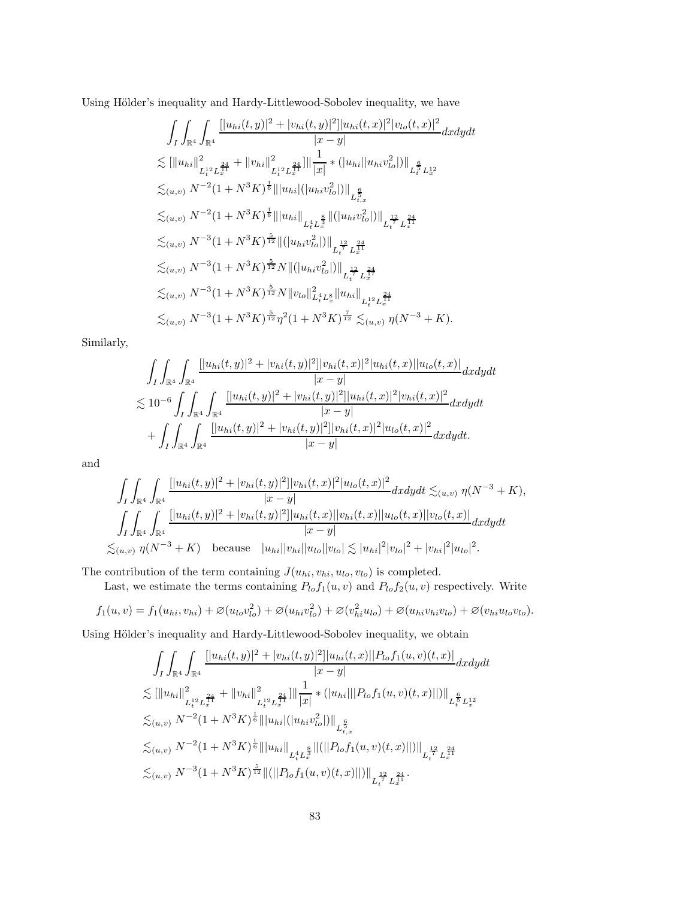Using Hölder's inequality and Hardy-Littlewood-Sobolev inequality, we have

$$
\int_{I} \int_{\mathbb{R}^{4}} \int_{\mathbb{R}^{4}} \frac{[|u_{hi}(t,y)|^{2} + |v_{hi}(t,y)|^{2}]|u_{hi}(t,x)|^{2}|v_{lo}(t,x)|^{2}}{|x-y|} dxdydt
$$
  
\n
$$
\lesssim [\|u_{hi}\|_{L_{t}^{12}L_{x}^{\frac{24}{41}}}^{2} + \|v_{hi}\|_{L_{t}^{12}L_{x}^{\frac{24}{41}}}^{2}]\|_{|x|}^{-1} * (|u_{hi}||u_{hi}v_{lo}^{2}|)\|_{L_{t}^{\frac{6}{5}}L_{x}^{12}}
$$
  
\n
$$
\lesssim_{(u,v)} N^{-2}(1+N^{3}K)^{\frac{1}{6}}\| |u_{hi}| (|u_{hi}v_{lo}^{2}|)\|_{L_{t,x}^{\frac{6}{5}}}
$$
  
\n
$$
\lesssim_{(u,v)} N^{-2}(1+N^{3}K)^{\frac{1}{6}}\| |u_{hi}\|_{L_{t}^{4}L_{x}^{\frac{8}{3}}}\|(|u_{hi}v_{lo}^{2}|)\|_{L_{t}^{\frac{12}{7}}L_{x}^{\frac{24}{14}}}
$$
  
\n
$$
\lesssim_{(u,v)} N^{-3}(1+N^{3}K)^{\frac{5}{12}}\|(|u_{hi}v_{lo}^{2}|)\|_{L_{t}^{\frac{12}{7}}L_{x}^{\frac{24}{14}}}
$$
  
\n
$$
\lesssim_{(u,v)} N^{-3}(1+N^{3}K)^{\frac{5}{12}}N\|(|u_{hi}v_{lo}^{2}|)\|_{L_{t}^{\frac{12}{7}}L_{x}^{\frac{24}{17}}}
$$
  
\n
$$
\lesssim_{(u,v)} N^{-3}(1+N^{3}K)^{\frac{5}{12}}N\|v_{lo}\|_{L_{t}^{4}L_{x}^{8}}\|u_{hi}\|_{L_{t}^{12}L_{x}^{\frac{24}{14}}}
$$
  
\n
$$
\lesssim_{(u,v)} N^{-3}(1+N^{3}K)^{\frac{5}{12}}\eta^{2}(1+N^{3}K)^{\frac{7}{12}} \lesssim_{(u,v)} \eta(N^{-3}+K).
$$

Similarly,

$$
\int_{I} \int_{\mathbb{R}^{4}} \int_{\mathbb{R}^{4}} \frac{[|u_{hi}(t,y)|^{2} + |v_{hi}(t,y)|^{2}]|v_{hi}(t,x)|^{2}|u_{hi}(t,x)||u_{lo}(t,x)|}{|x-y|} dxdydt
$$
\n
$$
\lesssim 10^{-6} \int_{I} \int_{\mathbb{R}^{4}} \int_{\mathbb{R}^{4}} \frac{[|u_{hi}(t,y)|^{2} + |v_{hi}(t,y)|^{2}]|u_{hi}(t,x)|^{2}|v_{hi}(t,x)|^{2}}{|x-y|} dxdydt
$$
\n
$$
+ \int_{I} \int_{\mathbb{R}^{4}} \int_{\mathbb{R}^{4}} \frac{[|u_{hi}(t,y)|^{2} + |v_{hi}(t,y)|^{2}]|v_{hi}(t,x)|^{2}|u_{lo}(t,x)|^{2}}{|x-y|} dxdydt.
$$

and

$$
\int_{I} \int_{\mathbb{R}^{4}} \int_{\mathbb{R}^{4}} \frac{[|u_{hi}(t,y)|^{2} + |v_{hi}(t,y)|^{2}]|v_{hi}(t,x)|^{2}|u_{lo}(t,x)|^{2}}{|x-y|} dxdydt \lesssim_{(u,v)} \eta(N^{-3} + K),
$$
  

$$
\int_{I} \int_{\mathbb{R}^{4}} \int_{\mathbb{R}^{4}} \frac{[|u_{hi}(t,y)|^{2} + |v_{hi}(t,y)|^{2}]|u_{hi}(t,x)||v_{hi}(t,x)||u_{lo}(t,x)||v_{lo}(t,x)|}{|x-y|} dxdydt
$$
  

$$
\lesssim_{(u,v)} \eta(N^{-3} + K) \quad \text{because} \quad |u_{hi}||v_{hi}||u_{lo}||v_{lo}| \lesssim |u_{hi}|^{2}|v_{lo}|^{2} + |v_{hi}|^{2}|u_{lo}|^{2}.
$$

The contribution of the term containing  $J(u_{hi}, v_{hi}, u_{lo}, v_{lo})$  is completed.

Last, we estimate the terms containing  $P_{lo}f_1(u, v)$  and  $P_{lo}f_2(u, v)$  respectively. Write

$$
f_1(u, v) = f_1(u_{hi}, v_{hi}) + \varnothing(u_{lo}v_{lo}^2) + \varnothing(u_{hi}v_{lo}^2) + \varnothing(v_{hi}^2u_{lo}) + \varnothing(u_{hi}v_{hi}v_{lo}) + \varnothing(v_{hi}u_{lo}v_{lo}).
$$

Using Hölder's inequality and Hardy-Littlewood-Sobolev inequality, we obtain

$$
\int_{I} \int_{\mathbb{R}^{4}} \int_{\mathbb{R}^{4}} \frac{[|u_{hi}(t,y)|^{2} + |v_{hi}(t,y)|^{2}]|u_{hi}(t,x)||P_{lo}f_{1}(u,v)(t,x)|}{|x-y|} dxdydt
$$
  
\n
$$
\lesssim [||u_{hi}||^{2}_{L_{t}^{12}L_{x}^{\frac{24}{41}}} + ||v_{hi}||^{2}_{L_{t}^{12}L_{x}^{\frac{24}{41}}}]||\frac{1}{|x|} * (|u_{hi}|||P_{lo}f_{1}(u,v)(t,x)||)||_{L_{t}^{\frac{6}{5}}L_{x}^{12}}
$$
  
\n
$$
\lesssim_{(u,v)} N^{-2}(1+N^{3}K)^{\frac{1}{6}}|||u_{hi}|(|u_{hi}v_{lo}^{2}|)||_{L_{t,x}^{\frac{6}{5}}}
$$
  
\n
$$
\lesssim_{(u,v)} N^{-2}(1+N^{3}K)^{\frac{1}{6}}|||u_{hi}||_{L_{t}^{4}L_{x}^{\frac{8}{3}}}\|(||P_{lo}f_{1}(u,v)(t,x)||)||_{L_{t}^{\frac{12}{7}}L_{x}^{\frac{24}{11}}}
$$
  
\n
$$
\lesssim_{(u,v)} N^{-3}(1+N^{3}K)^{\frac{5}{12}}||(||P_{lo}f_{1}(u,v)(t,x)||)||_{L_{t}^{\frac{12}{7}}L_{x}^{\frac{24}{11}}}.
$$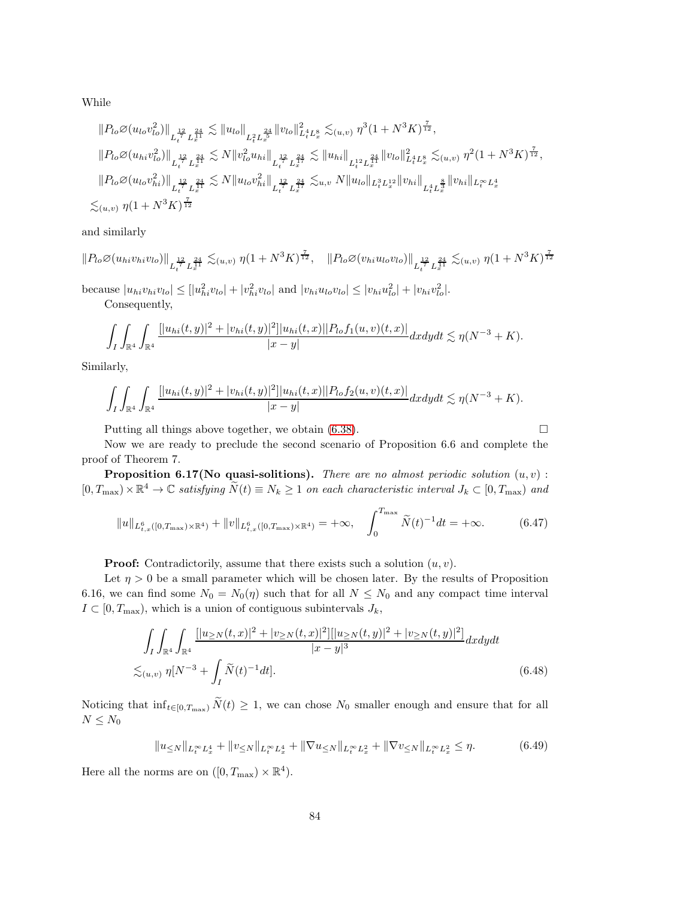While

$$
||P_{lo}\varnothing(u_{lo}v_{lo}^2)||_{L_t^{\frac{12}{2}}L_x^{\frac{24}{11}}}\n\lesssim ||u_{lo}||_{L_t^2L_x^{\frac{24}{5}}}\n||v_{lo}||_{L_t^4L_x^8}\n\lesssim (u,v)\n\eta^3(1+N^3K)^{\frac{7}{12}},
$$
\n
$$
||P_{lo}\varnothing(u_{hi}v_{lo}^2)||_{L_t^{\frac{12}{7}}L_x^{\frac{24}{11}}}\n\lesssim N||v_{lo}^2u_{hi}||_{L_t^{\frac{12}{7}}L_x^{\frac{24}{17}}}\n\lesssim ||u_{hi}||_{L_t^{12}L_x^{\frac{24}{11}}}\n||v_{lo}||_{L_t^4L_x^8}\n\lesssim (u,v)\n\eta^2(1+N^3K)^{\frac{7}{12}},
$$
\n
$$
||P_{lo}\varnothing(u_{lo}v_{hi}^2)||_{L_t^{\frac{12}{7}}L_x^{\frac{24}{11}}}\n\lesssim N||u_{lo}v_{hi}^2||_{L_t^{\frac{12}{7}}L_x^{\frac{24}{17}}}\n\lesssim u,v\n\|u_{lo}||_{L_t^3L_x^{12}}||v_{hi}||_{L_t^4L_x^{\frac{8}{3}}}\n||v_{hi}||_{L_t^\inftyL_x^4}
$$
\n
$$
\lesssim (u,v)\n\eta(1+N^3K)^{\frac{7}{12}}
$$

and similarly

$$
||P_{lo}\emptyset(u_{hi}v_{hi}v_{lo})||_{L_t^{\frac{12}{7}}L_x^{\frac{24}{11}}}\n\lesssim_{(u,v)} \eta(1+N^3K)^{\frac{7}{12}}, \quad ||P_{lo}\emptyset(v_{hi}u_{lo}v_{lo})||_{L_t^{\frac{12}{7}}L_x^{\frac{24}{11}}}\n\lesssim_{(u,v)} \eta(1+N^3K)^{\frac{7}{12}}
$$
\nbecause  $|u_{hi}v_{hi}v_{lo}| \leq |u_{hi}^2v_{lo}| + |v_{hi}^2v_{lo}|$  and  $|v_{hi}u_{lo}v_{lo}| \leq |v_{hi}u_{lo}^2| + |v_{hi}v_{lo}^2|$ .

Consequently,

$$
\int_I \int_{\mathbb{R}^4} \int_{\mathbb{R}^4} \frac{[|u_{hi}(t,y)|^2+|v_{hi}(t,y)|^2]|u_{hi}(t,x)||P_{lo}f_1(u,v)(t,x)|}{|x-y|} dx dy dt \lesssim \eta(N^{-3}+K).
$$

Similarly,

$$
\int_I \int_{\mathbb{R}^4} \int_{\mathbb{R}^4} \frac{[|u_{hi}(t,y)|^2 + |v_{hi}(t,y)|^2]|u_{hi}(t,x)||P_{lo}f_2(u,v)(t,x)|}{|x-y|} dx dy dt \lesssim \eta(N^{-3} + K).
$$

Putting all things above together, we obtain  $(6.38)$ .

<span id="page-83-2"></span><span id="page-83-1"></span><span id="page-83-0"></span>

Now we are ready to preclude the second scenario of Proposition 6.6 and complete the proof of Theorem 7.

**Proposition 6.17(No quasi-solitions).** There are no almost periodic solution  $(u, v)$ :  $[0, T_{\text{max}}) \times \mathbb{R}^4 \to \mathbb{C}$  satisfying  $\tilde{N}(t) \equiv N_k \ge 1$  on each characteristic interval  $J_k \subset [0, T_{\text{max}})$  and

$$
||u||_{L_{t,x}^{6}([0,T_{\max})\times\mathbb{R}^{4})}+||v||_{L_{t,x}^{6}([0,T_{\max})\times\mathbb{R}^{4})}=+\infty, \quad \int_{0}^{T_{\max}}\widetilde{N}(t)^{-1}dt=+\infty.
$$
 (6.47)

**Proof:** Contradictorily, assume that there exists such a solution  $(u, v)$ .

Let  $\eta > 0$  be a small parameter which will be chosen later. By the results of Proposition 6.16, we can find some  $N_0 = N_0(\eta)$  such that for all  $N \leq N_0$  and any compact time interval  $I \subset [0, T_{\text{max}})$ , which is a union of contiguous subintervals  $J_k$ ,

$$
\int_{I} \int_{\mathbb{R}^{4}} \int_{\mathbb{R}^{4}} \frac{[|u_{\geq N}(t,x)|^{2} + |v_{\geq N}(t,x)|^{2}] |[u_{\geq N}(t,y)|^{2} + |v_{\geq N}(t,y)|^{2}]}{|x-y|^{3}} dx dy dt
$$
  

$$
\lesssim_{(u,v)} \eta [N^{-3} + \int_{I} \widetilde{N}(t)^{-1} dt].
$$
 (6.48)

Noticing that  $\inf_{t\in[0,T_{\max})}\tilde{N}(t)\geq 1$ , we can chose  $N_0$  smaller enough and ensure that for all  $N \leq N_0$ 

$$
||u_{\leq N}||_{L_t^{\infty}L_x^4} + ||v_{\leq N}||_{L_t^{\infty}L_x^4} + ||\nabla u_{\leq N}||_{L_t^{\infty}L_x^2} + ||\nabla v_{\leq N}||_{L_t^{\infty}L_x^2} \leq \eta.
$$
 (6.49)

Here all the norms are on  $([0, T_{\text{max}}) \times \mathbb{R}^4)$ .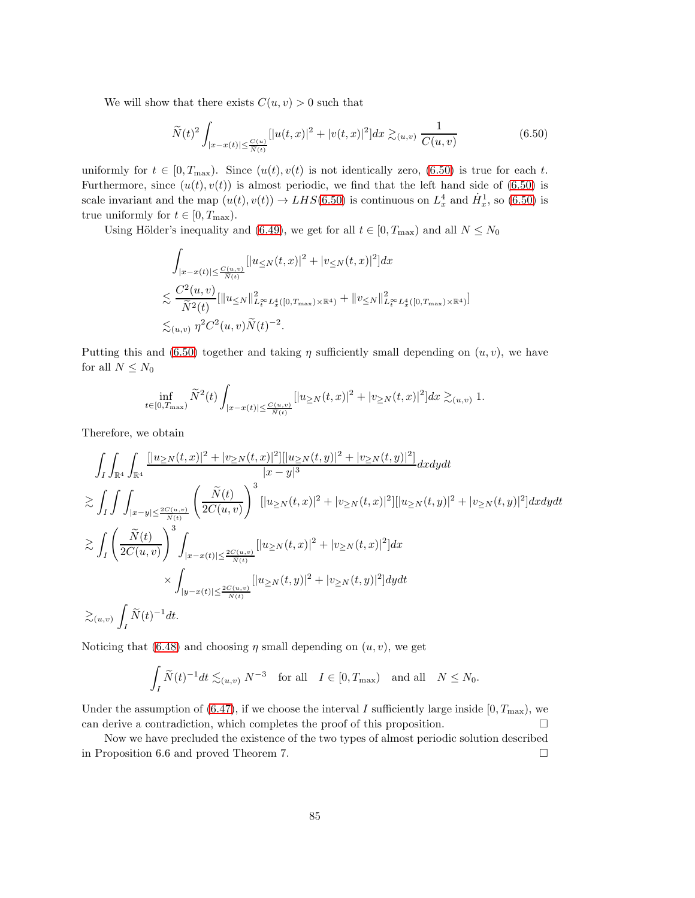We will show that there exists  $C(u, v) > 0$  such that

<span id="page-84-0"></span>
$$
\widetilde{N}(t)^{2} \int_{|x-x(t)| \leq \frac{C(u)}{\widetilde{N}(t)}} [|u(t,x)|^{2} + |v(t,x)|^{2}] dx \gtrsim_{(u,v)} \frac{1}{C(u,v)}
$$
(6.50)

uniformly for  $t \in [0, T_{\text{max}})$ . Since  $(u(t), v(t))$  is not identically zero, [\(6.50\)](#page-84-0) is true for each t. Furthermore, since  $(u(t), v(t))$  is almost periodic, we find that the left hand side of [\(6.50\)](#page-84-0) is scale invariant and the map  $(u(t), v(t)) \to LHS(6.50)$  $(u(t), v(t)) \to LHS(6.50)$  is continuous on  $L_x^4$  and  $\dot{H}_x^1$ , so [\(6.50\)](#page-84-0) is true uniformly for  $t \in [0, T_{\text{max}})$ .

Using Hölder's inequality and [\(6.49\)](#page-83-0), we get for all  $t \in [0, T_{\text{max}})$  and all  $N \leq N_0$ 

$$
\int_{|x-x(t)| \leq \frac{C(u,v)}{N(t)}} [|u_{\leq N}(t,x)|^2 + |v_{\leq N}(t,x)|^2] dx
$$
\n
$$
\lesssim \frac{C^2(u,v)}{\widetilde{N}^2(t)} [\|u_{\leq N}\|_{L_t^\infty}^2 L_x^4([0,T_{\max}) \times \mathbb{R}^4) + \|v_{\leq N}\|_{L_t^\infty}^2 L_x^4([0,T_{\max}) \times \mathbb{R}^4)]
$$
\n
$$
\lesssim_{(u,v)} \eta^2 C^2(u,v) \widetilde{N}(t)^{-2}.
$$

Putting this and [\(6.50\)](#page-84-0) together and taking  $\eta$  sufficiently small depending on  $(u, v)$ , we have for all  $N\leq N_0$ 

$$
\inf_{t\in[0,T_{\max})}\widetilde{N}^{2}(t)\int_{|x-x(t)|\leq \frac{C(u,v)}{\widetilde{N}(t)}}[|u_{\geq N}(t,x)|^{2}+|v_{\geq N}(t,x)|^{2}]dx\gtrsim_{(u,v)}1.
$$

Therefore, we obtain

$$
\int_{I} \int_{\mathbb{R}^{4}} \int_{\mathbb{R}^{4}} \frac{[|u_{\geq N}(t,x)|^{2} + |v_{\geq N}(t,x)|^{2}] [|u_{\geq N}(t,y)|^{2} + |v_{\geq N}(t,y)|^{2}]}{|x - y|^{3}} dx dy dt
$$
\n
$$
\geq \int_{I} \int \int_{|x - y| \leq \frac{2C(u,v)}{N(t)}} \left( \frac{\tilde{N}(t)}{2C(u,v)} \right)^{3} [|u_{\geq N}(t,x)|^{2} + |v_{\geq N}(t,x)|^{2}] [|u_{\geq N}(t,y)|^{2} + |v_{\geq N}(t,y)|^{2}] dx dy dt
$$
\n
$$
\geq \int_{I} \left( \frac{\tilde{N}(t)}{2C(u,v)} \right)^{3} \int_{|x - x(t)| \leq \frac{2C(u,v)}{\tilde{N}(t)}} [|u_{\geq N}(t,x)|^{2} + |v_{\geq N}(t,x)|^{2}] dx
$$
\n
$$
\times \int_{|y - x(t)| \leq \frac{2C(u,v)}{\tilde{N}(t)}} [|u_{\geq N}(t,y)|^{2} + |v_{\geq N}(t,y)|^{2}] dy dt
$$
\n
$$
\geq_{(u,v)} \int_{I} \tilde{N}(t)^{-1} dt.
$$

Noticing that [\(6.48\)](#page-83-1) and choosing  $\eta$  small depending on  $(u, v)$ , we get

$$
\int_I \widetilde{N}(t)^{-1} dt \lesssim_{(u,v)} N^{-3} \quad \text{for all} \quad I \in [0, T_{\text{max}}) \quad \text{and all} \quad N \le N_0.
$$

Under the assumption of [\(6.47\)](#page-83-2), if we choose the interval I sufficiently large inside  $[0, T_{\text{max}})$ , we can derive a contradiction, which completes the proof of this proposition.  $\Box$ 

Now we have precluded the existence of the two types of almost periodic solution described in Proposition 6.6 and proved Theorem 7.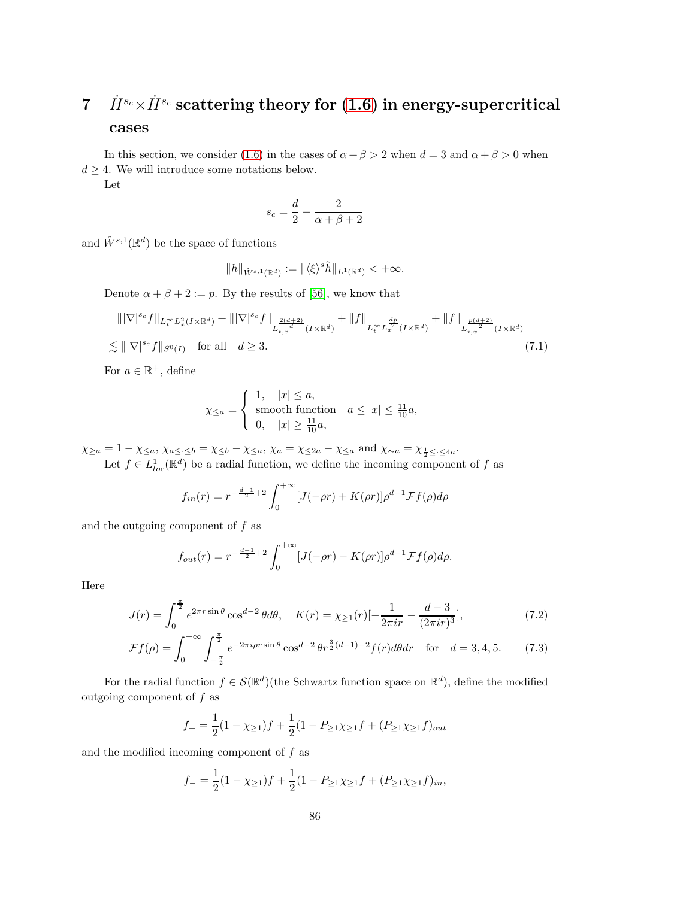# 7  $\dot{H}^{s_c} \times \dot{H}^{s_c}$  scattering theory for [\(1.6\)](#page-3-0) in energy-supercritical cases

In this section, we consider [\(1.6\)](#page-3-0) in the cases of  $\alpha + \beta > 2$  when  $d = 3$  and  $\alpha + \beta > 0$  when  $d > 4$ . We will introduce some notations below.

Let

<span id="page-85-0"></span>
$$
s_c = \frac{d}{2} - \frac{2}{\alpha + \beta + 2}
$$

and  $\hat{W}^{s,1}(\mathbb{R}^d)$  be the space of functions

$$
||h||_{\hat{W}^{s,1}(\mathbb{R}^d)} := ||\langle \xi \rangle^s \hat{h}||_{L^1(\mathbb{R}^d)} < +\infty.
$$

Denote  $\alpha + \beta + 2 := p$ . By the results of [\[56\]](#page-98-0), we know that

$$
\|\nabla|^{s_c} f\|_{L_t^{\infty} L_x^2(I \times \mathbb{R}^d)} + \|\nabla|^{s_c} f\|_{L_{t,x}^{\frac{2(d+2)}{d}}(I \times \mathbb{R}^d)} + \|f\|_{L_t^{\infty} L_x^{\frac{dp}{d}}(I \times \mathbb{R}^d)} + \|f\|_{L_{t,x}^{\frac{p(d+2)}{2}}(I \times \mathbb{R}^d)} + \|f\|_{L_{t,x}^{\frac{p(d+2)}{2}}(I \times \mathbb{R}^d)}
$$
\n
$$
\lesssim \|\nabla|^{s_c} f\|_{S^0(I)} \quad \text{for all} \quad d \ge 3. \tag{7.1}
$$

For  $a \in \mathbb{R}^+$ , define

$$
\chi_{\leq a} = \begin{cases} 1, & |x| \leq a, \\ \text{smooth function} & a \leq |x| \leq \frac{11}{10}a, \\ 0, & |x| \geq \frac{11}{10}a, \end{cases}
$$

 $\chi_{\geq a} = 1 - \chi_{\leq a}, \, \chi_{a \leq \cdot \leq b} = \chi_{\leq b} - \chi_{\leq a}, \, \chi_a = \chi_{\leq 2a} - \chi_{\leq a} \text{ and } \chi_{\sim a} = \chi_{\frac{1}{2} \leq \cdot \leq 4a}.$ 

Let  $f \in L^1_{loc}(\mathbb{R}^d)$  be a radial function, we define the incoming component of f as

$$
f_{in}(r) = r^{-\frac{d-1}{2}+2} \int_0^{+\infty} [J(-\rho r) + K(\rho r)] \rho^{d-1} \mathcal{F}f(\rho) d\rho
$$

and the outgoing component of  $f$  as

$$
f_{out}(r) = r^{-\frac{d-1}{2}+2} \int_0^{+\infty} [J(-\rho r) - K(\rho r)] \rho^{d-1} \mathcal{F}f(\rho) d\rho.
$$

Here

$$
J(r) = \int_0^{\frac{\pi}{2}} e^{2\pi r \sin \theta} \cos^{\theta - 2} \theta d\theta, \quad K(r) = \chi_{\ge 1}(r) \left[ -\frac{1}{2\pi i r} - \frac{d - 3}{(2\pi i r)^3} \right],\tag{7.2}
$$

$$
\mathcal{F}f(\rho) = \int_0^{+\infty} \int_{-\frac{\pi}{2}}^{\frac{\pi}{2}} e^{-2\pi i \rho r \sin \theta} \cos^{d-2} \theta r^{\frac{3}{2}(d-1)-2} f(r) d\theta dr \quad \text{for} \quad d = 3, 4, 5. \tag{7.3}
$$

For the radial function  $f \in \mathcal{S}(\mathbb{R}^d)$  (the Schwartz function space on  $\mathbb{R}^d$ ), define the modified outgoing component of  $f$  as

$$
f_{+} = \frac{1}{2}(1 - \chi_{\geq 1})f + \frac{1}{2}(1 - P_{\geq 1}\chi_{\geq 1}f + (P_{\geq 1}\chi_{\geq 1}f)_{out}
$$

and the modified incoming component of  $f$  as

$$
f_{-} = \frac{1}{2}(1 - \chi_{\geq 1})f + \frac{1}{2}(1 - P_{\geq 1}\chi_{\geq 1}f + (P_{\geq 1}\chi_{\geq 1}f)_{in},
$$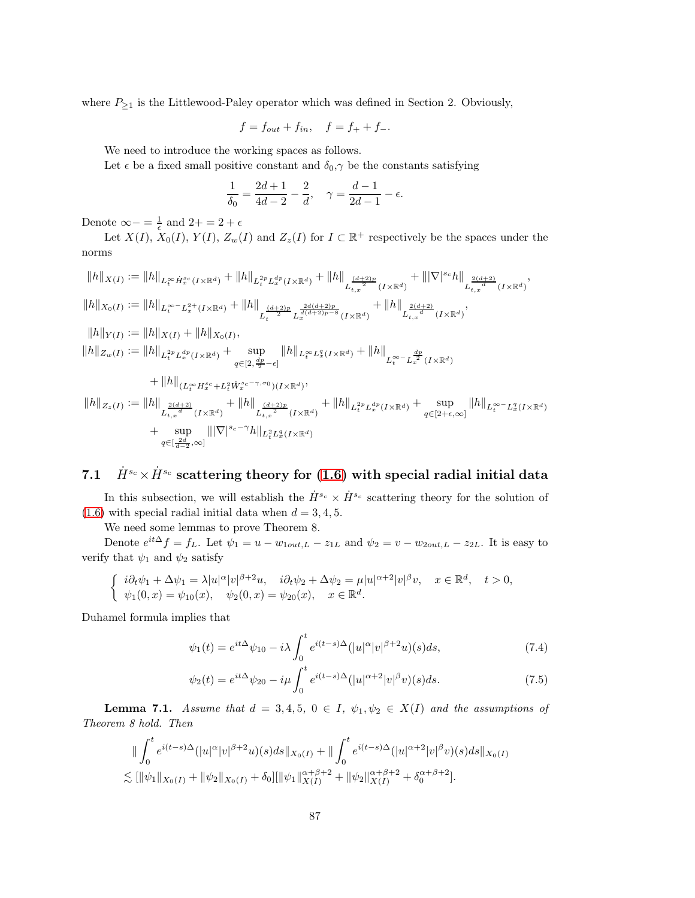where  $P_{\geq 1}$  is the Littlewood-Paley operator which was defined in Section 2. Obviously,

$$
f = f_{out} + f_{in}
$$
,  $f = f_{+} + f_{-}$ .

We need to introduce the working spaces as follows.

Let  $\epsilon$  be a fixed small positive constant and  $\delta_0, \gamma$  be the constants satisfying

$$
\frac{1}{\delta_0} = \frac{2d+1}{4d-2} - \frac{2}{d}, \quad \gamma = \frac{d-1}{2d-1} - \epsilon.
$$

Denote  $\infty - \frac{1}{\epsilon}$  and  $2 + \frac{1}{\epsilon}$ 

Let  $X(I)$ ,  $X_0(I)$ ,  $Y(I)$ ,  $Z_w(I)$  and  $Z_z(I)$  for  $I \subset \mathbb{R}^+$  respectively be the spaces under the norms

$$
||h||_{X(I)} := ||h||_{L_t^{\infty} \dot{H}_x^{sc}(I \times \mathbb{R}^d)} + ||h||_{L_t^{2p} L_x^{dp}(I \times \mathbb{R}^d)} + ||h||_{L_{t,x}^{\frac{(d+2)p}{2}}(I \times \mathbb{R}^d)} + |||\nabla|^{sc} h||_{L_{t,x}^{\frac{2(d+2)}{d}}(I \times \mathbb{R}^d)},
$$
  
\n
$$
||h||_{X_0(I)} := ||h||_{L_t^{\infty} - L_x^{2+}(I \times \mathbb{R}^d)} + ||h||_{L_t^{\frac{(d+2)p}{2}} L_x^{\frac{2d(d+2)p}{d(d+2)p-8}}(I \times \mathbb{R}^d)} + ||h||_{L_{t,x}^{\frac{2(d+2)}{d}}(I \times \mathbb{R}^d)},
$$
  
\n
$$
||h||_{Y(I)} := ||h||_{X(I)} + ||h||_{X_0(I)},
$$
  
\n
$$
||h||_{Z_w(I)} := ||h||_{L_t^{2p} L_x^{dp}(I \times \mathbb{R}^d)} + \sup_{q \in [2, \frac{dp}{2} - \epsilon]} ||h||_{L_t^{\infty} L_x^q(I \times \mathbb{R}^d)} + ||h||_{L_t^{\infty} - L_x^{\frac{dp}{2}}(I \times \mathbb{R}^d)}
$$
  
\n
$$
+ ||h||_{(L_t^{\infty} H_x^{sc} + L_t^2 \hat{W}_x^{sc - \gamma, \sigma_0})(I \times \mathbb{R}^d)},
$$
  
\n
$$
||h||_{Z_z(I)} := ||h||_{L_{t,x}^{\frac{2(d+2)}{d}}(I \times \mathbb{R}^d)} + ||h||_{L_{t,x}^{\frac{(d+2)p}{d}}(I \times \mathbb{R}^d)} + ||h||_{L_t^{2p} L_x^{dp}(I \times \mathbb{R}^d)} + \sup_{q \in [2 + \epsilon, \infty]} ||h||_{L_t^{\infty} - L_x^q(I \times \mathbb{R}^d)}
$$
  
\n
$$
+ \sup_{q \in [\frac{2-d}{d-2}, \infty]} ||\nabla|^{s_c - \gamma} h||_{L_t^{2} L_x^q(I \times \mathbb{R}^d)}
$$

# 7.1  $\dot{H}^{s_c} \times \dot{H}^{s_c}$  scattering theory for [\(1.6\)](#page-3-0) with special radial initial data

In this subsection, we will establish the  $\dot{H}^{s_c} \times \dot{H}^{s_c}$  scattering theory for the solution of  $(1.6)$  with special radial initial data when  $d = 3, 4, 5$ .

We need some lemmas to prove Theorem 8.

Denote  $e^{it\Delta} f = f_L$ . Let  $\psi_1 = u - w_{1out,L} - z_{1L}$  and  $\psi_2 = v - w_{2out,L} - z_{2L}$ . It is easy to verify that  $\psi_1$  and  $\psi_2$  satisfy

$$
\begin{cases}\n\ i\partial_t \psi_1 + \Delta \psi_1 = \lambda |u|^\alpha |v|^{\beta+2}u, & i\partial_t \psi_2 + \Delta \psi_2 = \mu |u|^{\alpha+2} |v|^\beta v, \quad x \in \mathbb{R}^d, \\
\psi_1(0, x) = \psi_{10}(x), & \psi_2(0, x) = \psi_{20}(x), \quad x \in \mathbb{R}^d.\n\end{cases}
$$

Duhamel formula implies that

<span id="page-86-0"></span>
$$
\psi_1(t) = e^{it\Delta}\psi_{10} - i\lambda \int_0^t e^{i(t-s)\Delta}(|u|^\alpha |v|^{\beta+2}u)(s)ds,\tag{7.4}
$$

<span id="page-86-1"></span>
$$
\psi_2(t) = e^{it\Delta}\psi_{20} - i\mu \int_0^t e^{i(t-s)\Delta}(|u|^{\alpha+2}|v|^\beta v)(s)ds.
$$
\n(7.5)

**Lemma 7.1.** Assume that  $d = 3, 4, 5, 0 \in I$ ,  $\psi_1, \psi_2 \in X(I)$  and the assumptions of Theorem 8 hold. Then

$$
\|\int_0^t e^{i(t-s)\Delta}(|u|^\alpha |v|^{\beta+2}u)(s)ds\|_{X_0(I)} + \|\int_0^t e^{i(t-s)\Delta}(|u|^{\alpha+2}|v|^\beta v)(s)ds\|_{X_0(I)}\leq [\|\psi_1\|_{X_0(I)} + \|\psi_2\|_{X_0(I)} + \delta_0][\|\psi_1\|_{X(I)}^{\alpha+\beta+2} + \|\psi_2\|_{X(I)}^{\alpha+\beta+2} + \delta_0^{\alpha+\beta+2}].
$$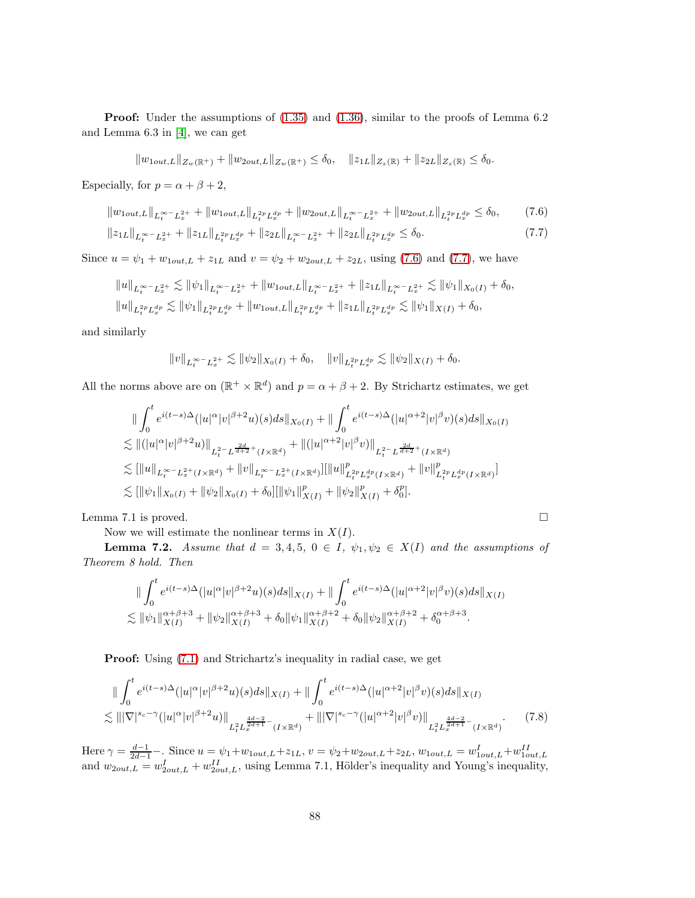Proof: Under the assumptions of  $(1.35)$  and  $(1.36)$ , similar to the proofs of Lemma 6.2 and Lemma 6.3 in [\[4\]](#page-95-0), we can get

$$
||w_{1out,L}||_{Z_w(\mathbb{R}^+)} + ||w_{2out,L}||_{Z_w(\mathbb{R}^+)} \le \delta_0, \quad ||z_{1L}||_{Z_z(\mathbb{R})} + ||z_{2L}||_{Z_z(\mathbb{R})} \le \delta_0.
$$

Especially, for  $p = \alpha + \beta + 2$ ,

$$
||w_{1out,L}||_{L_t^{\infty} - L_x^{2+}} + ||w_{1out,L}||_{L_t^{2p} L_x^{dp}} + ||w_{2out,L}||_{L_t^{\infty} - L_x^{2+}} + ||w_{2out,L}||_{L_t^{2p} L_x^{dp}} \le \delta_0, \qquad (7.6)
$$
  

$$
||z_{1L}||_{L_t^{\infty} - L_x^{2+}} + ||z_{1L}||_{L_t^{2p} L_x^{dp}} + ||z_{2L}||_{L_t^{\infty} - L_x^{2+}} + ||z_{2L}||_{L_t^{2p} L_x^{dp}} \le \delta_0.
$$
 (7.7)

Since  $u = \psi_1 + w_{1out,L} + z_{1L}$  and  $v = \psi_2 + w_{2out,L} + z_{2L}$ , using [\(7.6\)](#page-87-0) and [\(7.7\)](#page-87-1), we have

$$
||u||_{L_t^{\infty} - L_x^{2+}} \lesssim ||\psi_1||_{L_t^{\infty} - L_x^{2+}} + ||w_{1out,L}||_{L_t^{\infty} - L_x^{2+}} + ||z_{1L}||_{L_t^{\infty} - L_x^{2+}} \lesssim ||\psi_1||_{X_0(I)} + \delta_0,
$$
  

$$
||u||_{L_t^{2p} L_x^{dp}} \lesssim ||\psi_1||_{L_t^{2p} L_x^{dp}} + ||w_{1out,L}||_{L_t^{2p} L_x^{dp}} + ||z_{1L}||_{L_t^{2p} L_x^{dp}} \lesssim ||\psi_1||_{X(I)} + \delta_0,
$$

and similarly

$$
||v||_{L_t^{\infty} - L_x^{2+}} \lesssim ||\psi_2||_{X_0(I)} + \delta_0, \quad ||v||_{L_t^{2p} L_x^{dp}} \lesssim ||\psi_2||_{X(I)} + \delta_0.
$$

All the norms above are on  $(\mathbb{R}^+ \times \mathbb{R}^d)$  and  $p = \alpha + \beta + 2$ . By Strichartz estimates, we get

$$
\| \int_0^t e^{i(t-s)\Delta} (|u|^\alpha |v|^{\beta+2} u)(s) ds \|_{X_0(I)} + \| \int_0^t e^{i(t-s)\Delta} (|u|^{\alpha+2} |v|^\beta v)(s) ds \|_{X_0(I)} \n\lesssim \|(|u|^\alpha |v|^{\beta+2} u) \|_{L_t^{2-} L^{\frac{2d}{d+2}+}(I \times \mathbb{R}^d)} + \|(|u|^{\alpha+2} |v|^\beta v) \|_{L_t^{2-} L^{\frac{2d}{d+2}+}(I \times \mathbb{R}^d)} \n\lesssim [||u||_{L_t^{\infty} - L_x^{2+}(I \times \mathbb{R}^d)} + ||v||_{L_t^{\infty} - L_x^{2+}(I \times \mathbb{R}^d)}] [||u||_{L_t^{2p} L_x^{dp}(I \times \mathbb{R}^d)}^p + ||v||_{L_t^{2p} L_x^{dp}(I \times \mathbb{R}^d)}^p] \n\lesssim [||\psi_1||_{X_0(I)} + ||\psi_2||_{X_0(I)} + \delta_0] [||\psi_1||_{X(I)}^p + ||\psi_2||_{X(I)}^p + \delta_0^p].
$$

Lemma 7.1 is proved.  $\square$ 

Now we will estimate the nonlinear terms in  $X(I)$ .

**Lemma 7.2.** Assume that  $d = 3, 4, 5, 0 \in I$ ,  $\psi_1, \psi_2 \in X(I)$  and the assumptions of Theorem 8 hold. Then

$$
\|\int_0^t e^{i(t-s)\Delta}(|u|^\alpha |v|^{\beta+2}u)(s)ds\|_{X(I)} + \|\int_0^t e^{i(t-s)\Delta}(|u|^{\alpha+2} |v|^\beta v)(s)ds\|_{X(I)} \leq \|\psi_1\|_{X(I)}^{\alpha+\beta+3} + \|\psi_2\|_{X(I)}^{\alpha+\beta+3} + \delta_0 \|\psi_1\|_{X(I)}^{\alpha+\beta+2} + \delta_0 \|\psi_2\|_{X(I)}^{\alpha+\beta+2} + \delta_0^{\alpha+\beta+3}.
$$

**Proof:** Using  $(7.1)$  and Strichartz's inequality in radial case, we get

$$
\| \int_0^t e^{i(t-s)\Delta} (|u|^\alpha |v|^{\beta+2} u)(s) ds \|_{X(I)} + \| \int_0^t e^{i(t-s)\Delta} (|u|^\alpha + 2 |v|^\beta v)(s) ds \|_{X(I)} \n\lesssim \| |\nabla|^{s_c - \gamma} (|u|^\alpha |v|^{\beta+2} u) \|_{L_t^2 L_x^{\frac{4d-2}{2d+1} -} (I \times \mathbb{R}^d)} + \| |\nabla|^{s_c - \gamma} (|u|^\alpha + 2 |v|^\beta v) \|_{L_t^2 L_x^{\frac{4d-2}{2d+1} -} (I \times \mathbb{R}^d)}.
$$
\n(7.8)

Here  $\gamma = \frac{d-1}{2d-1}$ . Since  $u = \psi_1 + w_{1out,L} + z_{1L}$ ,  $v = \psi_2 + w_{2out,L} + z_{2L}$ ,  $w_{1out,L} = w_{1out,L}^I + w_{1out,L}^{II}$ and  $w_{2out,L} = w_{2out,L}^I + w_{2out,L}^{II}$ , using Lemma 7.1, Hölder's inequality and Young's inequality,

<span id="page-87-2"></span><span id="page-87-1"></span><span id="page-87-0"></span>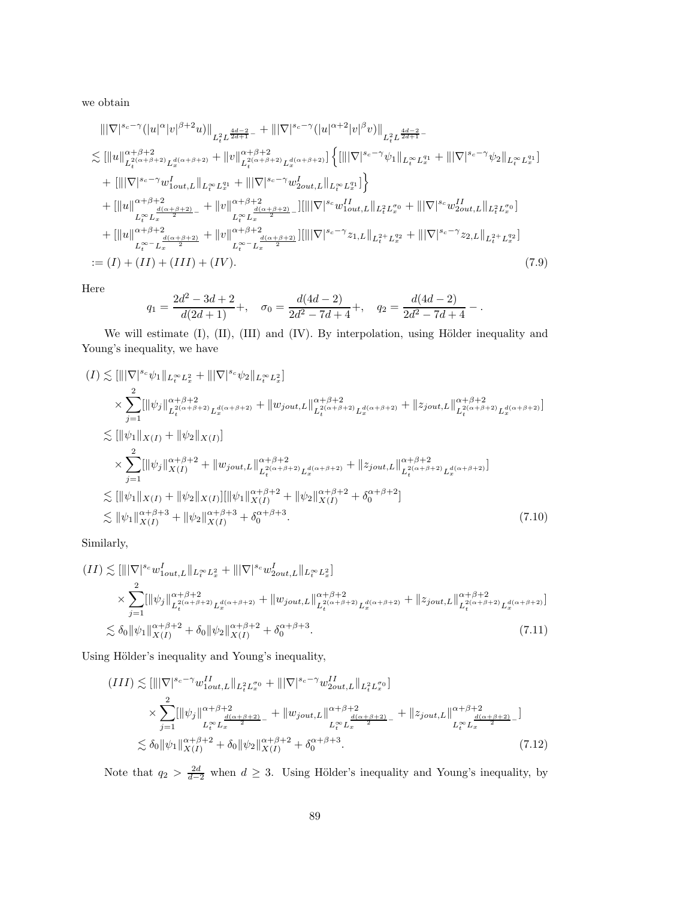we obtain

$$
\|\nabla|^{s_c-\gamma} (|u|^{\alpha}|v|^{\beta+2}u)\|_{L_t^2 L^{\frac{4d-2}{2d+1}-}} + \|\nabla|^{s_c-\gamma} (|u|^{\alpha+2}|v|^{\beta}v)\|_{L_t^2 L^{\frac{4d-2}{2d+1}-}} \n\lesssim [\|u\|_{L_t^{2(\alpha+\beta+2)} L_x^{d(\alpha+\beta+2)}}^{\alpha+\beta+2} + \|v\|_{L_t^{2(\alpha+\beta+2)}}^{\alpha+\beta+2} L_x^{d(\alpha+\beta+2)}] \left\{ [\|\nabla|^{s_c-\gamma}\psi_1\|_{L_t^{\infty} L_x^{q_1}} + \|\nabla|^{s_c-\gamma}\psi_2\|_{L_t^{\infty} L_x^{q_1}}] \right\} \n+ [\|\nabla|^{s_c-\gamma}w_{1out,L}^{\gamma}\|_{L_t^{\infty} L_x^{q_1}} + \|\nabla|^{s_c-\gamma}w_{2out,L}^{\gamma}\|_{L_t^{\infty} L_x^{q_1}}] \right\} \n+ [\|u\|^{\alpha+\beta+2}_{L_t^{\infty} L_x^{\frac{d(\alpha+\beta+2)}{2}}} + \|v\|^{\alpha+\beta+2}_{L_t^{\infty} L_x^{\frac{d(\alpha+\beta+2)}{2}}} - \|\|\nabla|^{s_c}w_{1out,L}^{\gamma_1}\|_{L_t^{2} L_x^{q_0}} + \|\nabla|^{s_c}w_{2out,L}^{\gamma_1}\|_{L_t^{2} L_x^{q_0}}] \n+ [\|u\|^{\alpha+\beta+2}_{L_t^{\infty} L_x^{\frac{d(\alpha+\beta+2)}{2}}} + \|v\|^{\alpha+\beta+2}_{L_t^{\infty} - L_x^{\frac{d(\alpha+\beta+2)}{2}}}\| [\|\nabla|^{s_c-\gamma}z_{1,L}\|_{L_t^{2} + L_x^{q_2}} + \|\nabla|^{s_c-\gamma}z_{2,L}\|_{L_t^{2} + L_x^{q_2}}] \n:= (I) + (II) + (III) + (IV).
$$
\n(7.9)

Here

<span id="page-88-0"></span>
$$
q_1 = \frac{2d^2 - 3d + 2}{d(2d + 1)} +, \quad \sigma_0 = \frac{d(4d - 2)}{2d^2 - 7d + 4} +, \quad q_2 = \frac{d(4d - 2)}{2d^2 - 7d + 4} -.
$$

We will estimate (I), (II), (III) and (IV). By interpolation, using Hölder inequality and Young's inequality, we have

$$
(I) \lesssim [\||\nabla|^{s_c}\psi_1\|_{L_t^{\infty}L_x^2} + \||\nabla|^{s_c}\psi_2\|_{L_t^{\infty}L_x^2}]
$$
  
\n
$$
\times \sum_{j=1}^2 [\|\psi_j\|_{L_t^{2(\alpha+\beta+2)}L_x^{d(\alpha+\beta+2)}}^{\alpha+\beta+2} + \|\psi_{jout,L}\|_{L_t^{2(\alpha+\beta+2)}}^{\alpha+\beta+2} + \|\zeta_{jout,L}\|_{L_t^{2(\alpha+\beta+2)}}^{\alpha+\beta+2} + \|\zeta_{jout,L}\|_{L_t^{2(\alpha+\beta+2)}}^{\alpha+\beta+2}]
$$
  
\n
$$
\lesssim [\|\psi_1\|_{X(I)} + \|\psi_2\|_{X(I)}]
$$
  
\n
$$
\times \sum_{j=1}^2 [\|\psi_j\|_{X(I)}^{\alpha+\beta+2} + \|\psi_{jout,L}\|_{L_t^{2(\alpha+\beta+2)}L_x^{d(\alpha+\beta+2)}}^{\alpha+\beta+2} + \|\zeta_{jout,L}\|_{L_t^{2(\alpha+\beta+2)}L_x^{d(\alpha+\beta+2)}}^{\alpha+\beta+2}]
$$
  
\n
$$
\lesssim [\|\psi_1\|_{X(I)} + \|\psi_2\|_{X(I)}] [\|\psi_1\|_{X(I)}^{\alpha+\beta+2} + \|\psi_2\|_{X(I)}^{\alpha+\beta+2} + \delta_0^{\alpha+\beta+2}]
$$
  
\n
$$
\lesssim \|\psi_1\|_{X(I)}^{\alpha+\beta+3} + \|\psi_2\|_{X(I)}^{\alpha+\beta+3} + \delta_0^{\alpha+\beta+3}.
$$
  
\n(7.10)

Similarly,

$$
(II) \lesssim [\||\nabla|^{s_c} w_{1out,L}^I\|_{L_t^{\infty} L_x^2} + \||\nabla|^{s_c} w_{2out,L}^I\|_{L_t^{\infty} L_x^2}]
$$
  
\n
$$
\times \sum_{j=1}^2 [\|\psi_j\|_{L_t^{2(\alpha+\beta+2)} L_x^{d(\alpha+\beta+2)}}^{\alpha+\beta+2} + \|w_{jout,L}\|_{L_t^{2(\alpha+\beta+2)} L_x^{d(\alpha+\beta+2)}}^{\alpha+\beta+2} + \|z_{jout,L}\|_{L_t^{2(\alpha+\beta+2)} L_x^{d(\alpha+\beta+2)}}^{\alpha+\beta+2}]
$$
  
\n
$$
\lesssim \delta_0 \|\psi_1\|_{X(I)}^{\alpha+\beta+2} + \delta_0 \|\psi_2\|_{X(I)}^{\alpha+\beta+2} + \delta_0^{\alpha+\beta+3}.
$$
\n(7.11)

Using Hölder's inequality and Young's inequality,

$$
(III) \lesssim [\||\nabla|^{s_c - \gamma} w_{1out, L}^{II}\|_{L_t^2 L_x^{\sigma_0}} + \||\nabla|^{s_c - \gamma} w_{2out, L}^{II}\|_{L_t^2 L_x^{\sigma_0}}]
$$
  
\n
$$
\times \sum_{j=1}^2 [\|\psi_j\|^{\alpha + \beta + 2} |_{L_t^{\infty} L_x^{\frac{d(\alpha + \beta + 2)}{2}}} + \|\psi_{jout, L}\|^{\alpha + \beta + 2} |_{L_t^{\infty} L_x^{\frac{d(\alpha + \beta + 2)}{2}}} + \|\zeta_{jout, L}\|^{\alpha + \beta + 2} |_{L_t^{\infty} L_x^{\frac{d(\alpha + \beta + 2)}{2}}} -]
$$
  
\n
$$
\lesssim \delta_0 \|\psi_1\|^{\alpha + \beta + 2} + \delta_0 \|\psi_2\|^{\alpha + \beta + 2} \delta_0^{\alpha + \beta + 3}.
$$
 (7.12)

Note that  $q_2 > \frac{2d}{d-2}$  when  $d \geq 3$ . Using Hölder's inequality and Young's inequality, by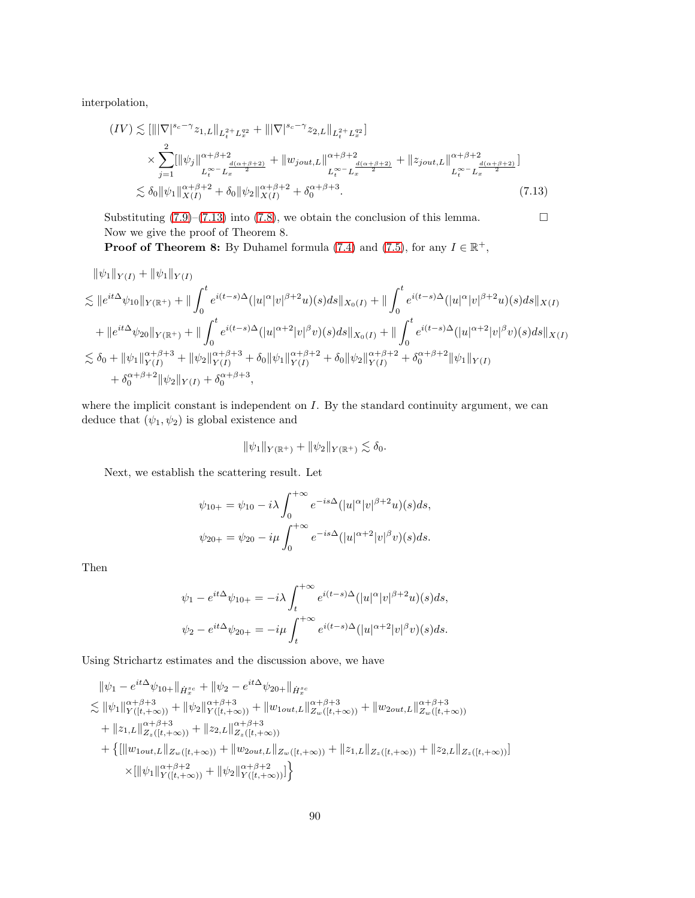interpolation,

$$
(IV) \lesssim \left[\|\|\nabla|^{s_c-\gamma} z_{1,L}\|_{L_t^{2+} L_x^{q_2}} + \|\|\nabla|^{s_c-\gamma} z_{2,L}\|_{L_t^{2+} L_x^{q_2}}\right] \times \sum_{j=1}^2 \left[\|\psi_j\|_{L_t^{\infty} L_x^{\frac{d(\alpha+\beta+2)}{2}}} + \|\psi_{jout,L}\|_{L_t^{\infty} - L_x^{\frac{d(\alpha+\beta+2)}{2}}}^{ \alpha+\beta+2} + \|\zeta_{jout,L}\|_{L_t^{\infty} - L_x^{\frac{d(\alpha+\beta+2)}{2}}}^{ \alpha+\beta+2}\right] \times \delta_0 \|\psi_1\|_{X(I)}^{\alpha+\beta+2} + \delta_0 \|\psi_2\|_{X(I)}^{\alpha+\beta+2} + \delta_0^{\alpha+\beta+3}.
$$
\n(7.13)

Substituting  $(7.9)$ – $(7.13)$  into  $(7.8)$ , we obtain the conclusion of this lemma. Now we give the proof of Theorem 8.

**Proof of Theorem 8:** By Duhamel formula [\(7.4\)](#page-86-0) and [\(7.5\)](#page-86-1), for any  $I \in \mathbb{R}^+$ ,

$$
\|\psi_1\|_{Y(I)} + \|\psi_1\|_{Y(I)}\n\lesssim \|e^{it\Delta}\psi_{10}\|_{Y(\mathbb{R}^+)} + \|\int_0^t e^{i(t-s)\Delta}(|u|^\alpha|v|^{\beta+2}u)(s)ds\|_{X_0(I)} + \|\int_0^t e^{i(t-s)\Delta}(|u|^\alpha|v|^{\beta+2}u)(s)ds\|_{X(I)}\n+ \|e^{it\Delta}\psi_{20}\|_{Y(\mathbb{R}^+)} + \|\int_0^t e^{i(t-s)\Delta}(|u|^\alpha+2|v|^\beta v)(s)ds\|_{X_0(I)} + \|\int_0^t e^{i(t-s)\Delta}(|u|^\alpha+2|v|^\beta v)(s)ds\|_{X(I)}\n\lesssim \delta_0 + \|\psi_1\|_{Y(I)}^{\alpha+\beta+3} + \|\psi_2\|_{Y(I)}^{\alpha+\beta+3} + \delta_0 \|\psi_1\|_{Y(I)}^{\alpha+\beta+2} + \delta_0 \|\psi_2\|_{Y(I)}^{\alpha+\beta+2} + \delta_0^{\alpha+\beta+2} \|\psi_1\|_{Y(I)}\n+ \delta_0^{\alpha+\beta+2} \|\psi_2\|_{Y(I)} + \delta_0^{\alpha+\beta+3},
$$

where the implicit constant is independent on  $I$ . By the standard continuity argument, we can deduce that  $(\psi_1, \psi_2)$  is global existence and

<span id="page-89-0"></span>
$$
\|\psi_1\|_{Y(\mathbb{R}^+)} + \|\psi_2\|_{Y(\mathbb{R}^+)} \lesssim \delta_0.
$$

Next, we establish the scattering result. Let

$$
\psi_{10+} = \psi_{10} - i\lambda \int_0^{+\infty} e^{-is\Delta} (|u|^\alpha |v|^{\beta+2} u)(s) ds,
$$
  

$$
\psi_{20+} = \psi_{20} - i\mu \int_0^{+\infty} e^{-is\Delta} (|u|^{\alpha+2} |v|^\beta v)(s) ds.
$$

Then

$$
\psi_1 - e^{it\Delta}\psi_{10+} = -i\lambda \int_t^{+\infty} e^{i(t-s)\Delta}(|u|^\alpha |v|^{\beta+2}u)(s)ds,
$$
  

$$
\psi_2 - e^{it\Delta}\psi_{20+} = -i\mu \int_t^{+\infty} e^{i(t-s)\Delta}(|u|^\alpha + 2|v|^\beta v)(s)ds.
$$

Using Strichartz estimates and the discussion above, we have

$$
\|\psi_1 - e^{it\Delta}\psi_{10+}\|_{\dot{H}_x^{s_c}} + \|\psi_2 - e^{it\Delta}\psi_{20+}\|_{\dot{H}_x^{s_c}}\n\lesssim \|\psi_1\|_{Y([t,+\infty))}^{\alpha+\beta+3} + \|\psi_2\|_{Y([t,+\infty))}^{\alpha+\beta+3} + \|\psi_{10}u_{10}u_{1L}\|_{Z_w([t,+\infty))}^{\alpha+\beta+3} + \|u_{20}u_{1L}\|_{Z_w([t,+\infty))}^{\alpha+\beta+3}\n+ \|z_{1,L}\|_{Z_z([t,+\infty))}^{\alpha+\beta+3} + \|z_{2,L}\|_{Z_z([t,+\infty))}^{\alpha+\beta+3}\n+ \{[\|w_{10}u_{1L}\|_{Z_w([t,+\infty))} + \|w_{20}u_{1L}\|_{Z_w([t,+\infty))} + \|z_{1,L}\|_{Z_z([t,+\infty))} + \|z_{2,L}\|_{Z_z([t,+\infty))}]\n\times [\|\psi_1\|_{Y([t,+\infty))}^{\alpha+\beta+2} + \|\psi_2\|_{Y([t,+\infty))}^{\alpha+\beta+2}]\}
$$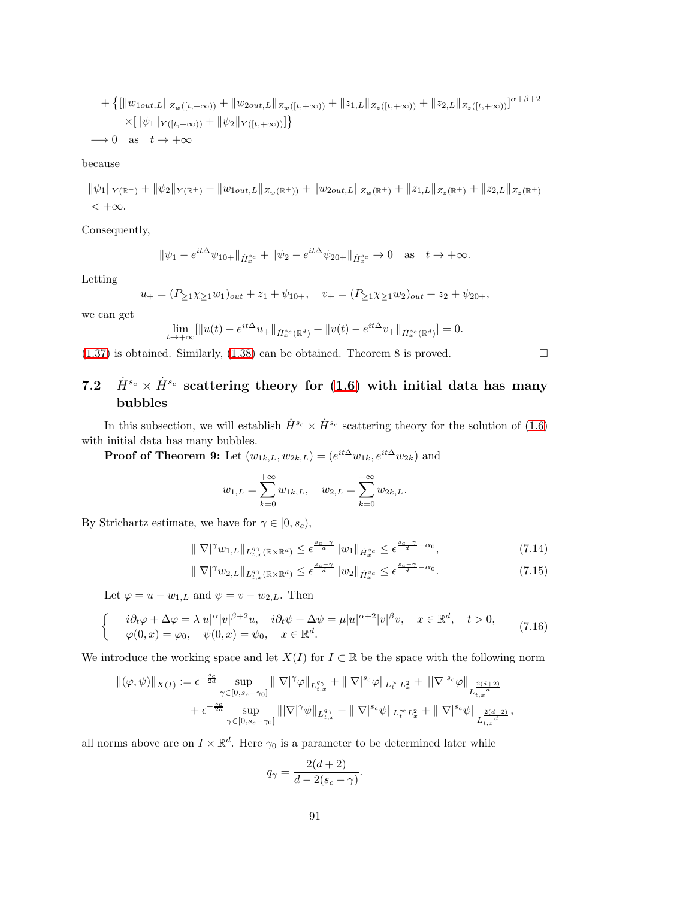+ 
$$
\{ [\|w_{1out,L}\|_{Z_w([t,+\infty))} + \|w_{2out,L}\|_{Z_w([t,+\infty))} + \|z_{1,L}\|_{Z_z([t,+\infty))} + \|z_{2,L}\|_{Z_z([t,+\infty))}]^{\alpha+\beta+2} \times [\|\psi_1\|_{Y([t,+\infty))} + \|\psi_2\|_{Y([t,+\infty))}] \}
$$
  
\n $\longrightarrow 0$  as  $t \longrightarrow +\infty$ 

because

$$
\|\psi_1\|_{Y(\mathbb{R}^+)} + \|\psi_2\|_{Y(\mathbb{R}^+)} + \|w_{1out,L}\|_{Z_w(\mathbb{R}^+)} + \|w_{2out,L}\|_{Z_w(\mathbb{R}^+)} + \|z_{1,L}\|_{Z_z(\mathbb{R}^+)} + \|z_{2,L}\|_{Z_z(\mathbb{R}^+)} < +\infty.
$$

Consequently,

$$
\|\psi_1 - e^{it\Delta}\psi_{10+}\|_{\dot{H}^{s_c}_x} + \|\psi_2 - e^{it\Delta}\psi_{20+}\|_{\dot{H}^{s_c}_x} \to 0 \quad \text{as} \quad t \to +\infty.
$$

Letting

$$
u_+ = (P_{\geq 1} \chi_{\geq 1} w_1)_{out} + z_1 + \psi_{10+}, \quad v_+ = (P_{\geq 1} \chi_{\geq 1} w_2)_{out} + z_2 + \psi_{20+},
$$

we can get

$$
\lim_{t \to +\infty} [\|u(t) - e^{it\Delta} u_+\|_{\dot{H}^{s_c}_x(\mathbb{R}^d)} + \|v(t) - e^{it\Delta} v_+\|_{\dot{H}^{s_c}_x(\mathbb{R}^d)}] = 0.
$$

[\(1.37\)](#page-10-2) is obtained. Similarly, [\(1.38\)](#page-10-3) can be obtained. Theorem 8 is proved.  $\square$ 

# 7.2  $\dot{H}^{s_c} \times \dot{H}^{s_c}$  scattering theory for [\(1.6\)](#page-3-0) with initial data has many bubbles

In this subsection, we will establish  $\dot{H}^{s_c} \times \dot{H}^{s_c}$  scattering theory for the solution of [\(1.6\)](#page-3-0) with initial data has many bubbles.

**Proof of Theorem 9:** Let  $(w_{1k,L}, w_{2k,L}) = (e^{it\Delta}w_{1k}, e^{it\Delta}w_{2k})$  and

$$
w_{1,L} = \sum_{k=0}^{+\infty} w_{1k,L}, \quad w_{2,L} = \sum_{k=0}^{+\infty} w_{2k,L}.
$$

By Strichartz estimate, we have for  $\gamma \in [0, s_c)$ ,

$$
\|\nabla|^{\gamma}w_{1,L}\|_{L_{t,x}^{q\gamma}(\mathbb{R}\times\mathbb{R}^d)} \leq \epsilon^{\frac{s_c-\gamma}{d}}\|w_1\|_{\dot{H}_x^{s_c}} \leq \epsilon^{\frac{s_c-\gamma}{d}-\alpha_0},\tag{7.14}
$$

$$
\|\nabla|^{\gamma}w_{2,L}\|_{L_{t,x}^{q\gamma}(\mathbb{R}\times\mathbb{R}^d)} \leq \epsilon^{\frac{s_c-\gamma}{d}}\|w_2\|_{\dot{H}_x^{s_c}} \leq \epsilon^{\frac{s_c-\gamma}{d}-\alpha_0}.\tag{7.15}
$$

Let  $\varphi = u - w_{1,L}$  and  $\psi = v - w_{2,L}$ . Then

$$
\begin{cases}\ni\partial_t\varphi + \Delta\varphi = \lambda |u|^\alpha |v|^{\beta+2}u, & i\partial_t\psi + \Delta\psi = \mu |u|^{\alpha+2}|v|^\beta v, \quad x \in \mathbb{R}^d, \quad t > 0, \\
\varphi(0, x) = \varphi_0, & \psi(0, x) = \psi_0, \quad x \in \mathbb{R}^d.\n\end{cases} (7.16)
$$

We introduce the working space and let  $X(I)$  for  $I \subset \mathbb{R}$  be the space with the following norm

$$
\begin{split} \|(\varphi,\psi)\|_{X(I)} &:= \epsilon^{-\frac{s_c}{2d}}\sup_{\gamma\in[0,s_c-\gamma_0]}\||\nabla|^{\gamma}\varphi\|_{L_{t,x}^{q_{\gamma}}}+\||\nabla|^{s_c}\varphi\|_{L_t^{\infty}L_x^2}+\||\nabla|^{s_c}\varphi\|_{L_{t,x}^{\frac{2(d+2)}{d}}}\\ &\quad+\epsilon^{-\frac{s_c}{2d}}\sup_{\gamma\in[0,s_c-\gamma_0]}\||\nabla|^{\gamma}\psi\|_{L_{t,x}^{q_{\gamma}}}+\||\nabla|^{s_c}\psi\|_{L_t^{\infty}L_x^2}+\||\nabla|^{s_c}\psi\|_{L_{t,x}^{\frac{2(d+2)}{d}}}, \end{split}
$$

all norms above are on  $I \times \mathbb{R}^d$ . Here  $\gamma_0$  is a parameter to be determined later while

$$
q_{\gamma} = \frac{2(d+2)}{d-2(s_c - \gamma)}.
$$

<span id="page-90-1"></span><span id="page-90-0"></span>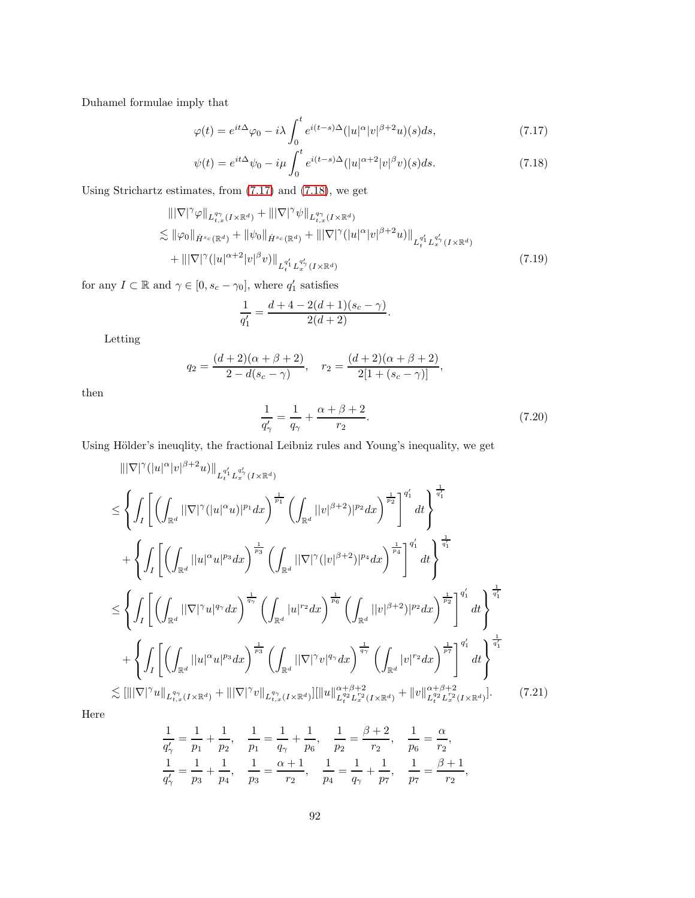Duhamel formulae imply that

<span id="page-91-0"></span>
$$
\varphi(t) = e^{it\Delta}\varphi_0 - i\lambda \int_0^t e^{i(t-s)\Delta}(|u|^\alpha |v|^{\beta+2}u)(s)ds,\tag{7.17}
$$

$$
\psi(t) = e^{it\Delta}\psi_0 - i\mu \int_0^t e^{i(t-s)\Delta}(|u|^{\alpha+2}|v|^\beta v)(s)ds.
$$
\n(7.18)

Using Strichartz estimates, from [\(7.17\)](#page-91-0) and [\(7.18\)](#page-91-1), we get

$$
\|\nabla|^{\gamma}\varphi\|_{L_{t,x}^{q_{\gamma}}(I\times\mathbb{R}^{d})} + \|\nabla|^{\gamma}\psi\|_{L_{t,x}^{q_{\gamma}}(I\times\mathbb{R}^{d})} \leq \|\varphi_{0}\|_{\dot{H}^{s_{c}}(\mathbb{R}^{d})} + \|\psi_{0}\|_{\dot{H}^{s_{c}}(\mathbb{R}^{d})} + \|\nabla|^{\gamma}(|u|^{\alpha}|v|^{\beta+2}u)\|_{L_{t}^{q'_{1}}L_{x}^{q'_{\gamma}}(I\times\mathbb{R}^{d})} + \|\nabla|^{\gamma}(|u|^{\alpha+2}|v|^{\beta}v)\|_{L_{t}^{q'_{1}}L_{x}^{q'_{\gamma}}(I\times\mathbb{R}^{d})}
$$
\n(7.19)

for any  $I \subset \mathbb{R}$  and  $\gamma \in [0, s_c - \gamma_0]$ , where  $q'_1$  satisfies

<span id="page-91-1"></span>
$$
\frac{1}{q_1'}=\frac{d+4-2(d+1)(s_c-\gamma)}{2(d+2)}.
$$

Letting

$$
q_2 = \frac{(d+2)(\alpha+\beta+2)}{2-d(s_c-\gamma)}, \quad r_2 = \frac{(d+2)(\alpha+\beta+2)}{2[1+(s_c-\gamma)]},
$$

then

<span id="page-91-2"></span>
$$
\frac{1}{q'_{\gamma}} = \frac{1}{q_{\gamma}} + \frac{\alpha + \beta + 2}{r_2}.
$$
\n(7.20)

Using Hölder's ineuqlity, the fractional Leibniz rules and Young's inequality, we get

$$
\|\nabla|^{\gamma}(|u|^{\alpha}|v|^{\beta+2}u)\|_{L_{t}^{q_{1}'}L_{x}^{q_{\gamma}'}(I\times\mathbb{R}^{d})}\n\leq \left\{\int_{I}\left[\left(\int_{\mathbb{R}^{d}}||\nabla|^{\gamma}(|u|^{\alpha}u)|^{p_{1}}dx\right)^{\frac{1}{p_{1}}}\left(\int_{\mathbb{R}^{d}}||v|^{\beta+2})|^{p_{2}}dx\right)^{\frac{1}{p_{2}}}\right]^{q_{1}'}dt\right\}^{\frac{1}{q_{1}'}+1}\n+\left\{\int_{I}\left[\left(\int_{\mathbb{R}^{d}}||u|^{\alpha}u|^{p_{3}}dx\right)^{\frac{1}{p_{3}}}\left(\int_{\mathbb{R}^{d}}||\nabla|^{\gamma}(|v|^{\beta+2})|^{p_{4}}dx\right)^{\frac{1}{p_{4}}}\right]^{q_{1}'}dt\right\}^{\frac{1}{q_{1}'}+1}\n\leq \left\{\int_{I}\left[\left(\int_{\mathbb{R}^{d}}||\nabla|^{\gamma}u|^{q_{\gamma}}dx\right)^{\frac{1}{q_{\gamma}}}\left(\int_{\mathbb{R}^{d}}|u|^{r_{2}}dx\right)^{\frac{1}{p_{6}}}\left(\int_{\mathbb{R}^{d}}||v|^{\beta+2})|^{p_{2}}dx\right)^{\frac{1}{p_{2}}}\right]^{q_{1}'}dt\right\}^{\frac{1}{q_{1}'}+1}\n+\left\{\int_{I}\left[\left(\int_{\mathbb{R}^{d}}||u|^{\alpha}u|^{p_{3}}dx\right)^{\frac{1}{p_{3}}}\left(\int_{\mathbb{R}^{d}}||\nabla|^{\gamma}v|^{q_{\gamma}}dx\right)^{\frac{1}{q_{\gamma}}}\left(\int_{\mathbb{R}^{d}}|v|^{r_{2}}dx\right)^{\frac{1}{p_{7}}}\right\}^{q_{1}'}dt\right\}^{\frac{1}{q_{1}'}+1}\n\lesssim [\|||\nabla|^{\gamma}u\|_{L_{t,x}^{q_{\gamma}}(I\times\mathbb{R}^{d})}+|||\nabla|^{\gamma}v\|_{L_{t,x}^{q_{\gamma}}(I\times\mathbb{R}^{d})}][\|u\|_{L_{t}^{q_{2}}L_{x}^{r_{2}}(I\times\mathbb{R}^{
$$

Here

<span id="page-91-3"></span>
$$
\frac{1}{q_\gamma'} = \frac{1}{p_1} + \frac{1}{p_2}, \quad \frac{1}{p_1} = \frac{1}{q_\gamma} + \frac{1}{p_6}, \quad \frac{1}{p_2} = \frac{\beta+2}{r_2}, \quad \frac{1}{p_6} = \frac{\alpha}{r_2},
$$
  

$$
\frac{1}{q_\gamma'} = \frac{1}{p_3} + \frac{1}{p_4}, \quad \frac{1}{p_3} = \frac{\alpha+1}{r_2}, \quad \frac{1}{p_4} = \frac{1}{q_\gamma} + \frac{1}{p_7}, \quad \frac{1}{p_7} = \frac{\beta+1}{r_2},
$$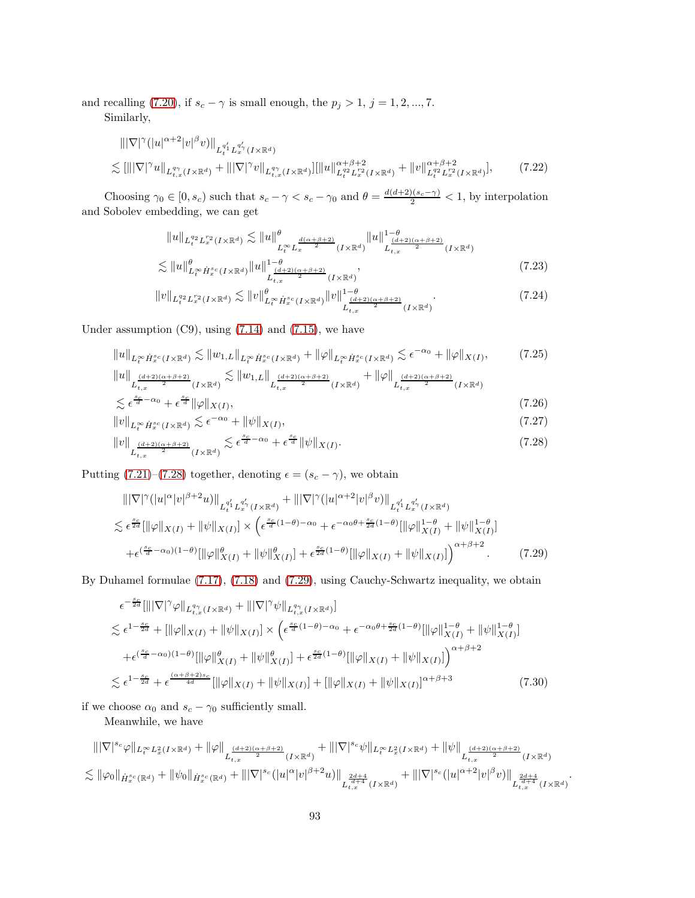and recalling [\(7.20\)](#page-91-2), if  $s_c - \gamma$  is small enough, the  $p_j > 1, j = 1, 2, ..., 7$ .

Similarly,

$$
\|\nabla|^{\gamma}(|u|^{\alpha+2}|v|^{\beta}v)\|_{L_t^{q_\gamma'}(I\times\mathbb{R}^d)} + \|v\|_{L_{t,x}^{q_\gamma}(I\times\mathbb{R}^d)}^{\alpha'_{1}} \leq \|\|\nabla|^{\gamma}u\|_{L_{t,x}^{q_\gamma}(I\times\mathbb{R}^d)} + \|\nabla|^{\gamma}v\|_{L_{t,x}^{q_\gamma}(I\times\mathbb{R}^d)} \|\|u\|_{L_t^{q_2}(I\times\mathbb{R}^d)}^{\alpha+\beta+2} + \|v\|_{L_t^{q_2}(I\times\mathbb{R}^d)}^{\alpha+\beta+2} \tag{7.22}
$$

Choosing  $\gamma_0 \in [0, s_c)$  such that  $s_c - \gamma < s_c - \gamma_0$  and  $\theta = \frac{d(d+2)(s_c - \gamma)}{2} < 1$ , by interpolation and Sobolev embedding, we can get

$$
||u||_{L_t^{q_2} L_x^{r_2}(I \times \mathbb{R}^d)} \lesssim ||u||_{L_t^{\infty} L_x^{\frac{d(\alpha+\beta+2)}{2}}(I \times \mathbb{R}^d)}^{q} ||u||_{L_{t,x}^{\frac{(d+2)(\alpha+\beta+2)}{2}}(I \times \mathbb{R}^d)}^{1-\theta} \lesssim ||u||_{L_t^{\infty} \dot{H}_x^{s_c}(I \times \mathbb{R}^d)}^{q} ||u||_{L_{t,x}^{\frac{d+2}{2}(\alpha+\beta+2)}}^{1-\theta},
$$
\n(7.23)

<span id="page-92-0"></span>
$$
||v||_{L_t^{q_2}L_x^{r_2}(I\times\mathbb{R}^d)} \lesssim ||v||_{L_t^{\infty}\dot{H}_x^{s_c}(I\times\mathbb{R}^d)}^{\theta} ||v||_{L_{t,x}^{\frac{(d+2)(\alpha+\beta+2)}{2}}(I\times\mathbb{R}^d)}^{1-\theta}.
$$
\n(7.24)

Under assumption  $(C9)$ , using  $(7.14)$  and  $(7.15)$ , we have

$$
||u||_{L_t^\infty \dot{H}_x^{s_c}(I \times \mathbb{R}^d)} \lesssim ||w_{1,L}||_{L_t^\infty \dot{H}_x^{s_c}(I \times \mathbb{R}^d)} + ||\varphi||_{L_t^\infty \dot{H}_x^{s_c}(I \times \mathbb{R}^d)} \lesssim \epsilon^{-\alpha_0} + ||\varphi||_{X(I)},\tag{7.25}
$$

$$
\|u\|_{L_{t,x}^{\frac{(d+2)(\alpha+\beta+2)}{2}}(I\times\mathbb{R}^d)} \lesssim \|w_{1,L}\|_{L_{t,x}^{\frac{(d+2)(\alpha+\beta+2)}{2}}(I\times\mathbb{R}^d)} + \|\varphi\|_{L_{t,x}^{\frac{(d+2)(\alpha+\beta+2)}{2}}(I\times\mathbb{R}^d)} \lesssim \epsilon^{\frac{s_c}{d}-\alpha_0} + \epsilon^{\frac{s_c}{d}} \|\varphi\|_{X(I)},
$$
\n(7.26)

$$
||v||_{L_t^{\infty}\dot{H}_x^{s_c}(I\times\mathbb{R}^d)} \lesssim \epsilon^{-\alpha_0} + ||\psi||_{X(I)},
$$
\n(7.27)

$$
||v||_{L^{\frac{(d+2)(\alpha+\beta+2)}{2}}_{t,x}(I\times\mathbb{R}^d)} \lesssim \epsilon^{\frac{s_c}{d}-\alpha_0} + \epsilon^{\frac{s_c}{d}} ||\psi||_{X(I)}.\tag{7.28}
$$

Putting [\(7.21\)](#page-91-3)–[\(7.28\)](#page-92-0) together, denoting  $\epsilon = (s_c - \gamma),$  we obtain

$$
\|\nabla|^{\gamma} (|u|^{\alpha}|v|^{\beta+2}u)\|_{L_t^{q'_1} L_x^{q'_{\gamma}}(I \times \mathbb{R}^d)} + \|\nabla|^{\gamma} (|u|^{\alpha+2}|v|^{\beta}v)\|_{L_t^{q'_1} L_x^{q'_{\gamma}}(I \times \mathbb{R}^d)}
$$
  
\n
$$
\lesssim \epsilon^{\frac{s_c}{2d}} [\|\varphi\|_{X(I)} + \|\psi\|_{X(I)}] \times \left(\epsilon^{\frac{s_c}{d}(1-\theta)-\alpha_0} + \epsilon^{-\alpha_0 \theta + \frac{s_c}{2d}(1-\theta)} [\|\varphi\|_{X(I)}^{1-\theta} + \|\psi\|_{X(I)}^{1-\theta}]
$$
  
\n
$$
+ \epsilon^{(\frac{s_c}{d}-\alpha_0)(1-\theta)} [\|\varphi\|_{X(I)}^{\theta} + \|\psi\|_{X(I)}^{\theta}] + \epsilon^{\frac{s_c}{2d}(1-\theta)} [\|\varphi\|_{X(I)} + \|\psi\|_{X(I)}] \right)^{\alpha+\beta+2}.
$$
 (7.29)

By Duhamel formulae [\(7.17\)](#page-91-0), [\(7.18\)](#page-91-1) and [\(7.29\)](#page-92-1), using Cauchy-Schwartz inequality, we obtain

<span id="page-92-2"></span><span id="page-92-1"></span>
$$
\epsilon^{-\frac{s_c}{2d}}[\||\nabla|\gamma\varphi||_{L_{t,x}^{q\gamma}(I\times\mathbb{R}^d)} + \||\nabla|\gamma\psi||_{L_{t,x}^{q\gamma}(I\times\mathbb{R}^d)}]
$$
\n
$$
\lesssim \epsilon^{1-\frac{s_c}{2d}} + [\|\varphi\|_{X(I)} + \|\psi\|_{X(I)}] \times \left(\epsilon^{\frac{s_c}{d}(1-\theta)-\alpha_0} + \epsilon^{-\alpha_0\theta + \frac{s_c}{2d}(1-\theta)}[\|\varphi\|_{X(I)}^{1-\theta} + \|\psi\|_{X(I)}^{1-\theta}]
$$
\n
$$
+ \epsilon^{(\frac{s_c}{d}-\alpha_0)(1-\theta)}[\|\varphi\|_{X(I)}^{\theta} + \|\psi\|_{X(I)}^{\theta}] + \epsilon^{\frac{s_c}{2d}(1-\theta)}[\|\varphi\|_{X(I)} + \|\psi\|_{X(I)}]\right)^{\alpha+\beta+2}
$$
\n
$$
\lesssim \epsilon^{1-\frac{s_c}{2d}} + \epsilon^{\frac{(\alpha+\beta+2)s_c}{4d}}[\|\varphi\|_{X(I)} + \|\psi\|_{X(I)}] + [\|\varphi\|_{X(I)} + \|\psi\|_{X(I)}]^{\alpha+\beta+3} \tag{7.30}
$$

if we choose  $\alpha_0$  and  $s_c - \gamma_0$  sufficiently small.

Meanwhile, we have

$$
\begin{aligned} &\||\nabla|^{s_c} \varphi\|_{L^\infty_t L^2_x(I \times \mathbb{R}^d)} + \|\varphi\|_{L^\frac{(d+2)(\alpha+\beta+2)}{2}}(I \times \mathbb{R}^d)} + \||\nabla|^{s_c} \psi\|_{L^\infty_t L^2_x(I \times \mathbb{R}^d)} + \|\psi\|_{L^\frac{(d+2)(\alpha+\beta+2)}{2}}(I \times \mathbb{R}^d) \\ &\lesssim \|\varphi_0\|_{\dot H^{s_c}_x(\mathbb{R}^d)} + \|\psi_0\|_{\dot H^{s_c}_x(\mathbb{R}^d)} + \||\nabla|^{s_c} (|u|^\alpha|v|^{\beta+2}u)\|_{L^\frac{2d+4}{d, x}_{t, x}} + \||\nabla|^{s_c} (|u|^{\alpha+2}|v|^\beta v)\|_{L^\frac{2d+4}{d, x}_{t, x}_{t, x}}(I \times \mathbb{R}^d) \end{aligned}
$$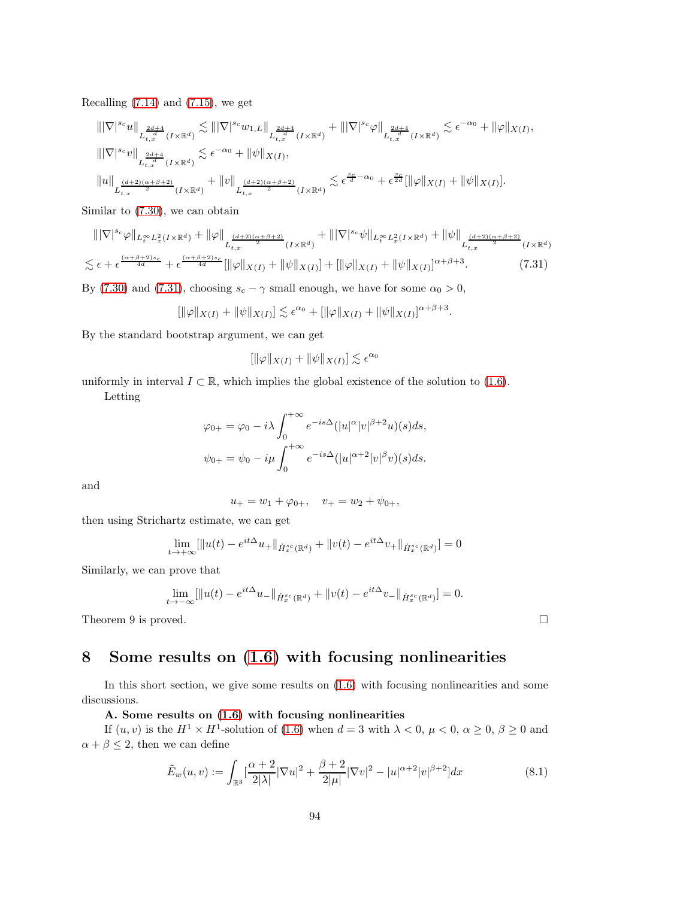Recalling  $(7.14)$  and  $(7.15)$ , we get

$$
\begin{split} &\left\||\nabla\right|^{s_c}u\right\|_{L_{t,x}^{\frac{2d+4}{d}}(I\times\mathbb{R}^d)} \lesssim \left\||\nabla\right|^{s_c}w_{1,L}\right\|_{L_{t,x}^{\frac{2d+4}{d}}(I\times\mathbb{R}^d)} + \left\||\nabla\right|^{s_c}\varphi\right\|_{L_{t,x}^{\frac{2d+4}{d}}(I\times\mathbb{R}^d)} \lesssim \epsilon^{-\alpha_0} + \|\varphi\|_{X(I)},\\ &\left\||\nabla\right|^{s_c}v\right\|_{L_{t,x}^{\frac{2d+4}{d}}(I\times\mathbb{R}^d)} \lesssim \epsilon^{-\alpha_0} + \|\psi\|_{X(I)},\\ &\left\|u\right\|_{L_{t,x}^{\frac{(d+2)(\alpha+\beta+2)}{2}}(I\times\mathbb{R}^d)} + \left\|v\right\|_{L_{t,x}^{\frac{(d+2)(\alpha+\beta+2)}{2}}(I\times\mathbb{R}^d)} \lesssim \epsilon^{\frac{s_c}{d} - \alpha_0} + \epsilon^{\frac{s_c}{2d}}[\|\varphi\|_{X(I)} + \|\psi\|_{X(I)}]. \end{split}
$$

Similar to [\(7.30\)](#page-92-2), we can obtain

$$
\|\nabla|^{s_c}\varphi\|_{L_t^{\infty}L_x^2(I\times\mathbb{R}^d)} + \|\varphi\|_{L_{t,x}^{\frac{(d+2)(\alpha+\beta+2)}{2}}(I\times\mathbb{R}^d)} + \|\nabla|^{s_c}\psi\|_{L_t^{\infty}L_x^2(I\times\mathbb{R}^d)} + \|\psi\|_{L_{t,x}^{\frac{(d+2)(\alpha+\beta+2)}{2}}(I\times\mathbb{R}^d)} \n\lesssim \epsilon + \epsilon^{\frac{(\alpha+\beta+2)s_c}{4d}} + \epsilon^{\frac{(\alpha+\beta+2)s_c}{4d}}[\|\varphi\|_{X(I)} + \|\psi\|_{X(I)}] + [\|\varphi\|_{X(I)} + \|\psi\|_{X(I)}]^{\alpha+\beta+3}.
$$
\n(7.31)

By [\(7.30\)](#page-92-2) and [\(7.31\)](#page-93-0), choosing  $s_c - \gamma$  small enough, we have for some  $\alpha_0 > 0$ ,

$$
[\|\varphi\|_{X(I)} + \|\psi\|_{X(I)}] \lesssim \epsilon^{\alpha_0} + [\|\varphi\|_{X(I)} + \|\psi\|_{X(I)}]^{\alpha + \beta + 3}.
$$

By the standard bootstrap argument, we can get

<span id="page-93-0"></span>
$$
[\|\varphi\|_{X(I)} + \|\psi\|_{X(I)}] \lesssim \epsilon^{\alpha_0}
$$

uniformly in interval  $I \subset \mathbb{R}$ , which implies the global existence of the solution to [\(1.6\)](#page-3-0).

Letting

$$
\varphi_{0+} = \varphi_0 - i\lambda \int_0^{+\infty} e^{-is\Delta} (|u|^\alpha |v|^{\beta+2} u)(s) ds,
$$
  

$$
\psi_{0+} = \psi_0 - i\mu \int_0^{+\infty} e^{-is\Delta} (|u|^\alpha + 2|v|^\beta v)(s) ds.
$$

and

$$
u_+ = w_1 + \varphi_{0+}, \quad v_+ = w_2 + \psi_{0+},
$$

then using Strichartz estimate, we can get

$$
\lim_{t \to +\infty} [\|u(t) - e^{it\Delta} u_+\|_{\dot{H}^{s_c}_x(\mathbb{R}^d)} + \|v(t) - e^{it\Delta} v_+\|_{\dot{H}^{s_c}_x(\mathbb{R}^d)}] = 0
$$

Similarly, we can prove that

$$
\lim_{t \to -\infty} [\|u(t) - e^{it\Delta} u_-\|_{\dot{H}^{s_c}_x(\mathbb{R}^d)} + \|v(t) - e^{it\Delta} v_-\|_{\dot{H}^{s_c}_x(\mathbb{R}^d)}] = 0.
$$

Theorem 9 is proved.  $\square$ 

# 8 Some results on [\(1.6\)](#page-3-0) with focusing nonlinearities

In this short section, we give some results on [\(1.6\)](#page-3-0) with focusing nonlinearities and some discussions.

#### A. Some results on [\(1.6\)](#page-3-0) with focusing nonlinearities

If  $(u, v)$  is the  $H^1 \times H^1$ -solution of [\(1.6\)](#page-3-0) when  $d = 3$  with  $\lambda < 0$ ,  $\mu < 0$ ,  $\alpha \ge 0$ ,  $\beta \ge 0$  and  $\alpha + \beta \leq 2$ , then we can define

$$
\tilde{E}_w(u,v) := \int_{\mathbb{R}^3} \left[ \frac{\alpha+2}{2|\lambda|} |\nabla u|^2 + \frac{\beta+2}{2|\mu|} |\nabla v|^2 - |u|^{\alpha+2} |v|^{\beta+2} \right] dx \tag{8.1}
$$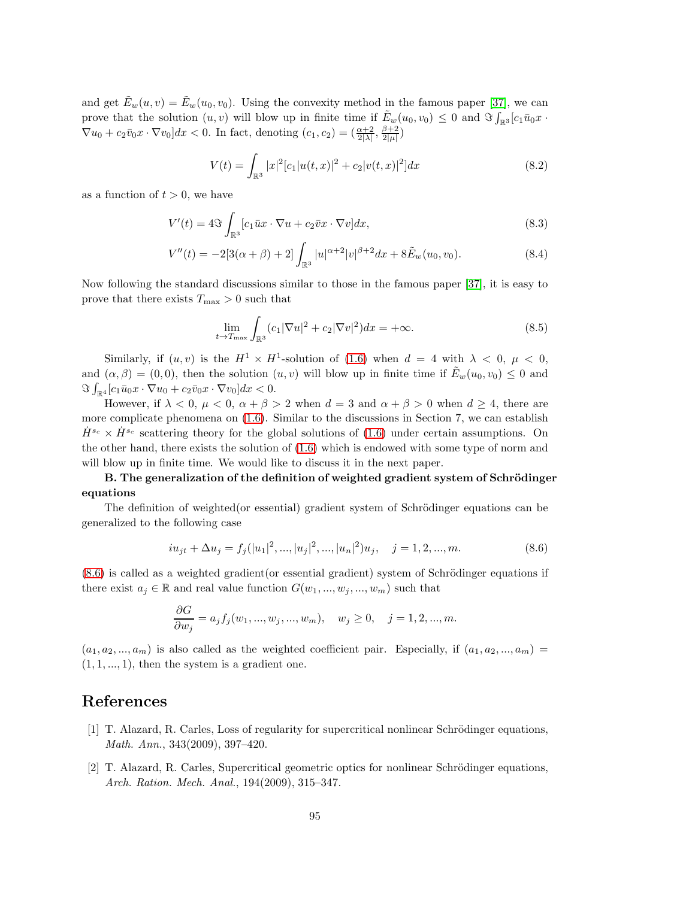and get  $\tilde{E}_w(u, v) = \tilde{E}_w(u_0, v_0)$ . Using the convexity method in the famous paper [\[37\]](#page-97-0), we can prove that the solution  $(u, v)$  will blow up in finite time if  $\tilde{E}_w(u_0, v_0) \leq 0$  and  $\Im \int_{\mathbb{R}^3} [c_1 \bar{u}_0 x \cdot$  $\nabla u_0 + c_2 \overline{v}_0 x \cdot \nabla v_0 dx < 0.$  In fact, denoting  $(c_1, c_2) = \left(\frac{\alpha+2}{2|\lambda|}, \frac{\beta+2}{2|\mu|}\right)$ 

$$
V(t) = \int_{\mathbb{R}^3} |x|^2 [c_1 |u(t,x)|^2 + c_2 |v(t,x)|^2] dx
$$
\n(8.2)

as a function of  $t > 0$ , we have

$$
V'(t) = 4\Im \int_{\mathbb{R}^3} [c_1 \bar{u}x \cdot \nabla u + c_2 \bar{v}x \cdot \nabla v] dx,
$$
\n(8.3)

$$
V''(t) = -2[3(\alpha + \beta) + 2] \int_{\mathbb{R}^3} |u|^{\alpha+2} |v|^{\beta+2} dx + 8 \tilde{E}_w(u_0, v_0).
$$
 (8.4)

Now following the standard discussions similar to those in the famous paper [\[37\]](#page-97-0), it is easy to prove that there exists  $T_{\text{max}} > 0$  such that

$$
\lim_{t \to T_{\text{max}}} \int_{\mathbb{R}^3} (c_1 |\nabla u|^2 + c_2 |\nabla v|^2) dx = +\infty. \tag{8.5}
$$

Similarly, if  $(u, v)$  is the  $H^1 \times H^1$ -solution of  $(1.6)$  when  $d = 4$  with  $\lambda < 0, \mu < 0$ , and  $(\alpha, \beta) = (0, 0)$ , then the solution  $(u, v)$  will blow up in finite time if  $\tilde{E}_w(u_0, v_0) \leq 0$  and  $\Im \int_{\mathbb{R}^4} [c_1 \bar{u}_0 x \cdot \nabla u_0 + c_2 \bar{v}_0 x \cdot \nabla v_0] dx < 0.$ 

However, if  $\lambda < 0$ ,  $\mu < 0$ ,  $\alpha + \beta > 2$  when  $d = 3$  and  $\alpha + \beta > 0$  when  $d \ge 4$ , there are more complicate phenomena on [\(1.6\)](#page-3-0). Similar to the discussions in Section 7, we can establish  $\dot{H}^{s_c} \times \dot{H}^{s_c}$  scattering theory for the global solutions of [\(1.6\)](#page-3-0) under certain assumptions. On the other hand, there exists the solution of [\(1.6\)](#page-3-0) which is endowed with some type of norm and will blow up in finite time. We would like to discuss it in the next paper.

### B. The generalization of the definition of weighted gradient system of Schrödinger equations

The definition of weighted (or essential) gradient system of Schrödinger equations can be generalized to the following case

<span id="page-94-0"></span>
$$
iu_{jt} + \Delta u_j = f_j(|u_1|^2, ..., |u_j|^2, ..., |u_n|^2)u_j, \quad j = 1, 2, ..., m.
$$
\n(8.6)

 $(8.6)$  is called as a weighted gradient (or essential gradient) system of Schrödinger equations if there exist  $a_i \in \mathbb{R}$  and real value function  $G(w_1, ..., w_i, ..., w_m)$  such that

$$
\frac{\partial G}{\partial w_j} = a_j f_j(w_1, ..., w_j, ..., w_m), \quad w_j \ge 0, \quad j = 1, 2, ..., m.
$$

 $(a_1, a_2, ..., a_m)$  is also called as the weighted coefficient pair. Especially, if  $(a_1, a_2, ..., a_m)$  $(1, 1, \ldots, 1)$ , then the system is a gradient one.

### References

- [1] T. Alazard, R. Carles, Loss of regularity for supercritical nonlinear Schrödinger equations, Math. Ann., 343(2009), 397–420.
- [2] T. Alazard, R. Carles, Supercritical geometric optics for nonlinear Schrödinger equations, Arch. Ration. Mech. Anal., 194(2009), 315–347.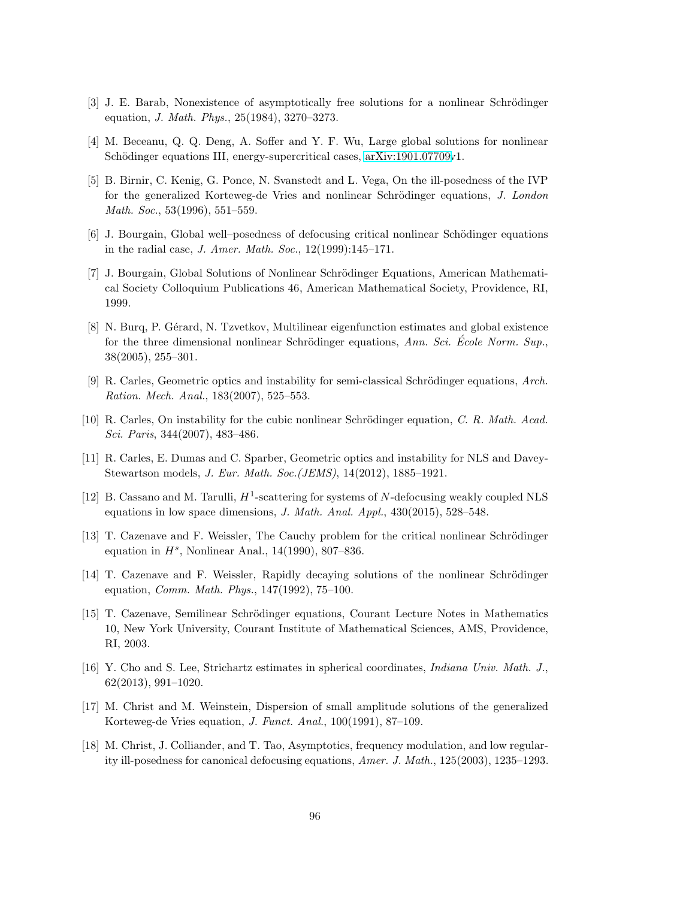- <span id="page-95-0"></span>[3] J. E. Barab, Nonexistence of asymptotically free solutions for a nonlinear Schrödinger equation, J. Math. Phys., 25(1984), 3270–3273.
- [4] M. Beceanu, Q. Q. Deng, A. Soffer and Y. F. Wu, Large global solutions for nonlinear Schödinger equations III, energy-supercritical cases, [arXiv:1901.07709v](http://arxiv.org/abs/1901.07709)1.
- [5] B. Birnir, C. Kenig, G. Ponce, N. Svanstedt and L. Vega, On the ill-posedness of the IVP for the generalized Korteweg-de Vries and nonlinear Schrödinger equations, J. London Math. Soc., 53(1996), 551–559.
- [6] J. Bourgain, Global well–posedness of defocusing critical nonlinear Schödinger equations in the radial case, J. Amer. Math. Soc., 12(1999):145–171.
- [7] J. Bourgain, Global Solutions of Nonlinear Schrödinger Equations, American Mathematical Society Colloquium Publications 46, American Mathematical Society, Providence, RI, 1999.
- [8] N. Burq, P. Gérard, N. Tzvetkov, Multilinear eigenfunction estimates and global existence for the three dimensional nonlinear Schrödinger equations, Ann. Sci. Ecole Norm. Sup. 38(2005), 255–301.
- [9] R. Carles, Geometric optics and instability for semi-classical Schrödinger equations, Arch. Ration. Mech. Anal., 183(2007), 525–553.
- [10] R. Carles, On instability for the cubic nonlinear Schrödinger equation, C. R. Math. Acad. Sci. Paris, 344(2007), 483–486.
- [11] R. Carles, E. Dumas and C. Sparber, Geometric optics and instability for NLS and Davey-Stewartson models, J. Eur. Math. Soc.(JEMS), 14(2012), 1885–1921.
- [12] B. Cassano and M. Tarulli,  $H^1$ -scattering for systems of N-defocusing weakly coupled NLS equations in low space dimensions, J. Math. Anal. Appl., 430(2015), 528–548.
- [13] T. Cazenave and F. Weissler, The Cauchy problem for the critical nonlinear Schrödinger equation in  $H^s$ , Nonlinear Anal., 14(1990), 807-836.
- [14] T. Cazenave and F. Weissler, Rapidly decaying solutions of the nonlinear Schrödinger equation, Comm. Math. Phys., 147(1992), 75–100.
- [15] T. Cazenave, Semilinear Schrödinger equations, Courant Lecture Notes in Mathematics 10, New York University, Courant Institute of Mathematical Sciences, AMS, Providence, RI, 2003.
- [16] Y. Cho and S. Lee, Strichartz estimates in spherical coordinates, Indiana Univ. Math. J., 62(2013), 991–1020.
- [17] M. Christ and M. Weinstein, Dispersion of small amplitude solutions of the generalized Korteweg-de Vries equation, J. Funct. Anal., 100(1991), 87–109.
- [18] M. Christ, J. Colliander, and T. Tao, Asymptotics, frequency modulation, and low regularity ill-posedness for canonical defocusing equations, Amer. J. Math., 125(2003), 1235–1293.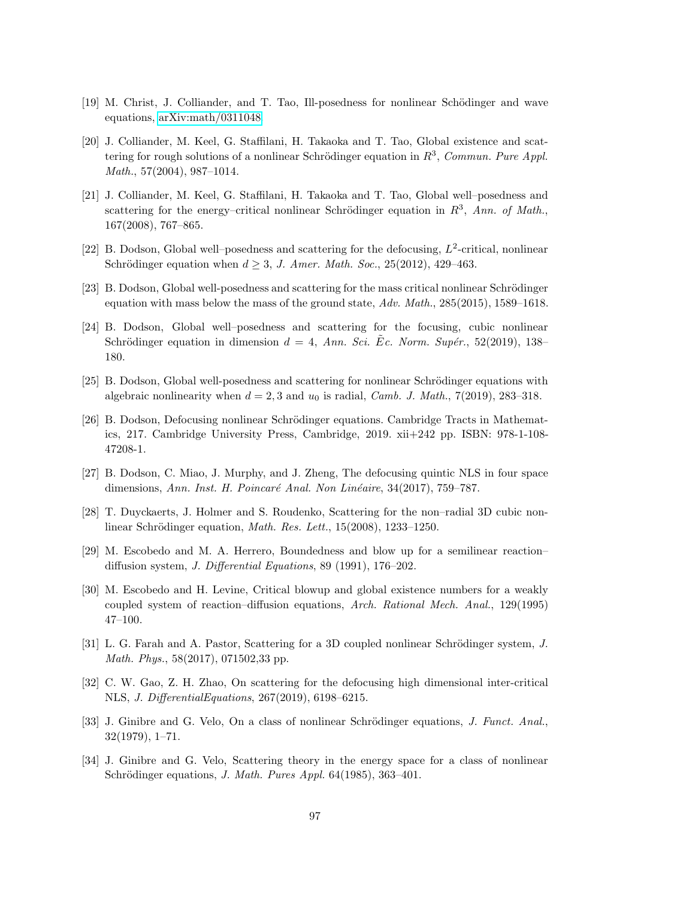- [19] M. Christ, J. Colliander, and T. Tao, Ill-posedness for nonlinear Schödinger and wave equations, [arXiv:math/0311048.](http://arxiv.org/abs/math/0311048)
- [20] J. Colliander, M. Keel, G. Staffilani, H. Takaoka and T. Tao, Global existence and scattering for rough solutions of a nonlinear Schrödinger equation in  $R^3$ , Commun. Pure Appl. Math., 57(2004), 987–1014.
- [21] J. Colliander, M. Keel, G. Staffilani, H. Takaoka and T. Tao, Global well–posedness and scattering for the energy–critical nonlinear Schrödinger equation in  $R^3$ , Ann. of Math., 167(2008), 767–865.
- [22] B. Dodson, Global well-posedness and scattering for the defocusing,  $L^2$ -critical, nonlinear Schrödinger equation when  $d \geq 3$ , J. Amer. Math. Soc., 25(2012), 429-463.
- [23] B. Dodson, Global well-posedness and scattering for the mass critical nonlinear Schrödinger equation with mass below the mass of the ground state, Adv. Math., 285(2015), 1589–1618.
- [24] B. Dodson, Global well–posedness and scattering for the focusing, cubic nonlinear Schrödinger equation in dimension  $d = 4$ , Ann. Sci. Ec. Norm. Supér., 52(2019), 138– 180.
- [25] B. Dodson, Global well-posedness and scattering for nonlinear Schrödinger equations with algebraic nonlinearity when  $d = 2, 3$  and  $u_0$  is radial, *Camb. J. Math.*, 7(2019), 283–318.
- [26] B. Dodson, Defocusing nonlinear Schrödinger equations. Cambridge Tracts in Mathematics, 217. Cambridge University Press, Cambridge, 2019. xii+242 pp. ISBN: 978-1-108- 47208-1.
- [27] B. Dodson, C. Miao, J. Murphy, and J. Zheng, The defocusing quintic NLS in four space dimensions, Ann. Inst. H. Poincaré Anal. Non Linéaire, 34(2017), 759–787.
- [28] T. Duyckaerts, J. Holmer and S. Roudenko, Scattering for the non–radial 3D cubic nonlinear Schrödinger equation, *Math. Res. Lett.*,  $15(2008)$ ,  $1233-1250$ .
- [29] M. Escobedo and M. A. Herrero, Boundedness and blow up for a semilinear reaction– diffusion system, J. Differential Equations, 89 (1991), 176–202.
- [30] M. Escobedo and H. Levine, Critical blowup and global existence numbers for a weakly coupled system of reaction–diffusion equations, Arch. Rational Mech. Anal., 129(1995) 47–100.
- [31] L. G. Farah and A. Pastor, Scattering for a 3D coupled nonlinear Schrödinger system, J. Math. Phys., 58(2017), 071502,33 pp.
- [32] C. W. Gao, Z. H. Zhao, On scattering for the defocusing high dimensional inter-critical NLS, J. DifferentialEquations, 267(2019), 6198–6215.
- [33] J. Ginibre and G. Velo, On a class of nonlinear Schrödinger equations, J. Funct. Anal., 32(1979), 1–71.
- [34] J. Ginibre and G. Velo, Scattering theory in the energy space for a class of nonlinear Schrödinger equations, *J. Math. Pures Appl.* 64(1985), 363-401.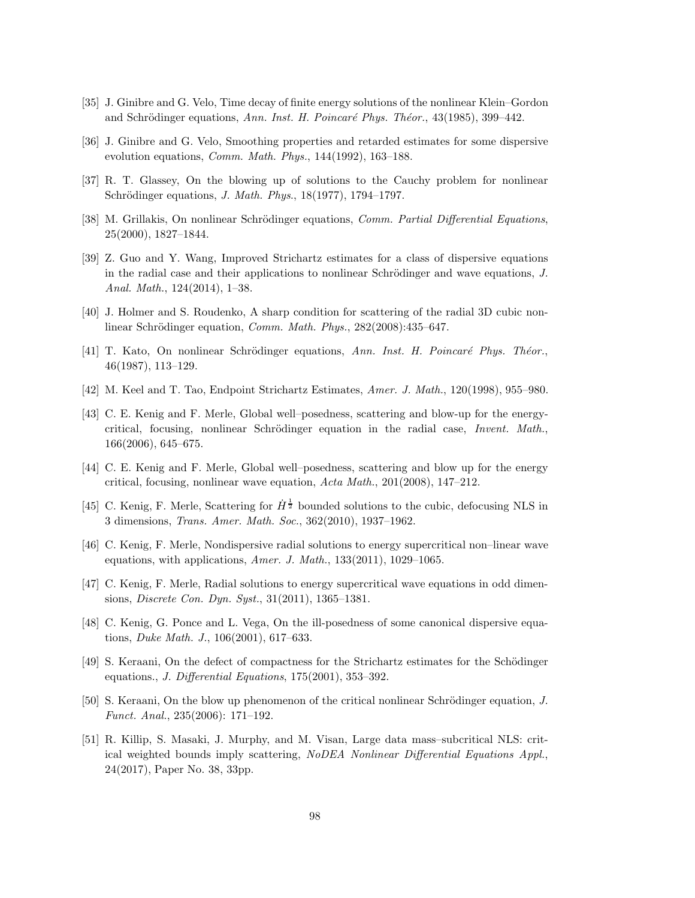- [35] J. Ginibre and G. Velo, Time decay of finite energy solutions of the nonlinear Klein–Gordon and Schrödinger equations, Ann. Inst. H. Poincaré Phys. Théor., 43(1985), 399–442.
- <span id="page-97-0"></span>[36] J. Ginibre and G. Velo, Smoothing properties and retarded estimates for some dispersive evolution equations, Comm. Math. Phys., 144(1992), 163–188.
- [37] R. T. Glassey, On the blowing up of solutions to the Cauchy problem for nonlinear Schrödinger equations, *J. Math. Phys.*, 18(1977), 1794–1797.
- [38] M. Grillakis, On nonlinear Schrödinger equations, Comm. Partial Differential Equations, 25(2000), 1827–1844.
- [39] Z. Guo and Y. Wang, Improved Strichartz estimates for a class of dispersive equations in the radial case and their applications to nonlinear Schrödinger and wave equations,  $J$ . Anal. Math., 124(2014), 1–38.
- [40] J. Holmer and S. Roudenko, A sharp condition for scattering of the radial 3D cubic nonlinear Schrödinger equation, Comm. Math. Phys., 282(2008):435-647.
- [41] T. Kato, On nonlinear Schrödinger equations, Ann. Inst. H. Poincaré Phys. Théor., 46(1987), 113–129.
- [42] M. Keel and T. Tao, Endpoint Strichartz Estimates, Amer. J. Math., 120(1998), 955–980.
- [43] C. E. Kenig and F. Merle, Global well–posedness, scattering and blow-up for the energycritical, focusing, nonlinear Schrödinger equation in the radial case, Invent. Math., 166(2006), 645–675.
- [44] C. E. Kenig and F. Merle, Global well–posedness, scattering and blow up for the energy critical, focusing, nonlinear wave equation, Acta Math., 201(2008), 147–212.
- [45] C. Kenig, F. Merle, Scattering for  $\dot{H}^{\frac{1}{2}}$  bounded solutions to the cubic, defocusing NLS in 3 dimensions, Trans. Amer. Math. Soc., 362(2010), 1937–1962.
- [46] C. Kenig, F. Merle, Nondispersive radial solutions to energy supercritical non–linear wave equations, with applications, Amer. J. Math., 133(2011), 1029–1065.
- [47] C. Kenig, F. Merle, Radial solutions to energy supercritical wave equations in odd dimensions, Discrete Con. Dyn. Syst., 31(2011), 1365–1381.
- [48] C. Kenig, G. Ponce and L. Vega, On the ill-posedness of some canonical dispersive equations, Duke Math. J., 106(2001), 617–633.
- [49] S. Keraani, On the defect of compactness for the Strichartz estimates for the Schödinger equations., J. Differential Equations, 175(2001), 353–392.
- [50] S. Keraani, On the blow up phenomenon of the critical nonlinear Schrödinger equation, J. Funct. Anal., 235(2006): 171–192.
- [51] R. Killip, S. Masaki, J. Murphy, and M. Visan, Large data mass–subcritical NLS: critical weighted bounds imply scattering, NoDEA Nonlinear Differential Equations Appl., 24(2017), Paper No. 38, 33pp.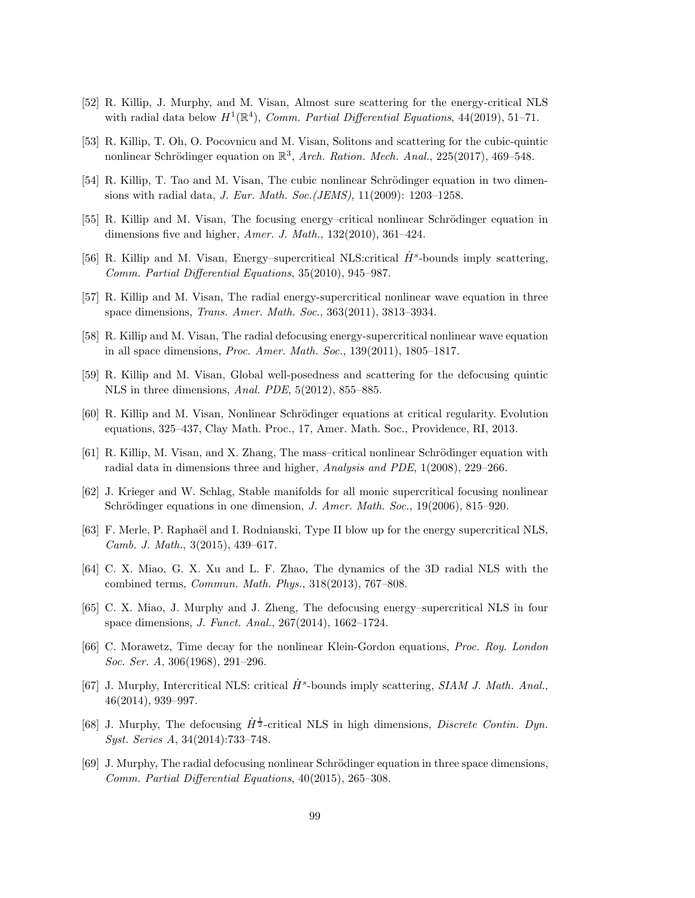- [52] R. Killip, J. Murphy, and M. Visan, Almost sure scattering for the energy-critical NLS with radial data below  $H^1(\mathbb{R}^4)$ , Comm. Partial Differential Equations, 44(2019), 51-71.
- [53] R. Killip, T. Oh, O. Pocovnicu and M. Visan, Solitons and scattering for the cubic-quintic nonlinear Schrödinger equation on  $\mathbb{R}^3$ , Arch. Ration. Mech. Anal., 225(2017), 469-548.
- [54] R. Killip, T. Tao and M. Visan, The cubic nonlinear Schrödinger equation in two dimensions with radial data, J. Eur. Math. Soc.(JEMS), 11(2009): 1203–1258.
- [55] R. Killip and M. Visan, The focusing energy–critical nonlinear Schrödinger equation in dimensions five and higher, Amer. J. Math., 132(2010), 361-424.
- <span id="page-98-0"></span>[56] R. Killip and M. Visan, Energy-supercritical NLS:critical  $\dot{H}^s$ -bounds imply scattering, Comm. Partial Differential Equations, 35(2010), 945–987.
- [57] R. Killip and M. Visan, The radial energy-supercritical nonlinear wave equation in three space dimensions, Trans. Amer. Math. Soc., 363(2011), 3813–3934.
- [58] R. Killip and M. Visan, The radial defocusing energy-supercritical nonlinear wave equation in all space dimensions, Proc. Amer. Math. Soc., 139(2011), 1805–1817.
- [59] R. Killip and M. Visan, Global well-posedness and scattering for the defocusing quintic NLS in three dimensions, Anal. PDE, 5(2012), 855–885.
- [60] R. Killip and M. Visan, Nonlinear Schrödinger equations at critical regularity. Evolution equations, 325–437, Clay Math. Proc., 17, Amer. Math. Soc., Providence, RI, 2013.
- [61] R. Killip, M. Visan, and X. Zhang, The mass–critical nonlinear Schrödinger equation with radial data in dimensions three and higher, Analysis and PDE, 1(2008), 229–266.
- [62] J. Krieger and W. Schlag, Stable manifolds for all monic supercritical focusing nonlinear Schrödinger equations in one dimension, J. Amer. Math. Soc.,  $19(2006)$ ,  $815-920$ .
- [63] F. Merle, P. Raphaël and I. Rodnianski, Type II blow up for the energy supercritical NLS, Camb. J. Math., 3(2015), 439–617.
- [64] C. X. Miao, G. X. Xu and L. F. Zhao, The dynamics of the 3D radial NLS with the combined terms, Commun. Math. Phys., 318(2013), 767–808.
- [65] C. X. Miao, J. Murphy and J. Zheng, The defocusing energy–supercritical NLS in four space dimensions, J. Funct. Anal., 267(2014), 1662–1724.
- [66] C. Morawetz, Time decay for the nonlinear Klein-Gordon equations, Proc. Roy. London Soc. Ser. A, 306(1968), 291–296.
- [67] J. Murphy, Intercritical NLS: critical  $\dot{H}^s$ -bounds imply scattering, SIAM J. Math. Anal., 46(2014), 939–997.
- [68] J. Murphy, The defocusing  $\dot{H}^{\frac{1}{2}}$ -critical NLS in high dimensions, *Discrete Contin. Dyn.* Syst. Series A, 34(2014):733–748.
- [69] J. Murphy, The radial defocusing nonlinear Schrödinger equation in three space dimensions, Comm. Partial Differential Equations, 40(2015), 265–308.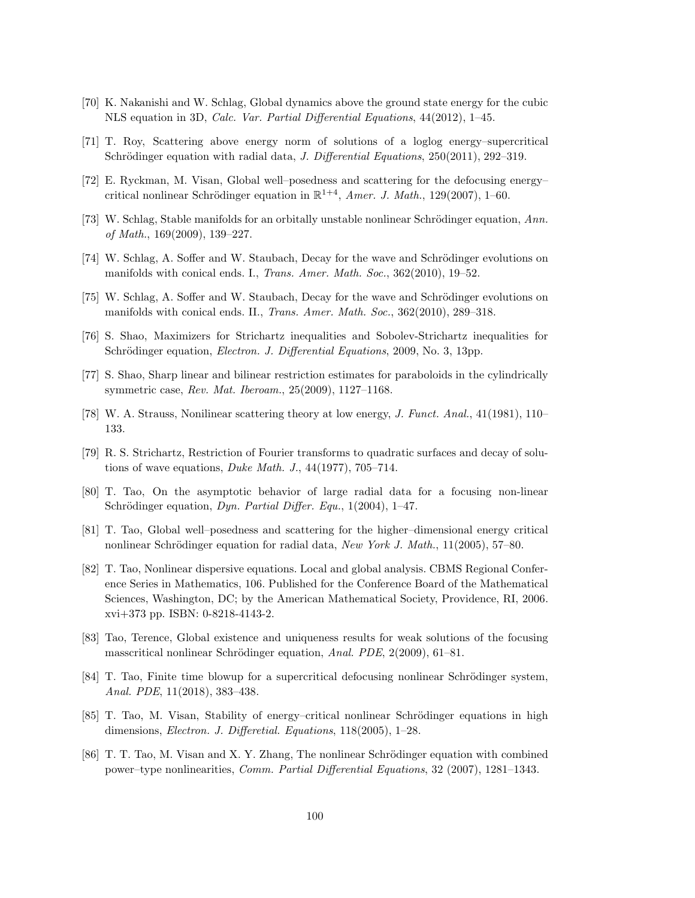- [70] K. Nakanishi and W. Schlag, Global dynamics above the ground state energy for the cubic NLS equation in 3D, Calc. Var. Partial Differential Equations, 44(2012), 1–45.
- [71] T. Roy, Scattering above energy norm of solutions of a loglog energy–supercritical Schrödinger equation with radial data, *J. Differential Equations*,  $250(2011)$ ,  $292-319$ .
- [72] E. Ryckman, M. Visan, Global well–posedness and scattering for the defocusing energy– critical nonlinear Schrödinger equation in  $\mathbb{R}^{1+4}$ , *Amer. J. Math.*, 129(2007), 1-60.
- [73] W. Schlag, Stable manifolds for an orbitally unstable nonlinear Schrödinger equation, Ann. of Math., 169(2009), 139–227.
- [74] W. Schlag, A. Soffer and W. Staubach, Decay for the wave and Schrödinger evolutions on manifolds with conical ends. I., Trans. Amer. Math. Soc., 362(2010), 19–52.
- [75] W. Schlag, A. Soffer and W. Staubach, Decay for the wave and Schrödinger evolutions on manifolds with conical ends. II., Trans. Amer. Math. Soc., 362(2010), 289–318.
- [76] S. Shao, Maximizers for Strichartz inequalities and Sobolev-Strichartz inequalities for Schrödinger equation, *Electron. J. Differential Equations*, 2009, No. 3, 13pp.
- [77] S. Shao, Sharp linear and bilinear restriction estimates for paraboloids in the cylindrically symmetric case, Rev. Mat. Iberoam., 25(2009), 1127–1168.
- [78] W. A. Strauss, Nonilinear scattering theory at low energy, J. Funct. Anal., 41(1981), 110– 133.
- [79] R. S. Strichartz, Restriction of Fourier transforms to quadratic surfaces and decay of solutions of wave equations, Duke Math. J., 44(1977), 705–714.
- [80] T. Tao, On the asymptotic behavior of large radial data for a focusing non-linear Schrödinger equation, Dyn. Partial Differ. Equ.,  $1(2004)$ ,  $1-47$ .
- [81] T. Tao, Global well–posedness and scattering for the higher–dimensional energy critical nonlinear Schrödinger equation for radial data, New York J. Math.,  $11(2005)$ , 57–80.
- [82] T. Tao, Nonlinear dispersive equations. Local and global analysis. CBMS Regional Conference Series in Mathematics, 106. Published for the Conference Board of the Mathematical Sciences, Washington, DC; by the American Mathematical Society, Providence, RI, 2006. xvi+373 pp. ISBN: 0-8218-4143-2.
- [83] Tao, Terence, Global existence and uniqueness results for weak solutions of the focusing masscritical nonlinear Schrödinger equation, Anal. PDE, 2(2009), 61–81.
- [84] T. Tao, Finite time blowup for a supercritical defocusing nonlinear Schrödinger system, Anal. PDE, 11(2018), 383–438.
- [85] T. Tao, M. Visan, Stability of energy–critical nonlinear Schrödinger equations in high dimensions, Electron. J. Differetial. Equations, 118(2005), 1–28.
- [86] T. T. Tao, M. Visan and X. Y. Zhang, The nonlinear Schrödinger equation with combined power–type nonlinearities, Comm. Partial Differential Equations, 32 (2007), 1281–1343.